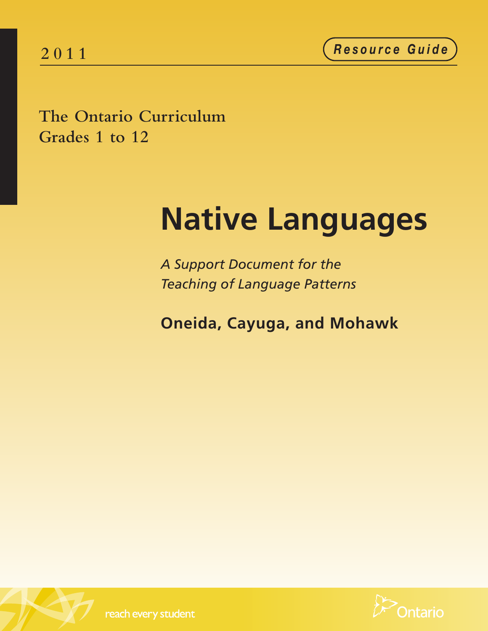**2 0 1 1** *<sup>R</sup> <sup>e</sup> <sup>s</sup> <sup>o</sup> <sup>u</sup> <sup>r</sup> <sup>c</sup> <sup>e</sup> <sup>G</sup> <sup>u</sup> <sup>i</sup> <sup>d</sup> <sup>e</sup>*

**The Ontario Curriculum Grades 1 to 12**

# **Native Languages**

*A Support Document for the Teaching of Language Patterns*

**Oneida, Cayuga, and Mohawk**





reach every student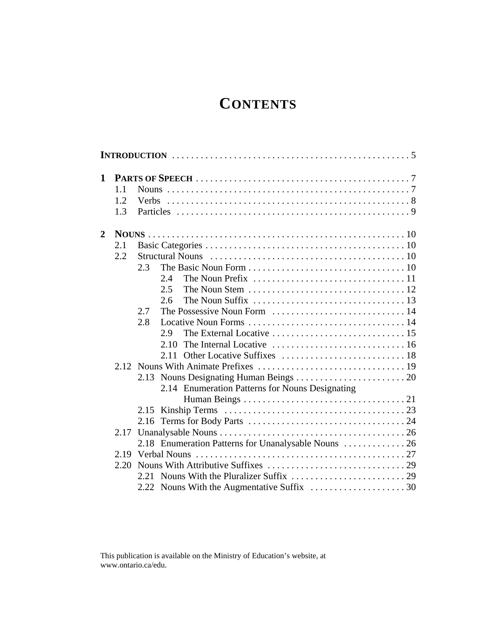### **CONTENTS**

| 1                |      |                                                                                                   |  |
|------------------|------|---------------------------------------------------------------------------------------------------|--|
|                  | 1.1  |                                                                                                   |  |
|                  | 1.2  |                                                                                                   |  |
|                  | 1.3  |                                                                                                   |  |
| $\boldsymbol{2}$ |      |                                                                                                   |  |
|                  | 2.1  |                                                                                                   |  |
|                  | 2.2  |                                                                                                   |  |
|                  |      | 2.3                                                                                               |  |
|                  |      | 2.4<br>The Noun Prefix $\ldots \ldots \ldots \ldots \ldots \ldots \ldots \ldots \ldots 11$        |  |
|                  |      | The Noun Stem $\dots\dots\dots\dots\dots\dots\dots\dots\dots\dots 12$<br>2.5                      |  |
|                  |      | The Noun Suffix $\ldots \ldots \ldots \ldots \ldots \ldots \ldots \ldots \ldots \ldots$ 13<br>2.6 |  |
|                  |      | 2.7                                                                                               |  |
|                  |      | 2.8                                                                                               |  |
|                  |      | 2.9                                                                                               |  |
|                  |      | 2.10                                                                                              |  |
|                  |      | 2.11                                                                                              |  |
|                  |      |                                                                                                   |  |
|                  |      | 2.13                                                                                              |  |
|                  |      | 2.14 Enumeration Patterns for Nouns Designating                                                   |  |
|                  |      |                                                                                                   |  |
|                  |      |                                                                                                   |  |
|                  |      |                                                                                                   |  |
|                  | 2.17 |                                                                                                   |  |
|                  |      | 2.18 Enumeration Patterns for Unanalysable Nouns  26                                              |  |
|                  |      |                                                                                                   |  |
|                  | 2.20 |                                                                                                   |  |
|                  |      |                                                                                                   |  |
|                  |      |                                                                                                   |  |
|                  |      |                                                                                                   |  |

This publication is available on the Ministry of Education's website, at www.ontario.ca/edu.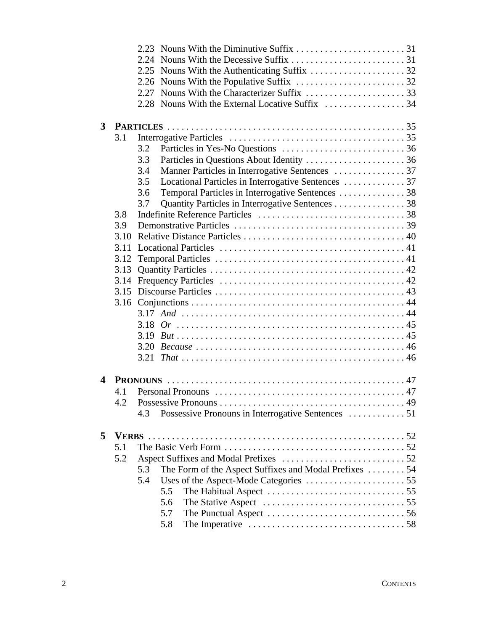|   |      | 2.27 |                                                                                             |  |
|---|------|------|---------------------------------------------------------------------------------------------|--|
|   |      |      |                                                                                             |  |
|   |      |      |                                                                                             |  |
| 3 |      |      |                                                                                             |  |
|   | 3.1  |      |                                                                                             |  |
|   |      | 3.2  |                                                                                             |  |
|   |      | 3.3  |                                                                                             |  |
|   |      | 3.4  |                                                                                             |  |
|   |      | 3.5  | Locational Particles in Interrogative Sentences  37                                         |  |
|   |      | 3.6  | Temporal Particles in Interrogative Sentences 38                                            |  |
|   |      | 3.7  | Quantity Particles in Interrogative Sentences 38                                            |  |
|   | 3.8  |      |                                                                                             |  |
|   | 3.9  |      |                                                                                             |  |
|   | 3.10 |      |                                                                                             |  |
|   | 3.11 |      |                                                                                             |  |
|   | 3.12 |      |                                                                                             |  |
|   | 3.13 |      |                                                                                             |  |
|   |      |      |                                                                                             |  |
|   |      |      |                                                                                             |  |
|   |      |      |                                                                                             |  |
|   |      |      |                                                                                             |  |
|   |      |      |                                                                                             |  |
|   |      |      |                                                                                             |  |
|   |      |      |                                                                                             |  |
|   |      |      |                                                                                             |  |
|   |      |      |                                                                                             |  |
| 4 |      |      |                                                                                             |  |
|   | 4.1  |      |                                                                                             |  |
|   |      |      |                                                                                             |  |
|   |      | 4.3  | Possessive Pronouns in Interrogative Sentences 51                                           |  |
|   |      |      |                                                                                             |  |
| 5 |      |      |                                                                                             |  |
|   | 5.1  |      |                                                                                             |  |
|   | 5.2  |      |                                                                                             |  |
|   |      | 5.3  | The Form of the Aspect Suffixes and Modal Prefixes 54                                       |  |
|   |      | 5.4  |                                                                                             |  |
|   |      |      | The Habitual Aspect $\dots\dots\dots\dots\dots\dots\dots\dots\dots\dots$<br>5.5             |  |
|   |      |      | 5.6                                                                                         |  |
|   |      |      | 5.7<br>The Punctual Aspect $\dots \dots \dots \dots \dots \dots \dots \dots \dots \dots 56$ |  |
|   |      |      | 5.8                                                                                         |  |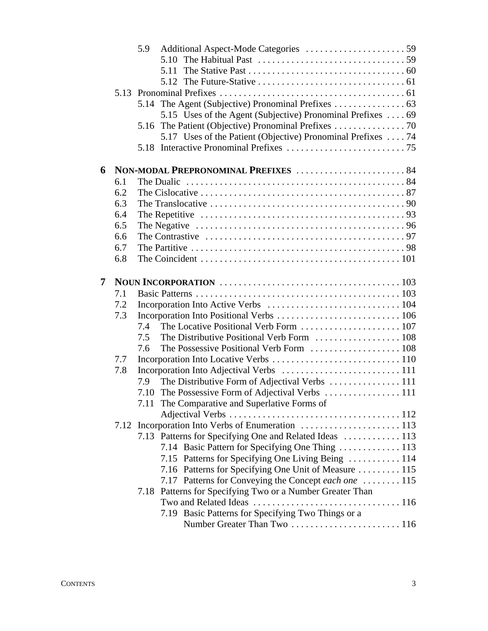|     | 5.9                                                                                                 |                                                                                                                                                                                                                                         |
|-----|-----------------------------------------------------------------------------------------------------|-----------------------------------------------------------------------------------------------------------------------------------------------------------------------------------------------------------------------------------------|
|     | The Habitual Past $\dots \dots \dots \dots \dots \dots \dots \dots \dots \dots \dots \dots$<br>5.10 |                                                                                                                                                                                                                                         |
|     |                                                                                                     |                                                                                                                                                                                                                                         |
|     |                                                                                                     |                                                                                                                                                                                                                                         |
|     |                                                                                                     |                                                                                                                                                                                                                                         |
|     |                                                                                                     |                                                                                                                                                                                                                                         |
|     | 5.15 Uses of the Agent (Subjective) Pronominal Prefixes  69                                         |                                                                                                                                                                                                                                         |
|     | 5.16                                                                                                |                                                                                                                                                                                                                                         |
|     | 5.17 Uses of the Patient (Objective) Pronominal Prefixes  74                                        |                                                                                                                                                                                                                                         |
|     |                                                                                                     |                                                                                                                                                                                                                                         |
|     |                                                                                                     |                                                                                                                                                                                                                                         |
|     |                                                                                                     |                                                                                                                                                                                                                                         |
|     |                                                                                                     |                                                                                                                                                                                                                                         |
|     |                                                                                                     |                                                                                                                                                                                                                                         |
|     |                                                                                                     |                                                                                                                                                                                                                                         |
|     |                                                                                                     |                                                                                                                                                                                                                                         |
|     |                                                                                                     |                                                                                                                                                                                                                                         |
|     |                                                                                                     |                                                                                                                                                                                                                                         |
|     |                                                                                                     |                                                                                                                                                                                                                                         |
|     |                                                                                                     |                                                                                                                                                                                                                                         |
|     |                                                                                                     |                                                                                                                                                                                                                                         |
| 7.1 |                                                                                                     |                                                                                                                                                                                                                                         |
| 7.2 |                                                                                                     |                                                                                                                                                                                                                                         |
| 7.3 |                                                                                                     |                                                                                                                                                                                                                                         |
|     | 7.4                                                                                                 |                                                                                                                                                                                                                                         |
|     | 7.5                                                                                                 |                                                                                                                                                                                                                                         |
|     | 7.6                                                                                                 |                                                                                                                                                                                                                                         |
| 7.7 |                                                                                                     |                                                                                                                                                                                                                                         |
| 7.8 |                                                                                                     |                                                                                                                                                                                                                                         |
|     | 7.9                                                                                                 |                                                                                                                                                                                                                                         |
|     |                                                                                                     |                                                                                                                                                                                                                                         |
|     | 7.11 The Comparative and Superlative Forms of                                                       |                                                                                                                                                                                                                                         |
|     |                                                                                                     |                                                                                                                                                                                                                                         |
|     |                                                                                                     |                                                                                                                                                                                                                                         |
|     |                                                                                                     |                                                                                                                                                                                                                                         |
|     | 7.13 Patterns for Specifying One and Related Ideas  113                                             |                                                                                                                                                                                                                                         |
|     |                                                                                                     |                                                                                                                                                                                                                                         |
|     | 7.15 Patterns for Specifying One Living Being  114                                                  |                                                                                                                                                                                                                                         |
|     | 7.16 Patterns for Specifying One Unit of Measure  115                                               |                                                                                                                                                                                                                                         |
|     | 7.17 Patterns for Conveying the Concept each one  115                                               |                                                                                                                                                                                                                                         |
|     | 7.18 Patterns for Specifying Two or a Number Greater Than                                           |                                                                                                                                                                                                                                         |
|     |                                                                                                     |                                                                                                                                                                                                                                         |
|     | 7.19 Basic Patterns for Specifying Two Things or a                                                  |                                                                                                                                                                                                                                         |
|     | 6.1<br>6.2<br>6.3<br>6.4<br>6.5<br>6.6<br>6.7<br>6.8                                                | 5.13<br>The Contrastive $\ldots \ldots \ldots \ldots \ldots \ldots \ldots \ldots \ldots \ldots \ldots \ldots \ldots$<br>The Coincident $\ldots \ldots \ldots \ldots \ldots \ldots \ldots \ldots \ldots \ldots \ldots \ldots \ldots 101$ |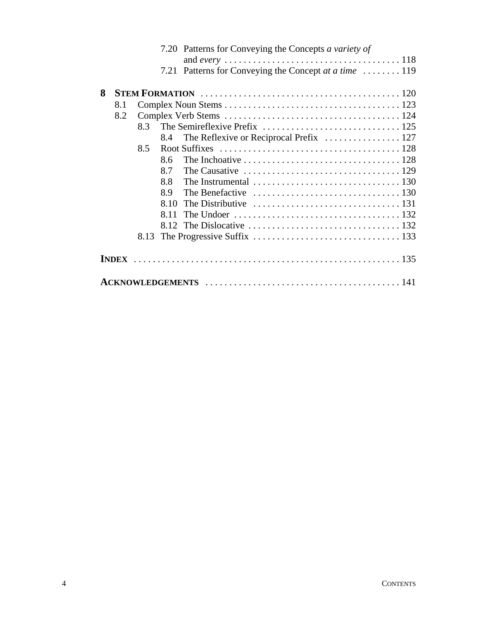|   |     |      |      | 7.20 Patterns for Conveying the Concepts a variety of                                            |
|---|-----|------|------|--------------------------------------------------------------------------------------------------|
|   |     |      |      |                                                                                                  |
|   |     |      | 7.21 | Patterns for Conveying the Concept at a time  119                                                |
|   |     |      |      |                                                                                                  |
| 8 |     |      |      |                                                                                                  |
|   | 8.1 |      |      |                                                                                                  |
|   | 8.2 |      |      |                                                                                                  |
|   |     | 83   |      |                                                                                                  |
|   |     |      | 8.4  |                                                                                                  |
|   |     | 8.5  |      |                                                                                                  |
|   |     |      | 8.6  | The Inchoative $\ldots \ldots \ldots \ldots \ldots \ldots \ldots \ldots \ldots \ldots 128$       |
|   |     |      | 8.7  | The Causative $\ldots \ldots \ldots \ldots \ldots \ldots \ldots \ldots \ldots \ldots \ldots 129$ |
|   |     |      | 8.8  | The Instrumental $\ldots \ldots \ldots \ldots \ldots \ldots \ldots \ldots \ldots \ldots$ 130     |
|   |     |      | 8.9  | The Benefactive $\dots \dots \dots \dots \dots \dots \dots \dots \dots \dots \dots \dots 130$    |
|   |     |      | 8.10 | The Distributive $\ldots \ldots \ldots \ldots \ldots \ldots \ldots \ldots \ldots 131$            |
|   |     |      | 8.11 |                                                                                                  |
|   |     |      |      |                                                                                                  |
|   |     | 8.13 |      |                                                                                                  |
|   |     |      |      |                                                                                                  |
|   |     |      |      |                                                                                                  |
|   |     |      |      |                                                                                                  |
|   |     |      |      |                                                                                                  |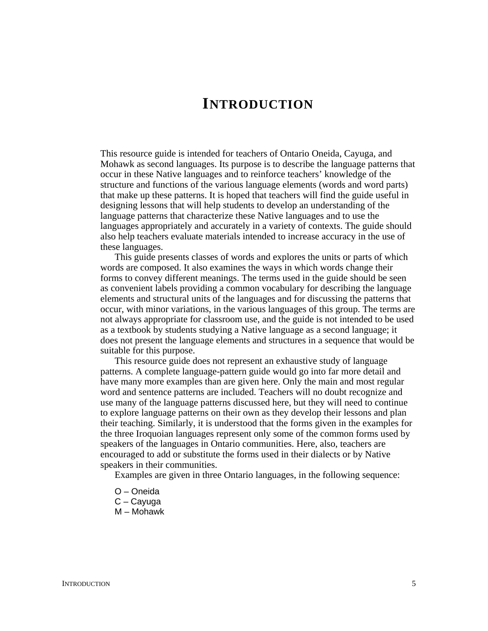### **INTRODUCTION**

This resource guide is intended for teachers of Ontario Oneida, Cayuga, and Mohawk as second languages. Its purpose is to describe the language patterns that occur in these Native languages and to reinforce teachers' knowledge of the structure and functions of the various language elements (words and word parts) that make up these patterns. It is hoped that teachers will find the guide useful in designing lessons that will help students to develop an understanding of the language patterns that characterize these Native languages and to use the languages appropriately and accurately in a variety of contexts. The guide should also help teachers evaluate materials intended to increase accuracy in the use of these languages.

This guide presents classes of words and explores the units or parts of which words are composed. It also examines the ways in which words change their forms to convey different meanings. The terms used in the guide should be seen as convenient labels providing a common vocabulary for describing the language elements and structural units of the languages and for discussing the patterns that occur, with minor variations, in the various languages of this group. The terms are not always appropriate for classroom use, and the guide is not intended to be used as a textbook by students studying a Native language as a second language; it does not present the language elements and structures in a sequence that would be suitable for this purpose.

This resource guide does not represent an exhaustive study of language patterns. A complete language-pattern guide would go into far more detail and have many more examples than are given here. Only the main and most regular word and sentence patterns are included. Teachers will no doubt recognize and use many of the language patterns discussed here, but they will need to continue to explore language patterns on their own as they develop their lessons and plan their teaching. Similarly, it is understood that the forms given in the examples for the three Iroquoian languages represent only some of the common forms used by speakers of the languages in Ontario communities. Here, also, teachers are encouraged to add or substitute the forms used in their dialects or by Native speakers in their communities.

Examples are given in three Ontario languages, in the following sequence:

- O Oneida
- C Cayuga
- M Mohawk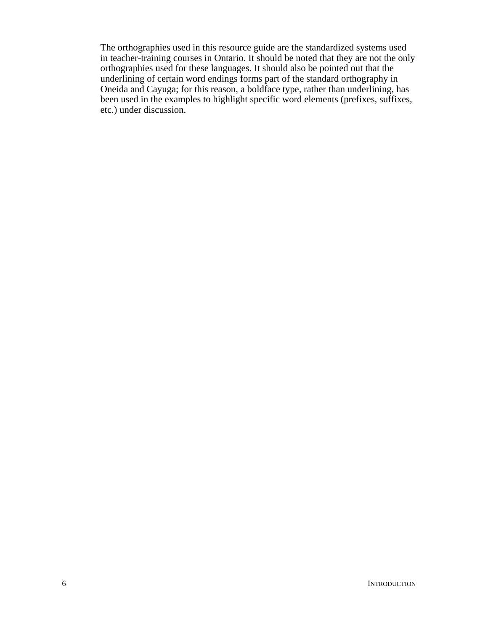The orthographies used in this resource guide are the standardized systems used in teacher-training courses in Ontario. It should be noted that they are not the only orthographies used for these languages. It should also be pointed out that the underlining of certain word endings forms part of the standard orthography in Oneida and Cayuga; for this reason, a boldface type, rather than underlining, has been used in the examples to highlight specific word elements (prefixes, suffixes, etc.) under discussion.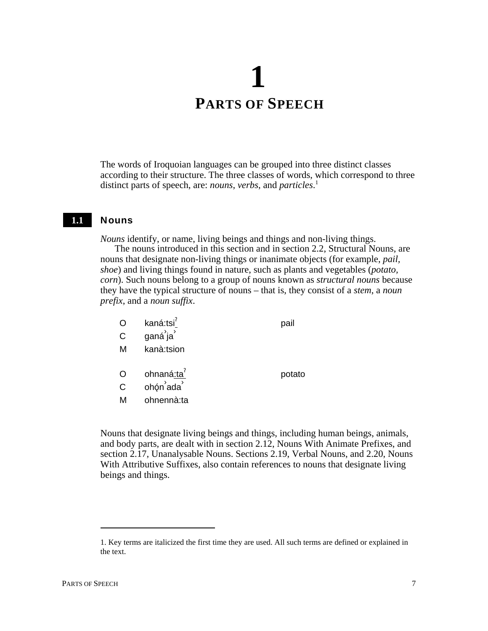## **1 PARTS OF SPEECH**

The words of Iroquoian languages can be grouped into three distinct classes according to their structure. The three classes of words, which correspond to three distinct parts of speech, are: *nouns*, *verbs*, and *particles*. 1

#### **Nouns 1.1**

*Nouns* identify, or name, living beings and things and non-living things.

The nouns introduced in this section and in section 2.2, Structural Nouns, are nouns that designate non-living things or inanimate objects (for example, *pail, shoe*) and living things found in nature, such as plants and vegetables (*potato, corn*). Such nouns belong to a group of nouns known as *structural nouns* because they have the typical structure of nouns – that is, they consist of a *stem*, a *noun prefix*, and a *noun suffix*.

|   | kaná:tsi <sup>7</sup> | pail   |
|---|-----------------------|--------|
| C | ganá ja               |        |
| M | kanà:tsion            |        |
|   |                       |        |
| O | ohnaná:ta             | potato |
| C | ohón ada              |        |
| М | ohnennà:ta            |        |

Nouns that designate living beings and things, including human beings, animals, and body parts, are dealt with in section 2.12, Nouns With Animate Prefixes, and section 2.17, Unanalysable Nouns. Sections 2.19, Verbal Nouns, and 2.20, Nouns With Attributive Suffixes, also contain references to nouns that designate living beings and things.

<sup>1.</sup> Key terms are italicized the first time they are used. All such terms are defined or explained in the text.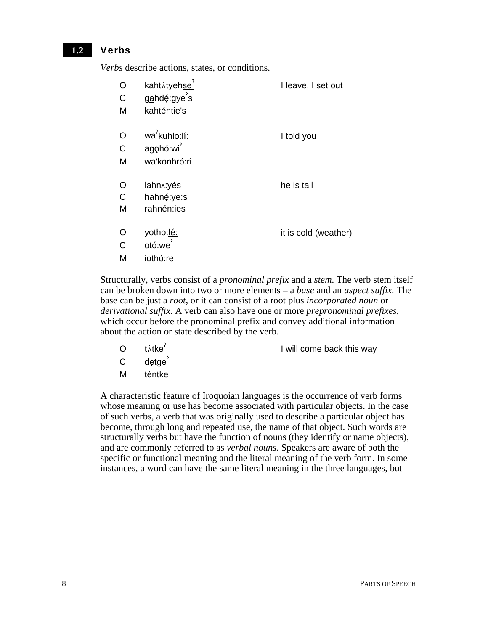#### Verbs **1.2**

*Verbs* describe actions, states, or conditions.

| $\circ$<br>$\mathsf{C}$<br>M | kahtátyehse <sup>7</sup><br>gahdę:gye's<br>kahténtie's | I leave, I set out   |
|------------------------------|--------------------------------------------------------|----------------------|
| $\circ$<br>$\mathsf{C}$<br>M | wa <sup>7</sup> kuhlo:lí:<br>agohó:wi<br>wa'konhró:ri  | I told you           |
| $\circ$<br>$\mathsf{C}$<br>M | lahn <sub>^</sub> :yés<br>hahné:ye:s<br>rahnén:ies     | he is tall           |
| $\circ$<br>$\mathsf{C}$<br>M | yotho:lé:<br>otó:we<br>iothó:re                        | it is cold (weather) |

Structurally, verbs consist of a *pronominal prefix* and a *stem*. The verb stem itself can be broken down into two or more elements – a *base* and an *aspect suffix.* The base can be just a *root*, or it can consist of a root plus *incorporated noun* or *derivational suffix*. A verb can also have one or more *prepronominal prefixes*, which occur before the pronominal prefix and convey additional information about the action or state described by the verb.

 $\sigma$  tátke<sup>?</sup> I will come back this way

- C detae
- M téntke

A characteristic feature of Iroquoian languages is the occurrence of verb forms whose meaning or use has become associated with particular objects. In the case of such verbs, a verb that was originally used to describe a particular object has become, through long and repeated use, the name of that object. Such words are structurally verbs but have the function of nouns (they identify or name objects), and are commonly referred to as *verbal nouns*. Speakers are aware of both the specific or functional meaning and the literal meaning of the verb form. In some instances, a word can have the same literal meaning in the three languages, but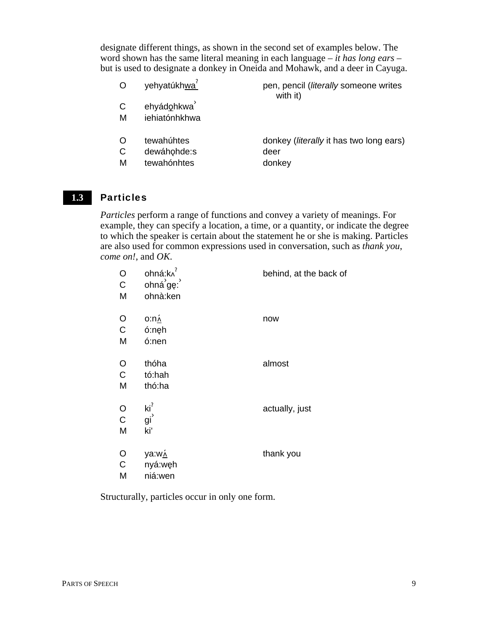designate different things, as shown in the second set of examples below. The word shown has the same literal meaning in each language – *it has long ears* – but is used to designate a donkey in Oneida and Mohawk, and a deer in Cayuga.

| $\circ$ | yehyatúkhwa <sup>7</sup> | pen, pencil ( <i>literally</i> someone writes<br>with it) |
|---------|--------------------------|-----------------------------------------------------------|
| C       | ehyádohkwa               |                                                           |
| M       | iehiatónhkhwa            |                                                           |
| O       | tewahúhtes               | donkey ( <i>literally</i> it has two long ears)           |
| C       | dewáhohde:s              | deer                                                      |
| М       | tewahónhtes              | donkey                                                    |

#### Particles **1.3**

*Particles* perform a range of functions and convey a variety of meanings. For example, they can specify a location, a time, or a quantity, or indicate the degree to which the speaker is certain about the statement he or she is making. Particles are also used for common expressions used in conversation, such as *thank you*, *come on!*, and *OK*.

| O<br>$\mathsf{C}$<br>M | ohná:k^<br>ohná <sup>'</sup> gę:<br>ohnà:ken | behind, at the back of |
|------------------------|----------------------------------------------|------------------------|
| O<br>$\mathsf{C}$<br>M | <u>o:n۸</u><br>ó:nęh<br>ó:nen                | now                    |
| O<br>$\mathsf{C}$<br>M | thóha<br>tó:hah<br>thó:ha                    | almost                 |
| O<br>$\mathsf{C}$<br>M | $\text{ki}^2$<br>gi <sup>'</sup><br>ki'      | actually, just         |
| O<br>$\mathsf{C}$<br>M | <u>ya:wʌ</u><br>nyá:węh<br>niá:wen           | thank you              |

Structurally, particles occur in only one form.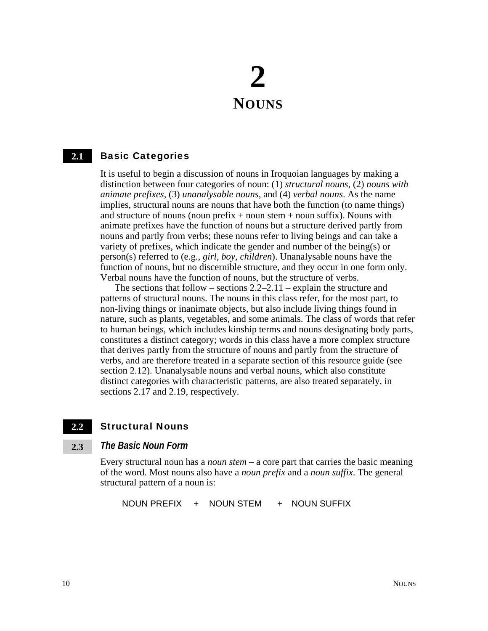## **2 NOUNS**

#### Basic Categories **2.1**

It is useful to begin a discussion of nouns in Iroquoian languages by making a distinction between four categories of noun: (1) *structural nouns*, (2) *nouns with animate prefixes*, (3) *unanalysable nouns*, and (4) *verbal nouns*. As the name implies, structural nouns are nouns that have both the function (to name things) and structure of nouns (noun prefix  $+$  noun stem  $+$  noun suffix). Nouns with animate prefixes have the function of nouns but a structure derived partly from nouns and partly from verbs; these nouns refer to living beings and can take a variety of prefixes, which indicate the gender and number of the being(s) or person(s) referred to (e.g., *girl*, *boy*, *children*). Unanalysable nouns have the function of nouns, but no discernible structure, and they occur in one form only. Verbal nouns have the function of nouns, but the structure of verbs.

The sections that follow – sections  $2.2-2.11$  – explain the structure and patterns of structural nouns. The nouns in this class refer, for the most part, to non-living things or inanimate objects, but also include living things found in nature, such as plants, vegetables, and some animals. The class of words that refer to human beings, which includes kinship terms and nouns designating body parts, constitutes a distinct category; words in this class have a more complex structure that derives partly from the structure of nouns and partly from the structure of verbs, and are therefore treated in a separate section of this resource guide (see section 2.12). Unanalysable nouns and verbal nouns, which also constitute distinct categories with characteristic patterns, are also treated separately, in sections 2.17 and 2.19, respectively.

#### Structural Nouns **2.2**

#### *The Basic Noun Form* **2.3**

Every structural noun has a *noun stem* – a core part that carries the basic meaning of the word. Most nouns also have a *noun prefix* and a *noun suffix*. The general structural pattern of a noun is:

NOUN PREFIX + NOUN STEM + NOUN SUFFIX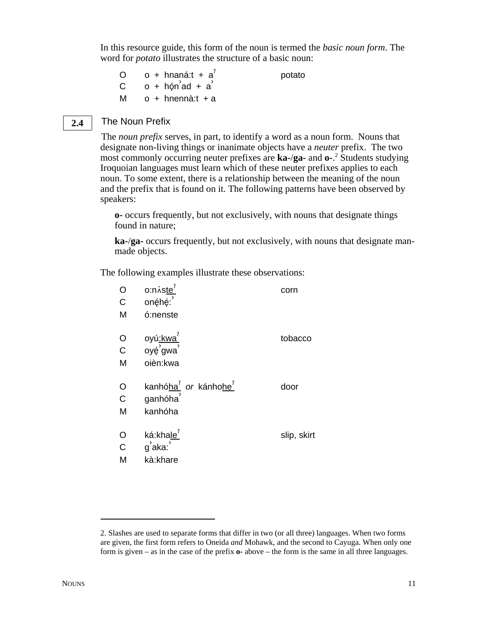In this resource guide, this form of the noun is termed the *basic noun form*. The word for *potato* illustrates the structure of a basic noun:

| $\Omega$ | o + hnaná: $t + a^{7}$ | potato |
|----------|------------------------|--------|
|          | $C$ o + hón ad + a     |        |
| м        | o + hnennà:t + a       |        |

#### The Noun Prefix **2.4**

The *noun prefix* serves, in part, to identify a word as a noun form. Nouns that designate non-living things or inanimate objects have a *neuter* prefix. The two most commonly occurring neuter prefixes are **ka-**/**ga-** and **o-**. 2 Students studying Iroquoian languages must learn which of these neuter prefixes applies to each noun. To some extent, there is a relationship between the meaning of the noun and the prefix that is found on it. The following patterns have been observed by speakers:

**o-** occurs frequently, but not exclusively, with nouns that designate things found in nature;

**ka-**/**ga-** occurs frequently, but not exclusively, with nouns that designate manmade objects.

The following examples illustrate these observations:

| O            | o:náste <sup>?</sup>                                | corn        |
|--------------|-----------------------------------------------------|-------------|
| $\mathsf{C}$ | onęhę:                                              |             |
| M            | ó:nenste                                            |             |
| O            | oyú <u>:kwa<sup>?</sup></u><br>oyę́ gwa             | tobacco     |
| $\mathsf C$  |                                                     |             |
| М            | oièn:kwa                                            |             |
| $\circ$      | kanhó <u>ha<sup>7</sup></u> or kánhohe <sup>7</sup> | door        |
| $\mathbf C$  | ganhóha                                             |             |
| M            | kanhóha                                             |             |
| O            | ká:khale <sup>'</sup>                               | slip, skirt |
| $\mathbf C$  | g <sup>'</sup> aka:                                 |             |
| M            | kà:khare                                            |             |

<sup>2.</sup> Slashes are used to separate forms that differ in two (or all three) languages. When two forms are given, the first form refers to Oneida *and* Mohawk, and the second to Cayuga. When only one form is given – as in the case of the prefix **o-** above – the form is the same in all three languages.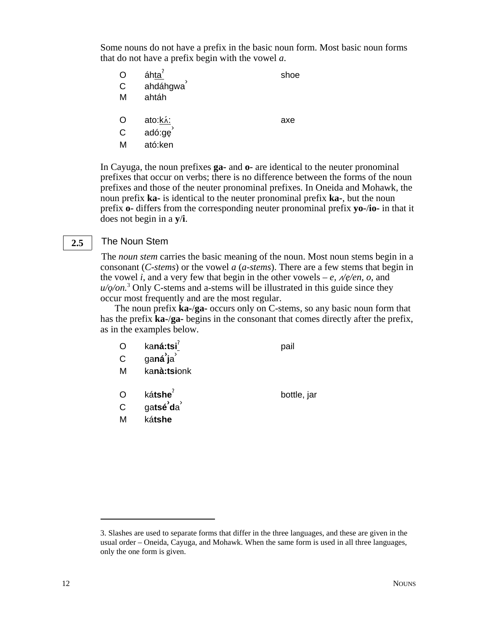Some nouns do not have a prefix in the basic noun form. Most basic noun forms that do not have a prefix begin with the vowel *a*.

- O áhta<sup> $\epsilon$ </sup> shoe
- C ahdáhgwa<sup>'</sup>
- M ahtáh
- O ato:k.i: axe
- C  $\overline{a}$  adó:ge<sup>3</sup>
- M ató:ken

In Cayuga, the noun prefixes **ga-** and **o-** are identical to the neuter pronominal prefixes that occur on verbs; there is no difference between the forms of the noun prefixes and those of the neuter pronominal prefixes. In Oneida and Mohawk, the noun prefix **ka-** is identical to the neuter pronominal prefix **ka-**, but the noun prefix **o-** differs from the corresponding neuter pronominal prefix **yo-**/**io-** in that it does not begin in a **y**/**i**.

#### The Noun Stem **2.5**

The *noun stem* carries the basic meaning of the noun. Most noun stems begin in a consonant (*C-stems*) or the vowel *a* (*a-stems*). There are a few stems that begin in the vowel *i*, and a very few that begin in the other vowels – *e*,  $\mathcal{N}e$ /*en*, *o*, and  $u/\varphi$ /on.<sup>3</sup> Only C-stems and a-stems will be illustrated in this guide since they occur most frequently and are the most regular.

The noun prefix **ka-**/**ga-** occurs only on C-stems, so any basic noun form that has the prefix **ka-**/**ga-** begins in the consonant that comes directly after the prefix, as in the examples below.

- O ka**ná:tsi<sup>?</sup> pail**
- C ga**ná› j**a ›
- M ka**nà:tsi**onk
- O kátshe<sup>?</sup> bottle, jar
- C ga**tsé› d**a ›
- M ká**tshe**

3. Slashes are used to separate forms that differ in the three languages, and these are given in the usual order – Oneida, Cayuga, and Mohawk. When the same form is used in all three languages, only the one form is given.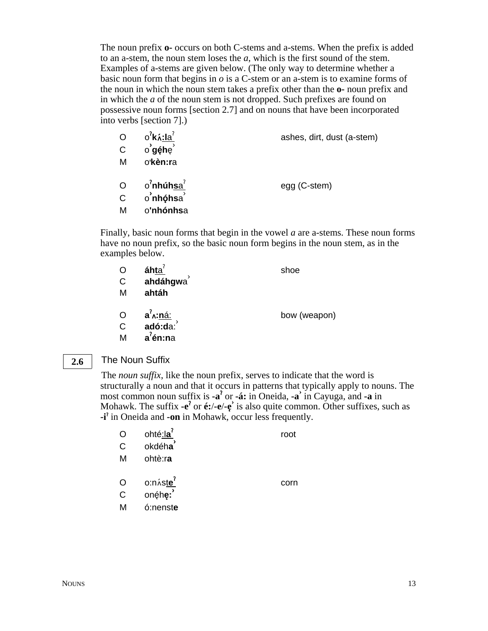The noun prefix **o-** occurs on both C-stems and a-stems. When the prefix is added to an a-stem, the noun stem loses the *a*, which is the first sound of the stem. Examples of a-stems are given below. (The only way to determine whether a basic noun form that begins in  $\sigma$  is a C-stem or an a-stem is to examine forms of the noun in which the noun stem takes a prefix other than the **o-** noun prefix and in which the *a* of the noun stem is not dropped. Such prefixes are found on possessive noun forms [section 2.7] and on nouns that have been incorporated into verbs [section 7].)

| $\overline{O}$ | $o^7$ k $\lambda$ :la $^7$   | ashes, dirt, dust (a-stem) |
|----------------|------------------------------|----------------------------|
| $\mathsf{C}$   | o' <b>géh</b> e <sup>'</sup> |                            |
| М              | o'kèn:ra                     |                            |
| $\overline{O}$ | o'nhúh <u>sa′</u>            | egg (C-stem)               |
| $\mathsf{C}$   | o'nhóhsa                     |                            |
| М              | o'nhónhsa                    |                            |
|                |                              |                            |

Finally, basic noun forms that begin in the vowel *a* are a-stems. These noun forms have no noun prefix, so the basic noun form begins in the noun stem, as in the examples below.

| O                       | áhta <sup>?</sup>                       | shoe         |
|-------------------------|-----------------------------------------|--------------|
| $\mathsf{C}$            | ahdáhgwa                                |              |
| M                       | ahtáh                                   |              |
| $\circ$<br>$\mathsf{C}$ | a <sup>?</sup> ∧: <u>ná:</u><br>adó:da∶ | bow (weapon) |

#### M **a**§ **én:n**a

#### The Noun Suffix **2.6**

The *noun suffix*, like the noun prefix, serves to indicate that the word is structurally a noun and that it occurs in patterns that typically apply to nouns. The most common noun suffix is **-a**§ or **-á:** in Oneida, **-a›** in Cayuga, and **-a** in Mohawk. The suffix  $-e^2$  or  $e^2$ ,  $-e^2$  is also quite common. Other suffixes, such as **-i**<sup> $\textbf{i}$  in Oneida and **-on** in Mohawk, occur less frequently.</sup>

| O | ohté:la <sup>?</sup> | root |
|---|----------------------|------|
| Ć | okdéha               |      |
| М | ohtè:ra              |      |
|   |                      |      |
| O | o:náste'             | corn |
| С | onéhe:               |      |
| М | ó:nenste             |      |
|   |                      |      |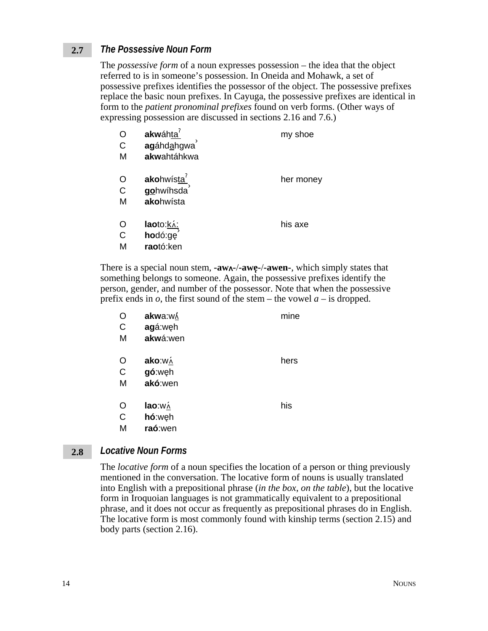#### *The Possessive Noun Form* **2.7**

The *possessive form* of a noun expresses possession – the idea that the object referred to is in someone's possession. In Oneida and Mohawk, a set of possessive prefixes identifies the possessor of the object. The possessive prefixes replace the basic noun prefixes. In Cayuga, the possessive prefixes are identical in form to the *patient pronominal prefixes* found on verb forms. (Other ways of expressing possession are discussed in sections 2.16 and 7.6.)

| С<br>M                 | akwáhta<br>agáhdahgwa<br>akwahtáhkwa             | my shoe   |
|------------------------|--------------------------------------------------|-----------|
| O<br>C<br>М            | akohwísta <sup>r</sup><br>gohwíhsda<br>akohwísta | her money |
| Ő<br>$\mathsf{C}$<br>м | laoto:ká:<br>hodó:ge<br>raotó:ken                | his axe   |

There is a special noun stem, **-aw-**/**-awe**3**-**/**-awen-**, which simply states that something belongs to someone. Again, the possessive prefixes identify the person, gender, and number of the possessor. Note that when the possessive prefix ends in  $\rho$ , the first sound of the stem – the vowel  $a$  – is dropped.

| O | akwa:w/  | mine |
|---|----------|------|
| C | agá:węh  |      |
| M | akwá:wen |      |
| O | ako:wá   | hers |
| C | gó:weh   |      |
|   | akó:wen  |      |
| M |          |      |
| O | lao:w∧   | his  |
| C | hó:weh   |      |
| M | raó:wen  |      |
|   |          |      |

#### *Locative Noun Forms* **2.8**

The *locative form* of a noun specifies the location of a person or thing previously mentioned in the conversation. The locative form of nouns is usually translated into English with a prepositional phrase (*in the box*, *on the table*), but the locative form in Iroquoian languages is not grammatically equivalent to a prepositional phrase, and it does not occur as frequently as prepositional phrases do in English. The locative form is most commonly found with kinship terms (section 2.15) and body parts (section 2.16).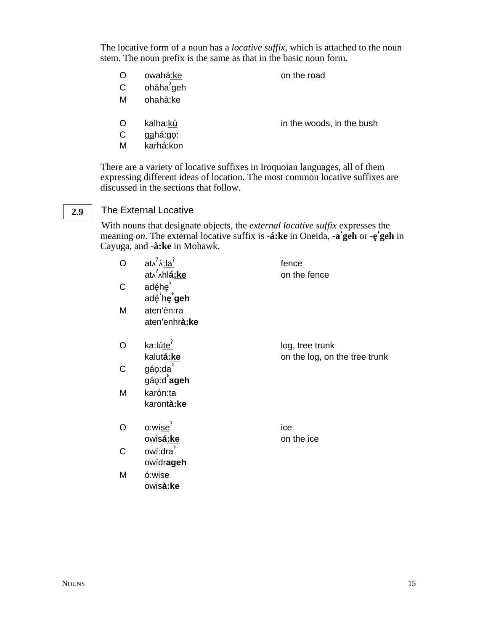The locative form of a noun has a *locative suffix*, which is attached to the noun stem. The noun prefix is the same as that in the basic noun form.

O owahá:ke on the road

- C oháha<sup>'</sup>geh
- M ohahà:ke
- O kalha: $k\acute{u}$  in the woods, in the bush
- C gahá:gọ:
- M karhá:kon

There are a variety of locative suffixes in Iroquoian languages, all of them expressing different ideas of location. The most common locative suffixes are discussed in the sections that follow.

#### The External Locative **2.9**

With nouns that designate objects, the *external locative suffix* expresses the **head is that designate segrets**, are external locative suffix is **-á:ke** in Oneida, **-a** geh or **-e** geh in Cayuga, and **-à:ke** in Mohawk.

| O | $at \lambda^? \lambda : la^?$    | fence                         |
|---|----------------------------------|-------------------------------|
|   | at^ <sup>'</sup> ^hl <b>á:ke</b> | on the fence                  |
| C | adę́hę <sup>2</sup>              |                               |
|   | adé he geh                       |                               |
| M | aten'èn:ra                       |                               |
|   | aten'enhrà:ke                    |                               |
| Ω | ka:lúte <sup>?</sup>             | log, tree trunk               |
|   | kalutá:ke                        | on the log, on the tree trunk |
| C | gáo:da                           |                               |
|   | gáo:d'ageh                       |                               |
| M | karón:ta                         |                               |
|   | karontà: ke                      |                               |
| O | o:wíse <sup>7</sup>              | ice                           |
|   | owisá:ke                         | on the ice                    |
| C | owí:dra                          |                               |
|   | owídrageh                        |                               |
| M | ó:wise                           |                               |
|   | owisà:ke                         |                               |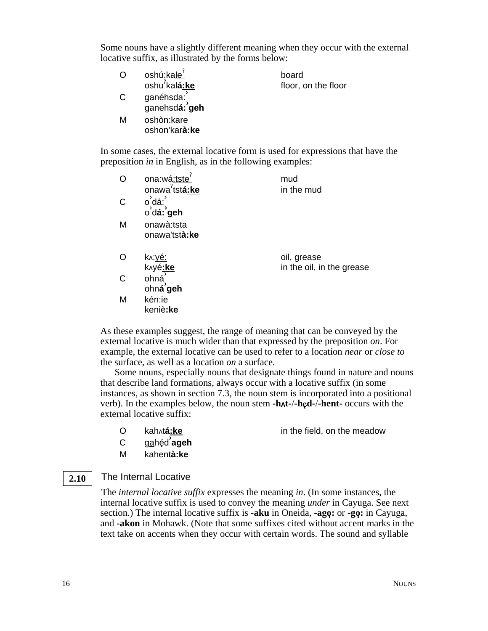Some nouns have a slightly different meaning when they occur with the external locative suffix, as illustrated by the forms below:

| O | oshú:kale <sup>7</sup>                | board               |
|---|---------------------------------------|---------------------|
|   | oshu <sup>2</sup> kalá:ke             | floor, on the floor |
| С | ganéhsda: ໋<br>ganehsd <b>á: ʾgeh</b> |                     |
| м | oshòn:kare<br>oshon'karà:ke           |                     |

In some cases, the external locative form is used for expressions that have the preposition *in* in English, as in the following examples:

| O            | ona:wá:tste<br>onawa <sup>2</sup> tst <b>á:ke</b> | mud<br>in the mud                        |
|--------------|---------------------------------------------------|------------------------------------------|
| $\mathsf{C}$ | o dá:<br>o dá: geh                                |                                          |
| M            | onawà:tsta<br>onawa'tstà:ke                       |                                          |
| O            | <u>k∧:уé:</u><br>knyé:ke                          | oil, grease<br>in the oil, in the grease |
| $\mathsf{C}$ | ohná<br>ohná geh                                  |                                          |
| M            | kén:ie<br>keniè:ke                                |                                          |

As these examples suggest, the range of meaning that can be conveyed by the external locative is much wider than that expressed by the preposition *on*. For example, the external locative can be used to refer to a location *near* or *close to* the surface, as well as a location *on* a surface.

Some nouns, especially nouns that designate things found in nature and nouns that describe land formations, always occur with a locative suffix (in some instances, as shown in section 7.3, the noun stem is incorporated into a positional verb). In the examples below, the noun stem **-ht-**/**-h**"**d-**/**-hent-** occurs with the external locative suffix:

O kaht**á:ke** in the field, on the meadow

- C gahéd<sup>2</sup>ageh
- M kahent**à:ke**

#### The Internal Locative **2.10**

The *internal locative suffix* expresses the meaning *in*. (In some instances, the internal locative suffix is used to convey the meaning *under* in Cayuga. See next section.) The internal locative suffix is **-aku** in Oneida, **-ago**3**:** or **-go**3**:** in Cayuga, and **-akon** in Mohawk. (Note that some suffixes cited without accent marks in the text take on accents when they occur with certain words. The sound and syllable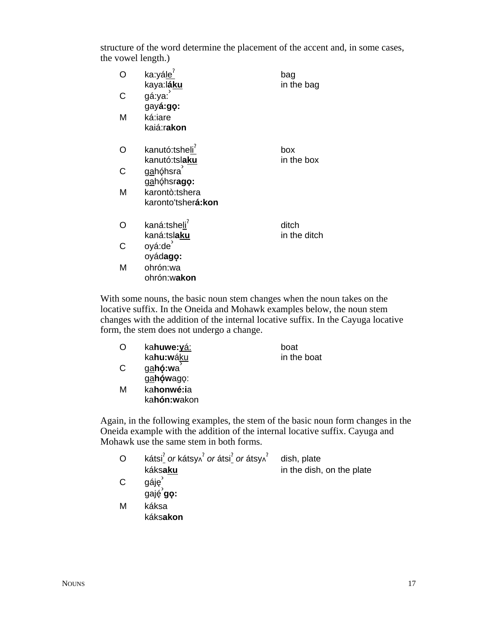structure of the word determine the placement of the accent and, in some cases, the vowel length.)

|   | ka:yále <sup>7</sup><br>kaya:l <b>á<u>ku</u></b> | bag<br>in the bag     |
|---|--------------------------------------------------|-----------------------|
| C | gá:ya:<br>gayá:go:                               |                       |
| м | ká:iare<br>kaiá:rakon                            |                       |
| ∩ | kanutó:tsheli<br>kanutó:tslaku                   | box<br>in the box     |
| C | gahóhsra<br>gahóhsrago:                          |                       |
| М | karontò:tshera<br>karonto'tsher <b>á:kon</b>     |                       |
| ∩ | kaná:tsheli<br>kaná:tslaku                       | ditch<br>in the ditch |
| C | oyá:de<br>oyádago:                               |                       |
| М | ohrón:wa<br>ohrón:wakon                          |                       |

With some nouns, the basic noun stem changes when the noun takes on the locative suffix. In the Oneida and Mohawk examples below, the noun stem changes with the addition of the internal locative suffix. In the Cayuga locative form, the stem does not undergo a change.

|              | ka <b>huwe:<u>yá:</u></b>        | boat        |
|--------------|----------------------------------|-------------|
|              | ka <b>hu:w</b> áku               | in the boat |
| <sup>C</sup> | gahó:wa<br>$\sim$ hówogo $\cdot$ |             |

g<u>a</u>hówago: M ka**honwé:i**a ka**hón:w**akon

Again, in the following examples, the stem of the basic noun form changes in the Oneida example with the addition of the internal locative suffix. Cayuga and Mohawk use the same stem in both forms.

|   | kátsi $^7$ or kátsy $\lambda^7$ or átsi $^7$ or átsy $\lambda^7$ | dish, plate               |
|---|------------------------------------------------------------------|---------------------------|
|   | káksaku                                                          | in the dish, on the plate |
| C | gáję                                                             |                           |
|   | gaję go:                                                         |                           |
| М | káksa                                                            |                           |
|   | káksakon                                                         |                           |
|   |                                                                  |                           |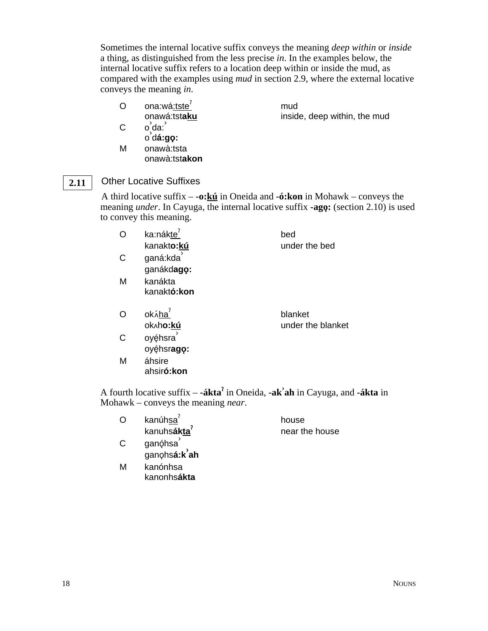Sometimes the internal locative suffix conveys the meaning *deep within* or *inside* a thing, as distinguished from the less precise *in*. In the examples below, the internal locative suffix refers to a location deep within or inside the mud, as compared with the examples using *mud* in section 2.9, where the external locative conveys the meaning *in*.

O ona:wá:tste $<sup>7</sup>$ </sup> onawá:tst**aku**

mud inside, deep within, the mud

- $C$   $o \, da$ :
- o<sub>,</sub>ua.<br>o d**á:gọ:**
- M onawà:tsta onawà:tst**akon**

#### Other Locative Suffixes **2.11**

A third locative suffix – **-o:kú** in Oneida and **-ó:kon** in Mohawk – conveys the meaning *under*. In Cayuga, the internal locative suffix **-ago:** (section 2.10) is used to convey this meaning.

| O | ka:nákte <sup>7</sup> | bed               |
|---|-----------------------|-------------------|
|   | kanakto: kú           | under the bed     |
| C | ganá:kda              |                   |
|   | ganákdago:            |                   |
| M | kanákta               |                   |
|   | kanaktó: kon          |                   |
| O | okáha <sup>7</sup>    | blanket           |
|   | ok^ho:kú              | under the blanket |
|   | <b>Ovéhera</b>        |                   |

C oyę́hsra  $o$ yę́hsrago: M áhsire

ahsir**ó:kon**

A fourth locative suffix – **-ákta**§ in Oneida, **-ak› ah** in Cayuga, and **-ákta** in Mohawk – conveys the meaning *near*.

| O | kanúhsa <sup>'</sup>            | house          |
|---|---------------------------------|----------------|
|   | kanuhs <b>ákta</b>              | near the house |
| С | ganóhsa<br>ganohs <b>á:kʾah</b> |                |
| м | kanónhsa<br>kanonhsákta         |                |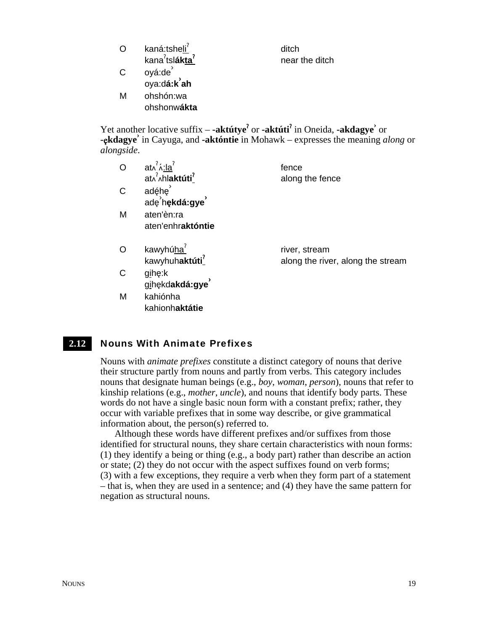|              | kaná:tsheli                                       | ditch          |
|--------------|---------------------------------------------------|----------------|
|              | kana <sup>7</sup> tsl <b>ákta</b>                 | near the ditch |
| $\mathsf{C}$ | oyá:de                                            |                |
|              | $ox$ a:dá: $k$ <sup><math>\lambda</math></sup> ah |                |
| м            | ohshón:wa                                         |                |
|              | ohshonwákta                                       |                |

Yet another locative suffix – **-aktútye<sup>?</sup>** or **-aktúti<sup>?</sup>** in Oneida, **-akdagye**<sup> $\circ$ </sup> or **-**"**kdagye›** in Cayuga, and **-aktóntie** in Mohawk – expresses the meaning *along* or *alongside*.

|   | $at\lambda^?$ $\lambda$ : la <sup>?</sup><br>at^^^hlaktúti <sup>?</sup> | fence<br>along the fence          |
|---|-------------------------------------------------------------------------|-----------------------------------|
| C | adęhę<br>adę hękdá:gye                                                  |                                   |
| M | aten'èn:ra<br>aten'enhraktóntie                                         |                                   |
|   | kawyhúha <sup>7</sup>                                                   | river, stream                     |
|   | kawyhuhaktúti <sup>?</sup>                                              | along the river, along the stream |
| C | gihe:k<br>gihękdakdá:gye                                                |                                   |

#### Nouns With Animate Prefixes **2.12**

Nouns with *animate prefixes* constitute a distinct category of nouns that derive their structure partly from nouns and partly from verbs. This category includes nouns that designate human beings (e.g., *boy*, *woman*, *person*), nouns that refer to kinship relations (e.g., *mother*, *uncle*), and nouns that identify body parts. These words do not have a single basic noun form with a constant prefix; rather, they occur with variable prefixes that in some way describe, or give grammatical information about, the person(s) referred to.

Although these words have different prefixes and/or suffixes from those identified for structural nouns, they share certain characteristics with noun forms: (1) they identify a being or thing (e.g., a body part) rather than describe an action or state; (2) they do not occur with the aspect suffixes found on verb forms; (3) with a few exceptions, they require a verb when they form part of a statement – that is, when they are used in a sentence; and (4) they have the same pattern for negation as structural nouns.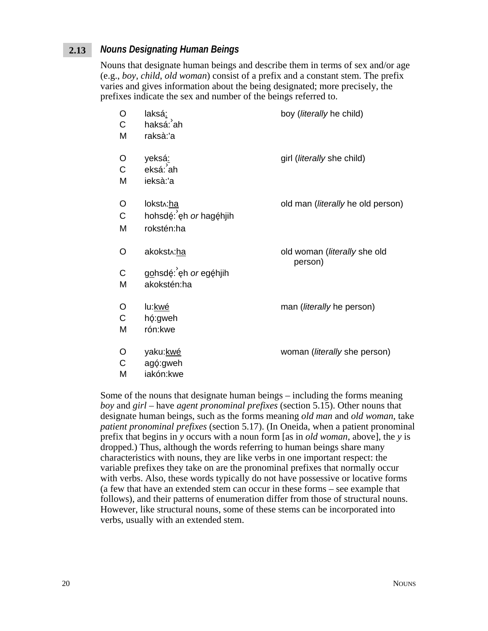#### *Nouns Designating Human Beings* **2.13**

Nouns that designate human beings and describe them in terms of sex and/or age (e.g., *boy*, *child*, *old woman*) consist of a prefix and a constant stem. The prefix varies and gives information about the being designated; more precisely, the prefixes indicate the sex and number of the beings referred to.

| O<br>C<br>M            | laksá:<br>haksá: ah<br>raksà:'a                                 | boy ( <i>literally</i> he child)          |
|------------------------|-----------------------------------------------------------------|-------------------------------------------|
| O<br>$\mathsf{C}$<br>M | yeksá <u>:</u><br>eksá: ah<br>ieksà:'a                          | girl ( <i>literally</i> she child)        |
| O<br>C<br>M            | lokst <sub>^</sub> :ha<br>hohsdé: eh or hagéhjih<br>rokstén:ha  | old man ( <i>literally</i> he old person) |
| O<br>$\mathsf{C}$<br>M | akokst <sub>^</sub> :ha<br>gohsdé: eh or egéhjih<br>akokstén:ha | old woman (literally she old<br>person)   |
| O<br>C<br>M            | lu:kwé<br>hó:gweh<br>rón:kwe                                    | man ( <i>literally</i> he person)         |
| O<br>$\mathsf C$<br>м  | yaku: kwé<br>agó:gweh<br>iakón kwe                              | woman ( <i>literally</i> she person)      |

Some of the nouns that designate human beings – including the forms meaning *boy* and *girl* – have *agent pronominal prefixes* (section 5.15). Other nouns that designate human beings, such as the forms meaning *old man* and *old woman*, take *patient pronominal prefixes* (section 5.17). (In Oneida, when a patient pronominal prefix that begins in *y* occurs with a noun form [as in *old woman*, above], the *y* is dropped.) Thus, although the words referring to human beings share many characteristics with nouns, they are like verbs in one important respect: the variable prefixes they take on are the pronominal prefixes that normally occur with verbs. Also, these words typically do not have possessive or locative forms (a few that have an extended stem can occur in these forms – see example that follows), and their patterns of enumeration differ from those of structural nouns. However, like structural nouns, some of these stems can be incorporated into verbs, usually with an extended stem.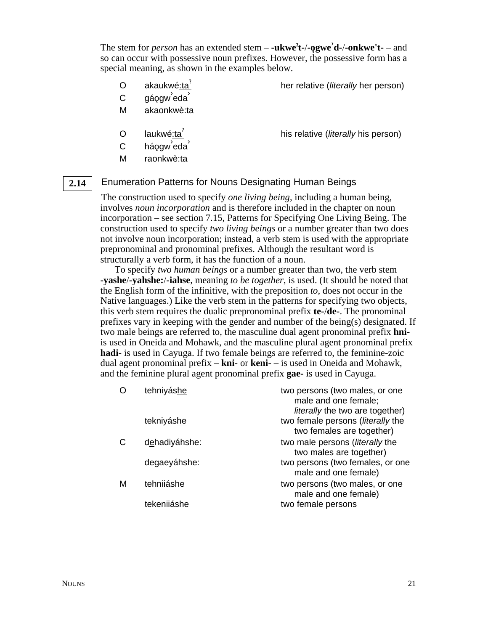The stem for *person* has an extended stem – **-ukwe**§ **t-**/**-o**3**gwe› d-**/**-onkwe't-** – and so can occur with possessive noun prefixes. However, the possessive form has a special meaning, as shown in the examples below.

O akaukwé:ta<sup>?</sup> her relative (*literally* her person)

- C gáogw<sup>'</sup>eda<sup>'</sup>
- M akaonkwè:ta
- O laukwé:ta<sup>'</sup> his relative (*literally* his person)
- C háogw<sup>'</sup>eda<sup>'</sup>
- M raonkwè:ta

#### Enumeration Patterns for Nouns Designating Human Beings **2.14**

The construction used to specify *one living being*, including a human being, involves *noun incorporation* and is therefore included in the chapter on noun incorporation – see section 7.15, Patterns for Specifying One Living Being. The construction used to specify *two living beings* or a number greater than two does not involve noun incorporation; instead, a verb stem is used with the appropriate prepronominal and pronominal prefixes. Although the resultant word is structurally a verb form, it has the function of a noun.

To specify *two human beings* or a number greater than two, the verb stem **-yashe**/**-yahshe:**/**-iahse**, meaning *to be together*, is used. (It should be noted that the English form of the infinitive, with the preposition *to*, does not occur in the Native languages.) Like the verb stem in the patterns for specifying two objects, this verb stem requires the dualic prepronominal prefix **te-**/**de-**. The pronominal prefixes vary in keeping with the gender and number of the being(s) designated. If two male beings are referred to, the masculine dual agent pronominal prefix **hni**is used in Oneida and Mohawk, and the masculine plural agent pronominal prefix **hadi-** is used in Cayuga. If two female beings are referred to, the feminine-zoic dual agent pronominal prefix – **kni-** or **keni-** – is used in Oneida and Mohawk, and the feminine plural agent pronominal prefix **gae-** is used in Cayuga.

|   | tehniyáshe    | two persons (two males, or one<br>male and one female;<br><i>literally</i> the two are together) |
|---|---------------|--------------------------------------------------------------------------------------------------|
|   | tekniyáshe    | two female persons (literally the<br>two females are together)                                   |
|   | dehadiyáhshe: | two male persons (literally the<br>two males are together)                                       |
|   | degaeyáhshe:  | two persons (two females, or one<br>male and one female)                                         |
| м | tehniiáshe    | two persons (two males, or one<br>male and one female)                                           |
|   | tekenijáshe   | two female persons                                                                               |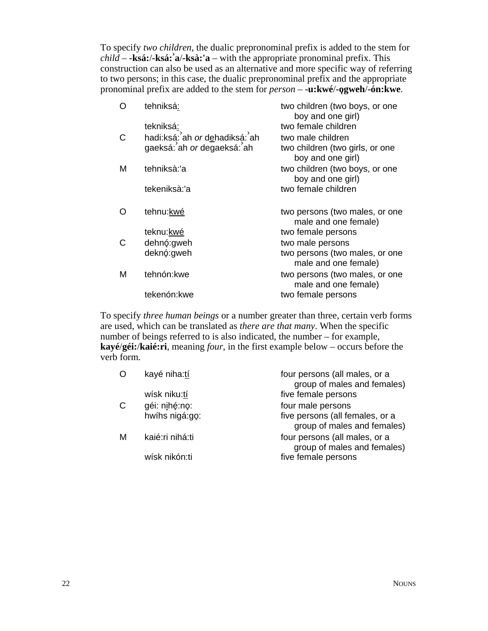To specify *two children*, the dualic prepronominal prefix is added to the stem for *child* – **-ksá:**/**-ksá:› a**/**-ksà:'a** – with the appropriate pronominal prefix. This construction can also be used as an alternative and more specific way of referring to two persons; in this case, the dualic prepronominal prefix and the appropriate pronominal prefix are added to the stem for *person* – **-u:kwé**/**-o**3**gweh**/**-ón:kwe**.

| ∩ | tehniksá:                     | two children (two boys, or one<br>boy and one girl)    |
|---|-------------------------------|--------------------------------------------------------|
|   | tekniksá:                     | two female children                                    |
| C | hadi:ksá: ah or dehadiksá: ah | two male children                                      |
|   | gaeksá: ah or degaeksá: ah    | two children (two girls, or one<br>boy and one girl)   |
| M | tehniksà:'a                   | two children (two boys, or one<br>boy and one girl)    |
|   | tekeniksà:'a                  | two female children                                    |
|   | tehnu:kwé                     | two persons (two males, or one<br>male and one female) |
|   | teknu:kwé                     | two female persons                                     |
| C | dehnó: gweh                   | two male persons                                       |
|   | deknó: gweh                   | two persons (two males, or one<br>male and one female) |
| M | tehnón:kwe                    | two persons (two males, or one<br>male and one female) |
|   | tekenón: kwe                  | two female persons                                     |
|   |                               |                                                        |

To specify *three human beings* or a number greater than three, certain verb forms are used, which can be translated as *there are that many*. When the specific number of beings referred to is also indicated, the number – for example, **kayé**/**géi:**/**kaié:ri**, meaning *four*, in the first example below – occurs before the verb form.

| O  | kayé niha:tí    | four persons (all males, or a<br>group of males and females)   |
|----|-----------------|----------------------------------------------------------------|
|    | wísk niku:tí    | five female persons                                            |
| C. | géi: nihé:no:   | four male persons                                              |
|    | hwíhs nigá:go:  | five persons (all females, or a<br>group of males and females) |
| М  | kaié:ri nihá:ti | four persons (all males, or a<br>group of males and females)   |
|    | wísk nikón:ti   | five female persons                                            |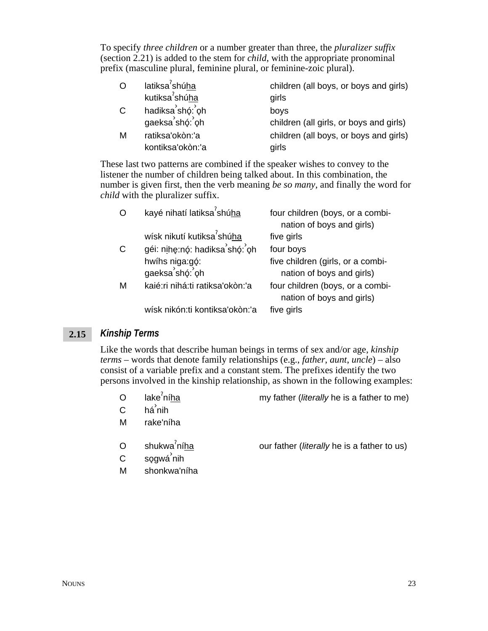To specify *three children* or a number greater than three, the *pluralizer suffix* (section 2.21) is added to the stem for *child*, with the appropriate pronominal prefix (masculine plural, feminine plural, or feminine-zoic plural).

| $\circ$      | latiksa <sup>7</sup> shúha          | children (all boys, or boys and girls)          |
|--------------|-------------------------------------|-------------------------------------------------|
|              | kutiksa <sup>7</sup> shúha          | girls                                           |
| $\mathsf{C}$ | hadiksa shó: oh<br>gaeksa shó: oh   | boys<br>children (all girls, or boys and girls) |
| м            | ratiksa'okòn:'a<br>kontiksa'okòn:'a | children (all boys, or boys and girls)<br>girls |

These last two patterns are combined if the speaker wishes to convey to the listener the number of children being talked about. In this combination, the number is given first, then the verb meaning *be so many*, and finally the word for *child* with the pluralizer suffix.

|   | kayé nihatí latiksa <sup>?</sup> shúha | four children (boys, or a combi-<br>nation of boys and girls)  |
|---|----------------------------------------|----------------------------------------------------------------|
|   | wísk nikutí kutiksa <sup>7</sup> shúha | five girls                                                     |
| C | géi: nihę:nó: hadiksa shó: oh          | four boys                                                      |
|   | hwíhs niga:gó:<br>gaeksa shó: oh       | five children (girls, or a combi-<br>nation of boys and girls) |
| м | kaié: ri nihá: ti ratiksa' okòn: 'a    | four children (boys, or a combi-<br>nation of boys and girls)  |
|   | wísk nikón: ti kontiksa' okòn: 'a      | five girls                                                     |

#### *Kinship Terms* **2.15**

Like the words that describe human beings in terms of sex and/or age, *kinship terms* – words that denote family relationships (e.g., *father*, *aunt*, *uncle*) – also consist of a variable prefix and a constant stem. The prefixes identify the two persons involved in the kinship relationship, as shown in the following examples:

- O lake $\int$ níha
- my father (*literally* he is a father to me)

our father (*literally* he is a father to us)

- $C$  há $\overleftrightarrow{a}$ nih
- M rake'níha
- O shukwa<sup>2</sup>níha
- C sǫgwá <sup>ʾ</sup>nih
- M shonkwa'níha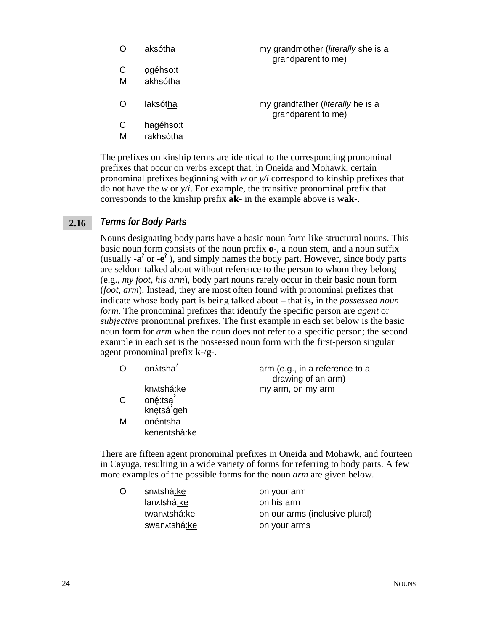|   | aksótha  | my grandmother ( <i>literally</i> she is a<br>grandparent to me) |
|---|----------|------------------------------------------------------------------|
| C | ogéhso:t |                                                                  |
| М | akhsótha |                                                                  |
|   | laksótha | my grandfather ( <i>literally</i> he is a<br>grandparent to me)  |

- C hagéhso:t
- M rakhsótha

The prefixes on kinship terms are identical to the corresponding pronominal prefixes that occur on verbs except that, in Oneida and Mohawk, certain pronominal prefixes beginning with *w* or *y/i* correspond to kinship prefixes that do not have the *w* or *y/i*. For example, the transitive pronominal prefix that corresponds to the kinship prefix **ak-** in the example above is **wak-**.

#### *Terms for Body Parts* **2.16**

Nouns designating body parts have a basic noun form like structural nouns. This basic noun form consists of the noun prefix **o-**, a noun stem, and a noun suffix (usually  $-a^7$  or  $-e^7$ ), and simply names the body part. However, since body parts are seldom talked about without reference to the person to whom they belong (e.g., *my foot*, *his arm*), body part nouns rarely occur in their basic noun form (*foot*, *arm*). Instead, they are most often found with pronominal prefixes that indicate whose body part is being talked about – that is, in the *possessed noun form*. The pronominal prefixes that identify the specific person are *agent* or *subjective* pronominal prefixes. The first example in each set below is the basic noun form for *arm* when the noun does not refer to a specific person; the second example in each set is the possessed noun form with the first-person singular agent pronominal prefix **k-**/**g-**.

| O  | on Atsha               | arm (e.g., in a reference to a<br>drawing of an arm) |
|----|------------------------|------------------------------------------------------|
|    | kn^tshá:ke             | my arm, on my arm                                    |
| C. | oné:tsa´<br>knętsá`geh |                                                      |
|    |                        |                                                      |
| M  | onéntsha               |                                                      |
|    | kenentshà:ke           |                                                      |
|    |                        |                                                      |

There are fifteen agent pronominal prefixes in Oneida and Mohawk, and fourteen in Cayuga, resulting in a wide variety of forms for referring to body parts. A few more examples of the possible forms for the noun *arm* are given below.

| O | sn^tshá:ke   | on your arm                    |
|---|--------------|--------------------------------|
|   | lan^tshá:ke  | on his arm                     |
|   | twan tshá:ke | on our arms (inclusive plural) |
|   | swan tshá:ke | on your arms                   |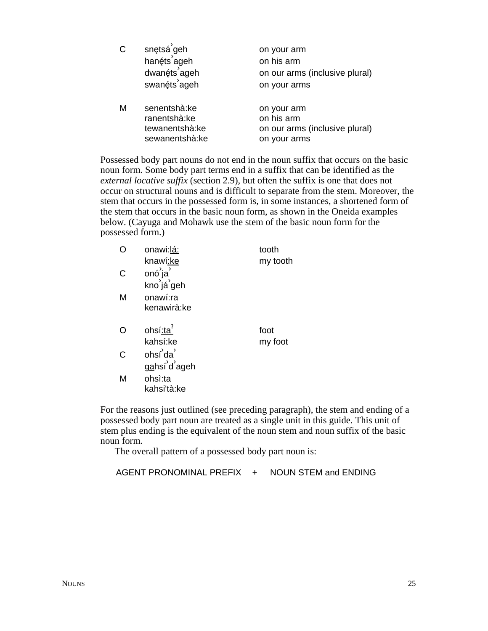| $\mathsf{C}$ | snętsá <sup>'</sup> geh<br>hanéts <sup>'</sup> ageh<br>dwanéts <sup>'</sup> ageh<br>swanéts <sup>'</sup> ageh | on your arm<br>on his arm<br>on our arms (inclusive plural)<br>on your arms |
|--------------|---------------------------------------------------------------------------------------------------------------|-----------------------------------------------------------------------------|
| M            | senentshà:ke<br>ranentshà:ke<br>tewanentshà:ke<br>sewanentshà:ke                                              | on your arm<br>on his arm<br>on our arms (inclusive plural)<br>on your arms |

Possessed body part nouns do not end in the noun suffix that occurs on the basic noun form. Some body part terms end in a suffix that can be identified as the *external locative suffix* (section 2.9), but often the suffix is one that does not occur on structural nouns and is difficult to separate from the stem. Moreover, the stem that occurs in the possessed form is, in some instances, a shortened form of the stem that occurs in the basic noun form, as shown in the Oneida examples below. (Cayuga and Mohawk use the stem of the basic noun form for the possessed form.)

|   | onawi:lá:                              | tooth    |
|---|----------------------------------------|----------|
|   | knawí:ke                               | my tooth |
| C | onó <sup>'</sup> ja                    |          |
|   | kno já geh                             |          |
| M | onawí:ra                               |          |
|   | kenawirà:ke                            |          |
|   |                                        |          |
|   | ohsí:ta <sup>7</sup>                   | foot     |
|   |                                        |          |
|   | kahsí:ke                               | my foot  |
| C | ohsí da'                               |          |
|   | gahsí <sup>'</sup> d <sup>'</sup> ageh |          |
| М | ohsì:ta                                |          |
|   | kahsi'tà:ke                            |          |

For the reasons just outlined (see preceding paragraph), the stem and ending of a possessed body part noun are treated as a single unit in this guide. This unit of stem plus ending is the equivalent of the noun stem and noun suffix of the basic noun form.

The overall pattern of a possessed body part noun is:

AGENT PRONOMINAL PREFIX + NOUN STEM and ENDING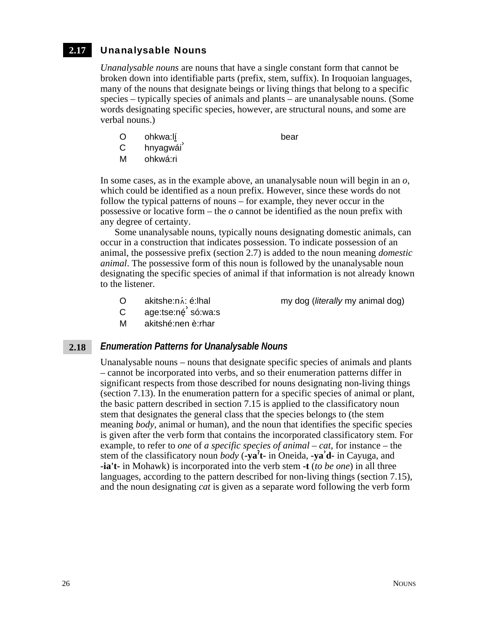#### Unanalysable Nouns **2.17**

*Unanalysable nouns* are nouns that have a single constant form that cannot be broken down into identifiable parts (prefix, stem, suffix). In Iroquoian languages, many of the nouns that designate beings or living things that belong to a specific species – typically species of animals and plants – are unanalysable nouns. (Some words designating specific species, however, are structural nouns, and some are verbal nouns.)

O ohkwa:lí bear

- C hnyagwái
- M ohkwá:ri

In some cases, as in the example above, an unanalysable noun will begin in an *o*, which could be identified as a noun prefix. However, since these words do not follow the typical patterns of nouns – for example, they never occur in the possessive or locative form – the *o* cannot be identified as the noun prefix with any degree of certainty.

Some unanalysable nouns, typically nouns designating domestic animals, can occur in a construction that indicates possession. To indicate possession of an animal, the possessive prefix (section 2.7) is added to the noun meaning *domestic animal*. The possessive form of this noun is followed by the unanalysable noun designating the specific species of animal if that information is not already known to the listener.

O akitshe:n. i. é:lhal my dog (*literally* my animal dog)

- C age:tse:né só:wa:s
- M akitshé:nen è:rhar

#### *Enumeration Patterns for Unanalysable Nouns* **2.18**

Unanalysable nouns – nouns that designate specific species of animals and plants – cannot be incorporated into verbs, and so their enumeration patterns differ in significant respects from those described for nouns designating non-living things (section 7.13). In the enumeration pattern for a specific species of animal or plant, the basic pattern described in section 7.15 is applied to the classificatory noun stem that designates the general class that the species belongs to (the stem meaning *body*, animal or human), and the noun that identifies the specific species is given after the verb form that contains the incorporated classificatory stem. For example, to refer to *one* of *a specific species of animal – cat*, for instance – the stem of the classificatory noun *body* (**-ya**§ **t-** in Oneida, **-ya› d-** in Cayuga, and **-ia't-** in Mohawk) is incorporated into the verb stem **-t** (*to be one*) in all three languages, according to the pattern described for non-living things (section 7.15), and the noun designating *cat* is given as a separate word following the verb form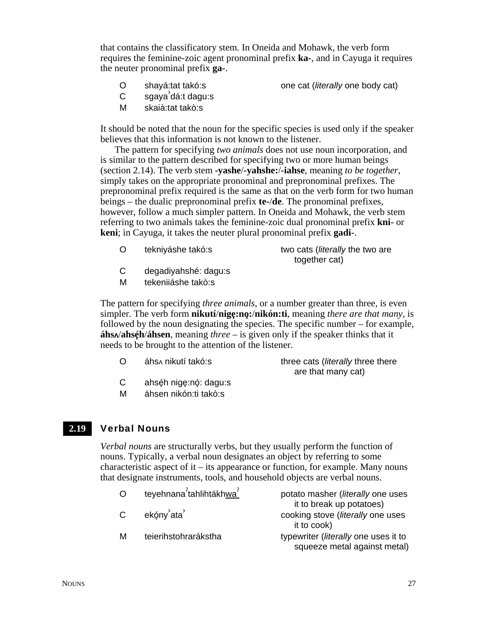that contains the classificatory stem. In Oneida and Mohawk, the verb form requires the feminine-zoic agent pronominal prefix **ka-**, and in Cayuga it requires the neuter pronominal prefix **ga-**.

- O shayá:tat takó:s one cat (*literally* one body cat)
- **C** sgaya<sup>'</sup>dá:t dagu:s
- M skaià:tat takò:s

It should be noted that the noun for the specific species is used only if the speaker believes that this information is not known to the listener.

The pattern for specifying *two animals* does not use noun incorporation, and is similar to the pattern described for specifying two or more human beings (section 2.14). The verb stem **-yashe**/**-yahshe:**/**-iahse**, meaning *to be together*, simply takes on the appropriate pronominal and prepronominal prefixes. The prepronominal prefix required is the same as that on the verb form for two human beings – the dualic prepronominal prefix **te-**/**de**. The pronominal prefixes, however, follow a much simpler pattern. In Oneida and Mohawk, the verb stem referring to two animals takes the feminine-zoic dual pronominal prefix **kni-** or **keni**; in Cayuga, it takes the neuter plural pronominal prefix **gadi-**.

| O | tekniyáshe takó:s                           | two cats ( <i>literally</i> the two are |
|---|---------------------------------------------|-----------------------------------------|
|   |                                             | together cat)                           |
|   | alle sole altered back of a label excellent |                                         |

- C degadiyahshé: dagu:s
- M tekeniiáshe takò:s

The pattern for specifying *three animals*, or a number greater than three, is even simpler. The verb form **nikutí**/**nige**3**:no**3**:**/**nikón:ti**, meaning *there are that many*, is followed by the noun designating the species. The specific number – for example,  $\hat{\mathbf{a}}$ **hs** $\hat{\mathbf{b}}$ /**áhsen**, meaning *three* – is given only if the speaker thinks that it needs to be brought to the attention of the listener.

| O |  | áhs nikutí takó:s |
|---|--|-------------------|
|   |  |                   |

three cats (*literally* three there are that many cat)

- $C$  ahséh nige:nó: dagu:s
- M áhsen nikón:ti takò:s

#### Verbal Nouns **2.19**

*Verbal nouns* are structurally verbs, but they usually perform the function of nouns. Typically, a verbal noun designates an object by referring to some characteristic aspect of it – its appearance or function, for example. Many nouns that designate instruments, tools, and household objects are verbal nouns.

| $\Omega$     | teyehnana <sup>2</sup> tahlihtákhwa <sup>2</sup> | potato masher (literally one uses<br>it to break up potatoes)        |
|--------------|--------------------------------------------------|----------------------------------------------------------------------|
| $\mathsf{C}$ | ekóny <sup>'</sup> ata <sup>'</sup>              | cooking stove (literally one uses<br>it to cook)                     |
| M            | teierihstohrarákstha                             | typewriter (literally one uses it to<br>squeeze metal against metal) |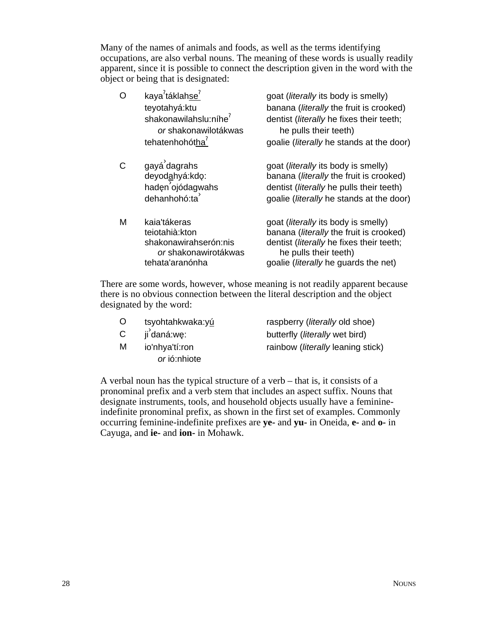Many of the names of animals and foods, as well as the terms identifying occupations, are also verbal nouns. The meaning of these words is usually readily apparent, since it is possible to connect the description given in the word with the object or being that is designated:

| $\Omega$ | kaya <sup>7</sup> táklahse <sup>7</sup><br>teyotahyá: ktu<br>shakonawilahslu:níhe <sup>7</sup><br><i>or</i> shakonawilotákwas<br>tehatenhohótha <sup>7</sup> | goat ( <i>literally</i> its body is smelly)<br>banana (literally the fruit is crooked)<br>dentist (literally he fixes their teeth;<br>he pulls their teeth)<br>goalie ( <i>literally</i> he stands at the door) |
|----------|--------------------------------------------------------------------------------------------------------------------------------------------------------------|-----------------------------------------------------------------------------------------------------------------------------------------------------------------------------------------------------------------|
| C        | gayá dagrahs<br>deyodahyá:kdo:<br>hadęn ojódagwahs<br>dehanhohó:ta                                                                                           | goat ( <i>literally</i> its body is smelly)<br>banana (literally the fruit is crooked)<br>dentist ( <i>literally</i> he pulls their teeth)<br>goalie ( <i>literally</i> he stands at the door)                  |
| M        | kaia'tákeras<br>teiotahià: kton<br>shakonawirahserón:nis<br>or shakonawirotákwas<br>tehata'aranónha                                                          | goat ( <i>literally</i> its body is smelly)<br>banana (literally the fruit is crooked)<br>dentist (literally he fixes their teeth;<br>he pulls their teeth)<br>goalie ( <i>literally</i> he guards the net)     |

There are some words, however, whose meaning is not readily apparent because there is no obvious connection between the literal description and the object designated by the word:

- 
- C ji<sup>'</sup>daná:we:
- M io'nhya'tí:ron *or* ió:nhiote

O tsyohtahkwaka:yú raspberry (*literally* old shoe) butterfly (*literally* wet bird) rainbow (*literally* leaning stick)

A verbal noun has the typical structure of a verb – that is, it consists of a pronominal prefix and a verb stem that includes an aspect suffix. Nouns that designate instruments, tools, and household objects usually have a feminineindefinite pronominal prefix, as shown in the first set of examples. Commonly occurring feminine-indefinite prefixes are **ye-** and **yu-** in Oneida, **e-** and **o-** in Cayuga, and **ie-** and **ion-** in Mohawk.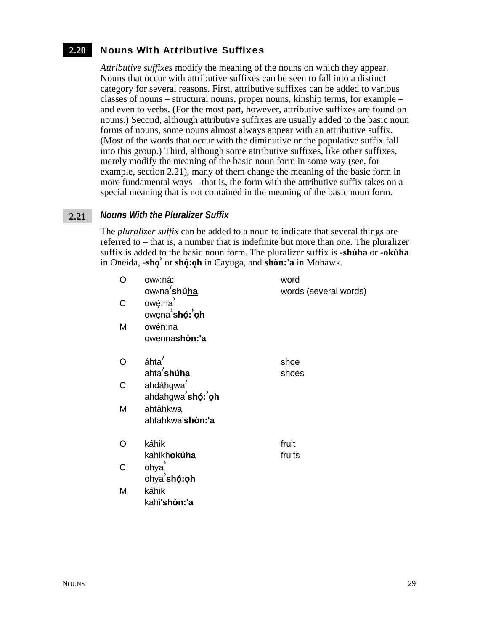#### Nouns With Attributive Suffixes **2.20**

*Attributive suffixes* modify the meaning of the nouns on which they appear. Nouns that occur with attributive suffixes can be seen to fall into a distinct category for several reasons. First, attributive suffixes can be added to various classes of nouns – structural nouns, proper nouns, kinship terms, for example – and even to verbs. (For the most part, however, attributive suffixes are found on nouns.) Second, although attributive suffixes are usually added to the basic noun forms of nouns, some nouns almost always appear with an attributive suffix. (Most of the words that occur with the diminutive or the populative suffix fall into this group.) Third, although some attributive suffixes, like other suffixes, merely modify the meaning of the basic noun form in some way (see, for example, section 2.21), many of them change the meaning of the basic form in more fundamental ways – that is, the form with the attributive suffix takes on a special meaning that is not contained in the meaning of the basic noun form.

#### *Nouns With the Pluralizer Suffix* **2.21**

The *pluralizer suffix* can be added to a noun to indicate that several things are referred to – that is, a number that is indefinite but more than one. The pluralizer suffix is added to the basic noun form. The pluralizer suffix is **-shúha** or **-okúha** in Oneida, **-sho**<sup>3</sup> or **shó**: **oh** in Cayuga, and **shòn:'a** in Mohawk.

| O | <u>ow∧:ná:</u><br>ow∧na' <b>shú<u>h</u>a</b> | word<br>words (several words) |
|---|----------------------------------------------|-------------------------------|
| C | owę:na<br>owęna shó: oh                      |                               |
| M | owén:na<br>owennashòn:'a                     |                               |
| O | áhta <sup>?</sup><br>ahta <sup>'</sup> shúha | shoe<br>shoes                 |
| C | ahdáhgwa<br>ahdahgwa sho: oh                 |                               |
| M | ahtáhkwa<br>ahtahkwa'shòn:'a                 |                               |
| O | káhik<br>kahikhokúha                         | fruit<br>fruits               |
| С | ohya<br>ohya shó: oh                         |                               |
| M | káhik<br>kahi'shòn:'a                        |                               |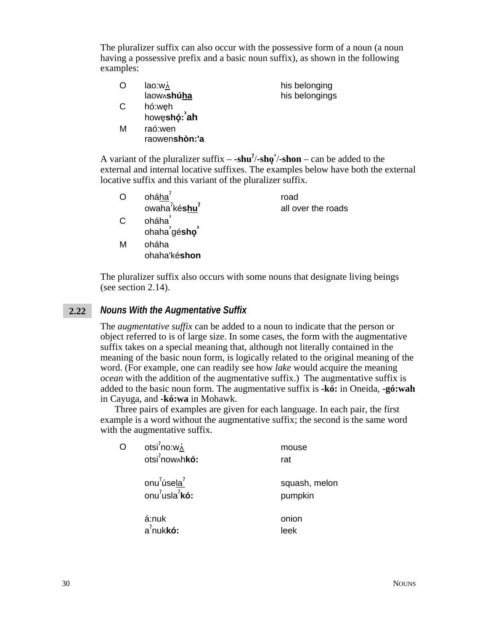The pluralizer suffix can also occur with the possessive form of a noun (a noun having a possessive prefix and a basic noun suffix), as shown in the following examples:

| O | lao:w∧      | his belonging  |
|---|-------------|----------------|
|   | laow^shuha  | his belongings |
| С | hó:weh      |                |
|   | howeshó: ah |                |
| М | raó:wen     |                |

A variant of the pluralizer suffix  $-$  **-shu<sup>?</sup>/-sho** $\alpha$  – can be added to the external and internal locative suffixes. The examples below have both the external locative suffix and this variant of the pluralizer suffix.

| O | oháha <sup>'</sup>                    | road               |
|---|---------------------------------------|--------------------|
|   | owaha <sup>7</sup> késhu <sup>7</sup> | all over the roads |
| C | oháha                                 |                    |
|   | ohaha <sup>'</sup> gé <b>shọ</b> '    |                    |
| М | oháha                                 |                    |

The pluralizer suffix also occurs with some nouns that designate living beings (see section 2.14).

#### *Nouns With the Augmentative Suffix* **2.22**

raowen**shòn:'a**

ohaha'ké**shon**

The *augmentative suffix* can be added to a noun to indicate that the person or object referred to is of large size. In some cases, the form with the augmentative suffix takes on a special meaning that, although not literally contained in the meaning of the basic noun form, is logically related to the original meaning of the word. (For example, one can readily see how *lake* would acquire the meaning *ocean* with the addition of the augmentative suffix.) The augmentative suffix is added to the basic noun form. The augmentative suffix is **-kó:** in Oneida, **-gó:wah** in Cayuga, and **-kó:wa** in Mohawk.

Three pairs of examples are given for each language. In each pair, the first example is a word without the augmentative suffix; the second is the same word with the augmentative suffix.

|  | otsi <sup>7</sup> no:w <sub>^</sub><br>otsi <sup>2</sup> now hkó:             | mouse<br>rat             |
|--|-------------------------------------------------------------------------------|--------------------------|
|  | onu <sup>2</sup> úsela <sup>2</sup><br>onu <sup>2</sup> usla <sup>2</sup> kó: | squash, melon<br>pumpkin |
|  | á:nuk<br>$a^2$ nuk <b>kó:</b>                                                 | onion<br>leek            |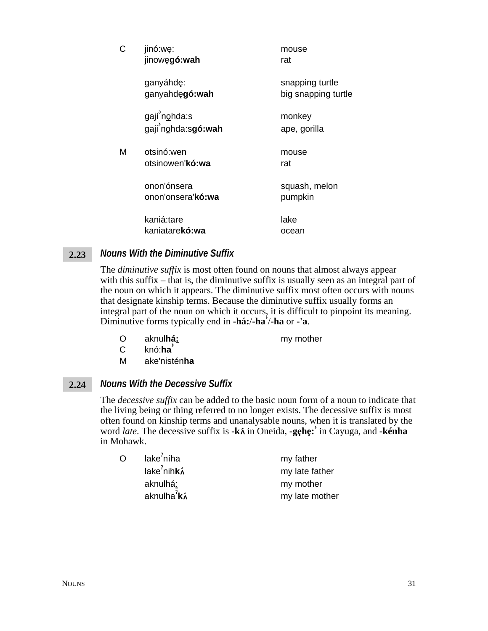| С | jinó:we:<br>jinowęgó:wah                 | mouse<br>rat                           |
|---|------------------------------------------|----------------------------------------|
|   | ganyáhdę:<br>ganyahdęgó: wah             | snapping turtle<br>big snapping turtle |
|   | gají nohda:s<br>gaji nohda:sgó:wah       | monkey<br>ape, gorilla                 |
| Μ | otsinó:wen<br>otsinowen' <b>kó:wa</b>    | mouse<br>rat                           |
|   | onon'ónsera<br>onon'onsera' <b>kó:wa</b> | squash, melon<br>pumpkin               |
|   | kaniá:tare<br>kaniatarekó:wa             | lake<br>ocean                          |

#### *Nouns With the Diminutive Suffix* **2.23**

The *diminutive suffix* is most often found on nouns that almost always appear with this suffix – that is, the diminutive suffix is usually seen as an integral part of the noun on which it appears. The diminutive suffix most often occurs with nouns that designate kinship terms. Because the diminutive suffix usually forms an integral part of the noun on which it occurs, it is difficult to pinpoint its meaning. Diminutive forms typically end in **-há:**/**-ha›** /**-ha** or **-'a**.

O aknul**há:** my mother

- C knó:**ha›**
- M ake'nistén**ha**

#### *Nouns With the Decessive Suffix* **2.24**

The *decessive suffix* can be added to the basic noun form of a noun to indicate that the living being or thing referred to no longer exists. The decessive suffix is most often found on kinship terms and unanalysable nouns, when it is translated by the word *late*. The decessive suffix is **-k** $\hat{\lambda}$  in Oneida, **-gehe:** in Cayuga, and **-kénha** in Mohawk.

| Ó | lake <sup>2</sup> níha                   | my father      |
|---|------------------------------------------|----------------|
|   | lake <sup>2</sup> nih <b>k</b> $\lambda$ | my late father |
|   | aknulhá:                                 | my mother      |
|   | aknulha ${}^{7}$ k $\lambda$             | my late mother |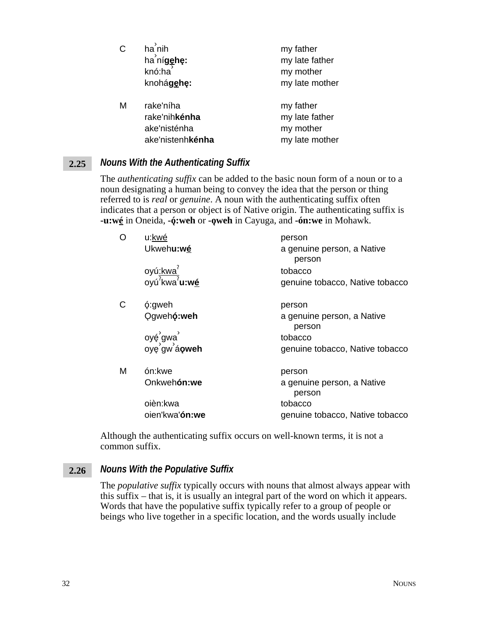| С | $ha'$ nih<br>ha nígehe:<br>knó:ha<br>knohágehe:                        | my father<br>my late father<br>my mother<br>my late mother |
|---|------------------------------------------------------------------------|------------------------------------------------------------|
| м | rake'níha<br>rake'nih <b>kénha</b><br>ake'nisténha<br>ake'nistenhkénha | my father<br>my late father<br>my mother<br>my late mother |

#### *Nouns With the Authenticating Suffix* **2.25**

The *authenticating suffix* can be added to the basic noun form of a noun or to a noun designating a human being to convey the idea that the person or thing referred to is *real* or *genuine*. A noun with the authenticating suffix often indicates that a person or object is of Native origin. The authenticating suffix is **-u:wé** in Oneida, **-ó**3**:weh** or **-o**3**weh** in Cayuga, and **-ón:we** in Mohawk.

| O            | u:kwé                                                                         | person                               |
|--------------|-------------------------------------------------------------------------------|--------------------------------------|
|              | Ukwehu:wé                                                                     | a genuine person, a Native<br>person |
|              | oyú <u>:kwa<sup>?</sup></u><br>oyú <sup>?</sup> kwa <sup>?</sup> u:w <u>é</u> | tobacco                              |
|              |                                                                               | genuine tobacco, Native tobacco      |
| $\mathsf{C}$ | ó:gweh                                                                        | person                               |
|              | Ogwehó: weh                                                                   | a genuine person, a Native<br>person |
|              | oyé gwa<br>oye gw á <b>oweh</b>                                               | tobacco                              |
|              |                                                                               | genuine tobacco, Native tobacco      |
| М            | ón:kwe                                                                        | person                               |
|              | Onkwehón:we                                                                   | a genuine person, a Native<br>person |
|              | oièn:kwa                                                                      | tobacco                              |
|              | oien'kwa'ón:we                                                                | genuine tobacco, Native tobacco      |

Although the authenticating suffix occurs on well-known terms, it is not a common suffix.

#### *Nouns With the Populative Suffix* **2.26**

The *populative suffix* typically occurs with nouns that almost always appear with this suffix – that is, it is usually an integral part of the word on which it appears. Words that have the populative suffix typically refer to a group of people or beings who live together in a specific location, and the words usually include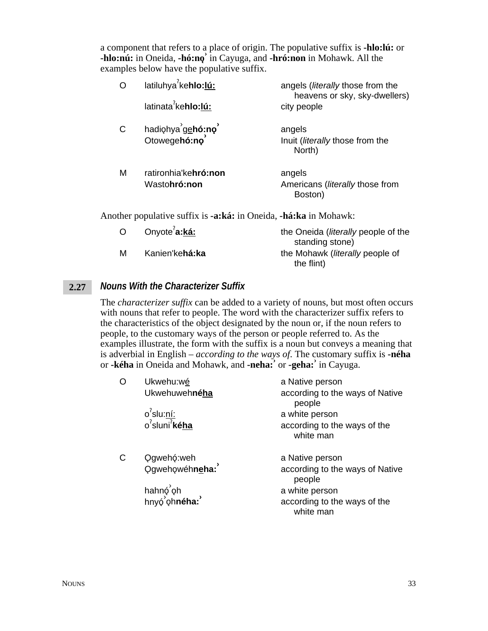a component that refers to a place of origin. The populative suffix is **-hlo:lú:** or **-hlo:nú:** in Oneida, **-hó:no**3 **›** in Cayuga, and **-hró:non** in Mohawk. All the examples below have the populative suffix.

|   | latiluhya <sup>7</sup> kehlo:lú:             | angels ( <i>literally</i> those from the<br>heavens or sky, sky-dwellers)<br>city people |
|---|----------------------------------------------|------------------------------------------------------------------------------------------|
|   | latinata <sup>7</sup> kehlo:lú:              |                                                                                          |
| C | hadiohya gehó:no<br>Otowegehó:no             | angels<br>Inuit ( <i>literally</i> those from the<br>North)                              |
| M | ratironhia'kehró:non<br>Wasto <b>hró:non</b> | angels<br>Americans ( <i>literally</i> those from<br>Boston)                             |

Another populative suffix is **-a:ká:** in Oneida, **-há:ka** in Mohawk:

| $\Omega$ | Onyote <sup>'</sup> a:ká: | the Oneida ( <i>literally</i> people of the |
|----------|---------------------------|---------------------------------------------|
|          |                           | standing stone)                             |
| M        | Kanien'kehá:ka            | the Mohawk ( <i>literally</i> people of     |
|          |                           | the flint)                                  |

#### *Nouns With the Characterizer Suffix* **2.27**

The *characterizer suffix* can be added to a variety of nouns, but most often occurs with nouns that refer to people. The word with the characterizer suffix refers to the characteristics of the object designated by the noun or, if the noun refers to people, to the customary ways of the person or people referred to. As the examples illustrate, the form with the suffix is a noun but conveys a meaning that is adverbial in English – *according to the ways of*. The customary suffix is **-néha** or **-kéha** in Oneida and Mohawk, and **-neha:›** or **-geha:›** in Cayuga.

| O | Ukwehu:wé<br>Ukwehuwehnéha                                   | a Native person<br>according to the ways of Native<br>people |
|---|--------------------------------------------------------------|--------------------------------------------------------------|
|   | $o'$ slu:ní:                                                 | a white person                                               |
|   | $o^2$ sluni <sup>2</sup> kéha                                | according to the ways of the<br>white man                    |
| С | Qgwehó:weh<br>Qgwehowéhn <u>e</u> ha:                        | a Native person<br>according to the ways of Native<br>people |
|   | hahnó <sup>'</sup> oh<br>hnyó <sup>'</sup> oh <b>néha:</b> ' | a white person<br>according to the ways of the<br>white man  |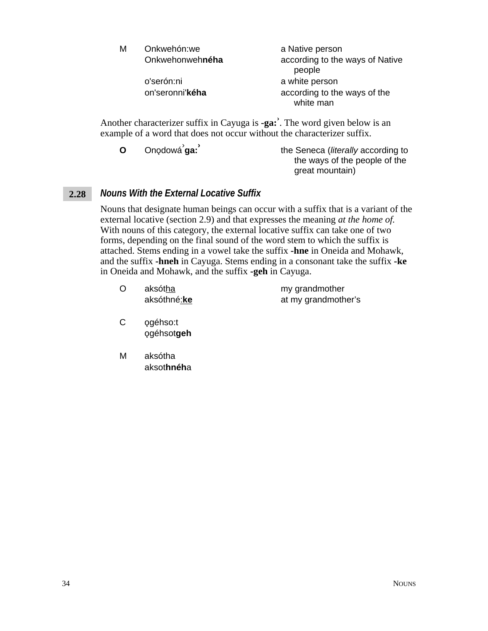| М | Onkwehón:we     | a Native person                           |
|---|-----------------|-------------------------------------------|
|   | Onkwehonwehnéha | according to the ways of Native<br>people |
|   | o'serón:ni      | a white person                            |
|   | on'seronni'kéha | according to the ways of the<br>white man |
|   |                 |                                           |

Another characterizer suffix in Cayuga is **-ga:›** . The word given below is an example of a word that does not occur without the characterizer suffix.

**O** Onodowá<sup>'</sup>ga: **ga:›** the Seneca (*literally* according to the ways of the people of the great mountain)

#### *Nouns With the External Locative Suffix* **2.28**

Nouns that designate human beings can occur with a suffix that is a variant of the external locative (section 2.9) and that expresses the meaning *at the home of.* With nouns of this category, the external locative suffix can take one of two forms, depending on the final sound of the word stem to which the suffix is attached. Stems ending in a vowel take the suffix **-hne** in Oneida and Mohawk, and the suffix **-hneh** in Cayuga. Stems ending in a consonant take the suffix **-ke** in Oneida and Mohawk, and the suffix **-geh** in Cayuga.

- O aksótha my grandmother aksóthné:**ke** at my grandmother's
- C ogéhso:t o3géhsot**geh**
- M aksótha aksot**hnéh**a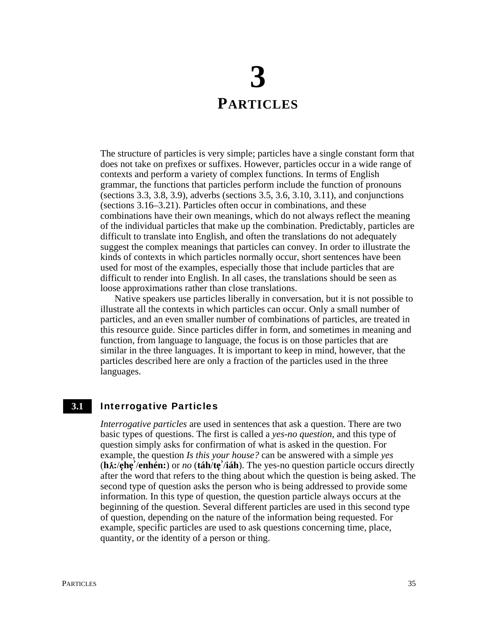## **3 PARTICLES**

The structure of particles is very simple; particles have a single constant form that does not take on prefixes or suffixes. However, particles occur in a wide range of contexts and perform a variety of complex functions. In terms of English grammar, the functions that particles perform include the function of pronouns (sections 3.3, 3.8, 3.9), adverbs (sections 3.5, 3.6, 3.10, 3.11), and conjunctions (sections 3.16–3.21). Particles often occur in combinations, and these combinations have their own meanings, which do not always reflect the meaning of the individual particles that make up the combination. Predictably, particles are difficult to translate into English, and often the translations do not adequately suggest the complex meanings that particles can convey. In order to illustrate the kinds of contexts in which particles normally occur, short sentences have been used for most of the examples, especially those that include particles that are difficult to render into English. In all cases, the translations should be seen as loose approximations rather than close translations.

Native speakers use particles liberally in conversation, but it is not possible to illustrate all the contexts in which particles can occur. Only a small number of particles, and an even smaller number of combinations of particles, are treated in this resource guide. Since particles differ in form, and sometimes in meaning and function, from language to language, the focus is on those particles that are similar in the three languages. It is important to keep in mind, however, that the particles described here are only a fraction of the particles used in the three languages.

#### Interrogative Particles **3.1**

*Interrogative particles* are used in sentences that ask a question. There are two basic types of questions. The first is called a *yes-no question*, and this type of question simply asks for confirmation of what is asked in the question. For example, the question *Is this your house?* can be answered with a simple *yes* (**h**t**:**/**e**3**he**3 **›** /**enhén:**) or *no* (**táh**/**te**3 **›** /**iáh**). The yes-no question particle occurs directly after the word that refers to the thing about which the question is being asked. The second type of question asks the person who is being addressed to provide some information. In this type of question, the question particle always occurs at the beginning of the question. Several different particles are used in this second type of question, depending on the nature of the information being requested. For example, specific particles are used to ask questions concerning time, place, quantity, or the identity of a person or thing.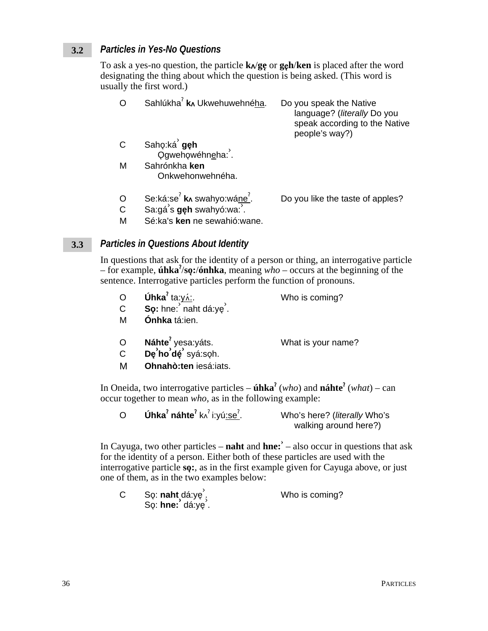#### **Particles in Yes-No Questions**  $3.2$

To ask a yes-no question, the particle  $k \wedge g \rho$  or  $g \rho h / k \rho n$  is placed after the word designating the thing about which the question is being asked. (This word is usually the first word.)

| ∩                   | Sahlúkha <sup>7</sup> k Ukwehuwehnéha.                                                        | Do you speak the Native<br>language? (literally Do you<br>speak according to the Native<br>people's way?) |
|---------------------|-----------------------------------------------------------------------------------------------|-----------------------------------------------------------------------------------------------------------|
| C                   | Sahọ:ká <b>gẹh</b><br>Qgwehọwéhn <u>e</u> ha: .                                               |                                                                                                           |
| M                   | Sahrónkha ken<br>Onkwehonwehnéha.                                                             |                                                                                                           |
| O<br>$\overline{C}$ | Se:ká:se <sup>?</sup> kʌ swahyo:wá <u>ne<sup>?</sup></u> .<br>Sa:gá s <b>gęh</b> swahyó:wa: . | Do you like the taste of apples?                                                                          |

М Sé: ka's ken ne sewahió: wane.

#### **Particles in Questions About Identity**  $3.3$

In questions that ask for the identity of a person or thing, an interrogative particle - for example, **úhka**'/so:/**ónhka**, meaning who – occurs at the beginning of the sentence. Interrogative particles perform the function of pronouns.

| C<br>м | <b>Úhka</b> <sup>2</sup> ta: $y$ <sub>4</sub> $\angle$ :<br><b>So:</b> hne: naht dá:ye <sup><math>\angle</math></sup> .<br>Ónhka tá:ien. | Who is coming?     |
|--------|------------------------------------------------------------------------------------------------------------------------------------------|--------------------|
| O      | Náhte <sup>7</sup> yesa: yáts.<br>De'ho'dé' syá:soh.                                                                                     | What is your name? |

M Ohnahò:ten iesá:iats.

In Oneida, two interrogative particles –  $\mathbf{ihka}^2$  (who) and  $\mathbf{náhte}^2$  (what) – can occur together to mean who, as in the following example:

| <b>Úhka<sup>?</sup> náhte<sup>?</sup> k^</b> <sup>?</sup> i:yú <u>:se<sup>?</sup></u> . | Who's here? (literally Who's |
|-----------------------------------------------------------------------------------------|------------------------------|
|                                                                                         | walking around here?)        |

In Cayuga, two other particles – **naht** and **hne:**  $\overrightarrow{ }$  – also occur in questions that ask for the identity of a person. Either both of these particles are used with the interrogative particle sq:, as in the first example given for Cayuga above, or just one of them, as in the two examples below:

| Sọ: <b>naht</b> dá:yẹ́ , | Who is coming? |
|--------------------------|----------------|
| So: hne: dá:ye .         |                |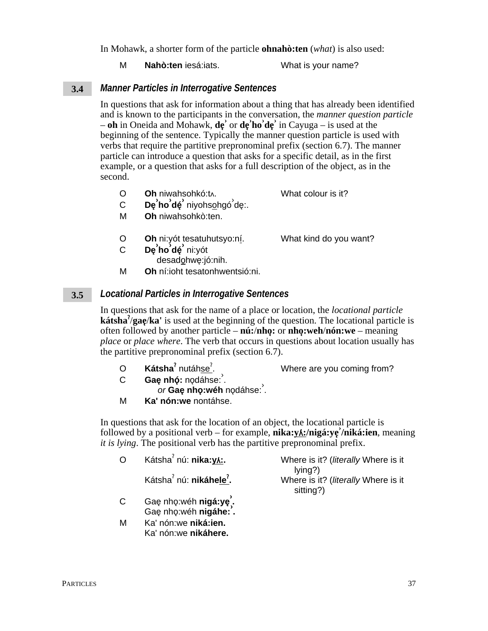In Mohawk, a shorter form of the particle **ohnahoten** (what) is also used:

M Nahò:ten iesá:iats. What is your name?

#### **Manner Particles in Interrogative Sentences**  $3.4$

In questions that ask for information about a thing that has already been identified and is known to the participants in the conversation, the *manner question particle*  $-$  oh in Oneida and Mohawk,  $d\mathbf{e}'$  or  $d\mathbf{e}'$  ho' $d\mathbf{e}'$  in Cayuga – is used at the beginning of the sentence. Typically the manner question particle is used with verbs that require the partitive prepronominal prefix (section 6.7). The manner particle can introduce a question that asks for a specific detail, as in the first example, or a question that asks for a full description of the object, as in the second.

- $\overline{O}$ Oh niwahsohkó:t^. What colour is it?
- $De'ho'dé' niyohsohgó'de.$  $\mathsf{C}$
- Oh niwahsohkò:ten. M
- $\circ$ Oh ni: yót tesatuhutsyo: ní.

What kind do you want?

- $\overline{C}$ De'ho'dé' ni:yót
- desadohwe:jó:nih. M Oh ní: joht tesatonhwentsió: ni.

#### **Locational Particles in Interrogative Sentences**  $3.5$

In questions that ask for the name of a place or location, the *locational particle* **kátsha** $\frac{7}{2}$ **ae**/**ka**<sup> $\cdot$ </sup> is used at the beginning of the question. The locational particle is often followed by another particle –  $n\hat{u}$ :/nho: or nho:weh/nón:we – meaning *place* or *place where*. The verb that occurs in questions about location usually has the partitive prepronominal prefix (section 6.7).

| $\overline{O}$ | Kátsha <sup>?</sup> nutáhse <sup>?</sup> . | Where are you coming from? |
|----------------|--------------------------------------------|----------------------------|
|                | Gae nhó: nodáhse:                          |                            |
|                | $\alpha$ Cas nha $\mu$ ik nodéhoo          |                            |

or Gaę nhọ:wéh nodáhse: . M Ka' nón: we nontáhse.

In questions that ask for the location of an object, the locational particle is followed by a positional verb – for example,  $nika: yA$ :/nigá:ye/niká:ien, meaning *it is lying*. The positional verb has the partitive prepronominal prefix.

| $\Omega$     | Kátsha <sup>7</sup> nú: nika: y                  | Where is it? (literally Where is it                        |
|--------------|--------------------------------------------------|------------------------------------------------------------|
|              | Kátsha <sup>2</sup> nú: nikáhele <sup>2</sup> .  | lying?<br>Where is it? (literally Where is it<br>sitting?) |
| $\mathsf{C}$ | Gaę nhọ: wéh nigá: ye.<br>Gae nhọ: wéh nigáhe: . |                                                            |
| м            | Ka' nón: we niká: ien.                           |                                                            |

Ka' nón: we nikáhere.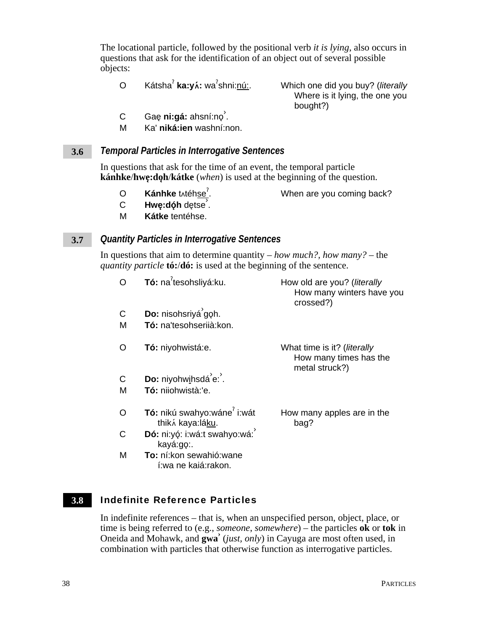The locational particle, followed by the positional verb *it is lying*, also occurs in questions that ask for the identification of an object out of several possible objects:

O Kátsha<sup>?</sup> ka:yí: wa<sup>?</sup>shni:nú:.

Which one did you buy? (*literally* Where is it lying, the one you bought?)

- c Gaę **ni:gá:** ahsní:no<sup>'</sup>.
- M Ka' **niká:ien** washní:non.

#### *Temporal Particles in Interrogative Sentences* **3.6**

In questions that ask for the time of an event, the temporal particle **kánhke/hwę:doh/kátke** (*when*) is used at the beginning of the question.

- O **Kánhke** tytéhse<sup>'</sup>.
- . When are you coming back?
- c **Hwę:dóh** dętse<sup>'</sup>.
- M **Kátke** tentéhse.

#### *Quantity Particles in Interrogative Sentences* **3.7**

In questions that aim to determine quantity – *how much?, how many?* – the *quantity particle* **tó:**/**dó:** is used at the beginning of the sentence.

|        | Tó: na <sup>7</sup> tesohsliyá:ku.              | How old are you? (literally<br>How many winters have you<br>crossed?)           |
|--------|-------------------------------------------------|---------------------------------------------------------------------------------|
| C<br>M | Do: nisohsriyá goh.<br>Tó: na'tesohseriià: kon. |                                                                                 |
| O      | <b>Tó:</b> niyohwistá:e.                        | What time is it? ( <i>literally</i><br>How many times has the<br>metal struck?) |
| C      | Do: niyohwihsdá'e:'.                            |                                                                                 |
| М      | <b>Tó:</b> niiohwistà:'e.                       |                                                                                 |
| O      | Tó: nikú swahyo:wáne i:wát<br>thiká kaya:láku.  | How many apples are in the<br>bag?                                              |
| C      | Dó: ni:yó: i:wá:t swahyo:wá:<br>kayá:go:.       |                                                                                 |
| M      | To: ní:kon sewahió:wane<br>í:wa ne kaiá:rakon.  |                                                                                 |

#### Indefinite Reference Particles **3.8**

In indefinite references – that is, when an unspecified person, object, place, or time is being referred to (e.g., *someone*, *somewhere*) – the particles **ok** or **tok** in Oneida and Mohawk, and **gwa›** (*just, only*) in Cayuga are most often used, in combination with particles that otherwise function as interrogative particles.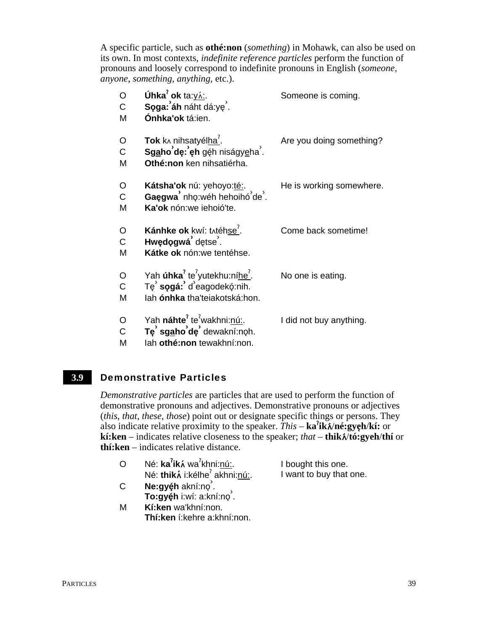A specific particle, such as othé:non (something) in Mohawk, can also be used on its own. In most contexts, *indefinite reference particles* perform the function of pronouns and loosely correspond to indefinite pronouns in English (someone, anyone, something, anything, etc.).

| O<br>C<br>M            | Úhka <sup>7</sup> ok ta: yá:.<br>Soga: áh náht dá:ye'.<br>Ónhka'ok tá:ien.                                                            | Someone is coming.       |
|------------------------|---------------------------------------------------------------------------------------------------------------------------------------|--------------------------|
| O<br>$\mathsf C$<br>M  | Tok k^ nihsatyélha <sup>7</sup> .<br>Sgaho'de: eh géh niságyeha.<br>Othé:non ken nihsatiérha.                                         | Are you doing something? |
| O<br>$\mathsf C$<br>M  | Kátsha'ok nú: yehoyo: <u>té:</u><br>Gaęgwa <sup>'</sup> nhọ:wéh hehoihó <sup>'</sup> de <sup>'</sup> .<br>Ka'ok nón:we iehoió'te.     | He is working somewhere. |
| O<br>$\mathsf{C}$<br>M | Kánhke ok kwí: tʌtéhse <sup>7</sup> .<br>Hwędogwá dętse.<br>Kátke ok nón: we tentéhse.                                                | Come back sometime!      |
| O<br>$\mathsf{C}$<br>M | Yah <b>úhka</b> <sup>2</sup> te <sup>2</sup> yutekhu:níhe <sup>7</sup> .<br>Te sogá: d'eagodekó:nih.<br>lah ónhka tha'teiakotská:hon. | No one is eating.        |
| O<br>$\mathsf{C}$<br>M | Yah náhte <sup>?</sup> te <sup>?</sup> wakhni:nú:.<br>Te sgaho'de dewakní:noh.<br>lah othé:non tewakhní:non.                          | I did not buy anything.  |

#### $3.9$ **Demonstrative Particles**

Demonstrative particles are particles that are used to perform the function of demonstrative pronouns and adjectives. Demonstrative pronouns or adjectives *(this, that, these, those)* point out or designate specific things or persons. They also indicate relative proximity to the speaker.  $This - ka'$ **ik** $\hat{\lambda}$ /né:**gyeh**/k**i**: or kí: ken – indicates relative closeness to the speaker; that – thik $\hat{v}$ to: gyeh/thi or  $\textbf{th}$ : ken – indicates relative distance.

| $\overline{O}$ | Né: ka <sup>2</sup> iká wa <sup>2</sup> khni:nú:. | I bought this one.      |
|----------------|---------------------------------------------------|-------------------------|
|                | Né: thiká i:kélhe <sup>?</sup> akhni:nú:.         | I want to buy that one. |

- $\mathsf{C}$ Ne:gyéh akní:no. To:gyéh i:wí: a:kní:no<sup>2</sup>.
- M Kí: ken wa' khní: non. Thí: ken í: kehre a: khní: non.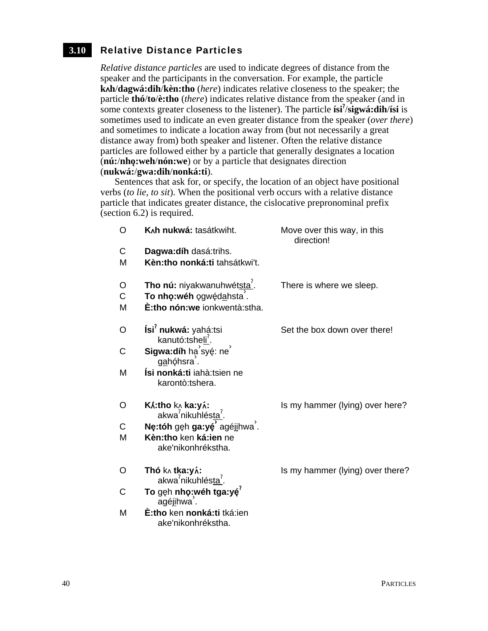#### Relative Distance Particles **3.10**

*Relative distance particles* are used to indicate degrees of distance from the speaker and the participants in the conversation. For example, the particle **kh**/**dagwá:dih**/**kèn:tho** (*here*) indicates relative closeness to the speaker; the particle **thó**/**to**/**è:tho** (*there*) indicates relative distance from the speaker (and in some contexts greater closeness to the listener). The particle **ísi**<sup>?</sup>/sigwá:dih/ísi is sometimes used to indicate an even greater distance from the speaker (*over there*) and sometimes to indicate a location away from (but not necessarily a great distance away from) both speaker and listener. Often the relative distance particles are followed either by a particle that generally designates a location (**nú:**/**nho**3**:weh**/**nón:we**) or by a particle that designates direction (**nukwá:**/**gwa:dih**/**nonká:ti**).

Sentences that ask for, or specify, the location of an object have positional verbs (*to lie, to sit*). When the positional verb occurs with a relative distance particle that indicates greater distance, the cislocative prepronominal prefix (section 6.2) is required.

| O                     | K <sub>A</sub> h nukwá: tasátkwiht.                                                         | Move over this way, in this<br>direction! |
|-----------------------|---------------------------------------------------------------------------------------------|-------------------------------------------|
| C<br>M                | Dagwa: díh dasá: trihs.<br>Kèn:tho nonká:ti tahsátkwi't.                                    |                                           |
| O<br>$\mathsf C$<br>M | Tho nú: niyakwanuhwétsta'.<br>To nhọ:wéh ogwędahsta.<br><b>È:tho nón:we</b> ionkwentà:stha. | There is where we sleep.                  |
| O                     | Ísi' nukwá: yahá:tsi<br>kanutó:tsheli <sup>'</sup> .                                        | Set the box down over there!              |
| C                     | Sigwa:díh hạ syé: ne<br><u>ga</u> hóhsra´.                                                  |                                           |
| M                     | Ísi nonká:ti iahà:tsien ne<br>karontò:tshera.                                               |                                           |
| O                     | <b>K</b> x:tho kʌ ka:yʌ́:<br>akwa <sup>?</sup> nikuhlés <u>ta<sup>?</sup></u> .             | Is my hammer (lying) over here?           |
| C                     | Ne:tóh gęh ga:yę agéjihwa.                                                                  |                                           |
| M                     | Kèn:tho ken ká:ien ne<br>ake'nikonhrékstha.                                                 |                                           |
| O                     | <b>Thó</b> k∧ <b>tka:yʌ́:</b><br>akwa <sup>2</sup> nikuhlés <u>ta<sup>?</sup></u> .         | Is my hammer (lying) over there?          |
| C                     | To gẹh nhọ: wéh tga: yé <sup>?</sup><br>agéj <u>i</u> hwa <sup>′</sup> .                    |                                           |
| M                     | È:tho ken nonká:ti tká:ien                                                                  |                                           |

ake'nikonhrékstha.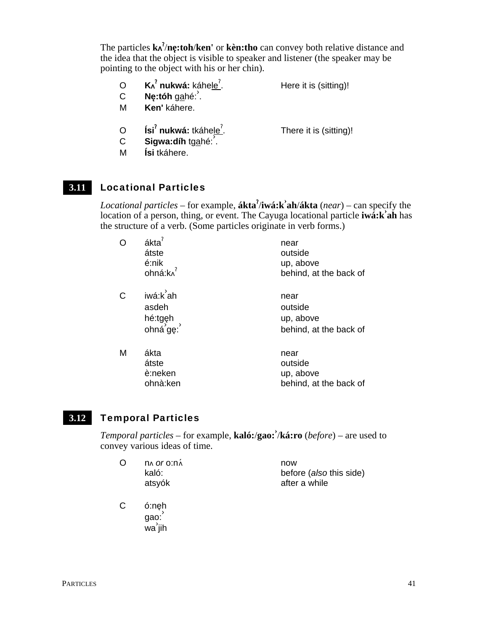The particles **k** § /**ne**3**:toh**/**ken'** or **kèn:tho** can convey both relative distance and the idea that the object is visible to speaker and listener (the speaker may be pointing to the object with his or her chin).

- O **Kʌ** $^{\mathsf{7}}$ **nukwá:** káhe<u>le $^{\mathsf{7}}$ </u> . Here it is (sitting)!
- <sup>C</sup> **Ne**3**:tóh** gahé:› .
- M **Ken'** káhere.
- O **Ísi<sup>?</sup> nukwá:** tkáhe<u>le<sup>?</sup></u> C **Sigwa:díh** tgahé:

. There it is (sitting)!

M **Ísi** tkáhere.

#### Locational Particles **3.11**

*Locational particles* – for example, **ákta**§ /**iwá:k› ah**/**ákta** (*near*) – can specify the location of a person, thing, or event. The Cayuga locational particle **iwá:k› ah** has the structure of a verb. (Some particles originate in verb forms.)

| O | ákta <sup>?</sup><br>átste<br>é:nik<br>ohná:k∧ <sup>′</sup> | near<br>outside<br>up, above<br>behind, at the back of |
|---|-------------------------------------------------------------|--------------------------------------------------------|
| C | iwá:k ah<br>asdeh<br>hé:tgęh<br>ohná <sup>'ge:</sup>        | near<br>outside<br>up, above<br>behind, at the back of |
| M | ákta<br>átste<br>è:neken<br>ohnà:ken                        | near<br>outside<br>up, above<br>behind, at the back of |

#### Temporal Particles **3.12**

*Temporal particles* – for example, **kaló:**/**gao:›** /**ká:ro** (*before*) – are used to convey various ideas of time.

| O | <b>DA OF OIDA</b> | now                     |
|---|-------------------|-------------------------|
|   | kaló:             | before (also this side) |
|   | atsyók            | after a while           |

C ó:neh gao: −<br>wa jih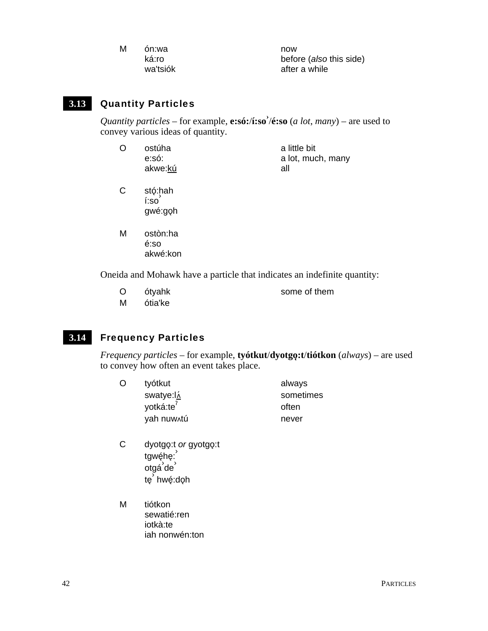| M | ón:wa    | now                     |
|---|----------|-------------------------|
|   | ká:ro    | before (also this side) |
|   | wa'tsiók | after a while           |

#### $3.13$ **Quantity Particles**

*Quantity particles* – for example, **e:só:/i:so'/é:so** (a lot, many) – are used to convey various ideas of quantity.

| $\Omega$ | ostúha  | a little bit      |
|----------|---------|-------------------|
|          | e:só:   | a lot, much, many |
|          | akwe:kú | all               |
|          |         |                   |

- $\mathsf{C}$ stó:hah  $i:so'$ gwé:goh
- M ostòn:ha é:so akwé:kon

Oneida and Mohawk have a particle that indicates an indefinite quantity:

- $\Omega$ ótvahk some of them
- ótia'ke M

 $3.14$ **Frequency Particles** 

> *Frequency particles* – for example, **tyótkut/dyotgo:t/tiótkon**  $(always)$  – are used to convey how often an event takes place.

- $\Omega$ tyótkut always swatye:l<sup>6</sup> sometimes yotká:te<sup>?</sup> often yah nuw tú never
- $\mathsf{C}$ dyotgo:t or gyotgo:t tgwéhe: otgá de tę hwę:doh
- M tiótkon sewatié:ren iotkà:te iah nonwén:ton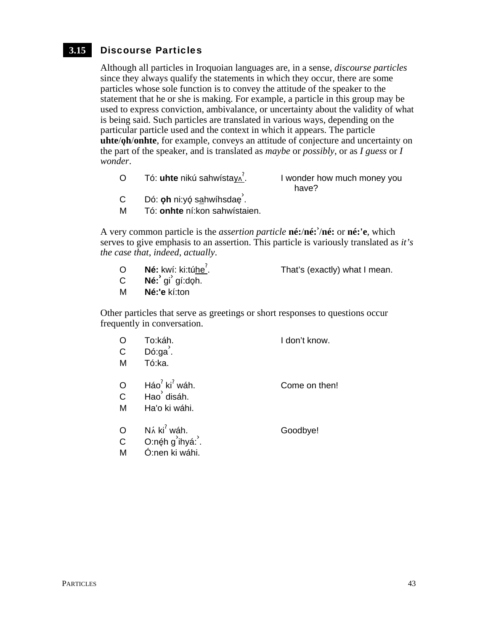#### Discourse Particles **3.15**

Although all particles in Iroquoian languages are, in a sense, *discourse particles* since they always qualify the statements in which they occur, there are some particles whose sole function is to convey the attitude of the speaker to the statement that he or she is making. For example, a particle in this group may be used to express conviction, ambivalance, or uncertainty about the validity of what is being said. Such particles are translated in various ways, depending on the particular particle used and the context in which it appears. The particle **uhte/** $\phi$ **h/onhte**, for example, conveys an attitude of conjecture and uncertainty on the part of the speaker, and is translated as *maybe* or *possibly*, or as *I guess* or *I wonder*.

- O Tó: **uhte** nikú sahwístay § . I wonder how much money you have?
- C Dó: **ǫh** ni:yǫ́ s<u>a</u>hwíhsdaę<sup>ʾ</sup>.
- M Tó: **onhte** ní:kon sahwístaien.

A very common particle is the *assertion particle* **né:**/**né:›** /**né:** or **né:'e**, which serves to give emphasis to an assertion. This particle is variously translated as *it's the case that*, *indeed*, *actually*.

- O **Né:** kwí: ki:túhe<sup>?</sup>. . That's (exactly) what I mean.
- **C Né:**<sup> $\frac{1}{2}$  gí:doh.</sup>
- M **Né:'e** kí:ton

Other particles that serve as greetings or short responses to questions occur frequently in conversation.

| O<br>$\mathsf{C}$<br>M       | To:káh.<br>Dó:ga.<br>Tó:ka.                                                 | I don't know. |
|------------------------------|-----------------------------------------------------------------------------|---------------|
| $\circ$<br>$\mathsf{C}$<br>M | $H$ áo $^7$ ki $^7$ wáh.<br>Hao <sup>'</sup> disáh.<br>Ha'o ki wáhi.        | Come on then! |
| $\circ$<br>$\mathsf{C}$<br>M | $N\acute{\alpha}$ ki <sup>2</sup> wáh.<br>O:néh g'ihyá:'.<br>Ó:nen ki wáhi. | Goodbye!      |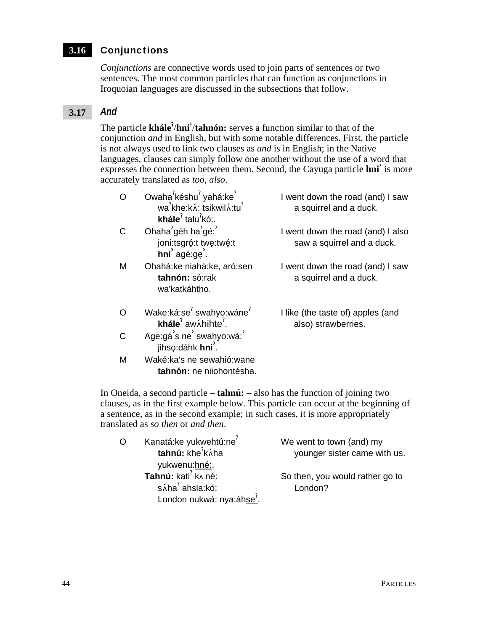### Conjunctions **3.16**

*Conjunctions* are connective words used to join parts of sentences or two sentences. The most common particles that can function as conjunctions in Iroquoian languages are discussed in the subsections that follow.

#### *And* **3.17**

The particle **khále**§ /**hni›** /**tahnón:** serves a function similar to that of the conjunction *and* in English, but with some notable differences. First, the particle is not always used to link two clauses as *and* is in English; in the Native languages, clauses can simply follow one another without the use of a word that expresses the connection between them. Second, the Cayuga particle **hni›** is more accurately translated as *too, also*.

| ∩ | Owaha <sup>7</sup> késhu <sup>7</sup> yahá:ke <sup>7</sup><br>wa <sup>7</sup> khe:k n : tsikwil n : tu <sup>7</sup><br><b>khále</b> <sup><math>\prime</math></sup> talu <sup><math>\prime</math></sup> kó:. | I went down the road (and) I saw<br>a squirrel and a duck.      |
|---|-------------------------------------------------------------------------------------------------------------------------------------------------------------------------------------------------------------|-----------------------------------------------------------------|
| C | Ohaha géh ha gé:<br>joni:tsgró:t twę:twé:t<br>$\mathsf{hni}'$ agé:ge'.                                                                                                                                      | I went down the road (and) I also<br>saw a squirrel and a duck. |
| M | Ohahà: ke niahà: ke, aró: sen<br>tahnón: só:rak<br>wa'katkáhtho.                                                                                                                                            | I went down the road (and) I saw<br>a squirrel and a duck.      |
| ∩ | Wake:ká:se <sup>?</sup> swahyo:wáne <sup>?</sup><br>khále $^7$ aw $\lambda$ hihte <sup>?</sup> .                                                                                                            | I like (the taste of) apples (and<br>also) strawberries.        |
| C | Age:gá's ne' swahyo:wá:<br>jihso:dáhk hni <sup>'</sup> .                                                                                                                                                    |                                                                 |
| M | Waké:ka's ne sewahió:wane<br>tahnón: ne niiohontésha.                                                                                                                                                       |                                                                 |

In Oneida, a second particle – **tahnú:** – also has the function of joining two clauses, as in the first example below. This particle can occur at the beginning of a sentence, as in the second example; in such cases, it is more appropriately translated as *so then* or *and then*.

| O | Kanatá:ke yukwehtú:ne <sup>7</sup>          | We went to town (and) my        |
|---|---------------------------------------------|---------------------------------|
|   | tahnú: khe <sup>7</sup> káha                | younger sister came with us.    |
|   | yukwenu:hné:.                               |                                 |
|   | Tahnú: kati <sup>?</sup> k <sub>^</sub> né: | So then, you would rather go to |
|   | $s$ Áha $^7$ ahsla:kó:                      | London?                         |
|   | London nukwá: nya:áhse <sup>'</sup> .       |                                 |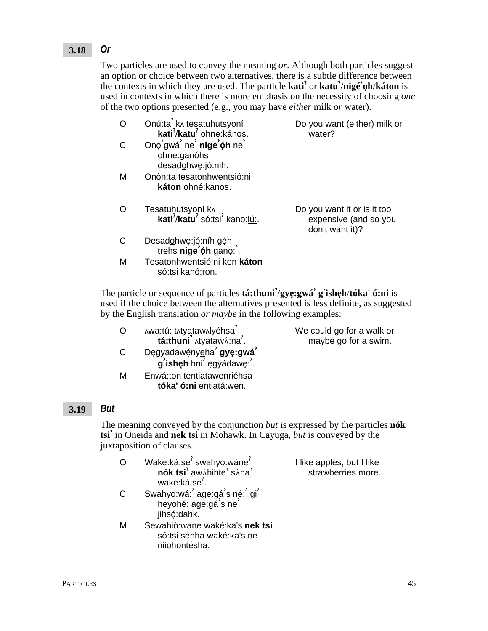#### *Or* **3.18**

Two particles are used to convey the meaning *or*. Although both particles suggest an option or choice between two alternatives, there is a subtle difference between the contexts in which they are used. The particle **kati<sup>?</sup>** or **katu<sup>?</sup>/nigé**<sup> $\phi$ </sup>**h**/**káton** is used in contexts in which there is more emphasis on the necessity of choosing *one* of the two options presented (e.g., you may have *either* milk *or* water).

|   | Onú:ta k^ tesatuhutsyoní<br>kati <sup>7</sup> /katu <sup>7</sup> ohne: kános.                        | Do you want (either) milk or<br>water?                                  |
|---|------------------------------------------------------------------------------------------------------|-------------------------------------------------------------------------|
|   | Ono'gwá' ne' nige'óh ne'<br>ohne:ganóhs<br>desadohwe:jó:nih.                                         |                                                                         |
| м | Onòn: ta tesatonhwentsió: ni<br>káton ohné: kanos.                                                   |                                                                         |
|   | Tesatuhutsyoní k^<br><b>kati<sup>7</sup>/katu<sup>7</sup></b> só:tsi <sup>7</sup> kano:l <u>ú:</u> . | Do you want it or is it too<br>expensive (and so you<br>don't want it)? |
| С | Desadohwę:jó:níh géh,<br>trehs nige oh gano:                                                         |                                                                         |
| м | Tesatonhwentsió:ni ken káton<br>só:tsi kanó:ron.                                                     |                                                                         |

The particle or sequence of particles **tá:thuni**§ /**gye**3**:gwá› g› ishe**3**h**/**tóka' ó:ni** is used if the choice between the alternatives presented is less definite, as suggested by the English translation *or maybe* in the following examples:

- O Awa:tú: txtyataw Nyéhsa **tá:thuni<sup>?</sup> ∧tyataw**∧<u>:na</u><sup>?</sup>.
- <sup>C</sup> De3gyadawé3nyeha› **gye**3**:gwá› g** isheh hni egyádawe: .
- M Enwá:ton tentiatawenriéhsa **tóka' ó:ni** entiatá:wen.

We could go for a walk or maybe go for a swim.

I like apples, but I like strawberries more.

#### *But* **3.19**

The meaning conveyed by the conjunction *but* is expressed by the particles **nók tsi**§ in Oneida and **nek tsi** in Mohawk. In Cayuga, *but* is conveyed by the juxtaposition of clauses.

- O Wake:ká:se<sup>?</sup> swahyo:wáne<sup>?</sup> **nók tsi<sup>?</sup> aw**ʌ́hihte $^?$  sʌ́ha $^?$ wake:ká<u>:se<sup>?</sup>.</u>
- C Swahyo:wá: age:gá s né: gi anyo.wa. ago.ga o ny<br>heyohé: age:gá s ne jihsó:dahk.
- M Sewahió:wane waké:ka's **nek tsi** só:tsi sénha waké:ka's ne niiohontésha.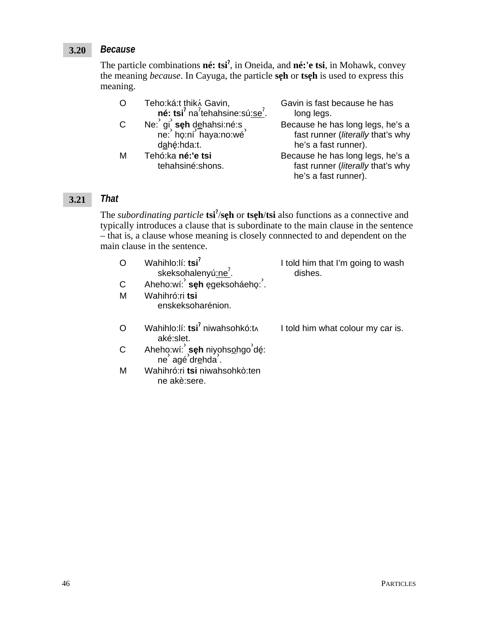#### *Because* **3.20**

The particle combinations **né: tsi**§ , in Oneida, and **né:'e tsi**, in Mohawk, convey the meaning *because*. In Cayuga, the particle **seh** or **tseh** is used to express this meaning.

|              | Teho:ká:t thik & Gavin,<br>né: tsi <sup>2</sup> na <sup>2</sup> tehahsine: sú: se <sup>2</sup> . | Gavin is fast because he has<br>long legs.                                                    |
|--------------|--------------------------------------------------------------------------------------------------|-----------------------------------------------------------------------------------------------|
| $\mathsf{C}$ | Ne: gi seh dehahsi:né:s<br>ne: họ:ní haya:no:wé<br>dahé:hda:t.                                   | Because he has long legs, he's a<br>fast runner (literally that's why<br>he's a fast runner). |
| M            | Tehó:ka né:'e tsi<br>tehahsiné:shons.                                                            | Because he has long legs, he's a<br>fast runner (literally that's why<br>he's a fast runner). |

#### *That* **3.21**

The *subordinating particle* **tsi<sup>?</sup>/se<sub>h</sub>** or **tse<sub>h</sub>/tsi** also functions as a connective and typically introduces a clause that is subordinate to the main clause in the sentence – that is, a clause whose meaning is closely connnected to and dependent on the main clause in the sentence.

|   | Wahihlo:lí: tsi <sup>?</sup><br>skeksohalenyú <u>:ne<sup>?</sup>.</u><br>Aheho:wí: <b>seh</b> egeksoháeho: . | I told him that I'm going to wash<br>dishes. |
|---|--------------------------------------------------------------------------------------------------------------|----------------------------------------------|
| C |                                                                                                              |                                              |
| M | Wahihró:ri tsi<br>enskeksoharénion.                                                                          |                                              |
|   | Wahihlo:lí: tsi <sup>2</sup> niwahsohkó:tʌ<br>aké:slet.                                                      | I told him what colour my car is.            |
| C | Aheho:wí: seh niyohsohgo dé:<br>ne agé drehda .                                                              |                                              |
| м | Wahihró: ri tsi niwahsohkò: ten<br>ne akè:sere.                                                              |                                              |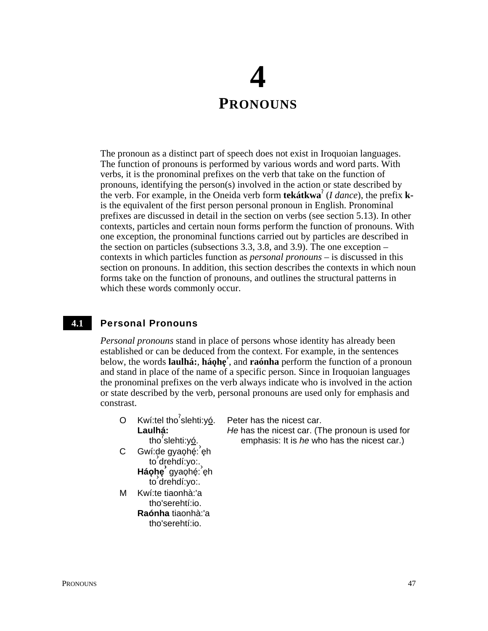## **4 PRONOUNS**

The pronoun as a distinct part of speech does not exist in Iroquoian languages. The function of pronouns is performed by various words and word parts. With verbs, it is the pronominal prefixes on the verb that take on the function of pronouns, identifying the person(s) involved in the action or state described by the verb. For example, in the Oneida verb form **tekátkwa**§ (*I dance*), the prefix **k**is the equivalent of the first person personal pronoun in English. Pronominal prefixes are discussed in detail in the section on verbs (see section 5.13). In other contexts, particles and certain noun forms perform the function of pronouns. With one exception, the pronominal functions carried out by particles are described in the section on particles (subsections 3.3, 3.8, and 3.9). The one exception – contexts in which particles function as *personal pronouns* – is discussed in this section on pronouns. In addition, this section describes the contexts in which noun forms take on the function of pronouns, and outlines the structural patterns in which these words commonly occur.

#### Personal Pronouns **4.1**

*Personal pronouns* stand in place of persons whose identity has already been established or can be deduced from the context. For example, in the sentences below, the words **laulhá:**, **háolne**, and **raónha** perform the function of a pronoun and stand in place of the name of a specific person. Since in Iroquoian languages the pronominal prefixes on the verb always indicate who is involved in the action or state described by the verb, personal pronouns are used only for emphasis and constrast.

- O Kwí:tel tho<sup>?</sup>slehti:y<u>ó</u>. **Laulhá:** tho<sup>?</sup>slehti:y<u>ó</u>. Peter has the nicest car. *He* has the nicest car. (The pronoun is used for emphasis: It is *he* who has the nicest car.)
- C Gwí:de gyaohé: eh n.yo gyayny.<br>to drehdí:yo:. aichan.yo...<sub>)</sub><br>Háoٍhe gyaoٍhé: eٍh to› drehdí:yo:.
- M Kwí:te tiaonhà:'a tho'serehtí:io. **Raónha** tiaonhà:'a
	- tho'serehtí:io.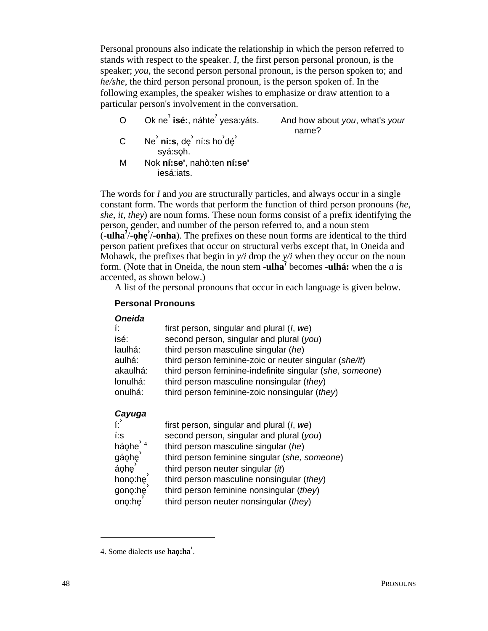Personal pronouns also indicate the relationship in which the person referred to stands with respect to the speaker. I, the first person personal pronoun, is the speaker; you, the second person personal pronoun, is the person spoken to; and he/she, the third person personal pronoun, is the person spoken of. In the following examples, the speaker wishes to emphasize or draw attention to a particular person's involvement in the conversation.

Ok ne $^7$  isé: náhte $^7$  vesa: váts.  $\Omega$ 

And how about you, what's your name?

- Ne' ni:s, de' ní:s ho'dé'  $\mathsf{C}$ syá:soh.
- Nok ní:se', nahò:ten ní:se' M iesá jats.

The words for I and you are structurally particles, and always occur in a single constant form. The words that perform the function of third person pronouns (he, she, it, they) are noun forms. These noun forms consist of a prefix identifying the person, gender, and number of the person referred to, and a noun stem  $\left(-\text{ulha}^{\prime}\right)$ -on- $\left(\text{olha}^{\prime}\right)$ -on- $\left(\text{olha}^{\prime}\right)$ . The prefixes on these noun forms are identical to the third person patient prefixes that occur on structural verbs except that, in Oneida and Mohawk, the prefixes that begin in  $y/i$  drop the  $y/i$  when they occur on the noun form. (Note that in Oneida, the noun stem **-ulha**<sup>7</sup> becomes **-ulhá:** when the *a* is accented, as shown below.)

A list of the personal pronouns that occur in each language is given below.

## **Personal Pronouns**

| <b>Oneida</b>          |                                                          |
|------------------------|----------------------------------------------------------|
| Í.                     | first person, singular and plural $(l, we)$              |
| isé:                   | second person, singular and plural (you)                 |
| laulhá:                | third person masculine singular (he)                     |
| aulhá:                 | third person feminine-zoic or neuter singular (she/it)   |
| akaulhá:               | third person feminine-indefinite singular (she, someone) |
| lonulhá:               | third person masculine nonsingular (they)                |
| onulhá:                | third person feminine-zoic nonsingular $(they)$          |
| Cayuga                 |                                                          |
|                        | first person, singular and plural $(l, we)$              |
| í:s                    | second person, singular and plural (you)                 |
| háohe $'$ <sup>4</sup> | third person masculine singular (he)                     |
| gáohe <sup>'</sup>     | third person feminine singular (she, someone)            |
| áohe                   | third person neuter singular (it)                        |
| hono:he                | third person masculine nonsingular (they)                |
| gono:he                | third person feminine nonsingular (they)                 |

ono:he<sup>1</sup> third person neuter nonsingular (they)

<sup>4.</sup> Some dialects use hao:ha'.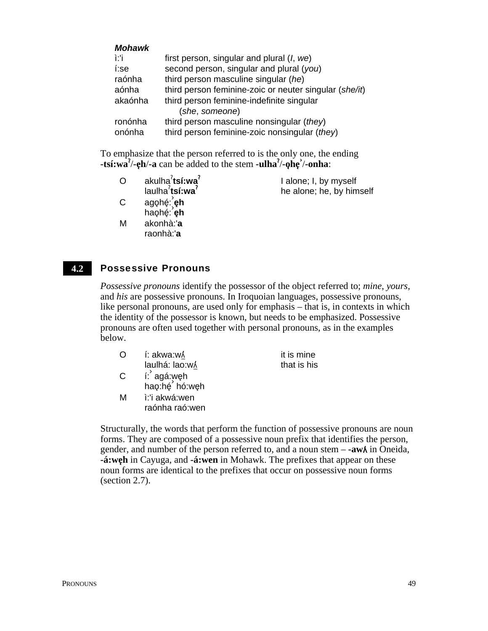| <b>Mohawk</b> |                                                        |
|---------------|--------------------------------------------------------|
| ì:'i          | first person, singular and plural $(l, we)$            |
| í:se          | second person, singular and plural (you)               |
| raónha        | third person masculine singular (he)                   |
| aónha         | third person feminine-zoic or neuter singular (she/it) |
| akaónha       | third person feminine-indefinite singular              |
|               | (she, someone)                                         |
| ronónha       | third person masculine nonsingular (they)              |
| onónha        | third person feminine-zoic nonsingular (they)          |

To emphasize that the person referred to is the only one, the ending **-tsí:wa**<sup>7</sup>/-eh/-a can be added to the stem **-ulha**<sup>7</sup>/-ohe<sup>3</sup>/-onha:

| $\Omega$ | akulha <sup>7</sup> tsí:wa <sup>7</sup> | I alone; I, by myself    |
|----------|-----------------------------------------|--------------------------|
|          | laulha $\lambda$ tsí:wa $\lambda$       | he alone; he, by himself |
| C        | agọhé: <b>ุeh</b>                       |                          |
|          | haohé: eh                               |                          |

M akonhà:'**a** raonhà:'**a**

Possessive Pronouns **4.2**

> *Possessive pronouns* identify the possessor of the object referred to; *mine*, *yours*, and *his* are possessive pronouns. In Iroquoian languages, possessive pronouns, like personal pronouns, are used only for emphasis – that is, in contexts in which the identity of the possessor is known, but needs to be emphasized. Possessive pronouns are often used together with personal pronouns, as in the examples below.

| O            | í: akwa:w/                      | it is mine  |
|--------------|---------------------------------|-------------|
|              | laulhá: lao:w/                  | that is his |
| $\mathsf{C}$ | í: agá:weh<br>hao:hé hó:weh     |             |
| M            | i:'i akwá:wen<br>raónha raó:wen |             |

Structurally, the words that perform the function of possessive pronouns are noun forms. They are composed of a possessive noun prefix that identifies the person, gender, and number of the person referred to, and a noun stem  $-\frac{a w \lambda}{n}$  in Oneida, **-á:weh** in Cayuga, and **-á:wen** in Mohawk. The prefixes that appear on these noun forms are identical to the prefixes that occur on possessive noun forms (section 2.7).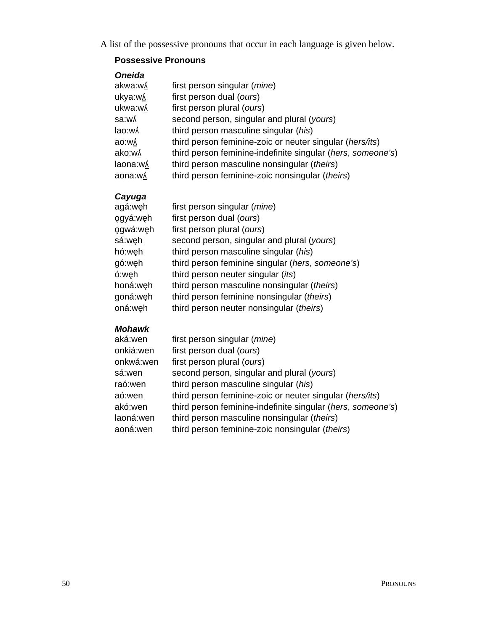A list of the possessive pronouns that occur in each language is given below.

## **Possessive Pronouns**

| <b>Oneida</b> |                                                             |
|---------------|-------------------------------------------------------------|
| akwa:wʎ       | first person singular ( <i>mine</i> )                       |
| ukya:wʎ       | first person dual (ours)                                    |
| ukwa:wʎ       | first person plural (ours)                                  |
| sa:wʎ         | second person, singular and plural (yours)                  |
| lao:w۸        | third person masculine singular (his)                       |
| ao:wʎ         | third person feminine-zoic or neuter singular (hers/its)    |
| ako:wʎ        | third person feminine-indefinite singular (hers, someone's) |
| laona:wʎ      | third person masculine nonsingular (theirs)                 |
| aona:wʎ       | third person feminine-zoic nonsingular (theirs)             |

## *Cayuga*

| agá:węh  | first person singular (mine)                     |
|----------|--------------------------------------------------|
| ogyá:weh | first person dual (ours)                         |
| ogwá:weh | first person plural (ours)                       |
| sá:weh   | second person, singular and plural (yours)       |
| hó:weh   | third person masculine singular (his)            |
| gó:weh   | third person feminine singular (hers, someone's) |
| ó:weh    | third person neuter singular (its)               |
| honá:weh | third person masculine nonsingular (theirs)      |
| goná:wẹh | third person feminine nonsingular (theirs)       |
| oná:weh  | third person neuter nonsingular (theirs)         |

## *Mohawk*

| aká:wen   | first person singular ( <i>mine</i> )                       |
|-----------|-------------------------------------------------------------|
| onkiá:wen | first person dual (ours)                                    |
| onkwá:wen | first person plural (ours)                                  |
| sá:wen    | second person, singular and plural (yours)                  |
| raó:wen   | third person masculine singular (his)                       |
| aó:wen    | third person feminine-zoic or neuter singular (hers/its)    |
| akó:wen   | third person feminine-indefinite singular (hers, someone's) |
| laoná:wen | third person masculine nonsingular (theirs)                 |
| aoná:wen  | third person feminine-zoic nonsingular (theirs)             |
|           |                                                             |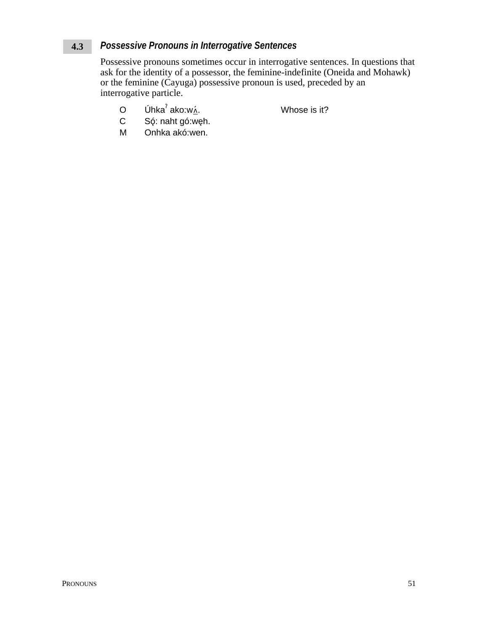#### Possessive Pronouns in Interrogative Sentences  $4.3$

Possessive pronouns sometimes occur in interrogative sentences. In questions that ask for the identity of a possessor, the feminine-indefinite (Oneida and Mohawk) or the feminine (Cayuga) possessive pronoun is used, preceded by an interrogative particle.

Úhka $^7$ ako:w $\overline{\Lambda}$ .  $\circ$ 

Whose is it?

- Só: naht gó:węh.  $\mathsf{C}$
- M Onhka akó:wen.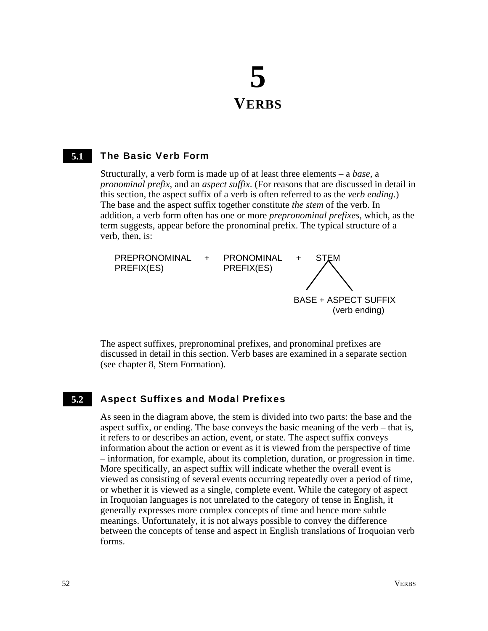# **5 VERBS**

#### The Basic Verb Form **5.1**

Structurally, a verb form is made up of at least three elements – a *base*, a *pronominal prefix*, and an *aspect suffix*. (For reasons that are discussed in detail in this section, the aspect suffix of a verb is often referred to as the *verb ending*.) The base and the aspect suffix together constitute *the stem* of the verb. In addition, a verb form often has one or more *prepronominal prefixes*, which, as the term suggests, appear before the pronominal prefix. The typical structure of a verb, then, is:



The aspect suffixes, prepronominal prefixes, and pronominal prefixes are discussed in detail in this section. Verb bases are examined in a separate section (see chapter 8, Stem Formation).

#### Aspect Suffixes and Modal Prefixes **5.2**

As seen in the diagram above, the stem is divided into two parts: the base and the aspect suffix, or ending. The base conveys the basic meaning of the verb – that is, it refers to or describes an action, event, or state. The aspect suffix conveys information about the action or event as it is viewed from the perspective of time – information, for example, about its completion, duration, or progression in time. More specifically, an aspect suffix will indicate whether the overall event is viewed as consisting of several events occurring repeatedly over a period of time, or whether it is viewed as a single, complete event. While the category of aspect in Iroquoian languages is not unrelated to the category of tense in English, it generally expresses more complex concepts of time and hence more subtle meanings. Unfortunately, it is not always possible to convey the difference between the concepts of tense and aspect in English translations of Iroquoian verb forms.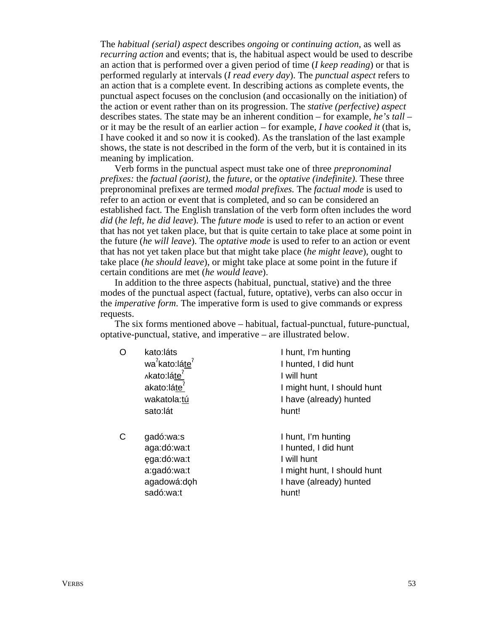The *habitual (serial) aspect* describes *ongoing* or *continuing action*, as well as *recurring action* and events; that is, the habitual aspect would be used to describe an action that is performed over a given period of time (*I keep reading*) or that is performed regularly at intervals (*I read every day*). The *punctual aspect* refers to an action that is a complete event. In describing actions as complete events, the punctual aspect focuses on the conclusion (and occasionally on the initiation) of the action or event rather than on its progression. The *stative (perfective) aspect* describes states. The state may be an inherent condition – for example, *he's tall* – or it may be the result of an earlier action – for example, *I have cooked it* (that is, I have cooked it and so now it is cooked). As the translation of the last example shows, the state is not described in the form of the verb, but it is contained in its meaning by implication.

Verb forms in the punctual aspect must take one of three *prepronominal prefixes:* the *factual (aorist),* the *future,* or the *optative (indefinite)*. These three prepronominal prefixes are termed *modal prefixes.* The *factual mode* is used to refer to an action or event that is completed, and so can be considered an established fact. The English translation of the verb form often includes the word *did* (*he left*, *he did leave*). The *future mode* is used to refer to an action or event that has not yet taken place, but that is quite certain to take place at some point in the future (*he will leave*). The *optative mode* is used to refer to an action or event that has not yet taken place but that might take place (*he might leave*), ought to take place (*he should leave*), or might take place at some point in the future if certain conditions are met (*he would leave*).

In addition to the three aspects (habitual, punctual, stative) and the three modes of the punctual aspect (factual, future, optative), verbs can also occur in the *imperative form*. The imperative form is used to give commands or express requests.

The six forms mentioned above – habitual, factual-punctual, future-punctual, optative-punctual, stative, and imperative – are illustrated below.

O kato:láts wa<sup>?</sup>kato:lá<u>te</u>?

∧kato:láte<sup>′</sup> akato:láte<sup>7</sup> wakatola:tú sato:lát

C gadó:wa:s aga:dó:wa:t ega:dó:wa:t a:gadó:wa:t agadowá:doh sadó:wa:t

I hunt, I'm hunting I hunted, I did hunt I will hunt I might hunt, I should hunt I have (already) hunted hunt!

I hunt, I'm hunting I hunted, I did hunt I will hunt I might hunt, I should hunt I have (already) hunted hunt!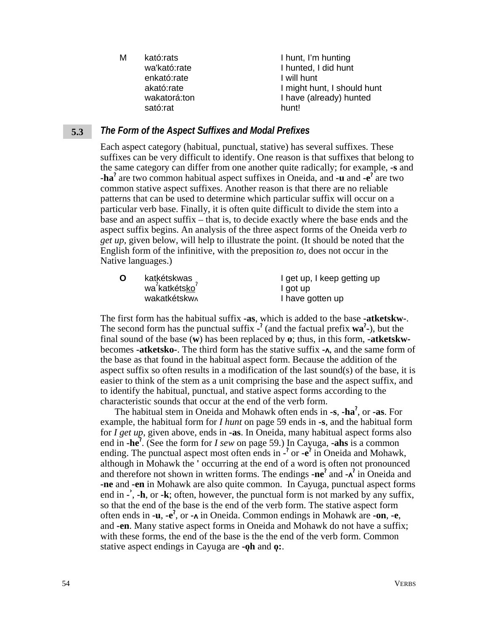| М | kató:rats    | I hunt, I'm hunting         |
|---|--------------|-----------------------------|
|   | wa'kató:rate | I hunted, I did hunt        |
|   | enkató:rate  | I will hunt                 |
|   | akató:rate   | I might hunt, I should hunt |
|   | wakatorá:ton | I have (already) hunted     |
|   | sató:rat     | hunt!                       |
|   |              |                             |

#### *The Form of the Aspect Suffixes and Modal Prefixes* **5.3**

Each aspect category (habitual, punctual, stative) has several suffixes. These suffixes can be very difficult to identify. One reason is that suffixes that belong to the same category can differ from one another quite radically; for example, **-s** and **-ha**<sup>2</sup> are two common habitual aspect suffixes in Oneida, and **-u** and **-e**<sup>2</sup> are two common stative aspect suffixes. Another reason is that there are no reliable patterns that can be used to determine which particular suffix will occur on a particular verb base. Finally, it is often quite difficult to divide the stem into a base and an aspect suffix – that is, to decide exactly where the base ends and the aspect suffix begins. An analysis of the three aspect forms of the Oneida verb *to get up*, given below, will help to illustrate the point. (It should be noted that the English form of the infinitive, with the preposition *to*, does not occur in the Native languages.)

| $\mathbf O$ | katkétskwas<br>wa <sup>?</sup> katkétsko <sup>?</sup> | I get up, I keep getting up |
|-------------|-------------------------------------------------------|-----------------------------|
|             |                                                       | I got up                    |
|             | <b>wakatkétskw</b>                                    | I have gotten up            |

The first form has the habitual suffix **-as**, which is added to the base **-atketskw-**. The second form has the punctual suffix  $\cdot$ <sup>2</sup> (and the factual prefix **wa**<sup>2</sup> $\cdot$ ), but the final sound of the base (**w**) has been replaced by **o**; thus, in this form, **-atketskw**becomes **-atketsko-**. The third form has the stative suffix **-**, and the same form of the base as that found in the habitual aspect form. Because the addition of the aspect suffix so often results in a modification of the last sound(s) of the base, it is easier to think of the stem as a unit comprising the base and the aspect suffix, and to identify the habitual, punctual, and stative aspect forms according to the characteristic sounds that occur at the end of the verb form.

The habitual stem in Oneida and Mohawk often ends in **-s**, **-ha**§ , or **-as**. For example, the habitual form for *I hunt* on page 59 ends in **-s**, and the habitual form for *I get up*, given above, ends in **-as**. In Oneida, many habitual aspect forms also end in **-he<sup>?</sup>**. (See the form for *I sew* on page 59.) In Cayuga, **-ahs** is a common ending. The punctual aspect most often ends in  $\cdot$ <sup>2</sup> or  $\cdot$  e<sup>7</sup> in Oneida and Mohawk, although in Mohawk the **'** occurring at the end of a word is often not pronounced and therefore not shown in written forms. The endings **-ne**<sup>?</sup> and  $-\lambda^2$  in Oneida and **-ne** and **-en** in Mohawk are also quite common. In Cayuga, punctual aspect forms end in **- ›** , **-h**, or **-k**; often, however, the punctual form is not marked by any suffix, so that the end of the base is the end of the verb form. The stative aspect form often ends in **-u**, **-e**§ , or **-** in Oneida. Common endings in Mohawk are **-on**, **-e**, and **-en**. Many stative aspect forms in Oneida and Mohawk do not have a suffix; with these forms, the end of the base is the the end of the verb form. Common stative aspect endings in Cayuga are **-oh** and **o**: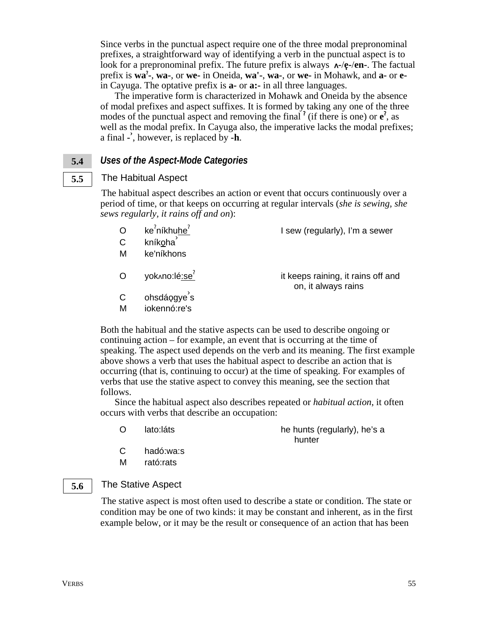Since verbs in the punctual aspect require one of the three modal prepronominal prefixes, a straightforward way of identifying a verb in the punctual aspect is to look for a prepronominal prefix. The future prefix is always  $\lambda$ -/ $\epsilon$ -/en-. The factual prefix is wa<sup>2</sup>, wa-, or we- in Oneida, wa<sup>1</sup>-, wa-, or we- in Mohawk, and a- or ein Cayuga. The optative prefix is  $a$ - or  $a$ :- in all three languages.

The imperative form is characterized in Mohawk and Oneida by the absence of modal prefixes and aspect suffixes. It is formed by taking any one of the three modes of the punctual aspect and removing the final  $\ell$  (if there is one) or  $e^{\ell}$ , as well as the modal prefix. In Cayuga also, the imperative lacks the modal prefixes; a final -', however, is replaced by -h.

#### Uses of the Aspect-Mode Categories  $5.4$

#### The Habitual Aspect  $5.5$

The habitual aspect describes an action or event that occurs continuously over a period of time, or that keeps on occurring at regular intervals (she is sewing, she sews regularly, it rains off and on):

| $\mathsf{C}$<br>М | ke <sup>2</sup> níkhuhe <sup>2</sup><br>kníkoha<br>ke'níkhons | I sew (regularly), I'm a sewer                            |
|-------------------|---------------------------------------------------------------|-----------------------------------------------------------|
|                   | yok^no:lé:se <sup>7</sup>                                     | it keeps raining, it rains off and<br>on, it always rains |
| М                 | ohsdáogye's<br>iokennó:re's                                   |                                                           |

Both the habitual and the stative aspects can be used to describe ongoing or continuing action – for example, an event that is occurring at the time of speaking. The aspect used depends on the verb and its meaning. The first example above shows a verb that uses the habitual aspect to describe an action that is occurring (that is, continuing to occur) at the time of speaking. For examples of verbs that use the stative aspect to convey this meaning, see the section that follows.

Since the habitual aspect also describes repeated or *habitual action*, it often occurs with verbs that describe an occupation:

 $\Omega$ lato:láts he hunts (regularly), he's a hunter

- $\mathsf{C}$ hadó:wa:s
- м rató:rats

#### The Stative Aspect 5.6

The stative aspect is most often used to describe a state or condition. The state or condition may be one of two kinds: it may be constant and inherent, as in the first example below, or it may be the result or consequence of an action that has been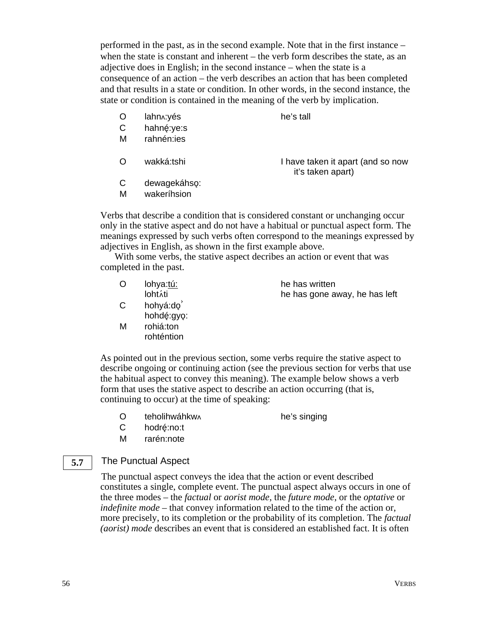performed in the past, as in the second example. Note that in the first instance – when the state is constant and inherent – the verb form describes the state, as an adjective does in English; in the second instance – when the state is a consequence of an action – the verb describes an action that has been completed and that results in a state or condition. In other words, in the second instance, the state or condition is contained in the meaning of the verb by implication.

O lahn vés he's tall

- C hahné:ye:s M rahnén:ies
- 

O wakká:tshi I have taken it apart (and so now it's taken apart)

- C dewagekáhso:
- M wakeríhsion

Verbs that describe a condition that is considered constant or unchanging occur only in the stative aspect and do not have a habitual or punctual aspect form. The meanings expressed by such verbs often correspond to the meanings expressed by adjectives in English, as shown in the first example above.

With some verbs, the stative aspect decribes an action or event that was completed in the past.

| O   | lohya:tú:  | he has written                |
|-----|------------|-------------------------------|
|     | lohtáti    | he has gone away, he has left |
| C   | hohyá:do   |                               |
|     | hohdé:gyo: |                               |
| . A |            |                               |

M rohiá:ton rohténtion

As pointed out in the previous section, some verbs require the stative aspect to describe ongoing or continuing action (see the previous section for verbs that use the habitual aspect to convey this meaning). The example below shows a verb form that uses the stative aspect to describe an action occurring (that is, continuing to occur) at the time of speaking:

O teholihwáhkw he's singing

- C hodré:no:t
- M rarén:note

#### The Punctual Aspect **5.7**

The punctual aspect conveys the idea that the action or event described constitutes a single, complete event. The punctual aspect always occurs in one of the three modes – the *factual* or *aorist mode*, the *future mode*, or the *optative* or *indefinite mode* – that convey information related to the time of the action or, more precisely, to its completion or the probability of its completion. The *factual (aorist) mode* describes an event that is considered an established fact. It is often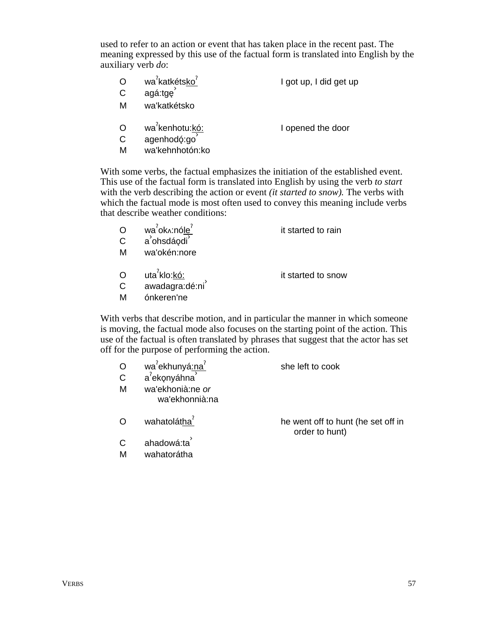used to refer to an action or event that has taken place in the recent past. The meaning expressed by this use of the factual form is translated into English by the auxiliary verb *do*:

I opened the door

- O wa<sup>7</sup>katkétsko<sup>7</sup> I got up, I did get up
- C agá:tge<sup>3</sup>
- M wa'katkétsko
- O wa<sup>2</sup>kenhotu:kó:
- C agenhodó:go
- M wa'kehnhotón:ko

With some verbs, the factual emphasizes the initiation of the established event. This use of the factual form is translated into English by using the verb *to start* with the verb describing the action or event *(it started to snow).* The verbs with which the factual mode is most often used to convey this meaning include verbs that describe weather conditions:

| $\mathsf{C}$<br>м | wa <sup>'</sup> ok^:nóle <sup>'</sup><br>a ohsdáodi<br>wa'okén:nore | it started to rain |
|-------------------|---------------------------------------------------------------------|--------------------|
| $\Omega$          | uta <sup>ʔ</sup> klo: <u>kó:</u><br>awadagra:dé:ni                  | it started to snow |

M ónkeren'ne

With verbs that describe motion, and in particular the manner in which someone is moving, the factual mode also focuses on the starting point of the action. This use of the factual is often translated by phrases that suggest that the actor has set off for the purpose of performing the action.

| $\mathsf{C}$<br>М | wa <sup>'</sup> ekhunyá:na <sup>'</sup><br>a'ekonyáhna<br>wa'ekhonià:ne or<br>wa'ekhonnià:na | she left to cook                   |
|-------------------|----------------------------------------------------------------------------------------------|------------------------------------|
|                   | wahatolátha <sup>7</sup>                                                                     | he went off to hunt (he set off in |
|                   | ahadowá:ta                                                                                   | order to hunt)                     |

M wahatorátha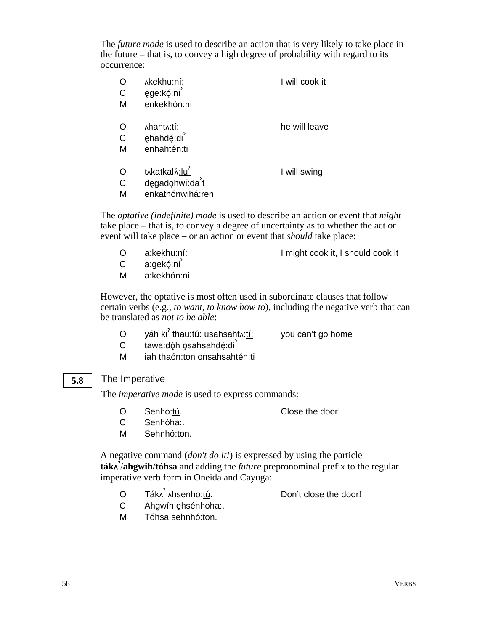The *future mode* is used to describe an action that is very likely to take place in the future – that is, to convey a high degree of probability with regard to its occurrence:

| Ő            | ∧kekhu:ní:     | I will cook it |
|--------------|----------------|----------------|
| $\mathsf{C}$ | ęge:kó:ni      |                |
| М            | enkekhón:ni    |                |
| O            | ∧haht∧:tí:     | he will leave  |
| C            | ehahdé:di      |                |
| М            | enhahtén:ti    |                |
| O            | t^katkal^:lu   | I will swing   |
| C            | dęgadohwí:da't |                |

M enkathónwihá:ren

The *optative (indefinite) mode* is used to describe an action or event that *might* take place – that is, to convey a degree of uncertainty as to whether the act or event will take place – or an action or event that *should* take place:

- 
- O a:kekhu:ní: I might cook it, I should cook it
- $C$  a: $\alpha$ ekó:ni<sup>'</sup>
- M a:kekhón:ni

However, the optative is most often used in subordinate clauses that follow certain verbs (e.g., *to want*, *to know how to*), including the negative verb that can be translated as *not to be able*:

- O yáh ki $^{\text{?}}$  thau:tú: usahsahtʌ:<u>tí:</u> you can't go home
	-
- $C$  tawa:dóh osahsahdé:di
- M iah thaón:ton onsahsahtén:ti

## The Imperative

**5.8**

The *imperative mode* is used to express commands:

- O Senho:tú. Close the door!
- C Senhóha:.
- M Sehnhó:ton.

A negative command (*don't do it!*) is expressed by using the particle **ták** § /**ahgwih**/**tóhsa** and adding the *future* prepronominal prefix to the regular imperative verb form in Oneida and Cayuga:

- O Tákʌ<sup>ʔ</sup> Don't close the door!
- C Ahgwíh ehsénhoha:.
- M Tóhsa sehnhó:ton.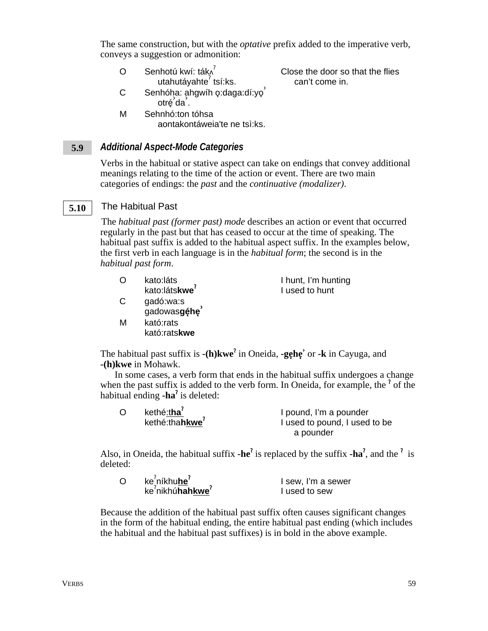The same construction, but with the *optative* prefix added to the imperative verb, conveys a suggestion or admonition:

O Senhotú kwí: ták^ utahutáyahte<sup>?</sup> tsí:ks. Close the door so that the flies can't come in.

- ostandus ahgwíh o:daga:dí:yo<sup>3</sup><br>C Senhóha: ahgwíh o:daga:dí:yo<sup>3</sup> "''ੱ',"<br>otré da
- M Sehnhó:ton tóhsa aontakontáweia'te ne tsì:ks.

#### *Additional Aspect-Mode Categories* **5.9**

Verbs in the habitual or stative aspect can take on endings that convey additional meanings relating to the time of the action or event. There are two main categories of endings: the *past* and the *continuative (modalizer)*.

#### The Habitual Past **5.10**

The *habitual past (former past) mode* describes an action or event that occurred regularly in the past but that has ceased to occur at the time of speaking. The habitual past suffix is added to the habitual aspect suffix. In the examples below, the first verb in each language is in the *habitual form*; the second is in the *habitual past form*.

| ∩ | kato:láts                 | I hunt, I'm hunting |
|---|---------------------------|---------------------|
|   | kato:látskwe <sup>7</sup> | I used to hunt      |
| C | gadó:wa:s                 |                     |

kató:rats**kwe** The habitual past suffix is  $-(h)$ **kwe**<sup>?</sup> in Oneida,  $-\text{ge}$ **he** $\text{or}$   $-\text{k}$  in Cayuga, and

**-(h)kwe** in Mohawk.

M kató:rats

gado.wa.o<br>gadowas**géhe** 

In some cases, a verb form that ends in the habitual suffix undergoes a change when the past suffix is added to the verb form. In Oneida, for example, the  $\degree$  of the habitual ending **-ha**<sup>2</sup> is deleted:

| $\Omega$ | kethé:tha <sup>7</sup><br>kethé:thahkwe <sup>7</sup> | I pound, I'm a pounder<br>I used to pound, I used to be |
|----------|------------------------------------------------------|---------------------------------------------------------|
|          |                                                      | a pounder                                               |

Also, in Oneida, the habitual suffix  $-\text{he}^2$  is replaced by the suffix  $-\text{ha}^2$ , and the <sup>?</sup> is deleted:

| Ō | ke <sup>?</sup> níkhu <b>he</b> <sup>?</sup> | I sew, I'm a sewer |
|---|----------------------------------------------|--------------------|
|   | $ke^2$ nikhú <b>hahkwe</b> <sup>?</sup>      | I used to sew      |

Because the addition of the habitual past suffix often causes significant changes in the form of the habitual ending, the entire habitual past ending (which includes the habitual and the habitual past suffixes) is in bold in the above example.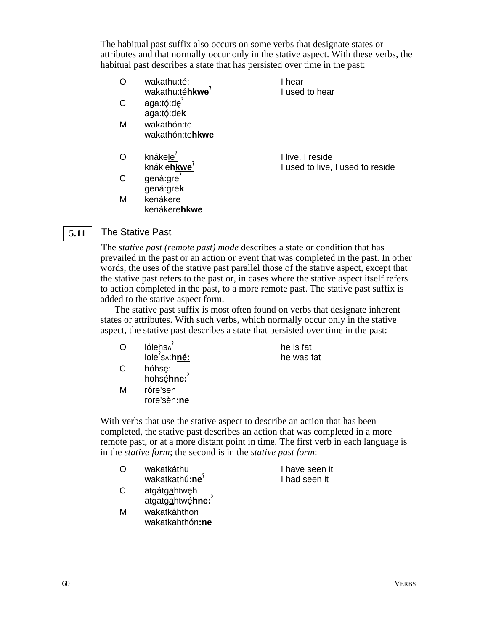The habitual past suffix also occurs on some verbs that designate states or attributes and that normally occur only in the stative aspect. With these verbs, the habitual past describes a state that has persisted over time in the past:

| O            | wakathu:té:<br>wakathu:téhkwe <sup>r</sup>          | I hear<br>I used to hear                             |
|--------------|-----------------------------------------------------|------------------------------------------------------|
| $\mathsf{C}$ | aga:tó:de<br>aga:tó:dek                             |                                                      |
| M            | wakathón:te<br>wakathón:tehkwe                      |                                                      |
| $\circ$      | knáke <u>le<sup>?</sup></u><br>knákle <b>hkwe</b> ? | I live, I reside<br>I used to live, I used to reside |
| C            | gená:gre<br>gená:grek                               |                                                      |
| M            | kenákere<br>kenákere <b>hkwe</b>                    |                                                      |

#### The Stative Past **5.11**

The *stative past (remote past) mode* describes a state or condition that has prevailed in the past or an action or event that was completed in the past. In other words, the uses of the stative past parallel those of the stative aspect, except that the stative past refers to the past or, in cases where the stative aspect itself refers to action completed in the past, to a more remote past. The stative past suffix is added to the stative aspect form.

The stative past suffix is most often found on verbs that designate inherent states or attributes. With such verbs, which normally occur only in the stative aspect, the stative past describes a state that persisted over time in the past:

| O | lólehs^                                   | he is fat  |
|---|-------------------------------------------|------------|
|   | $\text{lobe}^{\text{?}}$ s $\land$ : hné: | he was fat |
| С | hóhsę:<br>hohsę́ <b>hne:</b>              |            |
| м | róre'sen<br>rore'sèn:ne                   |            |

With verbs that use the stative aspect to describe an action that has been completed, the stative past describes an action that was completed in a more remote past, or at a more distant point in time. The first verb in each language is in the *stative form*; the second is in the *stative past form*:

| $\bigcap$ | wakatkáthu                                                 | I have seen it |
|-----------|------------------------------------------------------------|----------------|
|           | wakatkathú:ne <sup>'</sup>                                 | I had seen it  |
| C         | atgátg <u>a</u> htwęh<br>atgatg <u>a</u> htwę́ <b>hne:</b> |                |
|           |                                                            |                |
| M         | wakatkáhthon                                               |                |

wakatkahthón**:ne**

60 VERBS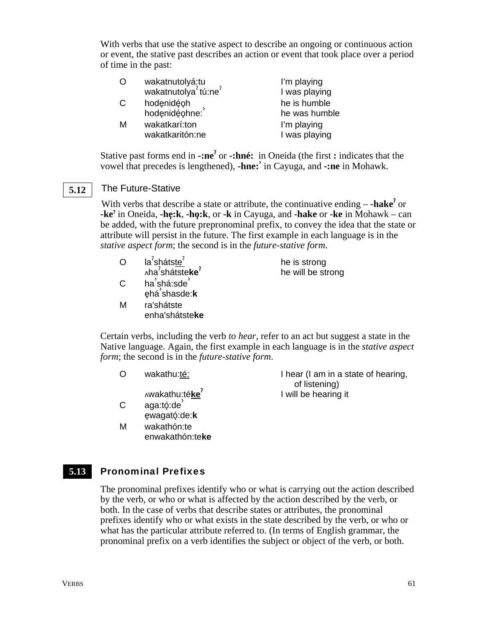With verbs that use the stative aspect to describe an ongoing or continuous action or event, the stative past describes an action or event that took place over a period of time in the past:

| O | wakatnutolyá:tu<br>wakatnutolya <sup>?</sup> tú:ne <sup>?</sup> | I'm playing   |
|---|-----------------------------------------------------------------|---------------|
|   |                                                                 | I was playing |
| С | hodęnidę́oh<br>hodęnidę́ohne:                                   | he is humble  |
|   |                                                                 | he was humble |
| М | wakatkarí:ton                                                   | I'm playing   |
|   | wakatkaritón:ne                                                 | I was playing |
|   |                                                                 |               |

Stative past forms end in **-:ne<sup>?</sup>** or **-:hné:** in Oneida (the first **:** indicates that the vowel that precedes is lengthened), **-hne:›** in Cayuga, and **-:ne** in Mohawk.

#### The Future-Stative **5.12**

With verbs that describe a state or attribute, the continuative ending – **-hake**<sup>?</sup> or **-ke**§ in Oneida, **-he**3**:k**, **-ho**3**:k**, or **-k** in Cayuga, and **-hake** or **-ke** in Mohawk – can be added, with the future prepronominal prefix, to convey the idea that the state or attribute will persist in the future. The first example in each language is in the *stative aspect form*; the second is in the *future-stative form*.

- O la<sup>?</sup>sháts<u>te<sup>?</sup></u> ha§ shátste**ke**§ he is strong he will be strong C ha<sup>2</sup>shá:sde<sup>3</sup> na sha.sac<br>ęhá shasde:**k**
- M ra'shátste enha'shátste**ke**

Certain verbs, including the verb *to hear*, refer to an act but suggest a state in the Native language. Again, the first example in each language is in the *stative aspect form*; the second is in the *future-stative form*.

O wakathu:té:

wakathu:té**ke**§

- $C$  aga:tó:de $\overline{C}$ e3wagató3:de:**k**
- M wakathón:te enwakathón:te**ke**

I hear (I am in a state of hearing, of listening) I will be hearing it

#### Pronominal Prefixes **5.13**

The pronominal prefixes identify who or what is carrying out the action described by the verb, or who or what is affected by the action described by the verb, or both. In the case of verbs that describe states or attributes, the pronominal prefixes identify who or what exists in the state described by the verb, or who or what has the particular attribute referred to. (In terms of English grammar, the pronominal prefix on a verb identifies the subject or object of the verb, or both.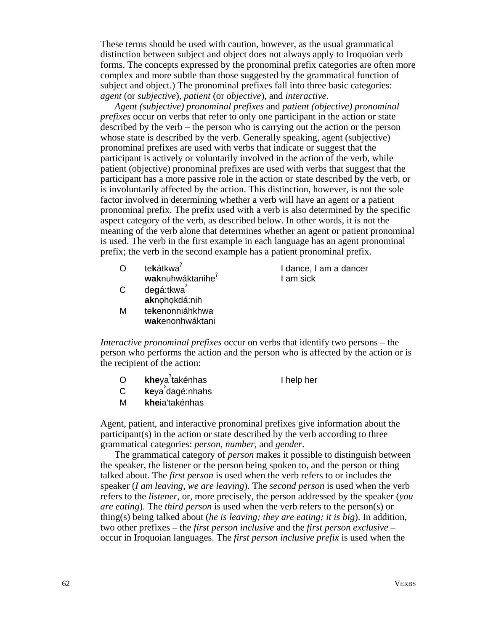These terms should be used with caution, however, as the usual grammatical distinction between subject and object does not always apply to Iroquoian verb forms. The concepts expressed by the pronominal prefix categories are often more complex and more subtle than those suggested by the grammatical function of subject and object.) The pronominal prefixes fall into three basic categories: *agent* (or *subjective*)*, patient* (or *objective*), and *interactive*.

*Agent (subjective) pronominal prefixes* and *patient (objective) pronominal prefixes* occur on verbs that refer to only one participant in the action or state described by the verb – the person who is carrying out the action or the person whose state is described by the verb. Generally speaking, agent (subjective) pronominal prefixes are used with verbs that indicate or suggest that the participant is actively or voluntarily involved in the action of the verb, while patient (objective) pronominal prefixes are used with verbs that suggest that the participant has a more passive role in the action or state described by the verb, or is involuntarily affected by the action. This distinction, however, is not the sole factor involved in determining whether a verb will have an agent or a patient pronominal prefix. The prefix used with a verb is also determined by the specific aspect category of the verb, as described below. In other words, it is not the meaning of the verb alone that determines whether an agent or patient pronominal is used. The verb in the first example in each language has an agent pronominal prefix; the verb in the second example has a patient pronominal prefix.

| Ō  | tekátkwa <sup>r</sup> | I dance, I am a dancer |
|----|-----------------------|------------------------|
|    | waknuhwáktanihe       | I am sick              |
| C. | degá:tkwa             |                        |
|    | aknohokdá:nih         |                        |
| Μ  | tekenonniáhkhwa       |                        |

*Interactive pronominal prefixes* occur on verbs that identify two persons – the person who performs the action and the person who is affected by the action or is the recipient of the action:

O **khe**ya §

**wak**enonhwáktani

I help her

- <sup>C</sup> **ke**ya› dagé:nhahs
- M **khe**ia'takénhas

Agent, patient, and interactive pronominal prefixes give information about the participant(s) in the action or state described by the verb according to three grammatical categories: *person, number,* and *gender*.

The grammatical category of *person* makes it possible to distinguish between the speaker, the listener or the person being spoken to, and the person or thing talked about. The *first person* is used when the verb refers to or includes the speaker (*I am leaving, we are leaving*). The *second person* is used when the verb refers to the *listener*, or, more precisely, the person addressed by the speaker (*you are eating*). The *third person* is used when the verb refers to the person(s) or thing(s) being talked about (*he is leaving; they are eating; it is big*). In addition, two other prefixes – the *first person inclusive* and the *first person exclusive* – occur in Iroquoian languages. The *first person inclusive prefix* is used when the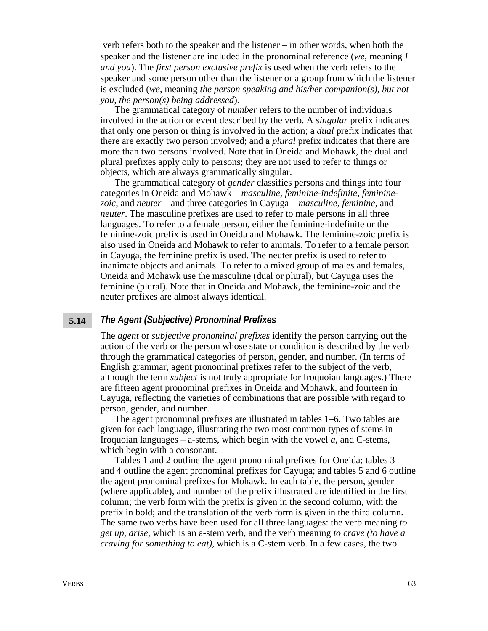verb refers both to the speaker and the listener – in other words, when both the speaker and the listener are included in the pronominal reference (*we*, meaning *I and you*). The *first person exclusive prefix* is used when the verb refers to the speaker and some person other than the listener or a group from which the listener is excluded (*we*, meaning *the person speaking and his/her companion(s), but not you, the person(s) being addressed*).

The grammatical category of *number* refers to the number of individuals involved in the action or event described by the verb. A *singular* prefix indicates that only one person or thing is involved in the action; a *dual* prefix indicates that there are exactly two person involved; and a *plural* prefix indicates that there are more than two persons involved. Note that in Oneida and Mohawk, the dual and plural prefixes apply only to persons; they are not used to refer to things or objects, which are always grammatically singular.

The grammatical category of *gender* classifies persons and things into four categories in Oneida and Mohawk – *masculine, feminine-indefinite, femininezoic*, and *neuter* – and three categories in Cayuga – *masculine, feminine,* and *neuter*. The masculine prefixes are used to refer to male persons in all three languages. To refer to a female person, either the feminine-indefinite or the feminine-zoic prefix is used in Oneida and Mohawk. The feminine-zoic prefix is also used in Oneida and Mohawk to refer to animals. To refer to a female person in Cayuga, the feminine prefix is used. The neuter prefix is used to refer to inanimate objects and animals. To refer to a mixed group of males and females, Oneida and Mohawk use the masculine (dual or plural), but Cayuga uses the feminine (plural). Note that in Oneida and Mohawk, the feminine-zoic and the neuter prefixes are almost always identical.

#### *The Agent (Subjective) Pronominal Prefixes* **5.14**

The *agent* or *subjective pronominal prefixes* identify the person carrying out the action of the verb or the person whose state or condition is described by the verb through the grammatical categories of person, gender, and number. (In terms of English grammar, agent pronominal prefixes refer to the subject of the verb, although the term *subject* is not truly appropriate for Iroquoian languages.) There are fifteen agent pronominal prefixes in Oneida and Mohawk, and fourteen in Cayuga, reflecting the varieties of combinations that are possible with regard to person, gender, and number.

The agent pronominal prefixes are illustrated in tables 1–6. Two tables are given for each language, illustrating the two most common types of stems in Iroquoian languages – a-stems, which begin with the vowel *a*, and C-stems, which begin with a consonant.

Tables 1 and 2 outline the agent pronominal prefixes for Oneida; tables 3 and 4 outline the agent pronominal prefixes for Cayuga; and tables 5 and 6 outline the agent pronominal prefixes for Mohawk. In each table, the person, gender (where applicable), and number of the prefix illustrated are identified in the first column; the verb form with the prefix is given in the second column, with the prefix in bold; and the translation of the verb form is given in the third column. The same two verbs have been used for all three languages: the verb meaning *to get up, arise*, which is an a-stem verb, and the verb meaning *to crave (to have a craving for something to eat)*, which is a C-stem verb. In a few cases, the two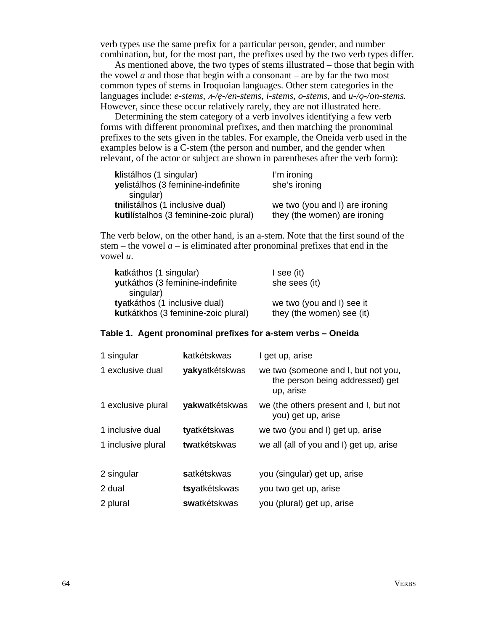verb types use the same prefix for a particular person, gender, and number combination, but, for the most part, the prefixes used by the two verb types differ.

As mentioned above, the two types of stems illustrated – those that begin with the vowel  $a$  and those that begin with a consonant – are by far the two most common types of stems in Iroquoian languages. Other stem categories in the languages include: *e-stems*,  $A$ -/e-/en-stems, *i-stems*, *o-stems*, and  $u$ -/o-/on-stems. However, since these occur relatively rarely, they are not illustrated here.

Determining the stem category of a verb involves identifying a few verb forms with different pronominal prefixes, and then matching the pronominal prefixes to the sets given in the tables. For example, the Oneida verb used in the examples below is a C-stem (the person and number, and the gender when relevant, of the actor or subject are shown in parentheses after the verb form):

| klistálhos (1 singular)                | I'm ironing                    |
|----------------------------------------|--------------------------------|
| yelistálhos (3 feminine-indefinite     | she's ironing                  |
| singular)                              |                                |
| tnilistálhos (1 inclusive dual)        | we two (you and I) are ironing |
| kutilístalhos (3 feminine-zoic plural) | they (the women) are ironing   |

The verb below, on the other hand, is an a-stem. Note that the first sound of the stem – the vowel  $a$  – is eliminated after pronominal prefixes that end in the vowel *u*.

| I see (it)<br>she sees (it) |
|-----------------------------|
|                             |
| we two (you and I) see it   |
| they (the women) see (it)   |
|                             |

### **Table 1. Agent pronominal prefixes for a-stem verbs – Oneida**

| 1 singular         | katkétskwas    | I get up, arise                                                                     |
|--------------------|----------------|-------------------------------------------------------------------------------------|
| 1 exclusive dual   | yakyatkétskwas | we two (someone and I, but not you,<br>the person being addressed) get<br>up, arise |
| 1 exclusive plural | yakwatkétskwas | we (the others present and I, but not<br>you) get up, arise                         |
| 1 inclusive dual   | tyatkétskwas   | we two (you and I) get up, arise                                                    |
| 1 inclusive plural | twatkétskwas   | we all (all of you and I) get up, arise                                             |
| 2 singular         | satkétskwas    | you (singular) get up, arise                                                        |
| 2 dual             | tsyatkétskwas  | you two get up, arise                                                               |
| 2 plural           | swatkétskwas   | you (plural) get up, arise                                                          |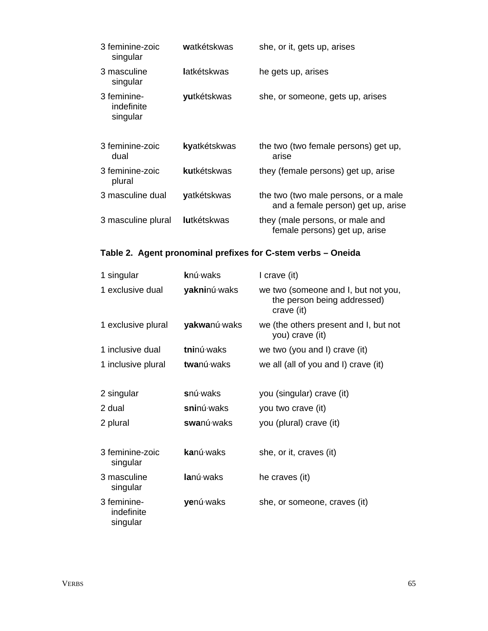| 3 feminine-zoic<br>singular           | watkétskwas        | she, or it, gets up, arises                                                |
|---------------------------------------|--------------------|----------------------------------------------------------------------------|
| 3 masculine<br>singular               | latkétskwas        | he gets up, arises                                                         |
| 3 feminine-<br>indefinite<br>singular | yutkétskwas        | she, or someone, gets up, arises                                           |
| 3 feminine-zoic<br>dual               | kyatkétskwas       | the two (two female persons) get up,<br>arise                              |
| 3 feminine-zoic<br>plural             | kutkétskwas        | they (female persons) get up, arise                                        |
| 3 masculine dual                      | yatkétskwas        | the two (two male persons, or a male<br>and a female person) get up, arise |
| 3 masculine plural                    | <b>lutkétskwas</b> | they (male persons, or male and<br>female persons) get up, arise           |

## **Table 2. Agent pronominal prefixes for C-stem verbs – Oneida**

| 1 singular                            | <b>k</b> nú waks  | I crave (it)                                                                     |
|---------------------------------------|-------------------|----------------------------------------------------------------------------------|
| 1 exclusive dual                      | yakninú waks      | we two (someone and I, but not you,<br>the person being addressed)<br>crave (it) |
| 1 exclusive plural                    | yakwanú waks      | we (the others present and I, but not<br>you) crave (it)                         |
| 1 inclusive dual                      | tninú waks        | we two (you and I) crave (it)                                                    |
| 1 inclusive plural                    | twanú waks        | we all (all of you and I) crave (it)                                             |
|                                       |                   |                                                                                  |
| 2 singular                            | snú waks          | you (singular) crave (it)                                                        |
| 2 dual                                | sninú waks        | you two crave (it)                                                               |
| 2 plural                              | swanú waks        | you (plural) crave (it)                                                          |
|                                       |                   |                                                                                  |
| 3 feminine-zoic<br>singular           | <b>ka</b> nú·waks | she, or it, craves (it)                                                          |
| 3 masculine<br>singular               | lanú waks         | he craves (it)                                                                   |
| 3 feminine-<br>indefinite<br>singular | yenú waks         | she, or someone, craves (it)                                                     |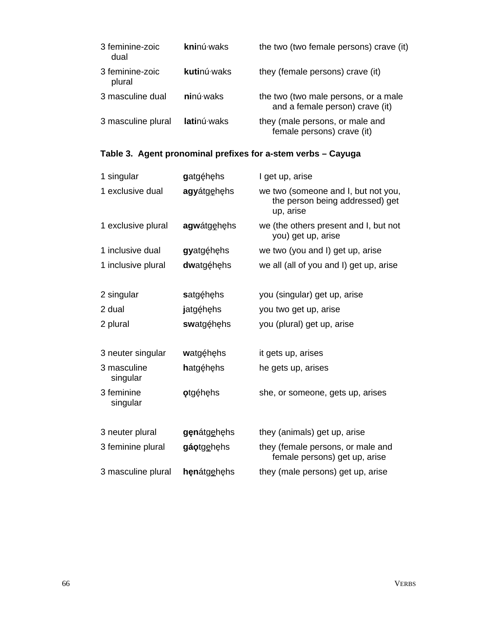| 3 feminine-zoic<br>dual   | kninú waks        | the two (two female persons) crave (it)                                 |
|---------------------------|-------------------|-------------------------------------------------------------------------|
| 3 feminine-zoic<br>plural | kutinú waks       | they (female persons) crave (it)                                        |
| 3 masculine dual          | <b>ni</b> nú waks | the two (two male persons, or a male<br>and a female person) crave (it) |
| 3 masculine plural        | latinú waks       | they (male persons, or male and<br>female persons) crave (it)           |

## **Table 3. Agent pronominal prefixes for a-stem verbs – Cayuga**

| 1 singular              | gatgéhehs       | I get up, arise                                                                     |
|-------------------------|-----------------|-------------------------------------------------------------------------------------|
| 1 exclusive dual        | agyátgehehs     | we two (someone and I, but not you,<br>the person being addressed) get<br>up, arise |
| 1 exclusive plural      | agwátgehehs     | we (the others present and I, but not<br>you) get up, arise                         |
| 1 inclusive dual        | gyatgę́hęhs     | we two (you and I) get up, arise                                                    |
| 1 inclusive plural      | dwatgę́hęhs     | we all (all of you and I) get up, arise                                             |
| 2 singular              | satgéhehs       | you (singular) get up, arise                                                        |
| 2 dual                  | jatgę́hęhs      | you two get up, arise                                                               |
| 2 plural                | swatgę́hęhs     | you (plural) get up, arise                                                          |
| 3 neuter singular       | watgę́hęhs      | it gets up, arises                                                                  |
| 3 masculine<br>singular | hatgéhehs       | he gets up, arises                                                                  |
| 3 feminine<br>singular  | <b>otgéhehs</b> | she, or someone, gets up, arises                                                    |
| 3 neuter plural         | genátgehehs     | they (animals) get up, arise                                                        |
| 3 feminine plural       | gáotgehehs      | they (female persons, or male and<br>female persons) get up, arise                  |
| 3 masculine plural      | henátgehehs     | they (male persons) get up, arise                                                   |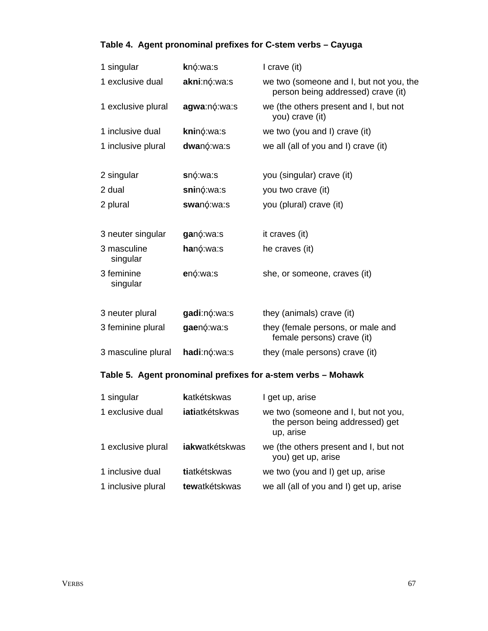## **Table 4. Agent pronominal prefixes for C-stem verbs – Cayuga**

| 1 singular                                                   | knó:wa:s       | I crave (it)                                                                        |  |
|--------------------------------------------------------------|----------------|-------------------------------------------------------------------------------------|--|
| 1 exclusive dual                                             | akni:nó:wa:s   | we two (someone and I, but not you, the<br>person being addressed) crave (it)       |  |
| 1 exclusive plural                                           | agwa:nó:wa:s   | we (the others present and I, but not<br>you) crave (it)                            |  |
| 1 inclusive dual                                             | kninó:wa:s     | we two (you and I) crave (it)                                                       |  |
| 1 inclusive plural                                           | dwanó:wa:s     | we all (all of you and I) crave (it)                                                |  |
| 2 singular                                                   | snó:wa:s       | you (singular) crave (it)                                                           |  |
| 2 dual                                                       | sninó:wa:s     | you two crave (it)                                                                  |  |
| 2 plural                                                     | swanó:wa:s     | you (plural) crave (it)                                                             |  |
| 3 neuter singular                                            | ganó:wa:s      | it craves (it)                                                                      |  |
| 3 masculine<br>singular                                      | hanó:wa:s      | he craves (it)                                                                      |  |
| 3 feminine<br>singular                                       | enó:wa:s       | she, or someone, craves (it)                                                        |  |
| 3 neuter plural                                              | gadi:nó:wa:s   | they (animals) crave (it)                                                           |  |
| 3 feminine plural                                            | gaenó:wa:s     | they (female persons, or male and<br>female persons) crave (it)                     |  |
| 3 masculine plural                                           | hadi:nó:wa:s   | they (male persons) crave (it)                                                      |  |
| Table 5. Agent pronominal prefixes for a-stem verbs - Mohawk |                |                                                                                     |  |
| 1 singular                                                   | katkétskwas    | I get up, arise                                                                     |  |
| 1 exclusive dual                                             | iatiatkétskwas | we two (someone and I, but not you,<br>the person being addressed) get<br>up, arise |  |
| 1 exclusive plural                                           | iakwatkétskwas | we (the others present and I, but not<br>you) get up, arise                         |  |
| 1 inclusive dual                                             | tiatkétskwas   | we two (you and I) get up, arise                                                    |  |

1 inclusive plural **tew**atkétskwas we all (all of you and I) get up, arise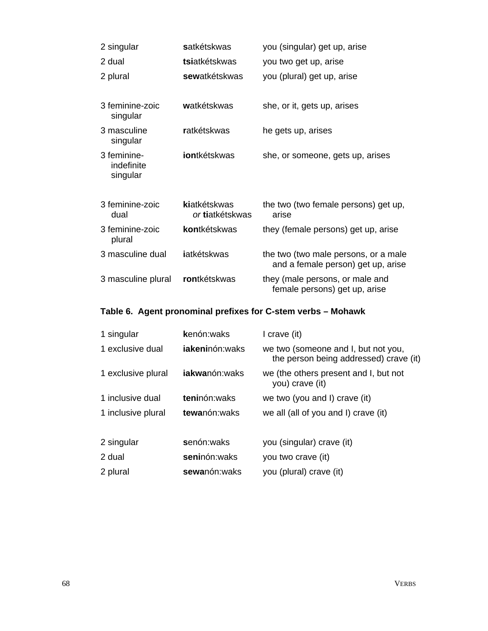| 2 singular                            | satkétskwas                     | you (singular) get up, arise                                               |
|---------------------------------------|---------------------------------|----------------------------------------------------------------------------|
| 2 dual                                | tsiatkétskwas                   | you two get up, arise                                                      |
| 2 plural                              | sewatkétskwas                   | you (plural) get up, arise                                                 |
| 3 feminine-zoic<br>singular           | watkétskwas                     | she, or it, gets up, arises                                                |
| 3 masculine<br>singular               | ratkétskwas                     | he gets up, arises                                                         |
| 3 feminine-<br>indefinite<br>singular | iontkétskwas                    | she, or someone, gets up, arises                                           |
| 3 feminine-zoic<br>dual               | kiatkétskwas<br>or tiatkétskwas | the two (two female persons) get up,<br>arise                              |
| 3 feminine-zoic<br>plural             | kontkétskwas                    | they (female persons) get up, arise                                        |
| 3 masculine dual                      | iatkétskwas                     | the two (two male persons, or a male<br>and a female person) get up, arise |
| 3 masculine plural                    | rontkétskwas                    | they (male persons, or male and<br>female persons) get up, arise           |

## **Table 6. Agent pronominal prefixes for C-stem verbs – Mohawk**

| 1 singular         | kenón:waks             | I crave (it)                                                                  |
|--------------------|------------------------|-------------------------------------------------------------------------------|
| 1 exclusive dual   | <b>jakeni</b> nón:waks | we two (someone and I, but not you,<br>the person being addressed) crave (it) |
| 1 exclusive plural | <b>jakwa</b> nón:waks  | we (the others present and I, but not<br>you) crave (it)                      |
| 1 inclusive dual   | teninón: waks          | we two (you and I) crave (it)                                                 |
| 1 inclusive plural | tewanón: waks          | we all (all of you and I) crave (it)                                          |
| 2 singular         | senón:waks             | you (singular) crave (it)                                                     |
| 2 dual             | seninón: waks          | you two crave (it)                                                            |
| 2 plural           | sewanón: waks          | you (plural) crave (it)                                                       |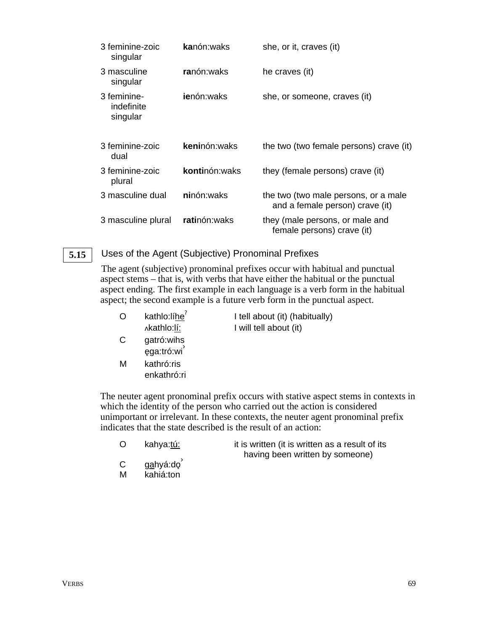| 3 feminine-zoic<br>singular           | <b>ka</b> nón:waks   | she, or it, craves (it)                                                 |
|---------------------------------------|----------------------|-------------------------------------------------------------------------|
| 3 masculine<br>singular               | ranón:waks           | he craves (it)                                                          |
| 3 feminine-<br>indefinite<br>singular | <b>ie</b> nón:waks   | she, or someone, craves (it)                                            |
| 3 feminine-zoic<br>dual               | <b>keni</b> nón:waks | the two (two female persons) crave (it)                                 |
| 3 feminine-zoic<br>plural             | kontinón: waks       | they (female persons) crave (it)                                        |
| 3 masculine dual                      | ninón:waks           | the two (two male persons, or a male<br>and a female person) crave (it) |
| 3 masculine plural                    | ratinón: waks        | they (male persons, or male and<br>female persons) crave (it)           |

#### Uses of the Agent (Subjective) Pronominal Prefixes **5.15**

The agent (subjective) pronominal prefixes occur with habitual and punctual aspect stems – that is, with verbs that have either the habitual or the punctual aspect ending. The first example in each language is a verb form in the habitual aspect; the second example is a future verb form in the punctual aspect.

| O | kathlo:líhe <sup>7</sup> | I tell about (it) (habitually) |
|---|--------------------------|--------------------------------|
|   | Akathlo:lí:              | I will tell about (it)         |

- C gatró:wihs ęga:tró:wi
- M kathró:ris enkathró:ri

The neuter agent pronominal prefix occurs with stative aspect stems in contexts in which the identity of the person who carried out the action is considered unimportant or irrelevant. In these contexts, the neuter agent pronominal prefix indicates that the state described is the result of an action:

| O | kahya:tú: | it is written (it is written as a result of its |
|---|-----------|-------------------------------------------------|
|   |           | having been written by someone)                 |

- C g<u>a</u>hyá:dọ<sup>ʾ</sup>
- M kahiá:ton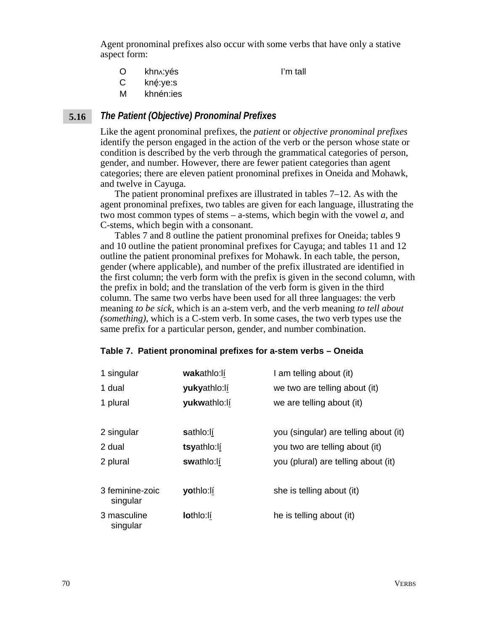Agent pronominal prefixes also occur with some verbs that have only a stative aspect form:

O khn vés I'm tall

- C kné:ye:s
- M khnén:ies

#### *The Patient (Objective) Pronominal Prefixes* **5.16**

Like the agent pronominal prefixes, the *patient* or *objective pronominal prefixes* identify the person engaged in the action of the verb or the person whose state or condition is described by the verb through the grammatical categories of person, gender, and number. However, there are fewer patient categories than agent categories; there are eleven patient pronominal prefixes in Oneida and Mohawk, and twelve in Cayuga.

The patient pronominal prefixes are illustrated in tables 7–12. As with the agent pronominal prefixes, two tables are given for each language, illustrating the two most common types of stems – a-stems, which begin with the vowel *a*, and C-stems, which begin with a consonant.

Tables 7 and 8 outline the patient pronominal prefixes for Oneida; tables 9 and 10 outline the patient pronominal prefixes for Cayuga; and tables 11 and 12 outline the patient pronominal prefixes for Mohawk. In each table, the person, gender (where applicable), and number of the prefix illustrated are identified in the first column; the verb form with the prefix is given in the second column, with the prefix in bold; and the translation of the verb form is given in the third column. The same two verbs have been used for all three languages: the verb meaning *to be sick*, which is an a-stem verb, and the verb meaning *to tell about (something)*, which is a C-stem verb. In some cases, the two verb types use the same prefix for a particular person, gender, and number combination.

### **Table 7. Patient pronominal prefixes for a-stem verbs – Oneida**

| 1 singular              | wakathlo:lí  | I am telling about (it)               |
|-------------------------|--------------|---------------------------------------|
| 1 dual                  | yukyathlo:lí | we two are telling about (it)         |
| 1 plural                | yukwathlo:lí | we are telling about (it)             |
|                         |              |                                       |
| 2 singular              | sathlo:lí    | you (singular) are telling about (it) |
| 2 dual                  | tsyathlo:lí  | you two are telling about (it)        |
| 2 plural                | swathlo:lí   | you (plural) are telling about (it)   |
| 3 feminine-zoic         | yothlo:lí    | she is telling about (it)             |
| singular                |              |                                       |
| 3 masculine<br>singular | lothlo:lí    | he is telling about (it)              |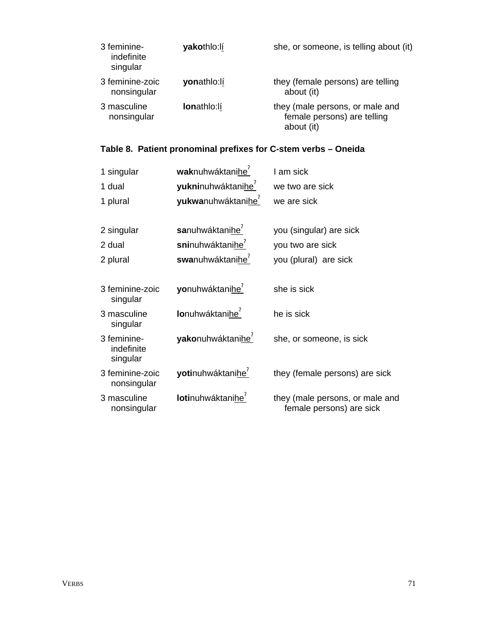| 3 feminine-<br>indefinite<br>singular | yakothlo:lí        | she, or someone, is telling about (it)                                       |
|---------------------------------------|--------------------|------------------------------------------------------------------------------|
| 3 feminine-zoic<br>nonsingular        | yonathlo:lí        | they (female persons) are telling<br>about (it)                              |
| 3 masculine<br>nonsingular            | <b>lonathlo:lí</b> | they (male persons, or male and<br>female persons) are telling<br>about (it) |

## **Table 8. Patient pronominal prefixes for C-stem verbs – Oneida**

| 1 singular                            | waknuhwáktanihe <sup>7</sup>   | I am sick                                                   |
|---------------------------------------|--------------------------------|-------------------------------------------------------------|
| 1 dual                                | yukninuhwáktanihe <sup>r</sup> | we two are sick                                             |
| 1 plural                              | yukwanuhwáktanihe <sup>7</sup> | we are sick                                                 |
|                                       |                                |                                                             |
| 2 singular                            | sanuhwáktanihe <sup>7</sup>    | you (singular) are sick                                     |
| 2 dual                                | sninuhwáktanihe <sup>7</sup>   | you two are sick                                            |
| 2 plural                              | swanuhwáktanihe <sup>r</sup>   | you (plural) are sick                                       |
|                                       |                                |                                                             |
| 3 feminine-zoic<br>singular           | yonuhwáktanihe <sup>'</sup>    | she is sick                                                 |
| 3 masculine<br>singular               | lonuhwáktanihe <sup>?</sup>    | he is sick                                                  |
| 3 feminine-<br>indefinite<br>singular | yakonuhwáktanihe <sup>7</sup>  | she, or someone, is sick                                    |
| 3 feminine-zoic<br>nonsingular        | yotinuhwáktanihe <sup>'</sup>  | they (female persons) are sick                              |
| 3 masculine<br>nonsingular            | lotinuhwáktanihe <sup>'</sup>  | they (male persons, or male and<br>female persons) are sick |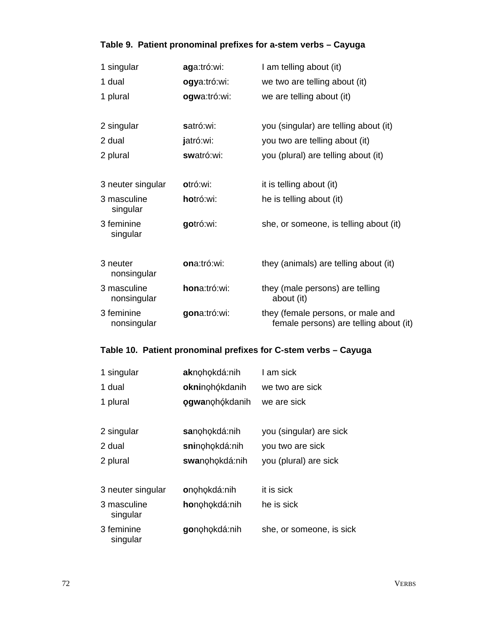## **Table 9. Patient pronominal prefixes for a-stem verbs – Cayuga**

| 1 singular                 | aga:tró:wi:  | I am telling about (it)                                                     |
|----------------------------|--------------|-----------------------------------------------------------------------------|
| 1 dual                     | ogya:tró:wi: | we two are telling about (it)                                               |
| 1 plural                   | ogwa:tró:wi: | we are telling about (it)                                                   |
|                            |              |                                                                             |
| 2 singular                 | satró:wi:    | you (singular) are telling about (it)                                       |
| 2 dual                     | jatró:wi:    | you two are telling about (it)                                              |
| 2 plural                   | swatró:wi:   | you (plural) are telling about (it)                                         |
|                            |              |                                                                             |
| 3 neuter singular          | otró:wi:     | it is telling about (it)                                                    |
| 3 masculine<br>singular    | hotró:wi:    | he is telling about (it)                                                    |
| 3 feminine<br>singular     | gotró:wi:    | she, or someone, is telling about (it)                                      |
|                            |              |                                                                             |
| 3 neuter<br>nonsingular    | ona:tró:wi:  | they (animals) are telling about (it)                                       |
| 3 masculine<br>nonsingular | hona:tró:wi: | they (male persons) are telling<br>about (it)                               |
| 3 feminine<br>nonsingular  | gona:tró:wi: | they (female persons, or male and<br>female persons) are telling about (it) |

## **Table 10. Patient pronominal prefixes for C-stem verbs – Cayuga**

| 1 singular              | aknohokdá:nih          | I am sick                |
|-------------------------|------------------------|--------------------------|
| 1 dual                  | okninohókdanih         | we two are sick          |
| 1 plural                | <b>ogwa</b> nohókdanih | we are sick              |
|                         |                        |                          |
| 2 singular              | sanohokdá:nih          | you (singular) are sick  |
| 2 dual                  | sninohokdá:nih         | you two are sick         |
| 2 plural                | swanohokdá:nih         | you (plural) are sick    |
|                         |                        |                          |
| 3 neuter singular       | onohokdá:nih           | it is sick               |
| 3 masculine<br>singular | honohokdá:nih          | he is sick               |
| 3 feminine<br>singular  | gonohokdá:nih          | she, or someone, is sick |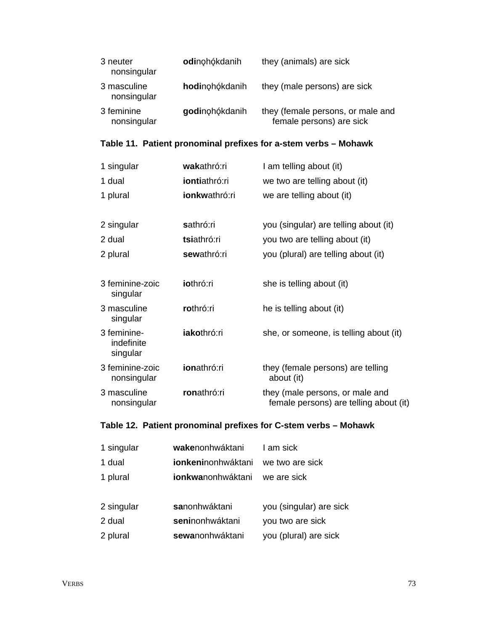| 3 neuter<br>nonsingular    | odinohókdanih  | they (animals) are sick                                       |
|----------------------------|----------------|---------------------------------------------------------------|
| 3 masculine<br>nonsingular | hodinohókdanih | they (male persons) are sick                                  |
| 3 feminine<br>nonsingular  | godinohókdanih | they (female persons, or male and<br>female persons) are sick |

## **Table 11. Patient pronominal prefixes for a-stem verbs – Mohawk**

| 1 singular                            | wakathró:ri        | I am telling about (it)                                                   |
|---------------------------------------|--------------------|---------------------------------------------------------------------------|
| 1 dual                                | iontiathró:ri      | we two are telling about (it)                                             |
| 1 plural                              | ionkwathró:ri      | we are telling about (it)                                                 |
|                                       |                    |                                                                           |
| 2 singular                            | sathró:ri          | you (singular) are telling about (it)                                     |
| 2 dual                                | tsiathró:ri        | you two are telling about (it)                                            |
| 2 plural                              | sewathró:ri        | you (plural) are telling about (it)                                       |
|                                       |                    |                                                                           |
| 3 feminine-zoic<br>singular           | iothró:ri          | she is telling about (it)                                                 |
| 3 masculine<br>singular               | rothró:ri          | he is telling about (it)                                                  |
| 3 feminine-<br>indefinite<br>singular | iakothró:ri        | she, or someone, is telling about (it)                                    |
| 3 feminine-zoic<br>nonsingular        | <b>ionathró:ri</b> | they (female persons) are telling<br>about (it)                           |
| 3 masculine<br>nonsingular            | ronathró:ri        | they (male persons, or male and<br>female persons) are telling about (it) |
|                                       |                    |                                                                           |

## **Table 12. Patient pronominal prefixes for C-stem verbs – Mohawk**

| 1 singular | wakenonhwáktani            | I am sick               |
|------------|----------------------------|-------------------------|
| 1 dual     | <b>ionkeni</b> nonhwáktani | we two are sick         |
| 1 plural   | ionkwanonhwáktani          | we are sick             |
|            |                            |                         |
| 2 singular | sanonhwáktani              | you (singular) are sick |
| 2 dual     | seninonhwáktani            | you two are sick        |
| 2 plural   | sewanonhwáktani            | you (plural) are sick   |
|            |                            |                         |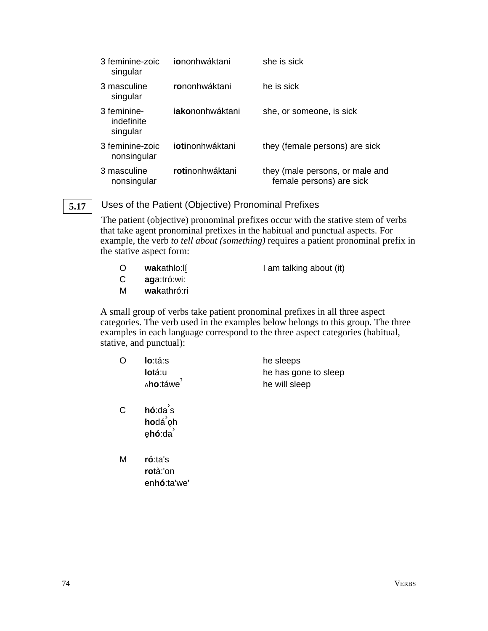| 3 feminine-zoic<br>singular           | iononhwáktani           | she is sick                                                 |
|---------------------------------------|-------------------------|-------------------------------------------------------------|
| 3 masculine<br>singular               | rononhwáktani           | he is sick                                                  |
| 3 feminine-<br>indefinite<br>singular | <b>iako</b> nonhwáktani | she, or someone, is sick                                    |
| 3 feminine-zoic<br>nonsingular        | iotinonhwáktani         | they (female persons) are sick                              |
| 3 masculine<br>nonsingular            | <b>roti</b> nonhwáktani | they (male persons, or male and<br>female persons) are sick |

#### Uses of the Patient (Objective) Pronominal Prefixes **5.17**

The patient (objective) pronominal prefixes occur with the stative stem of verbs that take agent pronominal prefixes in the habitual and punctual aspects. For example, the verb *to tell about (something)* requires a patient pronominal prefix in the stative aspect form:

| O | wakathlo:lí | I am talking about (it) |  |
|---|-------------|-------------------------|--|
|   |             |                         |  |

- C **ag**a:tró:wi:
- M **wak**athró:ri

A small group of verbs take patient pronominal prefixes in all three aspect categories. The verb used in the examples below belongs to this group. The three examples in each language correspond to the three aspect categories (habitual, stative, and punctual):

| O | lo:tá:s                                                            | he sleeps            |
|---|--------------------------------------------------------------------|----------------------|
|   | lotá:u                                                             | he has gone to sleep |
|   | ^ho:táwe <sup>?</sup>                                              | he will sleep        |
| С | $h\acute{o}$ : da s<br>hodá <sup>'</sup> oh<br>ęhó:da <sup>'</sup> |                      |
|   |                                                                    |                      |
| M | ró:ta's                                                            |                      |
|   | rotà:'on                                                           |                      |
|   | en <b>hó</b> :ta'we'                                               |                      |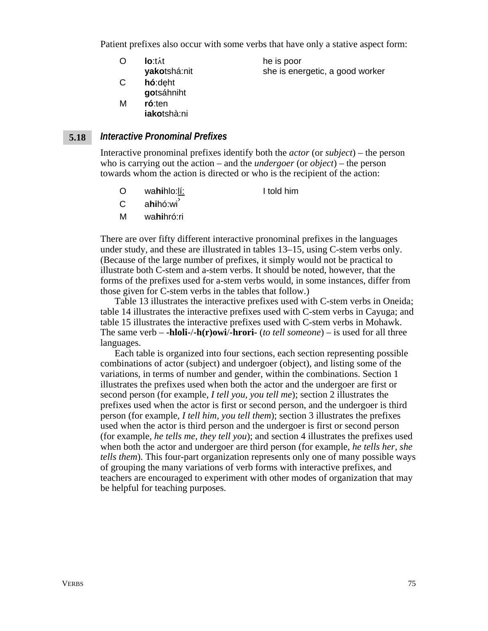Patient prefixes also occur with some verbs that have only a stative aspect form:

- O **lo**:tht **yako**tshá:nit he is poor she is energetic, a good worker C **hó**:deht
- **go**tsáhniht
- M **ró**:ten **iako**tshà:ni

#### *Interactive Pronominal Prefixes* **5.18**

Interactive pronominal prefixes identify both the *actor* (or *subject*) – the person who is carrying out the action – and the *undergoer* (or *object*) – the person towards whom the action is directed or who is the recipient of the action:

- O wa**hi**hlo:lí: I told him
- C a**hi**hó:wi<sup>'</sup>
- M wa**hi**hró:ri

There are over fifty different interactive pronominal prefixes in the languages under study, and these are illustrated in tables 13–15, using C-stem verbs only. (Because of the large number of prefixes, it simply would not be practical to illustrate both C-stem and a-stem verbs. It should be noted, however, that the forms of the prefixes used for a-stem verbs would, in some instances, differ from those given for C-stem verbs in the tables that follow.)

Table 13 illustrates the interactive prefixes used with C-stem verbs in Oneida; table 14 illustrates the interactive prefixes used with C-stem verbs in Cayuga; and table 15 illustrates the interactive prefixes used with C-stem verbs in Mohawk. The same verb – **-hloli-**/**-h(r)owi**/**-hrori-** (*to tell someone*) – is used for all three languages.

Each table is organized into four sections, each section representing possible combinations of actor (subject) and undergoer (object), and listing some of the variations, in terms of number and gender, within the combinations. Section 1 illustrates the prefixes used when both the actor and the undergoer are first or second person (for example, *I tell you, you tell me*); section 2 illustrates the prefixes used when the actor is first or second person, and the undergoer is third person (for example, *I tell him, you tell them*); section 3 illustrates the prefixes used when the actor is third person and the undergoer is first or second person (for example, *he tells me, they tell you*); and section 4 illustrates the prefixes used when both the actor and undergoer are third person (for example, *he tells her, she tells them*). This four-part organization represents only one of many possible ways of grouping the many variations of verb forms with interactive prefixes, and teachers are encouraged to experiment with other modes of organization that may be helpful for teaching purposes.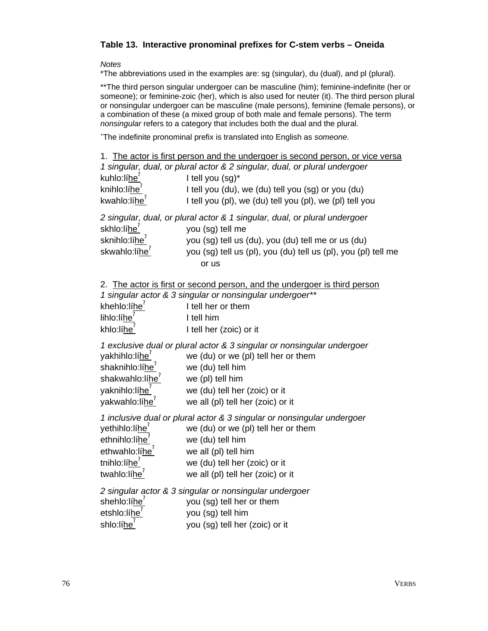## **Table 13. Interactive pronominal prefixes for C-stem verbs – Oneida**

*Notes*

\*The abbreviations used in the examples are: sg (singular), du (dual), and pl (plural).

\*\* The third person singular undergoer can be masculine (him); feminine-indefinite (her or someone); or feminine-zoic (her), which is also used for neuter (it). The third person plural or nonsingular undergoer can be masculine (male persons), feminine (female persons), or a combination of these (a mixed group of both male and female persons). The term *nonsingular* refers to a category that includes both the dual and the plural.

+ The indefinite pronominal prefix is translated into English as *someone*.

|                                                                                                                                   | 1. The actor is first person and the undergoer is second person, or vice versa<br>1 singular, dual, or plural actor & 2 singular, dual, or plural undergoer                                                                     |
|-----------------------------------------------------------------------------------------------------------------------------------|---------------------------------------------------------------------------------------------------------------------------------------------------------------------------------------------------------------------------------|
| kuhlo:líhe                                                                                                                        | I tell you (sg)*                                                                                                                                                                                                                |
| knihlo:líhe <sup>'</sup>                                                                                                          | I tell you (du), we (du) tell you (sg) or you (du)                                                                                                                                                                              |
| kwahlo: $líhe7$                                                                                                                   | I tell you (pl), we (du) tell you (pl), we (pl) tell you                                                                                                                                                                        |
|                                                                                                                                   | 2 singular, dual, or plural actor & 1 singular, dual, or plural undergoer                                                                                                                                                       |
| skhlo:líhe <sup>'</sup>                                                                                                           | you (sg) tell me                                                                                                                                                                                                                |
| sknihlo:lí <u>he<sup>?</sup></u>                                                                                                  | you (sg) tell us (du), you (du) tell me or us (du)                                                                                                                                                                              |
| skwahlo:líhe <sup>'</sup>                                                                                                         | you (sg) tell us (pl), you (du) tell us (pl), you (pl) tell me<br>or us                                                                                                                                                         |
|                                                                                                                                   | 2. The actor is first or second person, and the undergoer is third person<br>1 singular actor & 3 singular or nonsingular undergoer**                                                                                           |
| khehlo:líhe <sup>'</sup>                                                                                                          | I tell her or them                                                                                                                                                                                                              |
| lihlo:líhe <sup>7</sup>                                                                                                           | I tell him                                                                                                                                                                                                                      |
| khlo:líhe <sup>1</sup>                                                                                                            | I tell her (zoic) or it                                                                                                                                                                                                         |
| yakhihlo:líhe <sup>1</sup><br>shaknihlo:líhe <sup>7</sup><br>shakwahlo:líhe <sup>'</sup><br>yaknihlo:líhe<br>yakwahlo:líhe        | 1 exclusive dual or plural actor & 3 singular or nonsingular undergoer<br>we (du) or we (pl) tell her or them<br>we (du) tell him<br>we (pl) tell him<br>we (du) tell her (zoic) or it<br>we all (pl) tell her (zoic) or it     |
| yethihlo:líhe<br>ethnihlo:líhe <sup>'</sup><br>ethwahlo:líhe <sup>'</sup><br>tnihlo:líhe <sup>7</sup><br>twahlo:líhe <sup>7</sup> | 1 inclusive dual or plural actor & 3 singular or nonsingular undergoer<br>we (du) or we (pl) tell her or them<br>we (du) tell him<br>we all (pl) tell him<br>we (du) tell her (zoic) or it<br>we all (pl) tell her (zoic) or it |
| shehlo:líhe <sup>'</sup><br>etshlo:líhe <sup>'</sup><br>shlo:líhe <sup>7</sup>                                                    | 2 singular actor & 3 singular or nonsingular undergoer<br>you (sg) tell her or them<br>you (sg) tell him<br>you (sg) tell her (zoic) or it                                                                                      |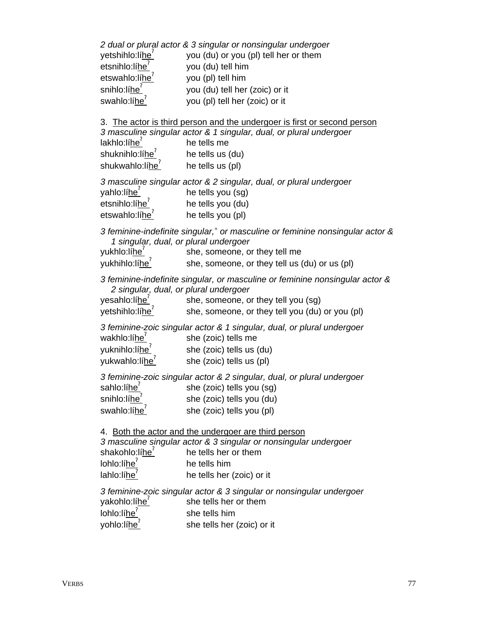| yetshihlo:líhe <sup>'</sup><br>etsnihlo:líhe <sup>'</sup><br>etswahlo:líhe <sup>7</sup><br>snihlo:líhe <sup>?</sup><br>swahlo:líhe <sup>7</sup> | 2 dual or plural actor & 3 singular or nonsingular undergoer<br>you (du) or you (pl) tell her or them<br>you (du) tell him<br>you (pl) tell him<br>you (du) tell her (zoic) or it<br>you (pl) tell her (zoic) or it |
|-------------------------------------------------------------------------------------------------------------------------------------------------|---------------------------------------------------------------------------------------------------------------------------------------------------------------------------------------------------------------------|
| lakhlo:líhe <sup>7</sup><br>shuknihlo:lí <u>he<sup>'</sup></u><br>shukwahlo:lihe <sup>'</sup> he tells us (pl)                                  | 3. The actor is third person and the undergoer is first or second person<br>3 masculine singular actor & 1 singular, dual, or plural undergoer<br>he tells me<br>he tells us (du)                                   |
| yahlo:lí <u>he<sup>′</sup></u><br>etsnihlo:líhe <sup>?</sup><br>etswahlo:líhe <sup>7</sup>                                                      | 3 masculine singular actor & 2 singular, dual, or plural undergoer<br>he tells you (sg)<br>he tells you (du)<br>he tells you (pl)                                                                                   |
| 1 singular, dual, or plural undergoer<br>yukhlo:lí <u>he</u> ʻ<br>yukhihlo:lí <u>he<sup>?</sup></u>                                             | 3 feminine-indefinite singular, <sup>+</sup> or masculine or feminine nonsingular actor &<br>she, someone, or they tell me<br>she, someone, or they tell us (du) or us (pl)                                         |
| 2 singular, dual, or plural undergoer<br>yesahlo:líhe <sup>'</sup><br>yetshihlo:líhe <sup>2</sup>                                               | 3 feminine-indefinite singular, or masculine or feminine nonsingular actor &<br>she, someone, or they tell you (sg)<br>she, someone, or they tell you (du) or you (pl)                                              |
| wakhlo:líhe<br>yuknihlo:líhe <sup>?</sup><br>yukwahlo:líhe <sup>7</sup>                                                                         | 3 feminine-zoic singular actor & 1 singular, dual, or plural undergoer<br>she (zoic) tells me<br>she (zoic) tells us (du)<br>she (zoic) tells us (pl)                                                               |
| sahlo:líhe <sup>7</sup><br>snihlo:lí <u>he<sup>′</sup></u><br>swahlo:líhe <sup>'</sup>                                                          | 3 feminine-zoic singular actor & 2 singular, dual, or plural undergoer<br>she (zoic) tells you (sg)<br>she (zoic) tells you (du)<br>she (zoic) tells you (pl)                                                       |
| shakohlo:líhe <sup>'</sup><br>lohlo:líhe <sup>1</sup><br>lahlo:líhe                                                                             | 4. Both the actor and the undergoer are third person<br>3 masculine singular actor & 3 singular or nonsingular undergoer<br>he tells her or them<br>he tells him<br>he tells her (zoic) or it                       |
| yakohlo:líhe<br>lohlo:líhe <sup>7</sup><br>yohlo:líhe <sup>7</sup>                                                                              | 3 feminine-zoic singular actor & 3 singular or nonsingular undergoer<br>she tells her or them<br>she tells him<br>she tells her (zoic) or it                                                                        |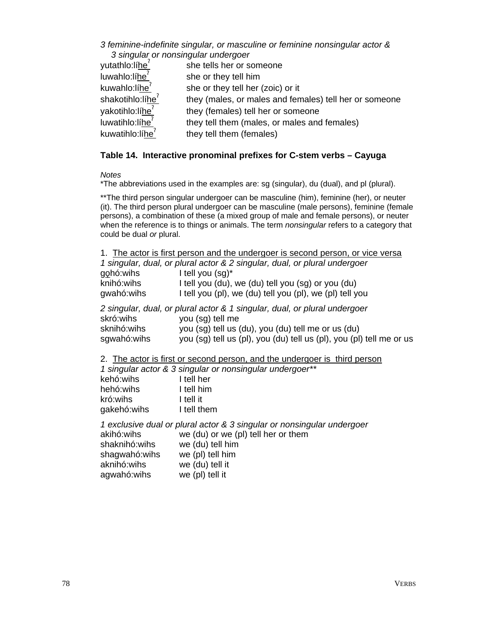## *3 feminine-indefinite singular, or masculine or feminine nonsingular actor & 3 singular or nonsingular undergoer*

| yutathlo:líhe <sup>7</sup>   | she tells her or someone                               |
|------------------------------|--------------------------------------------------------|
| luwahlo:líhe <sup>7</sup>    | she or they tell him                                   |
| kuwahlo:líhe <sup>'</sup>    | she or they tell her (zoic) or it                      |
| shakotihlo:líhe <sup>7</sup> | they (males, or males and females) tell her or someone |
| yakotihlo:líhe <sup>'</sup>  | they (females) tell her or someone                     |
| luwatihlo:líhe <sup>'</sup>  | they tell them (males, or males and females)           |
| kuwatihlo:líhe <sup>7</sup>  | they tell them (females)                               |
|                              |                                                        |

## **Table 14. Interactive pronominal prefixes for C-stem verbs – Cayuga**

*Notes*

\*The abbreviations used in the examples are: sg (singular), du (dual), and pl (plural).

\*\*The third person singular undergoer can be masculine (him), feminine (her), or neuter (it). The third person plural undergoer can be masculine (male persons), feminine (female persons), a combination of these (a mixed group of male and female persons), or neuter when the reference is to things or animals. The term *nonsingular* refers to a category that could be dual *or* plural.

|                          | 1. The actor is first person and the undergoer is second person, or vice versa |
|--------------------------|--------------------------------------------------------------------------------|
|                          | 1 singular, dual, or plural actor & 2 singular, dual, or plural undergoer      |
| gọhó:wihs                | I tell you (sg)*                                                               |
| knihó:wihs               | I tell you (du), we (du) tell you (sg) or you (du)                             |
| gwahó:wihs               | I tell you (pl), we (du) tell you (pl), we (pl) tell you                       |
|                          | 2 singular, dual, or plural actor & 1 singular, dual, or plural undergoer      |
| skró:wihs                | you (sg) tell me                                                               |
| sknihó:wihs              | you (sg) tell us (du), you (du) tell me or us (du)                             |
| sgwahó:wihs              | you (sg) tell us (pl), you (du) tell us (pl), you (pl) tell me or us           |
|                          | 2. The actor is first or second person, and the undergoer is third person      |
|                          | 1 singular actor & 3 singular or nonsingular undergoer**                       |
| kehó:wihs                | I tell her                                                                     |
| hehó:wihs                | I tell him                                                                     |
| kró:wihs                 | I tell it                                                                      |
| gakehó: wihs l tell them |                                                                                |
|                          | 1 exclusive dual or plural actor & 3 singular or nonsingular undergoer         |
| akihó:wihs               | we (du) or we (pl) tell her or them                                            |
| shaknihó:wihs            | we (du) tell him                                                               |
| shagwahó:wihs            | we (pl) tell him                                                               |

| SHAYWAHU.WIHS | $wc$ (bi) reinim |
|---------------|------------------|
| aknihó:wihs   | we (du) tell it  |
| agwahó:wihs   | we (pl) tell it  |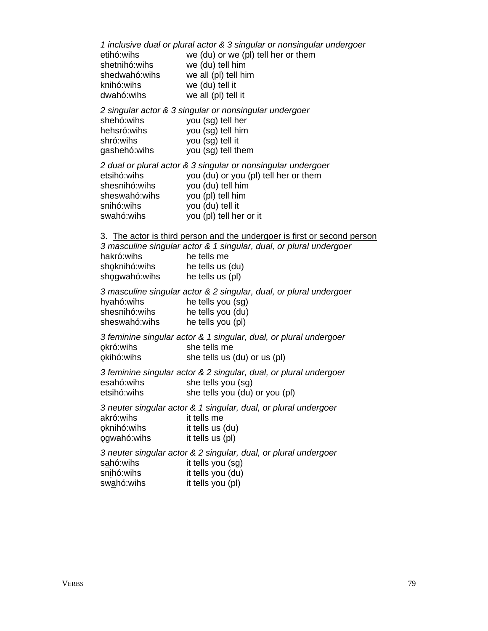*1 inclusive dual or plural actor & 3 singular or nonsingular undergoer* etihó:wihs we (du) or we (pl) tell her or them shetnihó:wihs we (du) tell him shedwahó:wihs we all (pl) tell him knihó:wihs we (du) tell it dwahó:wihs we all (pl) tell it *2 singular actor & 3 singular or nonsingular undergoer* shehó:wihs you (sg) tell her hehsró:wihs you (sg) tell him shró:wihs you (sg) tell it gashehó:wihs you (sg) tell them *2 dual or plural actor & 3 singular or nonsingular undergoer* etsihó:wihs you (du) or you (pl) tell her or them shesnihó:wihs you (du) tell him sheswahó:wihs you (pl) tell him snihó:wihs you (du) tell it swahó:wihs you (pl) tell her or it 3. The actor is third person and the undergoer is first or second person *3 masculine singular actor & 1 singular, dual, or plural undergoer* hakró:wihs he tells me shoknihó:wihs he tells us (du) shogwahó:wihs he tells us (pl) *3 masculine singular actor & 2 singular, dual, or plural undergoer* hyahó:wihs he tells you (sg) shesnihó: wihs he tells you (du) sheswahó:wihs he tells you (pl) *3 feminine singular actor & 1 singular, dual, or plural undergoer* okró:wihs she tells me o3kihó:wihs she tells us (du) or us (pl) *3 feminine singular actor & 2 singular, dual, or plural undergoer* esahó:wihs she tells you (sg) etsihó:wihs she tells you (du) or you (pl) *3 neuter singular actor & 1 singular, dual, or plural undergoer* akró:wihs it tells me o3knihó:wihs it tells us (du) o3gwahó:wihs it tells us (pl) *3 neuter singular actor & 2 singular, dual, or plural undergoer* sahó:wihs it tells you (sg) snihó:wihs it tells you (du) swahó:wihs it tells you (pl)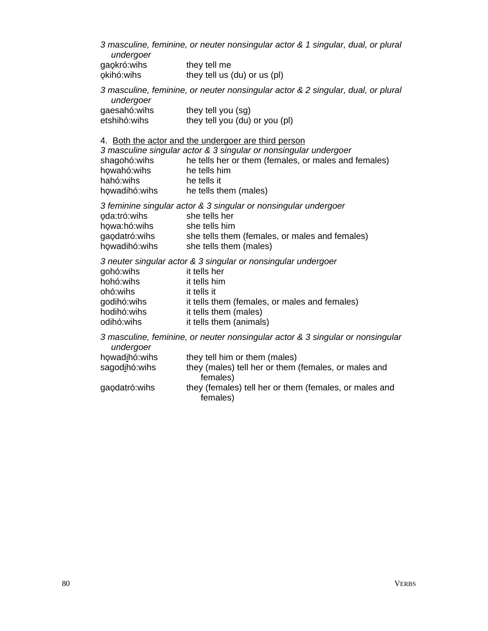*3 masculine, feminine, or neuter nonsingular actor & 1 singular, dual, or plural undergoer* gaokró:wihs they tell me

| yaynı u.wii is | <b>THEY TELL LITE</b>        |
|----------------|------------------------------|
| okihó:wihs     | they tell us (du) or us (pl) |

*3 masculine, feminine, or neuter nonsingular actor & 2 singular, dual, or plural undergoer*

| gaesahó:wihs | they tell you (sg)             |
|--------------|--------------------------------|
| etshihó:wihs | they tell you (du) or you (pl) |

4. Both the actor and the undergoer are third person

| 3 masculine singular actor & 3 singular or nonsingular undergoer |                                                      |  |  |  |
|------------------------------------------------------------------|------------------------------------------------------|--|--|--|
| shagohó: wihs                                                    | he tells her or them (females, or males and females) |  |  |  |
| howahó:wihs                                                      | he tells him                                         |  |  |  |
| hahó:wihs                                                        | he tells it                                          |  |  |  |
| howadihó:wihs                                                    | he tells them (males)                                |  |  |  |

*3 feminine singular actor & 3 singular or nonsingular undergoer* oda:tró:wihs she tells her howa:hó:wihs she tells him she tells them (females, or males and females) howa.no.wins<br>gaodatró:wihs she tells them (females)<br>howadihó:wihs she tells them (males)

*3 neuter singular actor & 3 singular or nonsingular undergoer* gohó:wihs it tells her hohó:wihs it tells him ohó:wihs it tells it godihó: wihs it tells them (females, or males and females) hodihó:wihs it tells them (males) odihó:wihs it tells them (animals)

*3 masculine, feminine, or neuter nonsingular actor & 3 singular or nonsingular undergoer* howadihó:wihs they tell him or them (males)

| .              |                                                        |
|----------------|--------------------------------------------------------|
| sagodihó: wihs | they (males) tell her or them (females, or males and   |
|                | females)                                               |
| gaodatró: wihs | they (females) tell her or them (females, or males and |
|                | females)                                               |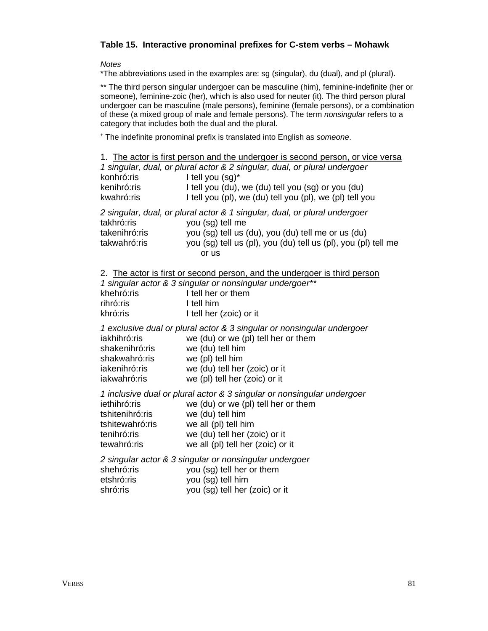## **Table 15. Interactive pronominal prefixes for C-stem verbs – Mohawk**

*Notes*

\*The abbreviations used in the examples are: sg (singular), du (dual), and pl (plural).

\*\* The third person singular undergoer can be masculine (him), feminine-indefinite (her or someone), feminine-zoic (her), which is also used for neuter (it). The third person plural undergoer can be masculine (male persons), feminine (female persons), or a combination of these (a mixed group of male and female persons). The term *nonsingular* refers to a category that includes both the dual and the plural.

+ The indefinite pronominal prefix is translated into English as *someone*.

| konhró:ris<br>kenihró:ris<br>kwahró:ris                                          | 1. The actor is first person and the undergoer is second person, or vice versa<br>1 singular, dual, or plural actor & 2 singular, dual, or plural undergoer<br>I tell you (sg)*<br>I tell you (du), we (du) tell you (sg) or you (du)<br>I tell you (pl), we (du) tell you (pl), we (pl) tell you |
|----------------------------------------------------------------------------------|---------------------------------------------------------------------------------------------------------------------------------------------------------------------------------------------------------------------------------------------------------------------------------------------------|
| takhró:ris<br>takenihró:ris<br>takwahró:ris                                      | 2 singular, dual, or plural actor & 1 singular, dual, or plural undergoer<br>you (sg) tell me<br>you (sg) tell us (du), you (du) tell me or us (du)<br>you (sg) tell us (pl), you (du) tell us (pl), you (pl) tell me<br>or us                                                                    |
| khehró:ris<br>rihró:ris<br>khró:ris                                              | 2. The actor is first or second person, and the undergoer is third person<br>1 singular actor & 3 singular or nonsingular undergoer**<br>I tell her or them<br>I tell him<br>I tell her (zoic) or it                                                                                              |
| iakhihró:ris<br>shakenihró:ris<br>shakwahró:ris<br>iakenihró:ris<br>iakwahró:ris | 1 exclusive dual or plural actor & 3 singular or nonsingular undergoer<br>we (du) or we (pl) tell her or them<br>we (du) tell him<br>we (pl) tell him<br>we (du) tell her (zoic) or it<br>we (pl) tell her (zoic) or it                                                                           |
| iethihró:ris<br>tshitenihró:ris<br>tshitewahró:ris<br>tenihró:ris<br>tewahró:ris | 1 inclusive dual or plural actor & 3 singular or nonsingular undergoer<br>we (du) or we (pl) tell her or them<br>we (du) tell him<br>we all (pl) tell him<br>we (du) tell her (zoic) or it<br>we all (pl) tell her (zoic) or it                                                                   |
| shehró:ris<br>etshró:ris<br>shró:ris                                             | 2 singular actor & 3 singular or nonsingular undergoer<br>you (sg) tell her or them<br>you (sg) tell him<br>you (sg) tell her (zoic) or it                                                                                                                                                        |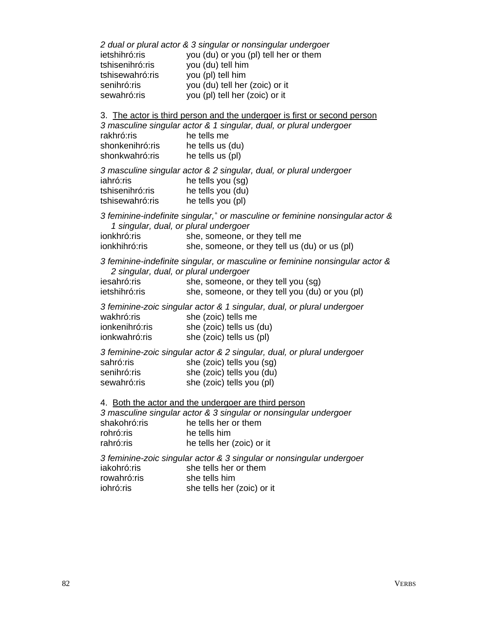*2 dual or plural actor & 3 singular or nonsingular undergoer* ietshihró:ris you (du) or you (pl) tell her or them tshisenihró:ris you (du) tell him tshisewahró:ris you (pl) tell him senihró:ris you (du) tell her (zoic) or it sewahró:ris you (pl) tell her (zoic) or it 3. The actor is third person and the undergoer is first or second person *3 masculine singular actor & 1 singular, dual, or plural undergoer* rakhró: ris he tells me shonkenihró: ris he tells us (du) shonkwahró: ris he tells us (pl)

*3 masculine singular actor & 2 singular, dual, or plural undergoer* iahró:ris he tells you (sg) tshisenihró:ris he tells you (du) tshisewahró:ris he tells you (pl)

*3 feminine-indefinite singular,+ or masculine or feminine nonsingular actor & 1 singular, dual, or plural undergoer* ionkhró:ris she, someone, or they tell me

| טו וועוועוטו  | $0.10, 00.1100.10, 0.100$ , ton the           |
|---------------|-----------------------------------------------|
| ionkhihró:ris | she, someone, or they tell us (du) or us (pl) |

*3 feminine-indefinite singular, or masculine or feminine nonsingular actor & 2 singular, dual, or plural undergoer*

| iesahró:ris   | she, someone, or they tell you (sg)             |  |  |  |  |
|---------------|-------------------------------------------------|--|--|--|--|
| ietshihró:ris | she, someone, or they tell you (du) or you (pl) |  |  |  |  |

*3 feminine-zoic singular actor & 1 singular, dual, or plural undergoer* wakhró:ris she (zoic) tells me ionkenihró: ris she (zoic) tells us (du) ionkwahró: ris she (zoic) tells us (pl)

*3 feminine-zoic singular actor & 2 singular, dual, or plural undergoer* sahró: ris she (zoic) tells you (sg) senihró:ris she (zoic) tells you (du) sewahró: ris she (zoic) tells you (pl)

4. Both the actor and the undergoer are third person

*3 masculine singular actor & 3 singular or nonsingular undergoer* shakohró: ris he tells her or them rohró: ris he tells him rahró:ris he tells her (zoic) or it

*3 feminine-zoic singular actor & 3 singular or nonsingular undergoer* iakohró: ris she tells her or them rowahró: ris she tells him iohró: ris she tells her (zoic) or it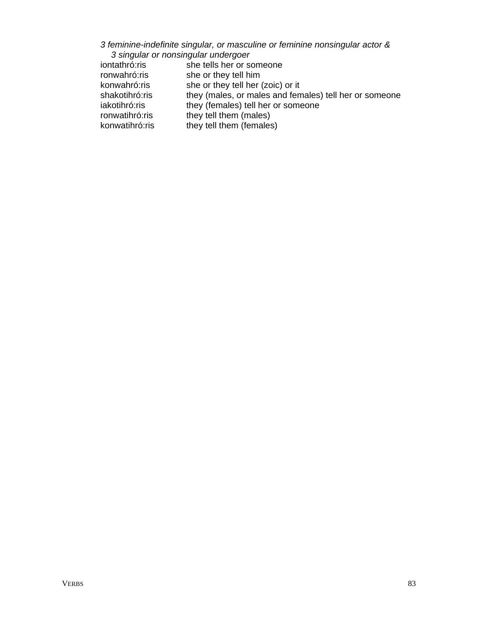## *3 feminine-indefinite singular, or masculine or feminine nonsingular actor & 3 singular or nonsingular undergoer*

| iontathró:ris  | she tells her or someone                               |
|----------------|--------------------------------------------------------|
| ronwahró:ris   | she or they tell him                                   |
| konwahró:ris   | she or they tell her (zoic) or it                      |
| shakotihró:ris | they (males, or males and females) tell her or someone |
| iakotihró:ris  | they (females) tell her or someone                     |
| ronwatihró:ris | they tell them (males)                                 |
| konwatihró:ris | they tell them (females)                               |
|                |                                                        |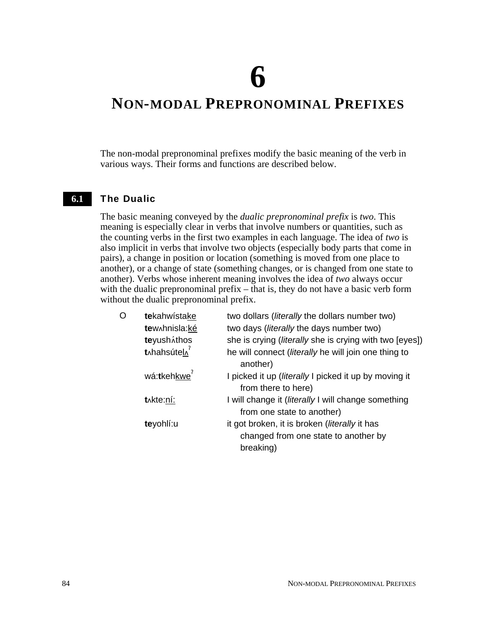**6**

## **NON-MODAL PREPRONOMINAL PREFIXES**

The non-modal prepronominal prefixes modify the basic meaning of the verb in various ways. Their forms and functions are described below.

#### The Dualic **6.1**

The basic meaning conveyed by the *dualic prepronominal prefix* is *two*. This meaning is especially clear in verbs that involve numbers or quantities, such as the counting verbs in the first two examples in each language. The idea of *two* is also implicit in verbs that involve two objects (especially body parts that come in pairs), a change in position or location (something is moved from one place to another), or a change of state (something changes, or is changed from one state to another). Verbs whose inherent meaning involves the idea of *two* always occur with the dualic prepronominal prefix – that is, they do not have a basic verb form without the dualic prepronominal prefix.

| O | tekahwistake             | two dollars (literally the dollars number two)                                                     |
|---|--------------------------|----------------------------------------------------------------------------------------------------|
|   | tew hnisla: ké           | two days (literally the days number two)                                                           |
|   | teyusháthos              | she is crying (literally she is crying with two [eyes])                                            |
|   | t <sub>^</sub> hahsútel^ | he will connect (literally he will join one thing to<br>another)                                   |
|   | wá:tkehkwe <sup>7</sup>  | I picked it up ( <i>literally</i> I picked it up by moving it<br>from there to here)               |
|   | t^kte:ní:                | I will change it (literally I will change something<br>from one state to another)                  |
|   | teyohlí:u                | it got broken, it is broken (literally it has<br>changed from one state to another by<br>breaking) |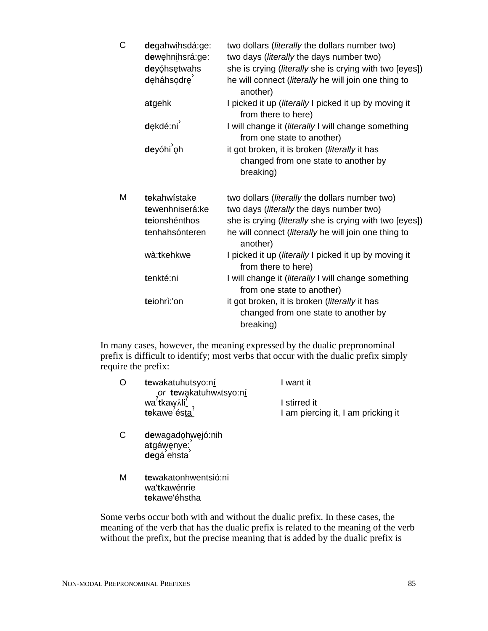| C | degahwihsdá:ge:<br>dewęhnihsrá:ge:<br>deyóhsętwahs<br>deháhsodre | two dollars (literally the dollars number two)<br>two days (literally the days number two)<br>she is crying (literally she is crying with two [eyes])<br>he will connect (literally he will join one thing to<br>another) |
|---|------------------------------------------------------------------|---------------------------------------------------------------------------------------------------------------------------------------------------------------------------------------------------------------------------|
|   | atgehk                                                           | I picked it up (literally I picked it up by moving it<br>from there to here)                                                                                                                                              |
|   | dękdé:ni                                                         | I will change it (literally I will change something<br>from one state to another)                                                                                                                                         |
|   | deyóhi <sup>'</sup> oh                                           | it got broken, it is broken ( <i>literally</i> it has<br>changed from one state to another by<br>breaking)                                                                                                                |
| Μ | tekahwistake<br>tewenhniserá:ke<br>teionshénthos                 | two dollars (literally the dollars number two)<br>two days ( <i>literally</i> the days number two)<br>she is crying ( <i>literally</i> she is crying with two [eyes])                                                     |
|   | tenhahsónteren<br>wà:tkehkwe                                     | he will connect ( <i>literally</i> he will join one thing to<br>another)<br>I picked it up (literally I picked it up by moving it<br>from there to here)                                                                  |
|   | tenkté:ni                                                        | I will change it (literally I will change something<br>from one state to another)                                                                                                                                         |

In many cases, however, the meaning expressed by the dualic prepronominal prefix is difficult to identify; most verbs that occur with the dualic prefix simply require the prefix:

| O | tewakatuhutsyo:ní                     | I want it                          |
|---|---------------------------------------|------------------------------------|
|   | or tewakatuhwatsyo:ní                 |                                    |
|   | wa'tkaw  il                           | I stirred it                       |
|   | tekawe <sup>7</sup> ésta <sup>7</sup> | I am piercing it, I am pricking it |
|   |                                       |                                    |

- C dewagadohwejó:nih atgáwenye: atgawenyo.<br>**de**gá<sup>'</sup>ehsta
- M **te**wakatonhwentsió:ni wa'**t**kawénrie **te**kawe'éhstha

Some verbs occur both with and without the dualic prefix. In these cases, the meaning of the verb that has the dualic prefix is related to the meaning of the verb without the prefix, but the precise meaning that is added by the dualic prefix is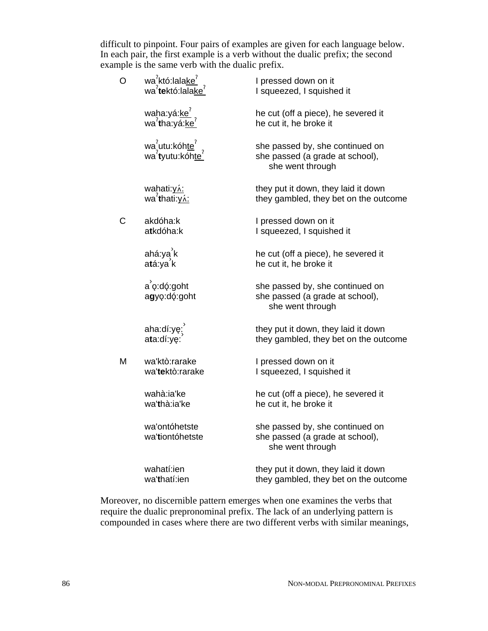difficult to pinpoint. Four pairs of examples are given for each language below. In each pair, the first example is a verb without the dualic prefix; the second example is the same verb with the dualic prefix.

| O | wa <sup>?</sup> któ:lala <u>ke<sup>?</sup></u><br>wa <sup>?</sup> tektó:lala <u>ke</u> ? | I pressed down on it<br>I squeezed, I squished it                                      |
|---|------------------------------------------------------------------------------------------|----------------------------------------------------------------------------------------|
|   | waha:yá: <u>ke<math>^2</math></u><br>wa $^2$ tha:yá: <u>ke<math>^2</math></u>            | he cut (off a piece), he severed it<br>he cut it, he broke it                          |
|   | wa <sup>2</sup> utu:kóhte <sup>2</sup><br>wa <sup>2</sup> tyutu:kóhte <sup>2</sup>       | she passed by, she continued on<br>she passed (a grade at school),<br>she went through |
|   | wahati: <u>yʌ́:</u><br>wa <sup>?</sup> thati: <u>yʌ́:</u>                                | they put it down, they laid it down<br>they gambled, they bet on the outcome           |
| С | akdóha:k<br>atkdóha:k                                                                    | I pressed down on it<br>I squeezed, I squished it                                      |
|   | ahá:ya <sup>ʾ</sup> k<br>a <b>t</b> á:ya <sup>ʾ</sup> k                                  | he cut (off a piece), he severed it<br>he cut it, he broke it                          |
|   | $a$ <sup>'</sup> o:dó:goht<br>agyo:dó:goht                                               | she passed by, she continued on<br>she passed (a grade at school),<br>she went through |
|   | aha:dí:yę;<br>ata:dí:ye:                                                                 | they put it down, they laid it down<br>they gambled, they bet on the outcome           |
| М | wa'ktò:rarake<br>wa'tektò:rarake                                                         | I pressed down on it<br>I squeezed, I squished it                                      |
|   | wahà:ia'ke<br>wa'thà:ia'ke                                                               | he cut (off a piece), he severed it<br>he cut it, he broke it                          |
|   | wa'ontóhetste<br>wa'tiontóhetste                                                         | she passed by, she continued on<br>she passed (a grade at school),<br>she went through |
|   | wahatí:ien<br>wa'thatí:ien                                                               | they put it down, they laid it down<br>they gambled, they bet on the outcome           |

Moreover, no discernible pattern emerges when one examines the verbs that require the dualic prepronominal prefix. The lack of an underlying pattern is compounded in cases where there are two different verbs with similar meanings,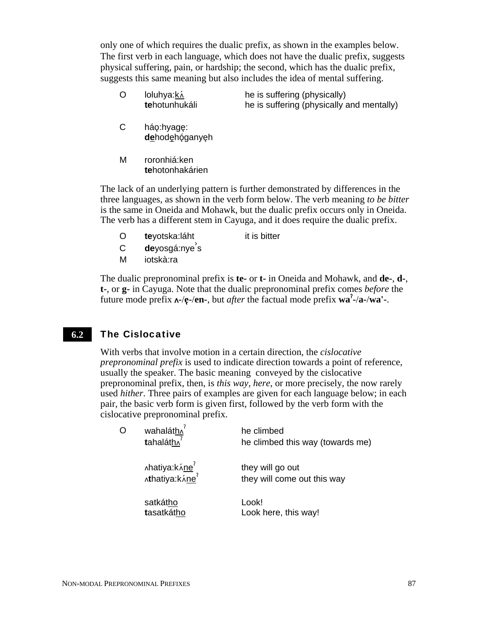only one of which requires the dualic prefix, as shown in the examples below. The first verb in each language, which does not have the dualic prefix, suggests physical suffering, pain, or hardship; the second, which has the dualic prefix, suggests this same meaning but also includes the idea of mental suffering.

- O loluhya:ká **te**hotunhukáli he is suffering (physically) he is suffering (physically and mentally)
- C háo:hyage: dehodehóganyeh
- M roronhiá:ken **te**hotonhakárien

The lack of an underlying pattern is further demonstrated by differences in the three languages, as shown in the verb form below. The verb meaning *to be bitter* is the same in Oneida and Mohawk, but the dualic prefix occurs only in Oneida. The verb has a different stem in Cayuga, and it does require the dualic prefix.

- O **te**yotska:láht it is bitter
- c **de**yosgá:nye<sup>`</sup>s
- M iotskà:ra

The dualic prepronominal prefix is **te-** or **t-** in Oneida and Mohawk, and **de-**, **d-**, **t-**, or **g-** in Cayuga. Note that the dualic prepronominal prefix comes *before* the future mode prefix  $\mathbf{A}$ -/ $\mathbf{e}$ -/en-, but *after* the factual mode prefix  $\mathbf{w}\mathbf{a}^2$ -/ $\mathbf{a}$ -/ $\mathbf{w}\mathbf{a}'$ -.

#### The Cislocative **6.2**

With verbs that involve motion in a certain direction, the *cislocative prepronominal prefix* is used to indicate direction towards a point of reference, usually the speaker. The basic meaning conveyed by the cislocative prepronominal prefix, then, is *this way, here*, or more precisely, the now rarely used *hither*. Three pairs of examples are given for each language below; in each pair, the basic verb form is given first, followed by the verb form with the cislocative prepronominal prefix.

| O | wahaláth^<br>$t$ ahaláth $\sqrt{2}$             | he climbed<br>he climbed this way (towards me)  |
|---|-------------------------------------------------|-------------------------------------------------|
|   | ∧hatiya:kʌ́ <u>ne</u><br>∧thatiya:kʌ́ <u>ne</u> | they will go out<br>they will come out this way |
|   | satkátho<br>tasatkátho                          | Look!<br>Look here, this way!                   |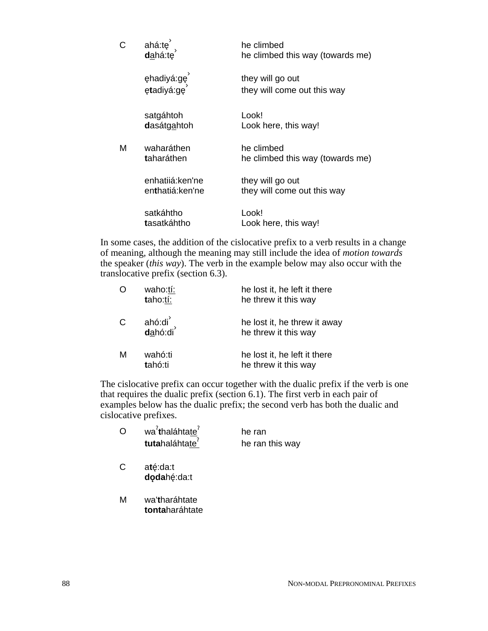| C | ahá:tę<br>dahá:te                  | he climbed<br>he climbed this way (towards me)  |
|---|------------------------------------|-------------------------------------------------|
|   | ehadiyá:ge<br>etadiyá:ge           | they will go out<br>they will come out this way |
|   | satgáhtoh<br>dasátgahtoh           | Look!<br>Look here, this way!                   |
| М | waharáthen<br>taharáthen           | he climbed<br>he climbed this way (towards me)  |
|   | enhatijá:ken'ne<br>enthatiá:ken'ne | they will go out<br>they will come out this way |
|   | satkáhtho<br>tasatkáhtho           | Look!<br>Look here, this way!                   |

In some cases, the addition of the cislocative prefix to a verb results in a change of meaning, although the meaning may still include the idea of *motion towards* the speaker (*this way*). The verb in the example below may also occur with the translocative prefix (section 6.3).

|              | waho:tí:<br>taho:tí:       | he lost it, he left it there<br>he threw it this way |
|--------------|----------------------------|------------------------------------------------------|
| $\mathsf{C}$ | ahó:di<br>d <u>a</u> hó:di | he lost it, he threw it away<br>he threw it this way |
| м            | wahó:ti<br>tahó:ti         | he lost it, he left it there<br>he threw it this way |

The cislocative prefix can occur together with the dualic prefix if the verb is one that requires the dualic prefix (section 6.1). The first verb in each pair of examples below has the dualic prefix; the second verb has both the dualic and cislocative prefixes.

|   | wa <sup>7</sup> thaláhtate <sup>7</sup><br>tutahaláhtate <sup>7</sup> | he ran<br>he ran this way |
|---|-----------------------------------------------------------------------|---------------------------|
| C | até:da:t<br>dodahé:da:t                                               |                           |
| м | wa'tharáhtate<br>tontaharáhtate                                       |                           |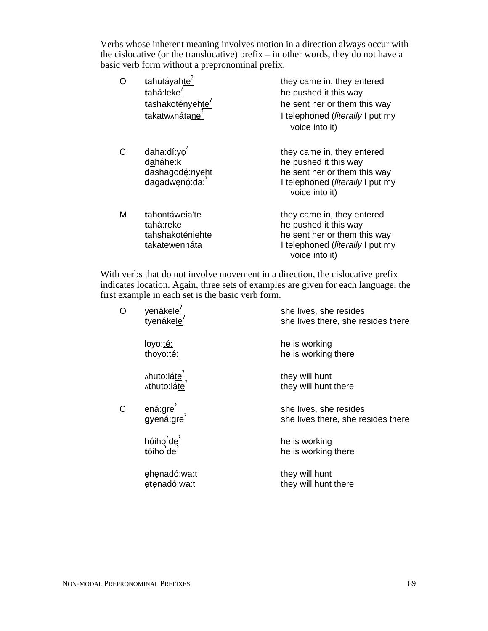Verbs whose inherent meaning involves motion in a direction always occur with the cislocative (or the translocative) prefix – in other words, they do not have a basic verb form without a prepronominal prefix.

| Ō | tahutáyahte <sup>'</sup><br>tahá:leke <sup>?</sup><br>tashakotényehte <sup>7</sup><br>takatw^nátane <sup>7</sup> | they came in, they entered<br>he pushed it this way<br>he sent her or them this way<br>I telephoned (literally I put my<br>voice into it)         |
|---|------------------------------------------------------------------------------------------------------------------|---------------------------------------------------------------------------------------------------------------------------------------------------|
| Ć | daha:dí:yo<br>daháhe:k<br>dashagodę:nyeht<br>dagadwenó:da:                                                       | they came in, they entered<br>he pushed it this way<br>he sent her or them this way<br>I telephoned ( <i>literally</i> I put my<br>voice into it) |
| Μ | tahontáweia'te<br>tahà:reke<br>tahshakoténiehte<br>takatewennáta                                                 | they came in, they entered<br>he pushed it this way<br>he sent her or them this way<br>I telephoned (literally I put my<br>voice into it)         |

With verbs that do not involve movement in a direction, the cislocative prefix indicates location. Again, three sets of examples are given for each language; the first example in each set is the basic verb form.

| O | yenáke <u>le</u> <sup>?</sup><br>tyenákele <sup>?</sup> | she lives, she resides<br>she lives there, she resides there |
|---|---------------------------------------------------------|--------------------------------------------------------------|
|   | loyo:té:<br>thoyo:té:                                   | he is working<br>he is working there                         |
|   | Ahuto:láte <sup>?</sup><br>Athuto:láte                  | they will hunt<br>they will hunt there                       |
| C | ená:gre )<br>gyená:gre                                  | she lives, she resides<br>she lives there, she resides there |
|   | $h$ óiho $d$ e $d$<br>tóiho de                          | he is working<br>he is working there                         |
|   | ehenadó:wa:t<br>etenadó:wa:t                            | they will hunt<br>they will hunt there                       |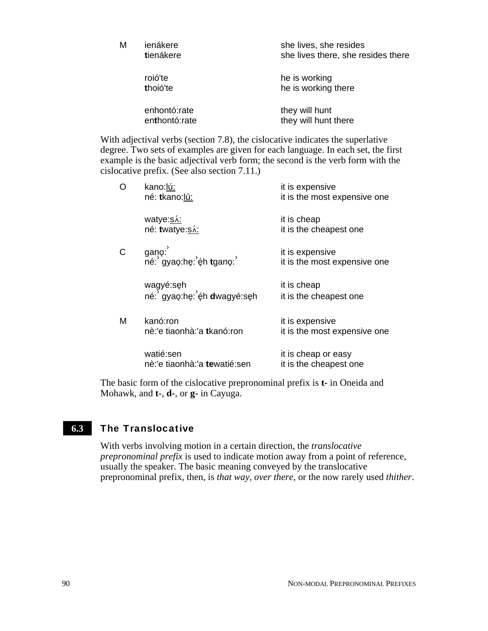| M | ienákere<br>tienákere         | she lives, she resides<br>she lives there, she resides there |
|---|-------------------------------|--------------------------------------------------------------|
|   | roió'te<br>thoió'te           | he is working<br>he is working there                         |
|   | enhontó:rate<br>enthontó:rate | they will hunt<br>they will hunt there                       |

With adjectival verbs (section 7.8), the cislocative indicates the superlative degree. Two sets of examples are given for each language. In each set, the first example is the basic adjectival verb form; the second is the verb form with the cislocative prefix. (See also section 7.11.)

| O | kano:lú:<br>né: tkano:lú:                       | it is expensive<br>it is the most expensive one |
|---|-------------------------------------------------|-------------------------------------------------|
|   | watye:s.<br>né: twatye:sá:                      | it is cheap<br>it is the cheapest one           |
|   | gano:<br>né: gyao:he: éh tgano:                 | it is expensive<br>it is the most expensive one |
|   | wagyé:sęh<br>né: gyaọ:hẹ: éh <b>d</b> wagyé:sẹh | it is cheap<br>it is the cheapest one           |
| M | kanó:ron<br>nè:'e tiaonhà:'a tkanó:ron          | it is expensive<br>it is the most expensive one |
|   | watié:sen<br>nè:'e tiaonhà:'a tewatié:sen       | it is cheap or easy<br>it is the cheapest one   |

The basic form of the cislocative prepronominal prefix is **t-** in Oneida and Mohawk, and **t-**, **d-**, or **g-** in Cayuga.

#### The Translocative **6.3**

With verbs involving motion in a certain direction, the *translocative prepronominal prefix* is used to indicate motion away from a point of reference, usually the speaker. The basic meaning conveyed by the translocative prepronominal prefix, then, is *that way, over there*, or the now rarely used *thither*.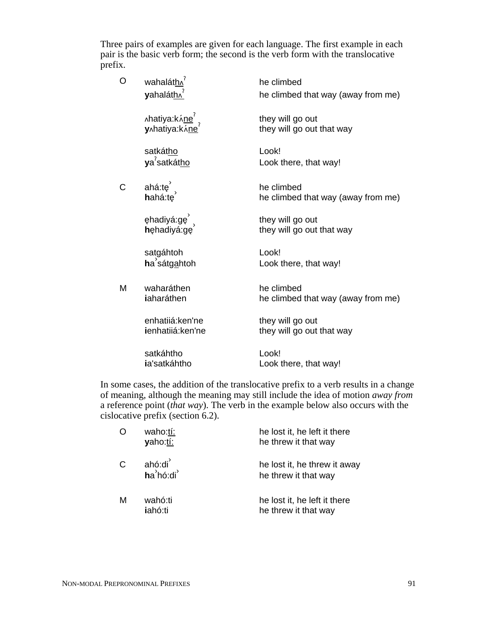Three pairs of examples are given for each language. The first example in each pair is the basic verb form; the second is the verb form with the translocative prefix.

| O | wahaláth^<br>yahaláth^                                         | he climbed<br>he climbed that way (away from me) |
|---|----------------------------------------------------------------|--------------------------------------------------|
|   | ∧hatiya:k∧́ <u>ne</u> <sup>?</sup><br>y∧hatiya:k∧́ <u>ne</u> ? | they will go out<br>they will go out that way    |
|   | satkátho<br>ya <sup>7</sup> satkátho                           | Look!<br>Look there, that way!                   |
| С | ahá: $te^{'}$ ,<br>hahá:te                                     | he climbed<br>he climbed that way (away from me) |
|   | ęhadiyá:gę <sup>3</sup><br>hehadiyá:ge                         | they will go out<br>they will go out that way    |
|   | satgáhtoh<br>ha sátgahtoh                                      | Look!<br>Look there, that way!                   |
| М | waharáthen<br>iaharáthen                                       | he climbed<br>he climbed that way (away from me) |
|   | enhatijá:ken'ne<br>ienhatijá:ken'ne                            | they will go out<br>they will go out that way    |
|   | satkáhtho<br>ia'satkáhtho                                      | Look!<br>Look there, that way!                   |

In some cases, the addition of the translocative prefix to a verb results in a change of meaning, although the meaning may still include the idea of motion *away from* a reference point (*that way*). The verb in the example below also occurs with the cislocative prefix (section 6.2).

| O            | waho:tí:<br>yaho:tí: | he lost it, he left it there<br>he threw it that way |
|--------------|----------------------|------------------------------------------------------|
| $\mathsf{C}$ | ahó:di<br>ha'hó:di'  | he lost it, he threw it away<br>he threw it that way |
| M            | wahó:ti<br>iahó:ti   | he lost it, he left it there<br>he threw it that way |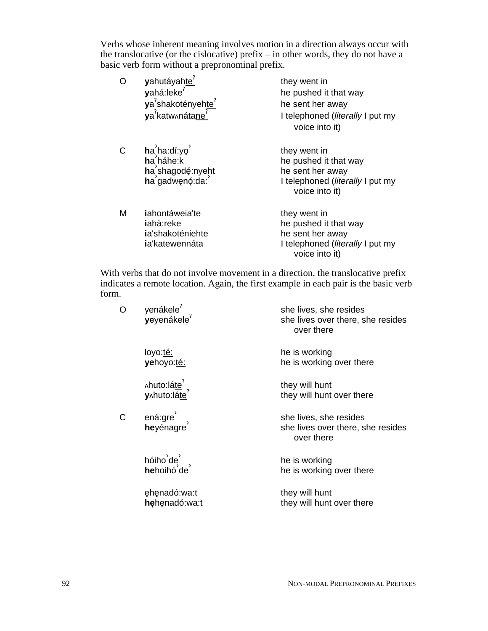Verbs whose inherent meaning involves motion in a direction always occur with the translocative (or the cislocative) prefix – in other words, they do not have a basic verb form without a prepronominal prefix.

| O | yahutáyahte <sup>7</sup><br>yahá:leke <sup>?</sup><br>ya <sup>2</sup> shakotényehte <sup>2</sup><br>ya <sup>7</sup> katw^nátane <sup>7</sup> | they went in<br>he pushed it that way<br>he sent her away<br>I telephoned ( <i>literally</i> I put my<br>voice into it) |
|---|----------------------------------------------------------------------------------------------------------------------------------------------|-------------------------------------------------------------------------------------------------------------------------|
| Ć | $ha'$ ha:dí:yo<br>ha háhe:k<br>ha shagodé:nyeht<br>ha gadwenó: da:                                                                           | they went in<br>he pushed it that way<br>he sent her away<br>I telephoned (literally I put my<br>voice into it)         |
| М | iahontáweia'te<br>iahà:reke<br>ia'shakoténiehte<br>ia'katewennáta                                                                            | they went in<br>he pushed it that way<br>he sent her away<br>I telephoned (literally I put my<br>voice into it)         |

With verbs that do not involve movement in a direction, the translocative prefix indicates a remote location. Again, the first example in each pair is the basic verb form.

| O  | yenáke <u>le<sup>?</sup><br/>yeyenákele</u> ?           | she lives, she resides<br>she lives over there, she resides<br>over there |
|----|---------------------------------------------------------|---------------------------------------------------------------------------|
|    | loyo:té:<br>yehoyo:té:                                  | he is working<br>he is working over there                                 |
|    | ∧huto:lá <u>te<sup>?</sup></u><br>y∧huto:lá <u>te</u> ? | they will hunt<br>they will hunt over there                               |
| C. | ená:gre )<br>heyénagre                                  | she lives, she resides<br>she lives over there, she resides<br>over there |
|    | hóiho de<br><b>he</b> hoihó de                          | he is working<br>he is working over there                                 |
|    | ehenadó:wa:t<br>hehenadó:wa:t                           | they will hunt<br>they will hunt over there                               |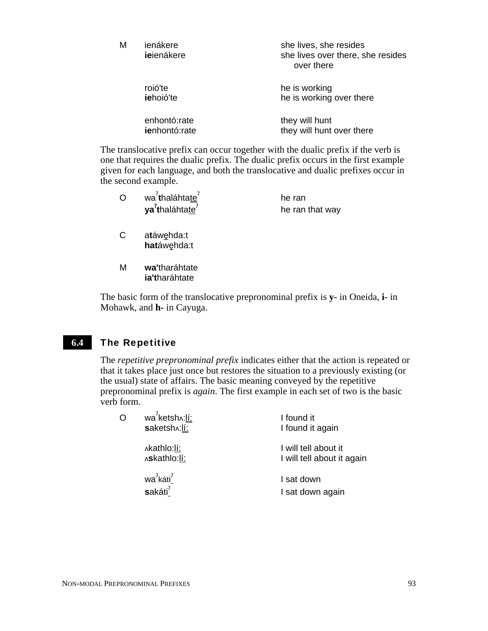| M | ienákere<br>ieienákere        | she lives, she resides<br>she lives over there, she resides<br>over there |
|---|-------------------------------|---------------------------------------------------------------------------|
|   | roió'te<br>iehoió'te          | he is working<br>he is working over there                                 |
|   | enhontó:rate<br>ienhontó:rate | they will hunt<br>they will hunt over there                               |

The translocative prefix can occur together with the dualic prefix if the verb is one that requires the dualic prefix. The dualic prefix occurs in the first example given for each language, and both the translocative and dualic prefixes occur in the second example.

| wa <sup>?</sup> thaláhtate <sup>?</sup> | he ran          |
|-----------------------------------------|-----------------|
| ya <sup>7</sup> thaláhtate <sup>7</sup> | he ran that way |

- C atáwehda:t **hatáwehda:t**
- M **wa'**tharáhtate **ia't**haráhtate

The basic form of the translocative prepronominal prefix is **y-** in Oneida, **i-** in Mohawk, and **h-** in Cayuga.

#### The Repetitive **6.4**

The *repetitive prepronominal prefix* indicates either that the action is repeated or that it takes place just once but restores the situation to a previously existing (or the usual) state of affairs. The basic meaning conveyed by the repetitive prepronominal prefix is *again*. The first example in each set of two is the basic verb form.

|  | wa <sup>7</sup> ketsh <sub>^</sub> :li:<br>saketsh .: lí: | I found it<br>I found it again                     |
|--|-----------------------------------------------------------|----------------------------------------------------|
|  | Akathlo:lí:<br>Askathlo:lí:                               | I will tell about it<br>I will tell about it again |
|  | wa <sup>7</sup> káti <sup>7</sup><br>sakáti <sup>?</sup>  | I sat down<br>I sat down again                     |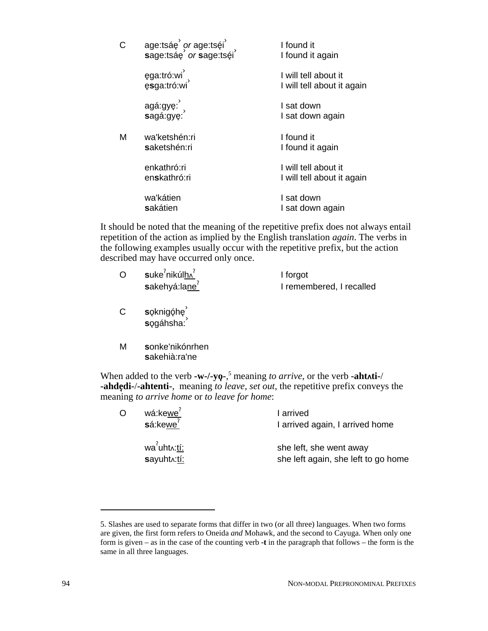| Ć | age:tsáe <i>or</i> age:tséi sage:tsáe<br>sage:tsáe <i>or</i> sage:tséi | I found it<br>I found it again                     |
|---|------------------------------------------------------------------------|----------------------------------------------------|
|   | ega:tró:wi <sup>`</sup><br>esga:tró:wi <sup>`</sup>                    | I will tell about it<br>I will tell about it again |
|   | agá:gyę: ,<br>sagá:gyę: ,                                              | I sat down<br>I sat down again                     |
| Μ | wa'ketshén:ri<br>saketshén:ri                                          | I found it<br>I found it again                     |
|   | enkathró:ri<br>en <b>s</b> kathró:ri                                   | I will tell about it<br>I will tell about it again |
|   | wa'kátien<br>sakátien                                                  | I sat down<br>I sat down again                     |

It should be noted that the meaning of the repetitive prefix does not always entail repetition of the action as implied by the English translation *again*. The verbs in the following examples usually occur with the repetitive prefix, but the action described may have occurred only once.

| O | $\mathsf{suke}^?$ nikúlh $\Lambda^?$ | I forgot                 |
|---|--------------------------------------|--------------------------|
|   | sakehyá:lane <sup>?</sup>            | I remembered, I recalled |

- C **s**ǫknigǫ́hę ̀ sogáhsha:
- M **s**onke'nikónrhen **s**akehià:ra'ne

When added to the verb  $-w$ -/-yo-,<sup>5</sup> meaning *to arrive*, or the verb -ahtati-/ **-ahde**3**di-**/**-ahtenti-**, meaning *to leave*, *set out*, the repetitive prefix conveys the meaning *to arrive home* or *to leave for home*:

| Ó | wá:kewe <sup>?</sup><br>$s$ á:kewe $7$                 | I arrived<br>I arrived again, I arrived home                   |
|---|--------------------------------------------------------|----------------------------------------------------------------|
|   | wa <sup>7</sup> uht <sub>^</sub> :tí:<br>sayuht .: tí: | she left, she went away<br>she left again, she left to go home |

<sup>5.</sup> Slashes are used to separate forms that differ in two (or all three) languages. When two forms are given, the first form refers to Oneida *and* Mohawk, and the second to Cayuga. When only one form is given – as in the case of the counting verb **-t** in the paragraph that follows – the form is the same in all three languages.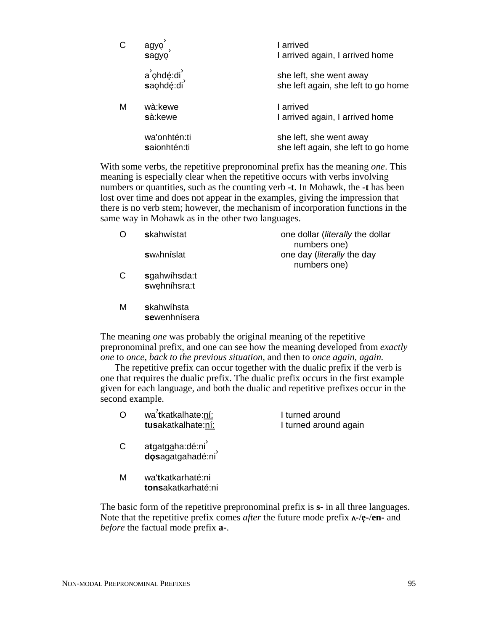| C | agyo<br>sagyo                | I arrived<br>I arrived again, I arrived home                   |
|---|------------------------------|----------------------------------------------------------------|
|   | a ohdé:di<br>saohdé:di       | she left, she went away<br>she left again, she left to go home |
| M | wà:kewe<br>sà:kewe           | I arrived<br>I arrived again, I arrived home                   |
|   | wa'onhtén:ti<br>saionhtén:ti | she left, she went away<br>she left again, she left to go home |

With some verbs, the repetitive prepronominal prefix has the meaning *one*. This meaning is especially clear when the repetitive occurs with verbs involving numbers or quantities, such as the counting verb **-t**. In Mohawk, the **-t** has been lost over time and does not appear in the examples, giving the impression that there is no verb stem; however, the mechanism of incorporation functions in the same way in Mohawk as in the other two languages.

|   | <b>skahwístat</b>               | one dollar ( <i>literally</i> the dollar<br>numbers one) |
|---|---------------------------------|----------------------------------------------------------|
|   | <b>s</b> w <sub>o</sub> hníslat | one day ( <i>literally</i> the day<br>numbers one)       |
| C | sgahwíhsda:t<br>swehnihsra:t    |                                                          |
| M | skahwíhsta<br>sewenhnísera      |                                                          |

The meaning *one* was probably the original meaning of the repetitive prepronominal prefix, and one can see how the meaning developed from *exactly one* to *once, back to the previous situation,* and then to *once again, again.*

The repetitive prefix can occur together with the dualic prefix if the verb is one that requires the dualic prefix. The dualic prefix occurs in the first example given for each language, and both the dualic and repetitive prefixes occur in the second example.

|   | wa'tkatkalhate:ní:<br>tusakatkalhate:ní:                               | I turned around<br>I turned around again |
|---|------------------------------------------------------------------------|------------------------------------------|
| C | atgatg <u>a</u> ha:dé:ni <sup>2</sup><br>dosagatgahadé:ni <sup>2</sup> |                                          |
| м | wa'tkatkarhaté:ni<br>tonsakatkarhaté:ni                                |                                          |

The basic form of the repetitive prepronominal prefix is **s-** in all three languages. Note that the repetitive prefix comes *after* the future mode prefix  $\Lambda$ -/**e**-/**en**- and *before* the factual mode prefix **a-**.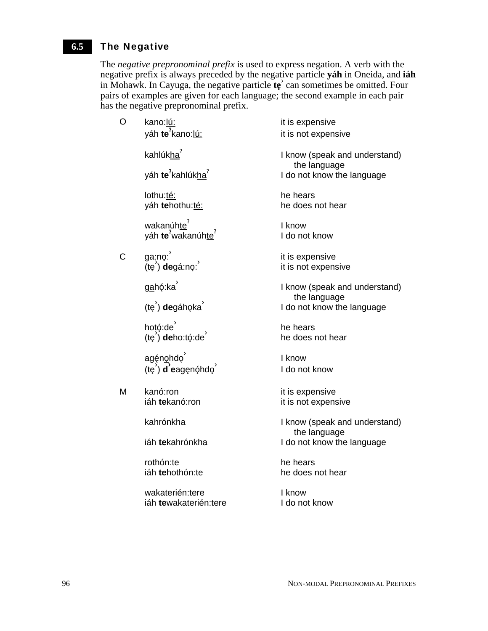#### The Negative **6.5**

 $\overline{O}$ 

 $\mathsf{C}$ 

 $M$ 

The *negative prepronominal prefix* is used to express negation. A verb with the negative prefix is always preceded by the negative particle **yáh** in Oneida, and **iáh** in Mohawk. In Cayuga, the negative particle **te**<sup>3</sup> can sometimes be omitted. Four pairs of examples are given for each language; the second example in each pair has the negative prepronominal prefix.

| kano: <u>lú:</u>                                                                        | it is expensive                            |
|-----------------------------------------------------------------------------------------|--------------------------------------------|
| yáh <b>te<sup>7</sup>kano:<u>lú:</u></b>                                                | it is not expensive                        |
| kahlúkha <sup>′</sup>                                                                   | I know (speak and understand)              |
| yáh <b>te<sup>?</sup>kahlúk<u>ha</u><sup>?</sup></b>                                    | the language<br>I do not know the language |
| lothu: <u>té:</u>                                                                       | he hears                                   |
| yáh <b>te</b> hothu: <u>té:</u>                                                         | he does not hear                           |
| wakanúh <u>te<sup>?</sup><br/>yáh <b>te<sup>?</sup></b>wakanúh<u>te</u><sup>?</sup></u> | I know<br>I do not know                    |
| ga;no: '                                                                                | it is expensive                            |
| (tę́ ) <b>de</b> gá:nọ: <sup>'</sup>                                                    | it is not expensive                        |
| <u>ga</u> hó:ka $^{'}$                                                                  | I know (speak and understand)              |
| (tę <sup>'</sup> ) <b>de</b> gáhǫka <sup>'</sup>                                        | the language<br>I do not know the language |
| hotó:de $^{'}\!\!$                                                                      | he hears                                   |
| (tę́ ) <b>de</b> ho:tǫ́:dé                                                              | he does not hear                           |
| agę́n <u>o</u> hdo <sup>′</sup>                                                         | I know                                     |
| (tẹ́) <b>d</b> 'eagęnó̥hdó                                                              | I do not know                              |
| kanó:ron                                                                                | it is expensive                            |
| iáh <b>te</b> kanó:ron                                                                  | it is not expensive                        |
| kahrónkha                                                                               | I know (speak and understand)              |
| iáh <b>te</b> kahrónkha                                                                 | the language<br>I do not know the language |
| rothón:te                                                                               | he hears                                   |
| iáh <b>te</b> hothón:te                                                                 | he does not hear                           |
| wakaterién:tere                                                                         | I know                                     |
| iáh <b>te</b> wakaterién:tere                                                           | I do not know                              |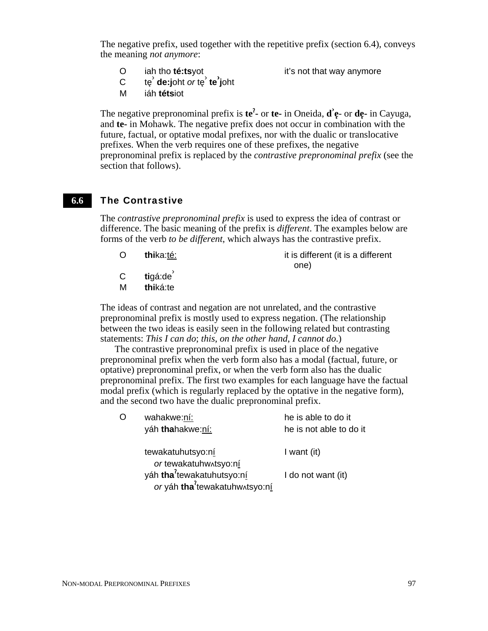The negative prefix, used together with the repetitive prefix (section 6.4), conveys the meaning *not anymore*:

O iah tho **té:ts**yot it's not that way anymore

- **c** te<sup>3</sup> **de:j**oht *or* te<sup>3</sup> **te**<sup>3</sup> **j**oht
- M iáh **téts**iot

The negative prepronominal prefix is **te<sup>2</sup>** or **te**- in Oneida, **d**<sup>2</sup>**e**- or **de**- in Cayuga, and **te-** in Mohawk. The negative prefix does not occur in combination with the future, factual, or optative modal prefixes, nor with the dualic or translocative prefixes. When the verb requires one of these prefixes, the negative prepronominal prefix is replaced by the *contrastive prepronominal prefix* (see the section that follows).

#### The Contrastive **6.6**

The *contrastive prepronominal prefix* is used to express the idea of contrast or difference. The basic meaning of the prefix is *different*. The examples below are forms of the verb *to be different*, which always has the contrastive prefix.

O **thi**ka:té: it is different (it is a different one)

- C **tigá:de**
- M **thi**ká:te

The ideas of contrast and negation are not unrelated, and the contrastive prepronominal prefix is mostly used to express negation. (The relationship between the two ideas is easily seen in the following related but contrasting statements: *This I can do*; *this*, *on the other hand*, *I cannot do*.)

The contrastive prepronominal prefix is used in place of the negative prepronominal prefix when the verb form also has a modal (factual, future, or optative) prepronominal prefix, or when the verb form also has the dualic prepronominal prefix. The first two examples for each language have the factual modal prefix (which is regularly replaced by the optative in the negative form), and the second two have the dualic prepronominal prefix.

| wahakwe:ní:<br>yáh thahakwe:ní:        | he is able to do it<br>he is not able to do it                      |
|----------------------------------------|---------------------------------------------------------------------|
| tewakatuhutsyo:ní                      | I want (it)                                                         |
| yáh tha <sup>2</sup> tewakatuhutsyo:ní | I do not want (it)                                                  |
|                                        | or tewakatuhwxtsyo:ní<br>or yáh tha <sup>2</sup> tewakatuhw^tsyo:ní |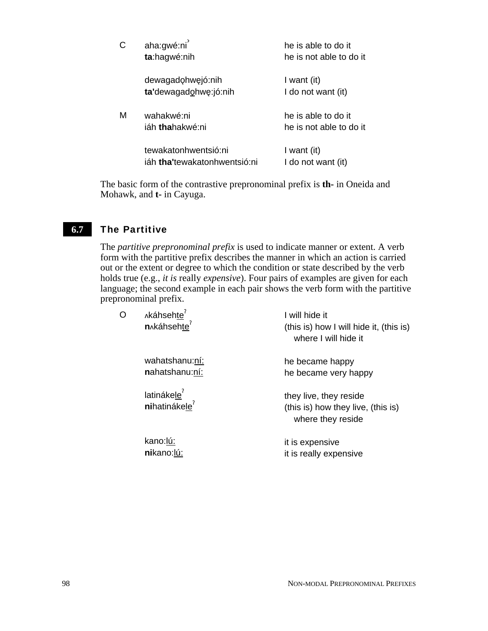| Ć | aha:gwé:ni<br>ta:hagwé:nih                                   | he is able to do it<br>he is not able to do it |
|---|--------------------------------------------------------------|------------------------------------------------|
|   | dewagadohwejó:nih<br>ta'dewagadohwę:jó:nih                   | I want (it)<br>I do not want (it)              |
| М | wahakwé:ni<br>iáh <b>tha</b> hakwé:ni                        | he is able to do it<br>he is not able to do it |
|   | tewakatonhwentsió:ni<br>iáh <b>tha'</b> tewakatonhwentsió:ni | I want (it)<br>I do not want (it)              |

The basic form of the contrastive prepronominal prefix is **th-** in Oneida and Mohawk, and **t-** in Cayuga.

#### The Partitive **6.7**

The *partitive prepronominal prefix* is used to indicate manner or extent. A verb form with the partitive prefix describes the manner in which an action is carried out or the extent or degree to which the condition or state described by the verb holds true (e.g., *it is* really *expensive*). Four pairs of examples are given for each language; the second example in each pair shows the verb form with the partitive prepronominal prefix.

| O | Akáhsehte <sup>r</sup><br>n <sub>^</sub> káhsehte <sup>?</sup> | I will hide it<br>(this is) how I will hide it, (this is)<br>where I will hide it |
|---|----------------------------------------------------------------|-----------------------------------------------------------------------------------|
|   | wahatshanu:ní:<br>nahatshanu:ní:                               | he became happy<br>he became very happy                                           |
|   | latinákele <sup>7</sup><br>nihatinákele <sup>?</sup>           | they live, they reside<br>(this is) how they live, (this is)<br>where they reside |
|   | kano:lú:<br>nikano:lú:                                         | it is expensive<br>it is really expensive                                         |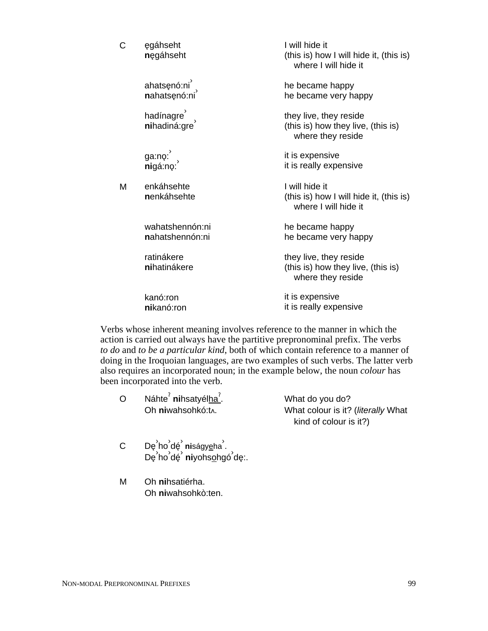| C | egáhseht<br>nęgáhseht                                 | I will hide it<br>(this is) how I will hide it, (this is)<br>where I will hide it |
|---|-------------------------------------------------------|-----------------------------------------------------------------------------------|
|   | ahatsęnó:ni <sup>'</sup><br>nahatsęnó:ni <sup>'</sup> | he became happy<br>he became very happy                                           |
|   | hadínagre<br>nihadiná:gre                             | they live, they reside<br>(this is) how they live, (this is)<br>where they reside |
|   | ga:no: ,<br><b>ni</b> gá:no:                          | it is expensive<br>it is really expensive                                         |
| М | enkáhsehte<br>nenkáhsehte                             | I will hide it<br>(this is) how I will hide it, (this is)<br>where I will hide it |
|   | wahatshennón:ni<br>nahatshennón:ni                    | he became happy<br>he became very happy                                           |
|   | ratinákere<br>nihatinákere                            | they live, they reside<br>(this is) how they live, (this is)<br>where they reside |
|   | kanó:ron<br>nikanó:ron                                | it is expensive<br>it is really expensive                                         |

Verbs whose inherent meaning involves reference to the manner in which the action is carried out always have the partitive prepronominal prefix. The verbs *to do* and *to be a particular kind*, both of which contain reference to a manner of doing in the Iroquoian languages, are two examples of such verbs. The latter verb also requires an incorporated noun; in the example below, the noun *colour* has been incorporated into the verb.

| O | Náhte <sup>2</sup> nihsatyélha <sup>2</sup> . | What do you do?                    |
|---|-----------------------------------------------|------------------------------------|
|   | Oh niwahsohkó:t.                              | What colour is it? (literally What |
|   |                                               | kind of colour is it?)             |

- .<br>C Dę<sup>ʾ</sup>ho<sup>ʾ</sup>dę<sup>ʾ</sup> niságy<u>e</u>ha<sup>ʾ</sup>. <u>⊃esina sek mongy∍na.</u><br>Dę`ho`dę` niyohs<u>o</u>hgó`dę:.
- M Oh **ni**hsatiérha. Oh **ni**wahsohkò:ten.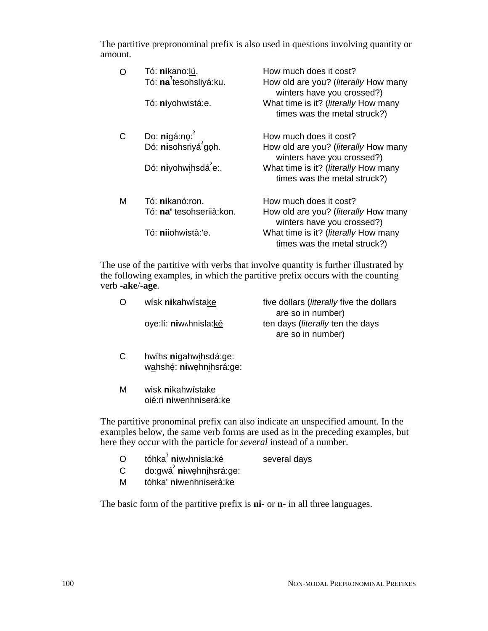The partitive prepronominal prefix is also used in questions involving quantity or amount.

| O | Tó: nikano: lú.<br>Tó: na <sup>2</sup> tesohsliyá:ku. | How much does it cost?<br>How old are you? ( <i>literally</i> How many<br>winters have you crossed?)<br>What time is it? (literally How many |
|---|-------------------------------------------------------|----------------------------------------------------------------------------------------------------------------------------------------------|
|   | Tó: niyohwistá:e.                                     | times was the metal struck?)                                                                                                                 |
|   |                                                       | How much does it cost?                                                                                                                       |
|   | Do: nigá:nọ: ٱلْكَلَّامَ<br>Dó: nisohsriyá gọh.       | How old are you? ( <i>literally</i> How many<br>winters have you crossed?)                                                                   |
|   | Dó: niyohwihsdá <sup>'</sup> e:.                      | What time is it? (literally How many<br>times was the metal struck?)                                                                         |
| м | Tó: nikanó:ron.                                       | How much does it cost?                                                                                                                       |
|   | Tó: na' tesohseriià:kon.                              | How old are you? ( <i>literally</i> How many<br>winters have you crossed?)                                                                   |
|   | Tó: nijohwistà:'e.                                    | What time is it? (literally How many<br>times was the metal struck?)                                                                         |

The use of the partitive with verbs that involve quantity is further illustrated by the following examples, in which the partitive prefix occurs with the counting verb **-ake**/**-age**.

| $\Omega$ | wísk nikahwístake     | five dollars ( <i>literally</i> five the dollars |
|----------|-----------------------|--------------------------------------------------|
|          |                       | are so in number)                                |
|          | oye:lí: niw hnisla:ké | ten days (literally ten the days                 |
|          |                       | are so in number)                                |
|          |                       |                                                  |

- C hwíhs **ni**gahwihsdá:ge: wahshé: **ni**wehnihsrá:ge:
- M wisk **ni**kahwístake oié:ri **ni**wenhniserá:ke

The partitive pronominal prefix can also indicate an unspecified amount. In the examples below, the same verb forms are used as in the preceding examples, but here they occur with the particle for *several* instead of a number.

- O tóhka<sup>?</sup> niw<sub>^</sub>hnisla: ké several days
- c do:gwá<sup>'</sup> niwehnihsrá:ge:
- M tóhka' **ni**wenhniserá:ke

The basic form of the partitive prefix is **ni-** or **n-** in all three languages.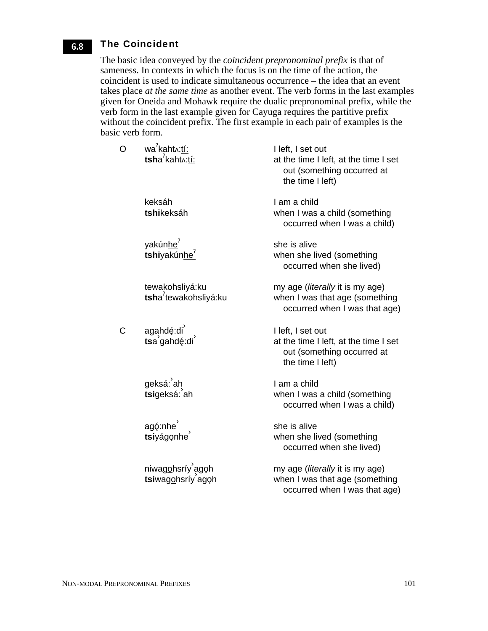#### The Coincident **6.8**

The basic idea conveyed by the *coincident prepronominal prefix* is that of sameness. In contexts in which the focus is on the time of the action, the coincident is used to indicate simultaneous occurrence – the idea that an event takes place *at the same time* as another event. The verb forms in the last examples given for Oneida and Mohawk require the dualic prepronominal prefix, while the verb form in the last example given for Cayuga requires the partitive prefix without the coincident prefix. The first example in each pair of examples is the basic verb form.

| Ō | wa <sup>7</sup> kaht <sub>^</sub> :tí:<br>tsha <sup>2</sup> kaht^:tí: | I left, I set out<br>at the time I left, at the time I set<br>out (something occurred at<br>the time I left) |
|---|-----------------------------------------------------------------------|--------------------------------------------------------------------------------------------------------------|
|   | keksáh<br>tshikeksáh                                                  | I am a child<br>when I was a child (something<br>occurred when I was a child)                                |
|   | yakúnhe <sup>'</sup><br>tshiyakúnhe <sup>?</sup>                      | she is alive<br>when she lived (something<br>occurred when she lived)                                        |
|   | tewakohsliyá:ku<br>tsha <sup>7</sup> tewakohsliyá:ku                  | my age (literally it is my age)<br>when I was that age (something<br>occurred when I was that age)           |
| Ć | agahdé:di )<br>tsa gahdé:di )                                         | I left, I set out<br>at the time I left, at the time I set<br>out (something occurred at<br>the time I left) |
|   | geksá: <sup>ʾ</sup> aḥ<br><b>tsi</b> geksá: <sup>ʾ</sup> ah           | I am a child<br>when I was a child (something<br>occurred when I was a child)                                |
|   | agó:nhe<br>tsiyágonhe                                                 | she is alive<br>when she lived (something<br>occurred when she lived)                                        |
|   | niwag <u>o</u> hsríy agoh<br><b>tsi</b> wag <u>o</u> hsríy agoh       | my age (literally it is my age)<br>when I was that age (something<br>occurred when I was that age)           |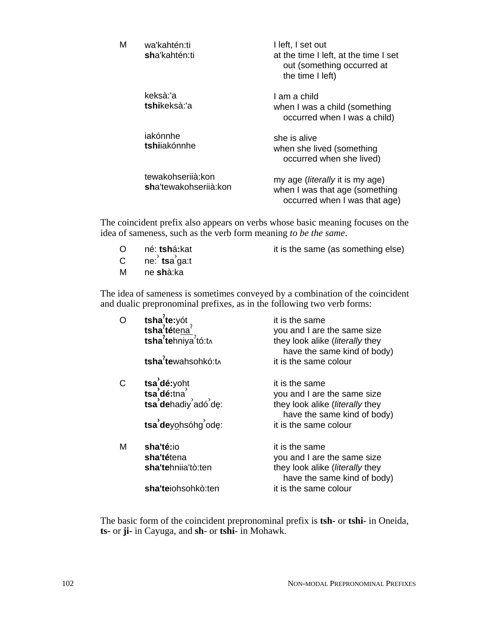| М | wa'kahtén:ti<br>sha'kahtén:ti               | I left, I set out<br>at the time I left, at the time I set<br>out (something occurred at<br>the time I left) |
|---|---------------------------------------------|--------------------------------------------------------------------------------------------------------------|
|   | keksà:'a<br>tshikeksà:'a                    | I am a child<br>when I was a child (something<br>occurred when I was a child)                                |
|   | iakónnhe<br>tshijakónnhe                    | she is alive<br>when she lived (something<br>occurred when she lived)                                        |
|   | tewakohserijà: kon<br>sha'tewakohseriià:kon | my age ( <i>literally</i> it is my age)<br>when I was that age (something<br>occurred when I was that age)   |

The coincident prefix also appears on verbs whose basic meaning focuses on the idea of sameness, such as the verb form meaning *to be the same*.

- O né: tshá:kat it is the same (as something else)
- C ne: tsa<sup>3</sup>ga:t
- M ne **sh**à:ka

The idea of sameness is sometimes conveyed by a combination of the coincident and dualic prepronominal prefixes, as in the following two verb forms:

|   | tsha <sup>7</sup> te:yót<br>tsha <sup>7</sup> téte <u>na<sup>7</sup></u><br>tsha <sup>7</sup> tehniya <sup>7</sup> tó:tʌ<br>tsha <sup>7</sup> tewahsohkó:t^ | it is the same<br>you and I are the same size<br>they look alike ( <i>literally</i> they<br>have the same kind of body)<br>it is the same colour |
|---|-------------------------------------------------------------------------------------------------------------------------------------------------------------|--------------------------------------------------------------------------------------------------------------------------------------------------|
|   | tsa dé:yoht<br>tsa dehadiy adó de:                                                                                                                          | it is the same<br>you and I are the same size<br>they look alike (literally they<br>have the same kind of body)                                  |
|   | tsa <sup>'</sup> deyohsóhg <sup>'</sup> ode:                                                                                                                | it is the same colour                                                                                                                            |
| м | sha'té:io<br>sha'tétena<br>sha'tehnija'tò:ten                                                                                                               | it is the same<br>you and I are the same size<br>they look alike ( <i>literally</i> they<br>have the same kind of body)                          |
|   | sha'teiohsohkò:ten                                                                                                                                          | it is the same colour                                                                                                                            |

The basic form of the coincident prepronominal prefix is **tsh-** or **tshi-** in Oneida, **ts-** or **ji-** in Cayuga, and **sh**- or **tshi**- in Mohawk.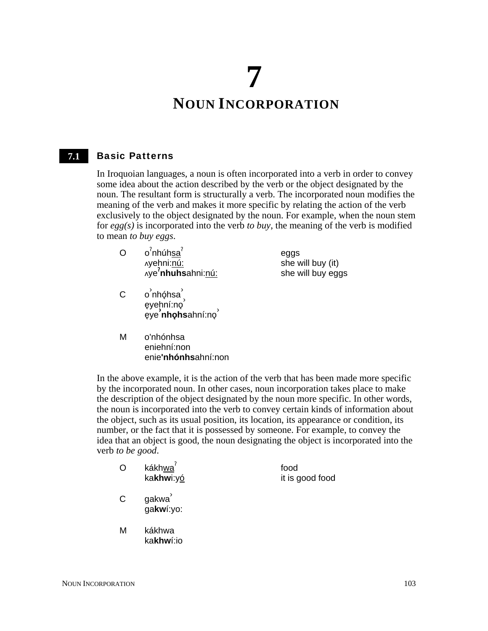# **7 NOUN INCORPORATION**

#### Basic Patterns **7.1**

In Iroquoian languages, a noun is often incorporated into a verb in order to convey some idea about the action described by the verb or the object designated by the noun. The resultant form is structurally a verb. The incorporated noun modifies the meaning of the verb and makes it more specific by relating the action of the verb exclusively to the object designated by the noun. For example, when the noun stem for *egg(s)* is incorporated into the verb *to buy*, the meaning of the verb is modified to mean *to buy eggs*.

- O o<sup>?</sup>nhúh<u>sa</u>? yehni:nú: <sub>^</sub>ye**'nhuhs**ahni:<u>nú:</u> eggs
- C o<sup>'</sup>nhóhsa<sup>'</sup> o mięnsa ,<br>ęyeḥní:no <sup>e</sup>3ye**› nho**3 **hs**ahní:no3 ›
- she will buy (it) she will buy eggs

M o'nhónhsa eniehní:non enie**'nhónhs**ahní:non

In the above example, it is the action of the verb that has been made more specific by the incorporated noun. In other cases, noun incorporation takes place to make the description of the object designated by the noun more specific. In other words, the noun is incorporated into the verb to convey certain kinds of information about the object, such as its usual position, its location, its appearance or condition, its number, or the fact that it is possessed by someone. For example, to convey the idea that an object is good, the noun designating the object is incorporated into the verb *to be good*.

|   | kákhwa <sup>7</sup><br>kakhwi:yó | food<br>it is good food |
|---|----------------------------------|-------------------------|
| C | gakwa<br>gakwí:yo:               |                         |
| м | kákhwa<br>kakhwí:io              |                         |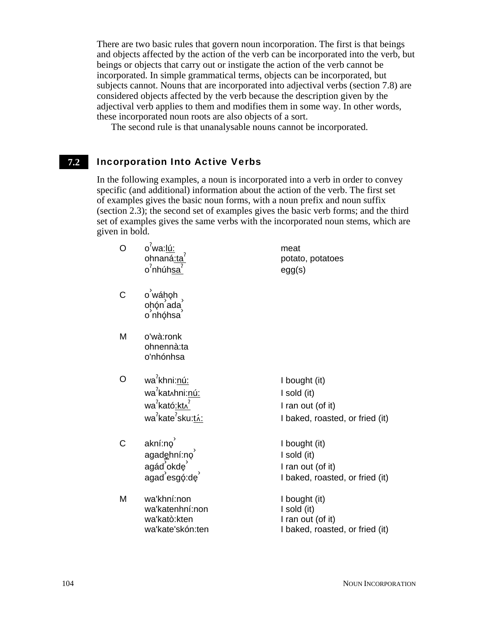There are two basic rules that govern noun incorporation. The first is that beings and objects affected by the action of the verb can be incorporated into the verb, but beings or objects that carry out or instigate the action of the verb cannot be incorporated. In simple grammatical terms, objects can be incorporated, but subjects cannot. Nouns that are incorporated into adjectival verbs (section 7.8) are considered objects affected by the verb because the description given by the adjectival verb applies to them and modifies them in some way. In other words, these incorporated noun roots are also objects of a sort.

The second rule is that unanalysable nouns cannot be incorporated.

#### Incorporation Into Active Verbs **7.2**

In the following examples, a noun is incorporated into a verb in order to convey specific (and additional) information about the action of the verb. The first set of examples gives the basic noun forms, with a noun prefix and noun suffix (section 2.3); the second set of examples gives the basic verb forms; and the third set of examples gives the same verbs with the incorporated noun stems, which are given in bold.

| O | o <sup>′</sup> wa: <u>lú:</u><br>ohnaná <u>:ta</u> ʻ<br>o <sup>?</sup> nhúh <u>sa</u>                                                            | meat<br>potato, potatoes<br>egg(s)                                                   |
|---|--------------------------------------------------------------------------------------------------------------------------------------------------|--------------------------------------------------------------------------------------|
| С | o wáhoh<br>ohón ada<br>o nhóhsa                                                                                                                  |                                                                                      |
| М | o'wà:ronk<br>ohnennà:ta<br>o'nhónhsa                                                                                                             |                                                                                      |
| O | wa <sup>7</sup> khni:nú:<br>wa <sup>′</sup> kat∧hni: <u>nú:</u><br>wa <sup>7</sup> kató <u>:kt^</u><br>wa <sup>2</sup> kate <sup>2</sup> sku:tá: | I bought (it)<br>I sold (it)<br>I ran out (of it)<br>I baked, roasted, or fried (it) |
| C | akní:no<br>agadehní:no<br>agád okdę<br>agad esgó:de                                                                                              | I bought (it)<br>I sold (it)<br>I ran out (of it)<br>I baked, roasted, or fried (it) |
| Μ | wa'khní:non<br>wa'katenhní:non<br>wa'katò:kten<br>wa'kate'skón:ten                                                                               | I bought (it)<br>I sold (it)<br>I ran out (of it)<br>I baked, roasted, or fried (it) |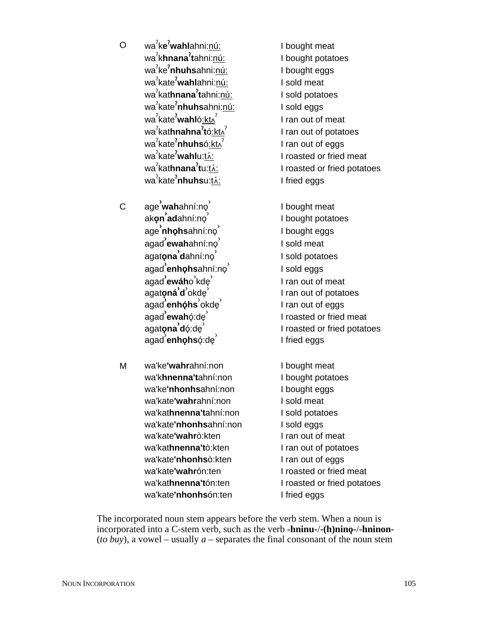O wa<sup>ʔ</sup>k**e<sup>ʔ</sup>wahl**ahni:<u>nú:</u> wa § k**hnana**§ **t**ahni:nú: wa<sup>?</sup>ke**<sup>?</sup>nhuhs**ahni:<u>nú:</u> wa<sup>ʔ</sup>kate**ˀwahl**ahni:<u>nú:</u> wa<sup>?</sup>kat**hnana<sup>?</sup>t**ahni:<u>nú:</u> wa<sup>ʔ</sup>kate**ˀnhuhs**ahni:<u>nú:</u> wa<sup>ʔ</sup>kate**ˀwahl**ó<u>:ktʌ</u>ˀ wa<sup>?</sup>kat**hnahna<sup>?</sup>t**ó<u>:ktʌ</u><sup>?</sup> wa<sup>ʔ</sup>kate**ˀnhuhs**ó<u>ːktʌ</u>ˀ wa<sup>ʔ</sup>kate**ˀwahl**u:<u>tʌ́:</u> wa<sup>ʔ</sup>kat**hnana<sup>ʔ</sup>t**u:<u>tʌ́:</u> wa<sup>?</sup>kate**<sup>?</sup>nhuhs**u:<u>tʌ́:</u>

C age<sup>ʾ</sup>**wah**ahní:no<sup>ʾ</sup> م<br>ak**o̯nʾad**ahní:no<sup>ʾ</sup> .<br>`ageʾ**nhọhs**ahní:no .<br>`agadʾ**ewah**ahní:no .<br>`agat**o̯naʾd**ahní:no .<br>| agad **enho̞hs**ahní:no agad **ʾewáh**o <sup>ʾ</sup>kdę ʾ agat**o**<sup>3</sup> **ná› d** › okde3 › agad **enhóhs** okde **agad ˈewah**ǫ́ːde̯ ˈ agat**ona d**ó:de معند بندي.<br>agad **enho̞hs**ǫ́ːdeʾ

M wa'ke**'wahr**ahní:non wa'k**hnenna't**ahní:non wa'ke**'nhonhs**ahní:non wa'kate**'wahr**ahní:non wa'kat**hnenna't**ahní:non wa'kate**'nhonhs**ahní:non wa'kate**'wahr**ò:kten wa'kat**hnenna't**ò:kten wa'kate**'nhonhs**ò:kten wa'kate**'wahr**ón:ten wa'kat**hnenna't**ón:ten wa'kate**'nhonhs**ón:ten

I bought meat I bought potatoes I bought eggs I sold meat I sold potatoes I sold eggs I ran out of meat I ran out of potatoes I ran out of eggs I roasted or fried meat I roasted or fried potatoes I fried eggs

I bought meat I bought potatoes I bought eggs I sold meat I sold potatoes I sold eggs I ran out of meat I ran out of potatoes I ran out of eggs I roasted or fried meat I roasted or fried potatoes I fried eggs

I bought meat I bought potatoes I bought eggs I sold meat I sold potatoes I sold eggs I ran out of meat I ran out of potatoes I ran out of eggs I roasted or fried meat I roasted or fried potatoes I fried eggs

The incorporated noun stem appears before the verb stem. When a noun is incorporated into a C-stem verb, such as the verb **-hninu-/-(h)nino-/-hninon-**(*to buy*), a vowel – usually *a* – separates the final consonant of the noun stem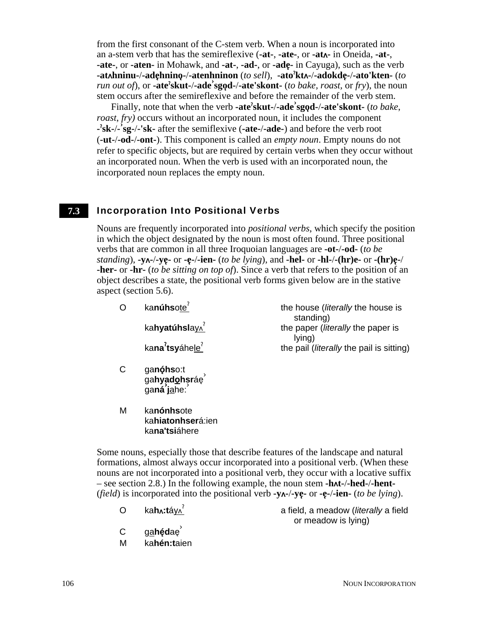from the first consonant of the C-stem verb. When a noun is incorporated into an a-stem verb that has the semireflexive (**-at-**, **-ate-**, or **-at-** in Oneida, **-at-**, **-ate-**, or **-aten-** in Mohawk, and **-at-**, **-ad-**, or **-ade-** in Cayuga), such as the verb **-athninu-**/**-ade**3**hnino**3**-**/**-atenhninon** (*to sell*), **-ato**§ **kt-**/**-adokde**3**-**/**-ato'kten-** (*to run out of*), or **-ate**§ **skut-**/**-ade› sgo**3**d-**/**-ate'skont-** (*to bake, roast,* or *fry*), the noun stem occurs after the semireflexive and before the remainder of the verb stem.

Finally, note that when the verb **-ate**§ **skut-**/**-ade› sgo**3**d-**/**-ate'skont-** (*to bake*, *roast*, *fry)* occurs without an incorporated noun, it includes the component **-** § **sk-**/**- › sg-**/**-'sk-** after the semiflexive (**-ate-**/**-ade-**) and before the verb root (**-ut-**/**-od-**/**-ont-**). This component is called an *empty noun*. Empty nouns do not refer to specific objects, but are required by certain verbs when they occur without an incorporated noun. When the verb is used with an incorporated noun, the incorporated noun replaces the empty noun.

#### Incorporation Into Positional Verbs **7.3**

Nouns are frequently incorporated into *positional verbs*, which specify the position in which the object designated by the noun is most often found. Three positional verbs that are common in all three Iroquoian languages are **-ot-**/**-od-** (*to be standing*),  $-\mathbf{y}$ **-** $\mathbf{y}$ **-** $\mathbf{y}$ **e**- $\mathbf{y}$ **e-** $\mathbf{y}$ **ien-** (*to be lying*), and **-hel-** or **-hl-** $\mathbf{y}$ **(hr)e-** or **-(hr)e**<sup>- $\mathbf{y}$ </sup> **-her-** or **-hr-** (*to be sitting on top of*). Since a verb that refers to the position of an object describes a state, the positional verb forms given below are in the stative aspect (section 5.6).

|   | kanúhsote <sup>?</sup>                                    | the house ( <i>literally</i> the house is<br>standing) |
|---|-----------------------------------------------------------|--------------------------------------------------------|
|   | kahyatúhslay^                                             | the paper (literally the paper is<br>lying)            |
|   | kana'tsyáhele <sup>7</sup>                                | the pail ( <i>literally</i> the pail is sitting)       |
| C | ga <b>nóhs</b> o:t<br>ga <b>hyadohsr</b> áe<br>ganá jahe: |                                                        |

M ka**nónhs**ote ka**hiatonhser**á:ien ka**na'tsi**áhere

Some nouns, especially those that describe features of the landscape and natural formations, almost always occur incorporated into a positional verb. (When these nouns are not incorporated into a positional verb, they occur with a locative suffix – see section 2.8.) In the following example, the noun stem **-ht-**/**-hed-**/**-hent-** *(field)* is incorporated into the positional verb  $-\mathbf{y}$  $\wedge$  $-\mathbf{y}$  $\mathbf{y}$  $\wedge$  $-\mathbf{y}$  $\mathbf{y}$  $\wedge$  $-\mathbf{y}$  $\mathbf{y}$  $\wedge$  $-\mathbf{y}$  $\mathbf{y}$  $\wedge$  $-\mathbf{y}$  $\mathbf{y}$  $\wedge$  $-\mathbf{y}$  $\mathbf{y}$  $\wedge$  $-\mathbf{y}$  $\mathbf{y}$  $\wedge$  $-\mathbf{y}$ 

O ka**h:t**áy

§ a field, a meadow (*literally* a field or meadow is lying)

- C g<u>a</u>hédae<sup>'</sup>
- M ka**hén:t**aien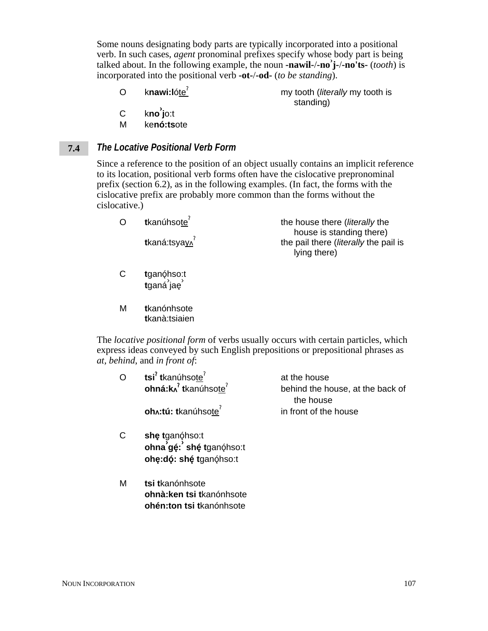Some nouns designating body parts are typically incorporated into a positional verb. In such cases, *agent* pronominal prefixes specify whose body part is being talked about. In the following example, the noun **-nawil-**/**-no› j-**/**-no'ts-** (*tooth*) is incorporated into the positional verb **-ot-**/**-od-** (*to be standing*).

- O knawi:lóte<sup>?</sup> my tooth (*literally* my tooth is standing)
- C k**no› j**o:t
- M ke**nó:ts**ote

### *The Locative Positional Verb Form* **7.4**

Since a reference to the position of an object usually contains an implicit reference to its location, positional verb forms often have the cislocative prepronominal prefix (section 6.2), as in the following examples. (In fact, the forms with the cislocative prefix are probably more common than the forms without the cislocative.)

| O | tkanúhsote <sup>7</sup><br>tkaná:tsyay^ | the house there ( <i>literally</i> the<br>house is standing there) |
|---|-----------------------------------------|--------------------------------------------------------------------|
|   |                                         | the pail there ( <i>literally</i> the pail is<br>lying there)      |
|   |                                         |                                                                    |

- C tganóhso:t •ana;;•••;<br>**t**ganá jaę
- M **t**kanónhsote **t**kanà:tsiaien

The *locative positional form* of verbs usually occurs with certain particles, which express ideas conveyed by such English prepositions or prepositional phrases as *at, behind*, and *in front of*:

| O | tsi <sup>?</sup> tkanúhsote <sup>?</sup><br>ohná: $k_A$ <sup>?</sup> tkanúhsote <sup>?</sup> | at the house<br>behind the house, at the back of |
|---|----------------------------------------------------------------------------------------------|--------------------------------------------------|
|   |                                                                                              | the house                                        |
|   | oh <sub>n</sub> :tú: tkanúhsote <sup>7</sup>                                                 | in front of the house                            |
| С | she tganóhso:t<br>ohna gé: shé tganóhso:t                                                    |                                                  |
|   | ohę: dó: shé tganóh so: t                                                                    |                                                  |
| М | tsi tkanónhsote<br>ohnà: ken tsi tkanónhsote                                                 |                                                  |
|   | ohén:ton tsi tkanónhsote                                                                     |                                                  |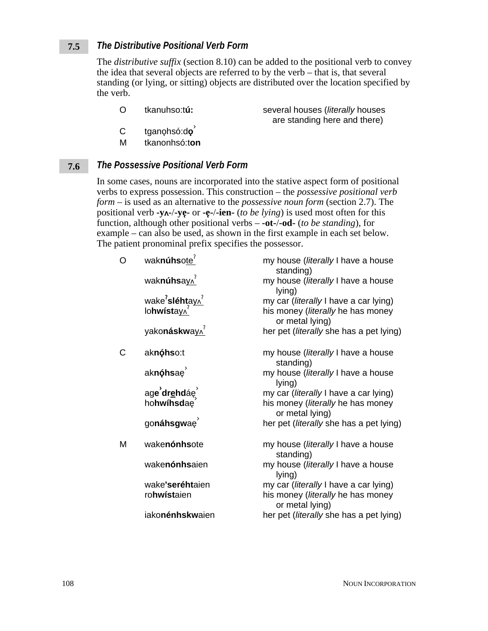### *The Distributive Positional Verb Form* **7.5**

The *distributive suffix* (section 8.10) can be added to the positional verb to convey the idea that several objects are referred to by the verb – that is, that several standing (or lying, or sitting) objects are distributed over the location specified by the verb.

are standing here and there)

- O tkanuhso:t**ú:** several houses (*literally* houses
- C tganǫhsó:d**o**<sup>`</sup>
- M tkanonhsó:t**on**

### *The Possessive Positional Verb Form* **7.6**

In some cases, nouns are incorporated into the stative aspect form of positional verbs to express possession. This construction – the *possessive positional verb form* – is used as an alternative to the *possessive noun form* (section 2.7). The positional verb **-y-**/**-ye**3**-** or **-e**3**-**/**-ien-** (*to be lying*) is used most often for this function, although other positional verbs – **-ot-**/**-od-** (*to be standing*), for example – can also be used, as shown in the first example in each set below. The patient pronominal prefix specifies the possessor.

| O | waknúhsote <sup>?</sup>                                                | my house (literally I have a house<br>standing)      |
|---|------------------------------------------------------------------------|------------------------------------------------------|
|   | waknúhsay^                                                             | my house (literally I have a house<br>lying)         |
|   |                                                                        | my car (literally I have a car lying)                |
|   | wake <sup>2</sup> sléhta <u>y∧<sup>2</sup></u><br>lohwísta <u>y∧</u> 2 | his money (literally he has money<br>or metal lying) |
|   | yakonáskway^                                                           | her pet (literally she has a pet lying)              |
| Ć | aknóhso:t                                                              | my house (literally I have a house<br>standing)      |
|   | aknóhsae <sup>1</sup>                                                  | my house (literally I have a house<br>lying)         |
|   | age drehdáe                                                            | my car ( <i>literally</i> I have a car lying)        |
|   | hohwihsdae                                                             | his money (literally he has money<br>or metal lying) |
|   | gonáhsgwaę                                                             | her pet ( <i>literally</i> she has a pet lying)      |
| Μ | wakenónhsote                                                           | my house (literally I have a house<br>standing)      |
|   | wakenónhsaien                                                          | my house (literally I have a house<br>lying)         |
|   | wake'seréhtaien                                                        | my car ( <i>literally</i> I have a car lying)        |
|   | rohwístaien                                                            | his money (literally he has money<br>or metal lying) |
|   | iakonénhskwaien                                                        | her pet (literally she has a pet lying)              |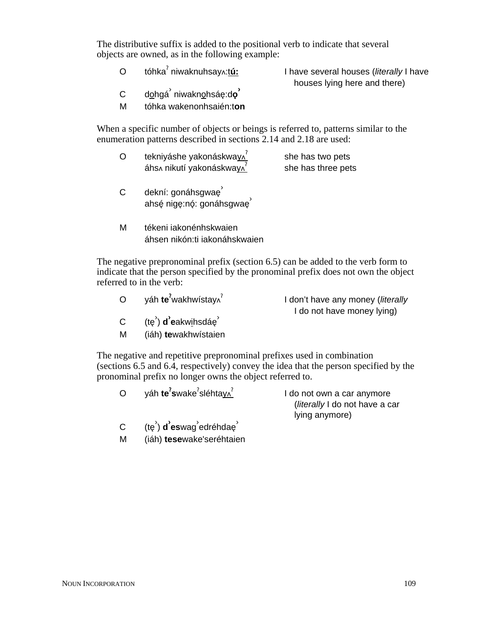The distributive suffix is added to the positional verb to indicate that several objects are owned, as in the following example:

 $\Omega$ tóhka§ niwaknuhsay:t**ú:** I have several houses (*literally* I have

houses lying here and there)

- C d<u>o</u>hgá<sup>ʾ</sup> niwakn<u>o</u>hsáę:d**o**ʾ
- M tóhka wakenonhsaién:t**on**

When a specific number of objects or beings is referred to, patterns similar to the enumeration patterns described in sections 2.14 and 2.18 are used:

- O tekniyáshe yakonáskwa<u>y∧</u><sup>?</sup> áhs∧ nikutí yakonáskwa<u>y∧<sup>?</sup></u> she has two pets she has three pets
- C dekní: gonáhsgwaę<sup>3</sup> ahsé nige:nó: gonáhsgwae<sup>3</sup>
- M tékeni iakonénhskwaien áhsen nikón:ti iakonáhskwaien

The negative prepronominal prefix (section 6.5) can be added to the verb form to indicate that the person specified by the pronominal prefix does not own the object referred to in the verb:

| $\overline{O}$    | yáh te <sup>?</sup> wakhwístay^                                              | I don't have any money ( <i>literally</i><br>I do not have money lying) |
|-------------------|------------------------------------------------------------------------------|-------------------------------------------------------------------------|
| $\mathsf{C}$<br>M | (te <sup>'</sup> ) <b>d</b> 'eakwihsdáe <sup>'</sup><br>(iáh) tewakhwístaien |                                                                         |

The negative and repetitive prepronominal prefixes used in combination (sections 6.5 and 6.4, respectively) convey the idea that the person specified by the pronominal prefix no longer owns the object referred to.

| O                         | yáh te <sup>7</sup> swake <sup>7</sup> sléhtay^                       | I do not own a car anymore     |
|---------------------------|-----------------------------------------------------------------------|--------------------------------|
|                           |                                                                       | (literally I do not have a car |
|                           |                                                                       | lying anymore)                 |
| $\mathsf{C}^{\mathsf{I}}$ | (te <sup>'</sup> ) <b>d</b> 'eswag <sup>'</sup> edréhdae <sup>'</sup> |                                |

M (iáh) **tese**wake'seréhtaien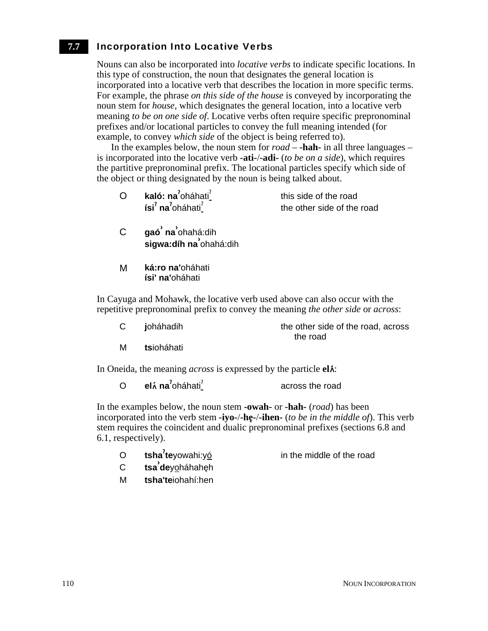### Incorporation Into Locative Verbs **7.7**

Nouns can also be incorporated into *locative verbs* to indicate specific locations. In this type of construction, the noun that designates the general location is incorporated into a locative verb that describes the location in more specific terms. For example, the phrase *on this side of the house* is conveyed by incorporating the noun stem for *house*, which designates the general location, into a locative verb meaning *to be on one side of*. Locative verbs often require specific prepronominal prefixes and/or locational particles to convey the full meaning intended (for example, to convey *which side* of the object is being referred to).

In the examples below, the noun stem for *road* – **-hah-** in all three languages – is incorporated into the locative verb **-ati-**/**-adi-** (*to be on a side*), which requires the partitive prepronominal prefix. The locational particles specify which side of the object or thing designated by the noun is being talked about.

| kaló: na <sup>2</sup> oháhati <sup>2</sup>            | this side of the road      |
|-------------------------------------------------------|----------------------------|
| ísi <sup>?</sup> na <sup>?</sup> oháhati <sup>?</sup> | the other side of the road |

- C **gaó› na›** ohahá:dih **sigwa:díh na›** ohahá:dih
- M **ká:ro na'**oháhati **ísi' na'**oháhati

In Cayuga and Mohawk, the locative verb used above can also occur with the repetitive prepronominal prefix to convey the meaning *the other side* or *across*:

| C | joháhadih | the other side of the road, across |  |
|---|-----------|------------------------------------|--|
|   |           | the road                           |  |

M **ts**ioháhati

In Oneida, the meaning *across* is expressed by the particle **el**.

| elá na $\text{a}$ oháhati $\text{a}$<br>$\circ$ | across the road |
|-------------------------------------------------|-----------------|
|-------------------------------------------------|-----------------|

In the examples below, the noun stem **-owah-** or **-hah-** (*road*) has been incorporated into the verb stem **-iyo-**/**-he**3**-**/**-ihen-** (*to be in the middle of*). This verb stem requires the coincident and dualic prepronominal prefixes (sections 6.8 and 6.1, respectively).

O tsha<sup>7</sup>teyowahi:yó

in the middle of the road

- <sup>C</sup> **tsa› de**yoháhahe3h
- M **tsha'te**iohahí:hen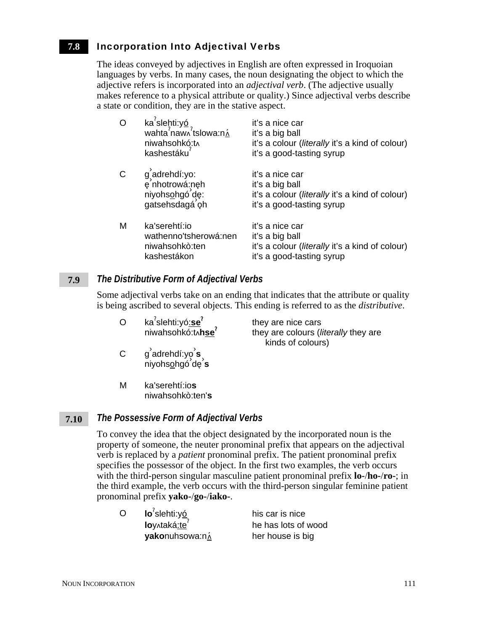### Incorporation Into Adjectival Verbs **7.8**

The ideas conveyed by adjectives in English are often expressed in Iroquoian languages by verbs. In many cases, the noun designating the object to which the adjective refers is incorporated into an *adjectival verb*. (The adjective usually makes reference to a physical attribute or quality.) Since adjectival verbs describe a state or condition, they are in the stative aspect.

| O | ka <sup>7</sup> slehti:yó<br>wahta <sup>2</sup> naw <sub>1</sub> <sup>2</sup> tslowa:n $\hat{\lambda}$<br>niwahsohkó:t^<br>kashestáku | it's a nice car<br>it's a big ball<br>it's a colour (literally it's a kind of colour)<br>it's a good-tasting syrup         |
|---|---------------------------------------------------------------------------------------------------------------------------------------|----------------------------------------------------------------------------------------------------------------------------|
| C | g adrehdí: yo:<br>e nhotrowá:neh<br>niyohsohgó de:<br>gatsehsdagá oh                                                                  | it's a nice car<br>it's a big ball<br>it's a colour ( <i>literally</i> it's a kind of colour)<br>it's a good-tasting syrup |
| M | ka'serehtí:io<br>wathenno'tsherowá:nen<br>niwahsohkò:ten<br>kashestákon                                                               | it's a nice car<br>it's a big ball<br>it's a colour ( <i>literally</i> it's a kind of colour)<br>it's a good-tasting syrup |

### *The Distributive Form of Adjectival Verbs* **7.9**

Some adjectival verbs take on an ending that indicates that the attribute or quality is being ascribed to several objects. This ending is referred to as the *distributive*.

they are colours (*literally* they are

kinds of colours)

- O ka§ slehti:yó:**se**§ ka<sup>'</sup>slehti:yó<u>:se</u><sup>'</sup> they are nice cars<br>niwahsohkó:tʌh<u>se</u><sup>?</sup> they are colours (*l*
- C g› adrehdí:yo› **s** adienar.ye د alchdó de s<br>Aiyohs<u>o</u>hgó de s
- M ka'serehtí:io**s** niwahsohkò:ten'**s**

### *The Possessive Form of Adjectival Verbs* **7.10**

To convey the idea that the object designated by the incorporated noun is the property of someone, the neuter pronominal prefix that appears on the adjectival verb is replaced by a *patient* pronominal prefix. The patient pronominal prefix specifies the possessor of the object. In the first two examples, the verb occurs with the third-person singular masculine patient pronominal prefix **lo-**/**ho-**/**ro-**; in the third example, the verb occurs with the third-person singular feminine patient pronominal prefix **yako-**/**go-**/**iako-**.

| Ō | $Io7$ slehti:yó | his car is nice     |
|---|-----------------|---------------------|
|   | loy^taká:te     | he has lots of wood |
|   | yakonuhsowa:ná  | her house is big    |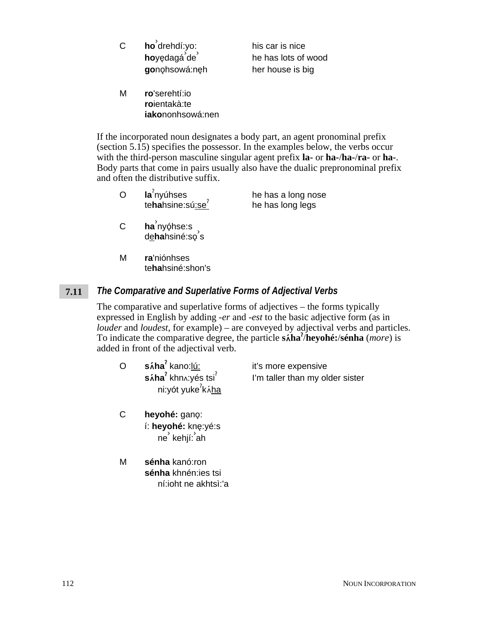| С | ho drehdí:yo: |
|---|---------------|
|   | hoyędagá de   |
|   | gonohsowá:neh |

his car is nice he has lots of wood her house is big

M **ro**'serehtí:io **ro**ientakà:te **iako**nonhsowá:nen

If the incorporated noun designates a body part, an agent pronominal prefix (section 5.15) specifies the possessor. In the examples below, the verbs occur with the third-person masculine singular agent prefix **la-** or **ha-**/**ha-**/**ra-** or **ha-**. Body parts that come in pairs usually also have the dualic prepronominal prefix and often the distributive suffix.

- O **la**§ nyúhses **teha**hsine:sú<u>:se</u><sup>?</sup> he has a long nose<br>te**ha**hsine:sú<u>:se</u><sup>?</sup> he has long legs he has long legs
- C **ha**<sup>'</sup>nyǫhse:s na nyenos.s<br>d<u>e</u>hahsiné:so<sup>'</sup>s
- M **ra**'niónhses te**ha**hsiné:shon's

### *The Comparative and Superlative Forms of Adjectival Verbs* **7.11**

The comparative and superlative forms of adjectives – the forms typically expressed in English by adding *-er* and *-est* to the basic adjective form (as in *louder* and *loudest*, for example) – are conveyed by adjectival verbs and particles. To indicate the comparative degree, the particle **s**t**ha**§ /**heyohé:**/**sénha** (*more*) is added in front of the adjectival verb.

| Ō | sáha <sup>?</sup> kano:lú:           | it's more expensive             |
|---|--------------------------------------|---------------------------------|
|   | $\sin^2$ khn x: yés tsi <sup>?</sup> | I'm taller than my older sister |
|   | ni:yót yuke <sup>?</sup> káha        |                                 |

- C heyohé: gano: í: **heyohé:** kne3:yé:s ne<sup>ʾ</sup> kehjí: ah
- M **sénha** kanó:ron **sénha** khnén:ies tsi ní:ioht ne akhtsì:'a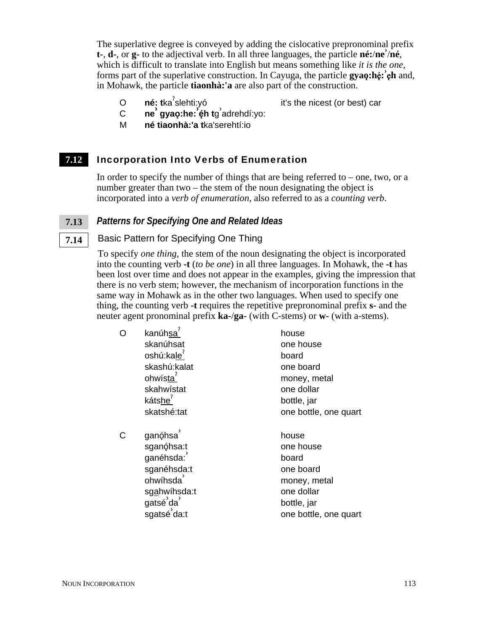The superlative degree is conveyed by adding the cislocative prepronominal prefix **t-**, **d-**, or **g-** to the adjectival verb. In all three languages, the particle **né:**/**ne›** /**né**, which is difficult to translate into English but means something like *it is the one*, forms part of the superlative construction. In Cayuga, the particle **gyao**:heternal, in Mohawk, the particle **tiaonhà:'a** are also part of the construction.

O né: tka<sup>7</sup>slehti:yó

- it's the nicest (or best) car
- <sup>C</sup> **ne› gyao**<sup>3</sup> **:he:› é**3**h t**g › adrehdí:yo:
- M **né tiaonhà:'a t**ka'serehtí:io

### Incorporation Into Verbs of Enumeration **7.12**

In order to specify the number of things that are being referred to – one, two, or a number greater than two – the stem of the noun designating the object is incorporated into a *verb of enumeration*, also referred to as a *counting verb*.

### *Patterns for Specifying One and Related Ideas* **7.13**

Basic Pattern for Specifying One Thing

To specify *one thing*, the stem of the noun designating the object is incorporated into the counting verb **-t** (*to be one*) in all three languages. In Mohawk, the **-t** has been lost over time and does not appear in the examples, giving the impression that there is no verb stem; however, the mechanism of incorporation functions in the same way in Mohawk as in the other two languages. When used to specify one thing, the counting verb **-t** requires the repetitive prepronominal prefix **s-** and the neuter agent pronominal prefix **ka-**/**ga-** (with C-stems) or **w-** (with a-stems).

| O | kanúhsa <sup>'</sup>   | house                 |
|---|------------------------|-----------------------|
|   | skanúhsat              | one house             |
|   | oshú:kale <sup>7</sup> | board                 |
|   | skashú:kalat           | one board             |
|   | ohwísta <sup>r</sup>   | money, metal          |
|   | skahwístat             | one dollar            |
|   | kátshe <sup>7</sup>    | bottle, jar           |
|   | skatshé:tat            | one bottle, one quart |
| Ć | ganóhsa                | house                 |
|   | sganóhsa:t             | one house             |
|   | ganéhsda:              | board                 |
|   | sganéhsda:t            | one board             |
|   | ohwíhsda               | money, metal          |
|   | sgahwíhsda:t           | one dollar            |
|   | gatsé da               | bottle, jar           |
|   | sgatsé da:t            | one bottle, one quart |

**7.14**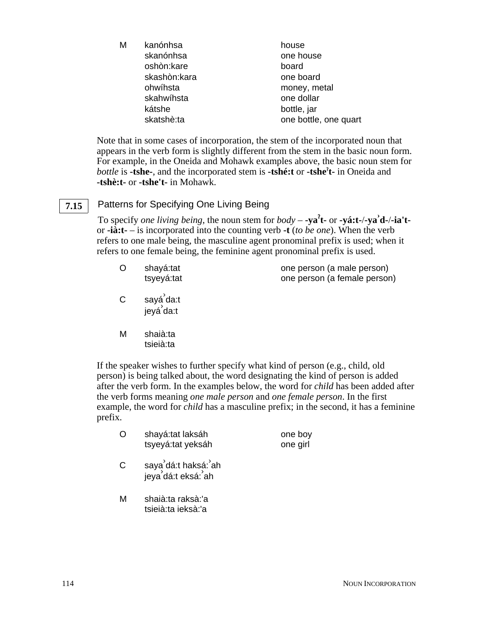| skanónhsa<br>one house     |                       |
|----------------------------|-----------------------|
|                            |                       |
| oshòn:kare<br>board        |                       |
| skashòn: kara<br>one board |                       |
| ohwíhsta<br>money, metal   |                       |
| one dollar<br>skahwíhsta   |                       |
| kátshe<br>bottle, jar      |                       |
| skatshè:ta                 | one bottle, one quart |

Note that in some cases of incorporation, the stem of the incorporated noun that appears in the verb form is slightly different from the stem in the basic noun form. For example, in the Oneida and Mohawk examples above, the basic noun stem for *bottle* is **-tshe-**, and the incorporated stem is **-tshé:t** or **-tshe**§ **t-** in Oneida and **-tshè:t-** or **-tshe't-** in Mohawk.

## **7.15**

## Patterns for Specifying One Living Being

To specify *one living being*, the noun stem for *body* – **-ya<sup>?</sup>t** - or **-yá:t-/-ya<sup>?</sup>d-/-ia't**or **-ià:t-** – is incorporated into the counting verb **-t** (*to be one*). When the verb refers to one male being, the masculine agent pronominal prefix is used; when it refers to one female being, the feminine agent pronominal prefix is used.

| shayá:tat  | one person (a male person)   |
|------------|------------------------------|
| tsyeyá:tat | one person (a female person) |

- C sayá<sup>ʾ</sup>da:t jeyá› da:t
- M shaià:ta tsieià:ta

If the speaker wishes to further specify what kind of person (e.g., child, old person) is being talked about, the word designating the kind of person is added after the verb form. In the examples below, the word for *child* has been added after the verb forms meaning *one male person* and *one female person*. In the first example, the word for *child* has a masculine prefix; in the second, it has a feminine prefix.

| O | shayá:tat laksáh  | one boy  |
|---|-------------------|----------|
|   | tsyeyá:tat yeksáh | one girl |

- C saya dá:t haksá: ah jeya› dá:t eksá:› ah
- M shaià:ta raksà:'a tsieià:ta ieksà:'a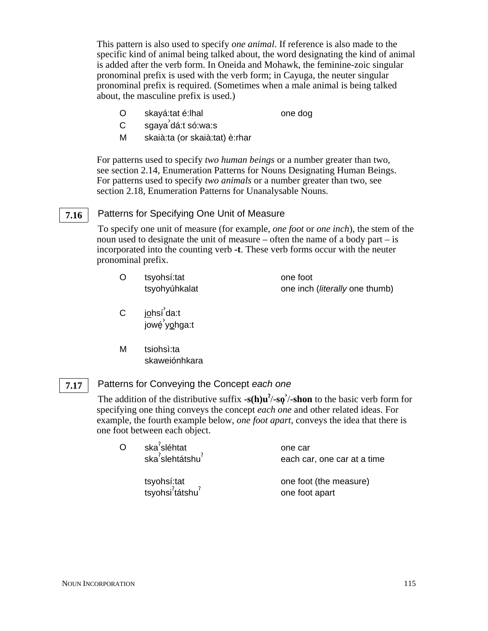This pattern is also used to specify *one animal*. If reference is also made to the specific kind of animal being talked about, the word designating the kind of animal is added after the verb form. In Oneida and Mohawk, the feminine-zoic singular pronominal prefix is used with the verb form; in Cayuga, the neuter singular pronominal prefix is required. (Sometimes when a male animal is being talked about, the masculine prefix is used.)

O skayá:tat é:lhal one dog

- C sgaya› dá:t só:wa:s
- M skaià:ta (or skaià:tat) è:rhar

For patterns used to specify *two human beings* or a number greater than two, see section 2.14, Enumeration Patterns for Nouns Designating Human Beings. For patterns used to specify *two animals* or a number greater than two, see section 2.18, Enumeration Patterns for Unanalysable Nouns.

### Patterns for Specifying One Unit of Measure **7.16**

To specify one unit of measure (for example, *one foot* or *one inch*), the stem of the noun used to designate the unit of measure – often the name of a body part – is incorporated into the counting verb **-t**. These verb forms occur with the neuter pronominal prefix.

| tsyohsí:tat   | one foot                               |
|---------------|----------------------------------------|
| tsyohyúhkalat | one inch ( <i>literally</i> one thumb) |

- C <u>jo</u>hsí da:t jowé3 › yo3hga:t
- M tsiohsì:ta skaweiónhkara

### Patterns for Conveying the Concept *each one* **7.17**

The addition of the distributive suffix  $-s(h)u^2$ / $-sq^2/s$  hon to the basic verb form for specifying one thing conveys the concept *each one* and other related ideas. For example, the fourth example below, *one foot apart*, conveys the idea that there is one foot between each object.

| ska <sup>2</sup> sléhtat                 | one car                     |
|------------------------------------------|-----------------------------|
| ska <sup>2</sup> slehtátshu <sup>2</sup> | each car, one car at a time |
| tsyohsí:tat                              | one foot (the measure)      |
| tsyohsi <sup>?</sup> tátshu <sup>?</sup> | one foot apart              |

 $\overline{O}$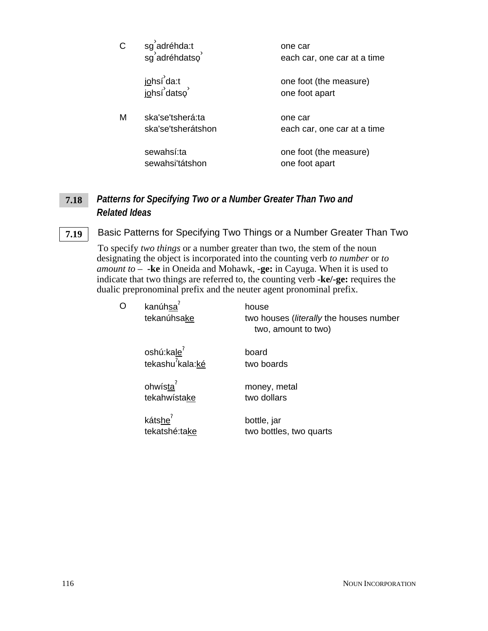|   | sg <sup>'</sup> adréhda:t<br>sg <sup>'</sup> adréhdatso | one car<br>each car, one car at a time   |
|---|---------------------------------------------------------|------------------------------------------|
|   | j <u>o</u> hsí da:t<br>j <u>o</u> hsí datso             | one foot (the measure)<br>one foot apart |
| м | ska'se'tsherá:ta<br>ska'se'tsherátshon                  | one car<br>each car, one car at a time   |
|   | sewahsí:ta<br>sewahsi'tátshon                           | one foot (the measure)<br>one foot apart |

### *Patterns for Specifying Two or a Number Greater Than Two and Related Ideas* **7.18**

### Basic Patterns for Specifying Two Things or a Number Greater Than Two **7.19**

To specify *two things* or a number greater than two, the stem of the noun designating the object is incorporated into the counting verb *to number* or *to amount to* – **-ke** in Oneida and Mohawk, **-ge:** in Cayuga. When it is used to indicate that two things are referred to, the counting verb **-ke/-ge:** requires the dualic prepronominal prefix and the neuter agent pronominal prefix.

| O | kanúhsa <sup>7</sup><br>tekanúhsake                        | house<br>two houses ( <i>literally</i> the houses number<br>two, amount to two) |
|---|------------------------------------------------------------|---------------------------------------------------------------------------------|
|   | oshú: $k$ ale <sup>7</sup><br>tekashu $\sqrt[7]{k}$ ala:ké | board<br>two boards                                                             |
|   | ohwísta <sup>'</sup><br>tekahwistake                       | money, metal<br>two dollars                                                     |
|   | kátshe <sup>7</sup><br>tekatshé:take                       | bottle, jar<br>two bottles, two quarts                                          |
|   |                                                            |                                                                                 |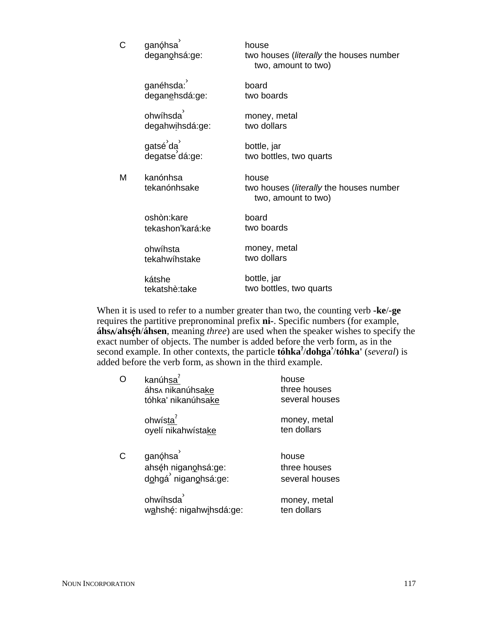| C | ganóhsa<br>deganohsá:ge:                 | house<br>two houses (literally the houses number<br>two, amount to two) |
|---|------------------------------------------|-------------------------------------------------------------------------|
|   | ganéhsda:<br>deganehsdá:ge:              | board<br>two boards                                                     |
|   | ohwíhsda <sup>'</sup><br>degahwihsdá:ge: | money, metal<br>two dollars                                             |
|   | gatsé da<br>degatse dá:ge:               | bottle, jar<br>two bottles, two quarts                                  |
| м | kanónhsa<br>tekanónhsake                 | house<br>two houses (literally the houses number<br>two, amount to two) |
|   | oshòn:kare<br>tekashon'kará:ke           | board<br>two boards                                                     |
|   | ohwíhsta<br>tekahwíhstake                | money, metal<br>two dollars                                             |
|   | kátshe<br>tekatshè:take                  | bottle, jar<br>two bottles, two quarts                                  |

When it is used to refer to a number greater than two, the counting verb **-ke**/**-ge** requires the partitive prepronominal prefix **ni-**. Specific numbers (for example, **áhs** $\sqrt{\text{abs}}$ **h**/**áhsen**, meaning *three*) are used when the speaker wishes to specify the exact number of objects. The number is added before the verb form, as in the second example. In other contexts, the particle **tóhka**§ /**dohga›** /**tóhka'** (*several*) is added before the verb form, as shown in the third example.

| റ | kanúhsa <sup>7</sup><br>áhs^ nikanúhsake<br>tóhka' nikanúhsake     | house<br>three houses<br>several houses |
|---|--------------------------------------------------------------------|-----------------------------------------|
|   | ohwísta <sup>7</sup><br>oyelí nikahwístake                         | money, metal<br>ten dollars             |
| Ć | ganóhsa <sup>1</sup><br>ahséh niganohsá:ge:<br>dohgá niganohsá:ge: | house<br>three houses<br>several houses |
|   | ohwíhsda<br>wahshé: nigahwihsdá:ge:                                | money, metal<br>ten dollars             |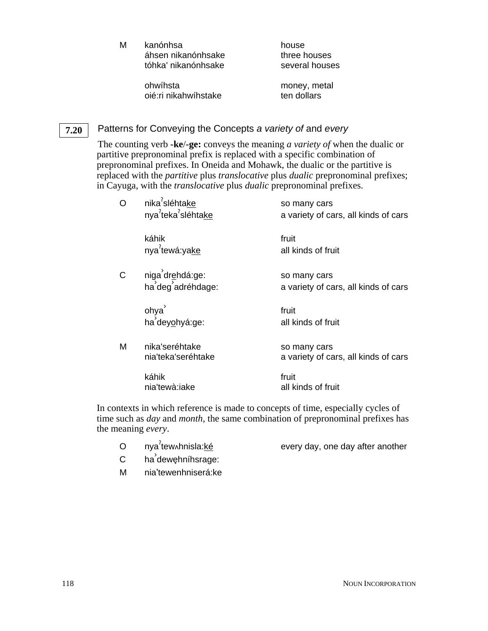M kanónhsa áhsen nikanónhsake tóhka' nikanónhsake

house three houses several houses

ohwíhsta oié:ri nikahwíhstake money, metal ten dollars

### Patterns for Conveying the Concepts *a variety of* and *every* **7.20**

The counting verb **-ke**/**-ge:** conveys the meaning *a variety of* when the dualic or partitive prepronominal prefix is replaced with a specific combination of prepronominal prefixes. In Oneida and Mohawk, the dualic or the partitive is replaced with the *partitive* plus *translocative* plus *dualic* prepronominal prefixes; in Cayuga, with the *translocative* plus *dualic* prepronominal prefixes.

| O | nika <sup>2</sup> sléhtake<br>nya <sup>7</sup> teka <sup>7</sup> sléhtake | so many cars<br>a variety of cars, all kinds of cars |
|---|---------------------------------------------------------------------------|------------------------------------------------------|
|   | káhik<br>nya <sup>2</sup> tewá:yake                                       | fruit<br>all kinds of fruit                          |
| C | niga drehdá:ge:<br>ha deg adréhdage:                                      | so many cars<br>a variety of cars, all kinds of cars |
|   | ohya<br>ha deyohyá:ge:                                                    | fruit<br>all kinds of fruit                          |
| М | nika'seréhtake<br>nia'teka'seréhtake                                      | so many cars<br>a variety of cars, all kinds of cars |
|   | káhik<br>nia'tewà:iake                                                    | fruit<br>all kinds of fruit                          |

In contexts in which reference is made to concepts of time, especially cycles of time such as *day* and *month*, the same combination of prepronominal prefixes has the meaning *every*.

- O nya<sup>7</sup>tew<sub>^</sub>hnisla:ké
- every day, one day after another
- C ha<sup>'</sup>dewęhníhsrage:
- M nia'tewenhniserá:ke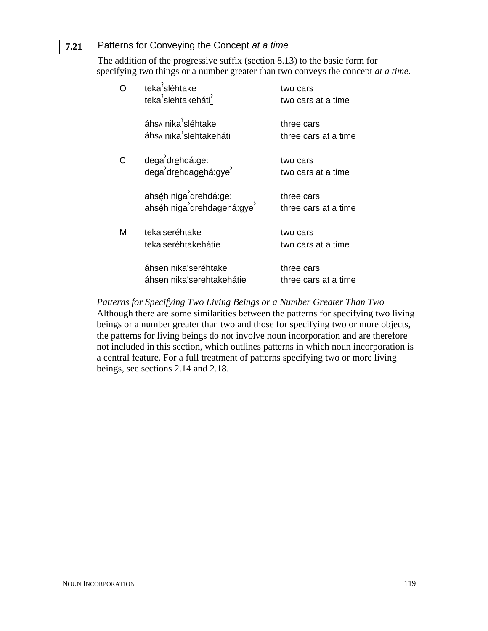### Patterns for Conveying the Concept *at a time* **7.21**

The addition of the progressive suffix (section 8.13) to the basic form for specifying two things or a number greater than two conveys the concept *at a time*.

| O | teka <sup>7</sup> sléhtake<br>teka <sup>2</sup> slehtakeháti <sup>2</sup> | two cars<br>two cars at a time     |
|---|---------------------------------------------------------------------------|------------------------------------|
|   | áhs∧ nika <sup>?</sup> sléhtake<br>áhs^ nika <sup>2</sup> slehtakeháti    | three cars<br>three cars at a time |
| C | dega dr <u>e</u> hdá:ge:<br>dega dr <u>e</u> hdag <u>e</u> há:gye         | two cars<br>two cars at a time     |
|   | ahséh niga drehdá:ge:<br>ahséh niga drehdagehá:qve                        | three cars<br>three cars at a time |
| М | teka'seréhtake<br>teka'seréhtakehátie                                     | two cars<br>two cars at a time     |
|   | áhsen nika'seréhtake<br>áhsen nika'serehtakehátie                         | three cars<br>three cars at a time |

*Patterns for Specifying Two Living Beings or a Number Greater Than Two* Although there are some similarities between the patterns for specifying two living beings or a number greater than two and those for specifying two or more objects, the patterns for living beings do not involve noun incorporation and are therefore not included in this section, which outlines patterns in which noun incorporation is a central feature. For a full treatment of patterns specifying two or more living beings, see sections 2.14 and 2.18.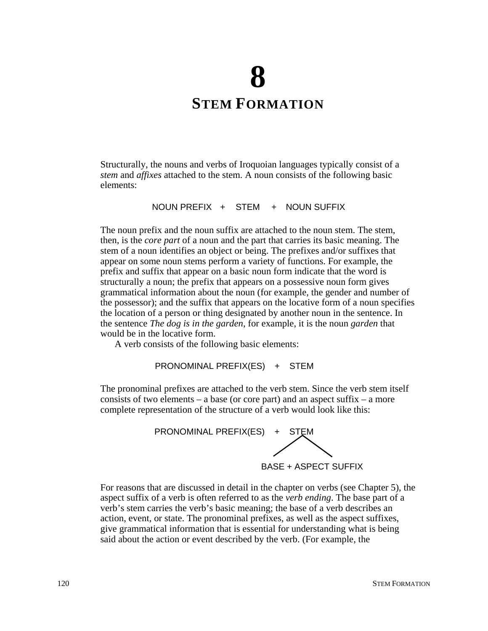# **8 STEM FORMATION**

Structurally, the nouns and verbs of Iroquoian languages typically consist of a *stem* and *affixes* attached to the stem. A noun consists of the following basic elements:

NOUN PREFIX + STEM + NOUN SUFFIX

The noun prefix and the noun suffix are attached to the noun stem. The stem, then, is the *core part* of a noun and the part that carries its basic meaning. The stem of a noun identifies an object or being. The prefixes and/or suffixes that appear on some noun stems perform a variety of functions. For example, the prefix and suffix that appear on a basic noun form indicate that the word is structurally a noun; the prefix that appears on a possessive noun form gives grammatical information about the noun (for example, the gender and number of the possessor); and the suffix that appears on the locative form of a noun specifies the location of a person or thing designated by another noun in the sentence. In the sentence *The dog is in the garden*, for example, it is the noun *garden* that would be in the locative form.

A verb consists of the following basic elements:

PRONOMINAL PREFIX(ES) + STEM

The pronominal prefixes are attached to the verb stem. Since the verb stem itself consists of two elements – a base (or core part) and an aspect suffix – a more complete representation of the structure of a verb would look like this:



BASE + ASPECT SUFFIX

For reasons that are discussed in detail in the chapter on verbs (see Chapter 5), the aspect suffix of a verb is often referred to as the *verb ending*. The base part of a verb's stem carries the verb's basic meaning; the base of a verb describes an action, event, or state. The pronominal prefixes, as well as the aspect suffixes, give grammatical information that is essential for understanding what is being said about the action or event described by the verb. (For example, the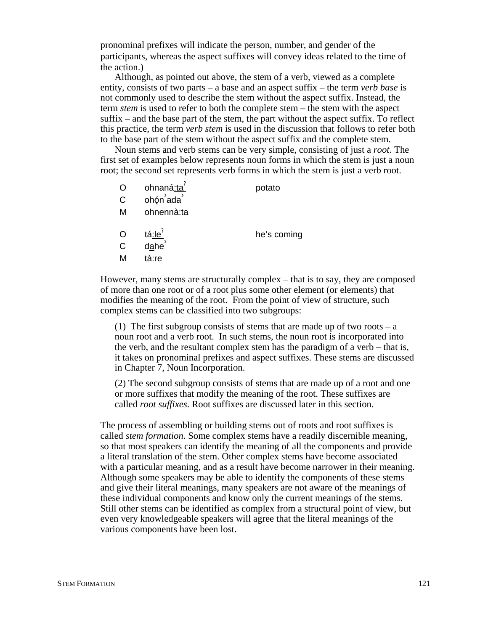pronominal prefixes will indicate the person, number, and gender of the participants, whereas the aspect suffixes will convey ideas related to the time of the action.)

Although, as pointed out above, the stem of a verb, viewed as a complete entity, consists of two parts – a base and an aspect suffix – the term *verb base* is not commonly used to describe the stem without the aspect suffix. Instead, the term *stem* is used to refer to both the complete stem – the stem with the aspect suffix – and the base part of the stem, the part without the aspect suffix. To reflect this practice, the term *verb stem* is used in the discussion that follows to refer both to the base part of the stem without the aspect suffix and the complete stem.

Noun stems and verb stems can be very simple, consisting of just a *root*. The first set of examples below represents noun forms in which the stem is just a noun root; the second set represents verb forms in which the stem is just a verb root.

| O                      | ohnaná:ta                                            | potato      |
|------------------------|------------------------------------------------------|-------------|
| C                      | ohón ada                                             |             |
| M                      | ohnennà:ta                                           |             |
| O<br>$\mathsf{C}$<br>М | tá <u>:le</u> <sup>7</sup><br>d <u>a</u> he<br>tà:re | he's coming |

However, many stems are structurally complex – that is to say, they are composed of more than one root or of a root plus some other element (or elements) that modifies the meaning of the root. From the point of view of structure, such complex stems can be classified into two subgroups:

(1) The first subgroup consists of stems that are made up of two roots – a noun root and a verb root. In such stems, the noun root is incorporated into the verb, and the resultant complex stem has the paradigm of a verb – that is, it takes on pronominal prefixes and aspect suffixes. These stems are discussed in Chapter 7, Noun Incorporation.

(2) The second subgroup consists of stems that are made up of a root and one or more suffixes that modify the meaning of the root. These suffixes are called *root suffixes*. Root suffixes are discussed later in this section.

The process of assembling or building stems out of roots and root suffixes is called *stem formation*. Some complex stems have a readily discernible meaning, so that most speakers can identify the meaning of all the components and provide a literal translation of the stem. Other complex stems have become associated with a particular meaning, and as a result have become narrower in their meaning. Although some speakers may be able to identify the components of these stems and give their literal meanings, many speakers are not aware of the meanings of these individual components and know only the current meanings of the stems. Still other stems can be identified as complex from a structural point of view, but even very knowledgeable speakers will agree that the literal meanings of the various components have been lost.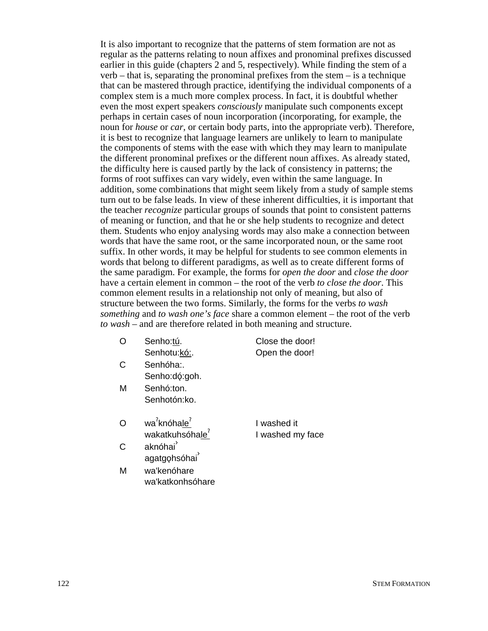It is also important to recognize that the patterns of stem formation are not as regular as the patterns relating to noun affixes and pronominal prefixes discussed earlier in this guide (chapters 2 and 5, respectively). While finding the stem of a verb – that is, separating the pronominal prefixes from the stem – is a technique that can be mastered through practice, identifying the individual components of a complex stem is a much more complex process. In fact, it is doubtful whether even the most expert speakers *consciously* manipulate such components except perhaps in certain cases of noun incorporation (incorporating, for example, the noun for *house* or *car*, or certain body parts, into the appropriate verb). Therefore, it is best to recognize that language learners are unlikely to learn to manipulate the components of stems with the ease with which they may learn to manipulate the different pronominal prefixes or the different noun affixes. As already stated, the difficulty here is caused partly by the lack of consistency in patterns; the forms of root suffixes can vary widely, even within the same language. In addition, some combinations that might seem likely from a study of sample stems turn out to be false leads. In view of these inherent difficulties, it is important that the teacher *recognize* particular groups of sounds that point to consistent patterns of meaning or function, and that he or she help students to recognize and detect them. Students who enjoy analysing words may also make a connection between words that have the same root, or the same incorporated noun, or the same root suffix. In other words, it may be helpful for students to see common elements in words that belong to different paradigms, as well as to create different forms of the same paradigm. For example, the forms for *open the door* and *close the door* have a certain element in common – the root of the verb *to close the door*. This common element results in a relationship not only of meaning, but also of structure between the two forms. Similarly, the forms for the verbs *to wash something* and *to wash one's face* share a common element – the root of the verb *to wash* – and are therefore related in both meaning and structure.

- O Senho:tú. Senhotu:kó:.
- C Senhóha:. Senho:dó:goh.
- M Senhó:ton. Senhotón:ko.
- O wa<sup>?</sup>knóha<u>le<sup>?</sup></u> wakatkuhsóhale<sup>(</sup>
- C aknóhai agatgohsóhai
- M wa'kenóhare wa'katkonhsóhare
- I washed it I washed my face

Close the door! Open the door!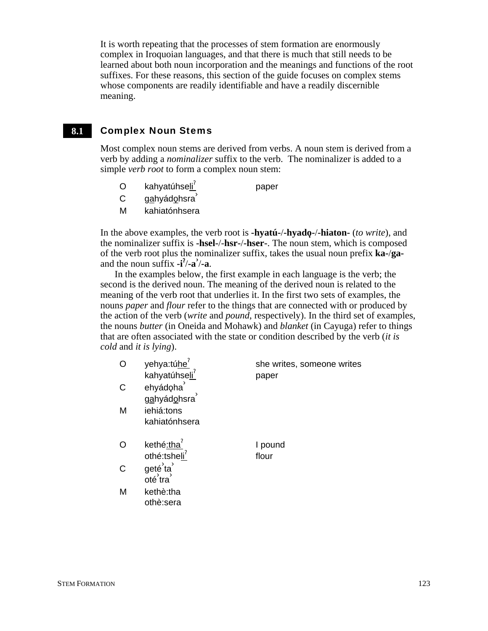It is worth repeating that the processes of stem formation are enormously complex in Iroquoian languages, and that there is much that still needs to be learned about both noun incorporation and the meanings and functions of the root suffixes. For these reasons, this section of the guide focuses on complex stems whose components are readily identifiable and have a readily discernible meaning.

### Complex Noun Stems **8.1**

Most complex noun stems are derived from verbs. A noun stem is derived from a verb by adding a *nominalizer* suffix to the verb. The nominalizer is added to a simple *verb root* to form a complex noun stem:

- O kahyatúhseli<sup>'</sup> paper
- C gahyádohsra<sup><sup>3</sup></sup>
- M kahiatónhsera

othè:sera

In the above examples, the verb root is **-hyatú-/-hyado-/-hiaton-** (*to write*), and the nominalizer suffix is **-hsel-**/-**hsr-**/**-hser-**. The noun stem, which is composed of the verb root plus the nominalizer suffix, takes the usual noun prefix **ka-**/**ga**and the noun suffix **-i**§ /**-a›** /**-a**.

In the examples below, the first example in each language is the verb; the second is the derived noun. The meaning of the derived noun is related to the meaning of the verb root that underlies it. In the first two sets of examples, the nouns *paper* and *flour* refer to the things that are connected with or produced by the action of the verb (*write* and *pound*, respectively). In the third set of examples, the nouns *butter* (in Oneida and Mohawk) and *blanket* (in Cayuga) refer to things that are often associated with the state or condition described by the verb (*it is cold* and *it is lying*).

|   | yehya:túhe'<br>kahyatúhseli <sup>?</sup> | she writes, someone writes<br>paper |
|---|------------------------------------------|-------------------------------------|
| C | ehyádoha<br>gahyádohsra                  |                                     |
| M | iehiá:tons<br>kahiatónhsera              |                                     |
|   | kethé:tha<br>othé:tsheli <sup>'</sup>    | I pound<br>flour                    |
| C | geté ta<br>oté tra                       |                                     |
| М | kethè:tha                                |                                     |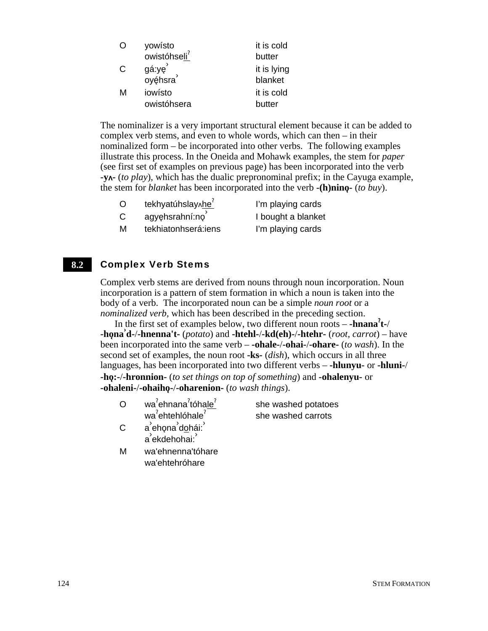| O | yowísto                  | it is cold  |
|---|--------------------------|-------------|
|   | owistóhseli <sup>7</sup> | butter      |
| C | gá:ye                    | it is lying |
|   | oyéhsra                  | blanket     |
| м | iowísto                  | it is cold  |
|   | owistóhsera              | butter      |

The nominalizer is a very important structural element because it can be added to complex verb stems, and even to whole words, which can then – in their nominalized form – be incorporated into other verbs. The following examples illustrate this process. In the Oneida and Mohawk examples, the stem for *paper* (see first set of examples on previous page) has been incorporated into the verb **-y-** (*to play*), which has the dualic prepronominal prefix; in the Cayuga example, the stem for *blanket* has been incorporated into the verb  $\text{-}(h)$ nino $\text{-}(to buy)$ .

| tekhyatúhslay^he | I'm playing cards |
|------------------|-------------------|

 $C$  agyehsrahní:no $\overline{C}$ 

M tekhiatonhserá: iens l'm playing cards

### Complex Verb Stems **8.2**

Complex verb stems are derived from nouns through noun incorporation. Noun incorporation is a pattern of stem formation in which a noun is taken into the body of a verb. The incorporated noun can be a simple *noun root* or a *nominalized verb*, which has been described in the preceding section.

In the first set of examples below, two different noun roots – **-hnana**§ **t-**/ **-ho**3**na› d-**/**-hnenna't-** (*potato*) and **-htehl-**/**-kd(eh)-**/**-htehr-** (*root, carrot*) – have been incorporated into the same verb – **-ohale-**/**-ohai-**/**-ohare-** (*to wash*). In the second set of examples, the noun root **-ks-** (*dish*), which occurs in all three languages, has been incorporated into two different verbs – **-hlunyu-** or **-hluni-**/ **-ho**3**:-**/**-hronnion-** (*to set things on top of something*) and **-ohalenyu-** or **-ohaleni-**/**-ohaiho**3**-**/**-oharenion-** (*to wash things*).

O wa<sup>?</sup>ehnana<sup>?</sup>tóha<u>le<sup>?</sup></u> wa<sup>?</sup>ehtehlóhale<sup>?</sup>

she washed potatoes she washed carrots

› I bought a blanket

- C a<sup>'</sup>ehona<sup>'</sup>dohái:<sup>'</sup> a`ekdehohai:<sup>`</sup>
- M wa'ehnenna'tóhare wa'ehtehróhare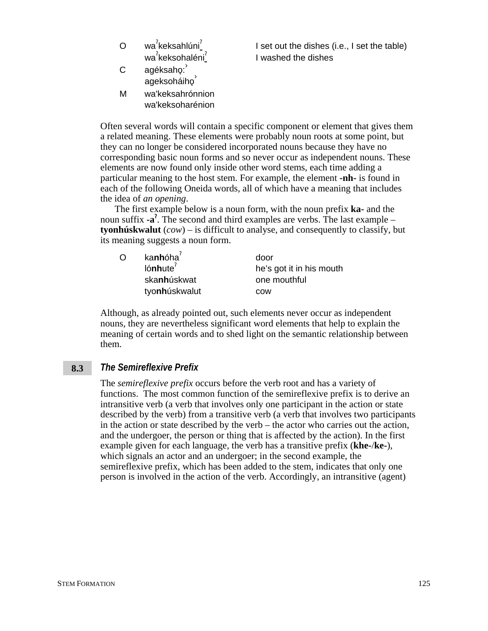| ∩ | wa <sup>7</sup> keksahlúni <sup>7</sup>  | I set out |
|---|------------------------------------------|-----------|
|   | wa <sup>2</sup> keksohaléni <sup>2</sup> | I washed  |
| C | agéksaho:<br>ageksoháiho                 |           |
|   |                                          |           |
| м | wa'keksahrónnion                         |           |

wa'keksoharénion

the dishes  $(i.e., I set the table)$ I the dishes

Often several words will contain a specific component or element that gives them a related meaning. These elements were probably noun roots at some point, but they can no longer be considered incorporated nouns because they have no corresponding basic noun forms and so never occur as independent nouns. These elements are now found only inside other word stems, each time adding a particular meaning to the host stem. For example, the element **-nh-** is found in each of the following Oneida words, all of which have a meaning that includes the idea of *an opening*.

The first example below is a noun form, with the noun prefix **ka-** and the noun suffix **-a<sup>?</sup>**. The second and third examples are verbs. The last example – **tyonhúskwalut** (*cow*) – is difficult to analyse, and consequently to classify, but its meaning suggests a noun form.

| $\Omega$ | kanhóha <sup>?</sup> | door                     |
|----------|----------------------|--------------------------|
|          | $I$ ónhute $^7$      | he's got it in his mouth |
|          | skanhúskwat          | one mouthful             |
|          | tyonhúskwalut        | COW                      |

Although, as already pointed out, such elements never occur as independent nouns, they are nevertheless significant word elements that help to explain the meaning of certain words and to shed light on the semantic relationship between them.

### *The Semireflexive Prefix* **8.3**

The *semireflexive prefix* occurs before the verb root and has a variety of functions. The most common function of the semireflexive prefix is to derive an intransitive verb (a verb that involves only one participant in the action or state described by the verb) from a transitive verb (a verb that involves two participants in the action or state described by the verb – the actor who carries out the action, and the undergoer, the person or thing that is affected by the action). In the first example given for each language, the verb has a transitive prefix (**khe-**/**ke-**), which signals an actor and an undergoer; in the second example, the semireflexive prefix, which has been added to the stem, indicates that only one person is involved in the action of the verb. Accordingly, an intransitive (agent)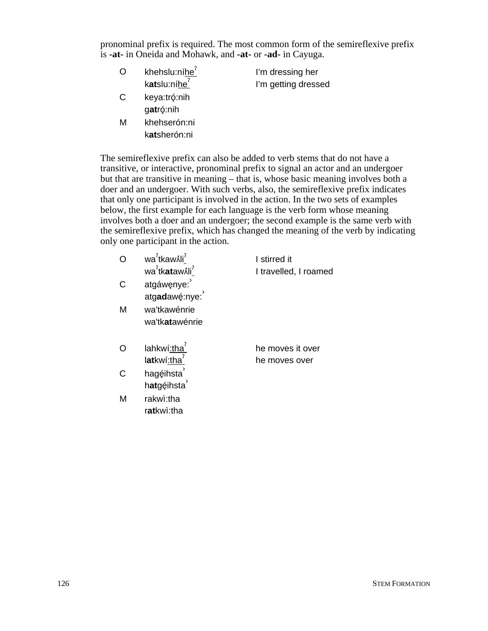pronominal prefix is required. The most common form of the semireflexive prefix is **-at-** in Oneida and Mohawk, and **-at-** or **-ad-** in Cayuga.

| O | khehslu:níhe <sup>7</sup> | I'm dressing her    |
|---|---------------------------|---------------------|
|   | katslu:níhe <sup>?</sup>  | I'm getting dressed |
| C | keya:tró:nih              |                     |
|   | gatró:nih                 |                     |

M khehserón:ni k**at**sherón:ni

The semireflexive prefix can also be added to verb stems that do not have a transitive, or interactive, pronominal prefix to signal an actor and an undergoer but that are transitive in meaning – that is, whose basic meaning involves both a doer and an undergoer. With such verbs, also, the semireflexive prefix indicates that only one participant is involved in the action. In the two sets of examples below, the first example for each language is the verb form whose meaning involves both a doer and an undergoer; the second example is the same verb with the semireflexive prefix, which has changed the meaning of the verb by indicating only one participant in the action.

|   | wa <sup>7</sup> tkaw li <sup>7</sup><br>wa <sup>?</sup> tk <b>at</b> awʎli <sup>?</sup> | I stirred it          |
|---|-----------------------------------------------------------------------------------------|-----------------------|
|   |                                                                                         | I travelled, I roamed |
| C | atgáwęnye:                                                                              |                       |
|   | atgadawę:nye:                                                                           |                       |
| м | wa'tkawénrie                                                                            |                       |
|   | wa'tk <b>at</b> awénrie                                                                 |                       |
|   |                                                                                         |                       |
|   | lahkwí:tha                                                                              | he moves it over      |
|   | latkwí:tha                                                                              | he moves over         |
|   | hagéihsta                                                                               |                       |
|   | hatgéihsta                                                                              |                       |
| M | rakwi:tha                                                                               |                       |
|   | ratkwi:tha                                                                              |                       |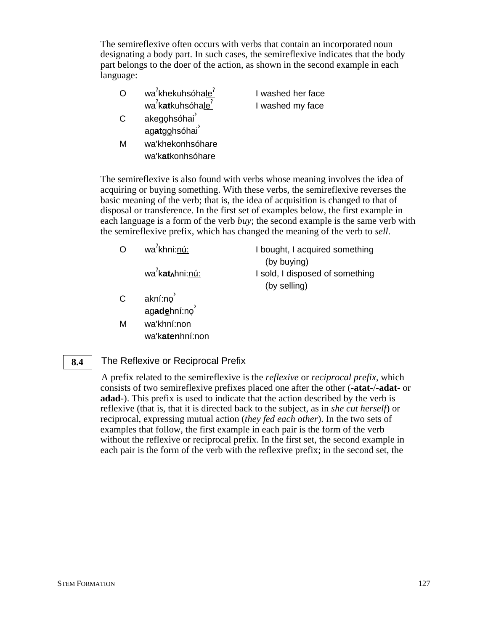The semireflexive often occurs with verbs that contain an incorporated noun designating a body part. In such cases, the semireflexive indicates that the body part belongs to the doer of the action, as shown in the second example in each language:

|     | wa <sup>7</sup> khekuhsóhale <sup>7</sup> | I washed her face |  |
|-----|-------------------------------------------|-------------------|--|
|     | wa <sup>2</sup> katkuhsóhale <sup>2</sup> | I washed my face  |  |
| C   | akegohsóhai                               |                   |  |
|     | agatgohsóhai                              |                   |  |
| n Л | walkhakanhaáhara                          |                   |  |

M wa'khekonhsóhare wa'k**at**konhsóhare

The semireflexive is also found with verbs whose meaning involves the idea of acquiring or buying something. With these verbs, the semireflexive reverses the basic meaning of the verb; that is, the idea of acquisition is changed to that of disposal or transference. In the first set of examples below, the first example in each language is a form of the verb *buy*; the second example is the same verb with the semireflexive prefix, which has changed the meaning of the verb to *sell*.

| O  | wa <sup>7</sup> khni:nú:            | I bought, I acquired something<br>(by buying)   |
|----|-------------------------------------|-------------------------------------------------|
|    | wa <sup>'</sup> kat∧hni: <u>nú:</u> | I sold, I disposed of something<br>(by selling) |
| C. | akní:no<br>agadehní:no              |                                                 |

M wa'khní:non wa'k**aten**hní:non

### The Reflexive or Reciprocal Prefix **8.4**

A prefix related to the semireflexive is the *reflexive* or *reciprocal prefix*, which consists of two semireflexive prefixes placed one after the other (**-atat-**/**-adat-** or **adad**-). This prefix is used to indicate that the action described by the verb is reflexive (that is, that it is directed back to the subject, as in *she cut herself*) or reciprocal, expressing mutual action (*they fed each other*). In the two sets of examples that follow, the first example in each pair is the form of the verb without the reflexive or reciprocal prefix. In the first set, the second example in each pair is the form of the verb with the reflexive prefix; in the second set, the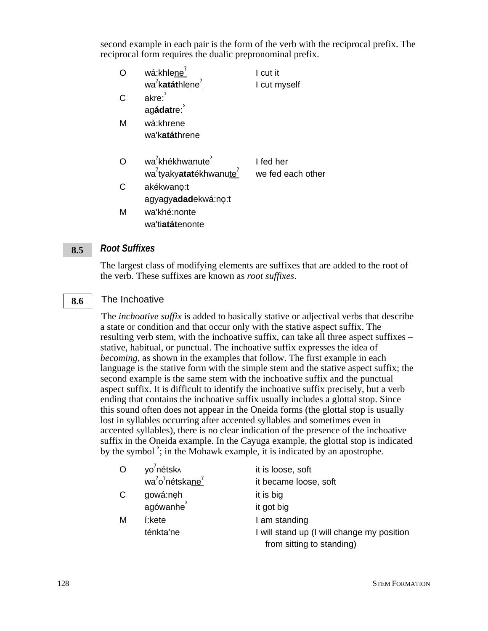second example in each pair is the form of the verb with the reciprocal prefix. The reciprocal form requires the dualic prepronominal prefix.

| Ω | wá:khlene <sup>7</sup>                          | I cut it          |
|---|-------------------------------------------------|-------------------|
|   | wa <sup>7</sup> katáthlene <sup>7</sup>         | I cut myself      |
| C | akre:                                           |                   |
|   | agádatre:                                       |                   |
| М | wà:khrene                                       |                   |
|   | wa'katáthrene                                   |                   |
| O | wa <sup>2</sup> khékhwanute                     | I fed her         |
|   | wa <sup>7</sup> tyakyatatékhwanute <sup>7</sup> | we fed each other |
| C | akékwano:t                                      |                   |
|   | agyagyadadekwá:no:t                             |                   |
| М | wa'khé:nonte                                    |                   |
|   | wa'ti <b>atát</b> enonte                        |                   |

### *Root Suffixes* **8.5**

The largest class of modifying elements are suffixes that are added to the root of the verb. These suffixes are known as *root suffixes*.

#### The Inchoative **8.6**

The *inchoative suffix* is added to basically stative or adjectival verbs that describe a state or condition and that occur only with the stative aspect suffix. The resulting verb stem, with the inchoative suffix, can take all three aspect suffixes – stative, habitual, or punctual. The inchoative suffix expresses the idea of *becoming*, as shown in the examples that follow. The first example in each language is the stative form with the simple stem and the stative aspect suffix; the second example is the same stem with the inchoative suffix and the punctual aspect suffix. It is difficult to identify the inchoative suffix precisely, but a verb ending that contains the inchoative suffix usually includes a glottal stop. Since this sound often does not appear in the Oneida forms (the glottal stop is usually lost in syllables occurring after accented syllables and sometimes even in accented syllables), there is no clear indication of the presence of the inchoative suffix in the Oneida example. In the Cayuga example, the glottal stop is indicated by the symbol  $\cdot$ ; in the Mohawk example, it is indicated by an apostrophe.

| $\circ$ | yo <sup>7</sup> nétsk <sub>^</sub>                   | it is loose, soft                          |
|---------|------------------------------------------------------|--------------------------------------------|
|         | wa <sup>2</sup> o <sup>2</sup> nétskane <sup>2</sup> | it became loose, soft                      |
| C       | gowá:nęh                                             | it is big                                  |
|         |                                                      | it got big                                 |
| M       | í:kete                                               | I am standing                              |
|         | ténkta'ne                                            | I will stand up (I will change my position |
|         |                                                      | from sitting to standing)                  |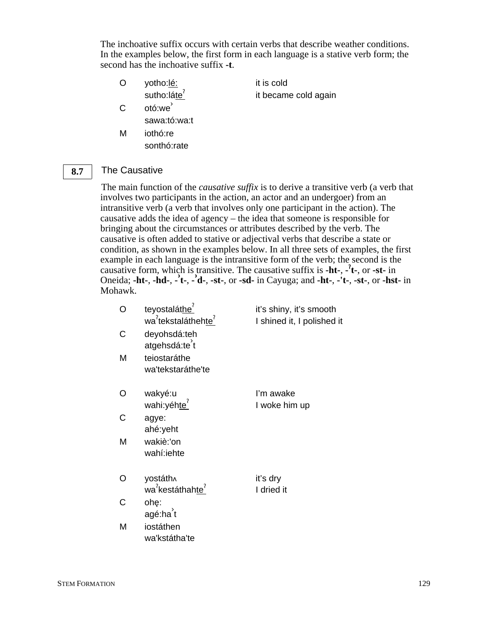The inchoative suffix occurs with certain verbs that describe weather conditions. In the examples below, the first form in each language is a stative verb form; the second has the inchoative suffix **-t**.

- O yotho:lé: sutho:láte<sup>?</sup> it is cold C otó:we<sup>'</sup> sawa:tó:wa:t
- M iothó:re sonthó:rate

it became cold again

The Causative **8.7**

> The main function of the *causative suffix* is to derive a transitive verb (a verb that involves two participants in the action, an actor and an undergoer) from an intransitive verb (a verb that involves only one participant in the action). The causative adds the idea of agency – the idea that someone is responsible for bringing about the circumstances or attributes described by the verb. The causative is often added to stative or adjectival verbs that describe a state or condition, as shown in the examples below. In all three sets of examples, the first example in each language is the intransitive form of the verb; the second is the causative form, which is transitive. The causative suffix is **-ht-**, **-** § **t-**, or **-st-** in Oneida; **-ht-**, **-hd-**, **- › t-**, **- › d-**, **-st-**, or **-sd-** in Cayuga; and **-ht-**, **-'t-**, **-st-**, or **-hst-** in Mohawk.

| Ω | teyostaláthe <sup>'</sup><br>wa <sup>7</sup> tekstaláthehte <sup>7</sup> | it's shiny, it's smooth<br>I shined it, I polished it |
|---|--------------------------------------------------------------------------|-------------------------------------------------------|
| С | deyohsdá:teh<br>atgehsdá:te't                                            |                                                       |
| M | teiostaráthe<br>wa'tekstaráthe'te                                        |                                                       |
| O | wakyé:u<br>wahi:yéhte <sup>7</sup>                                       | I'm awake<br>I woke him up                            |
| C | agye:<br>ahé:yeht                                                        |                                                       |
| M | wakiè:'on<br>wahí:iehte                                                  |                                                       |
| Ω | yostáth^<br>wa <sup>2</sup> kestáthahte <sup>1</sup>                     | it's dry<br>I dried it                                |
| C | ohę:<br>agé:ha t                                                         |                                                       |
| M | iostáthen<br>wa'kstátha'te                                               |                                                       |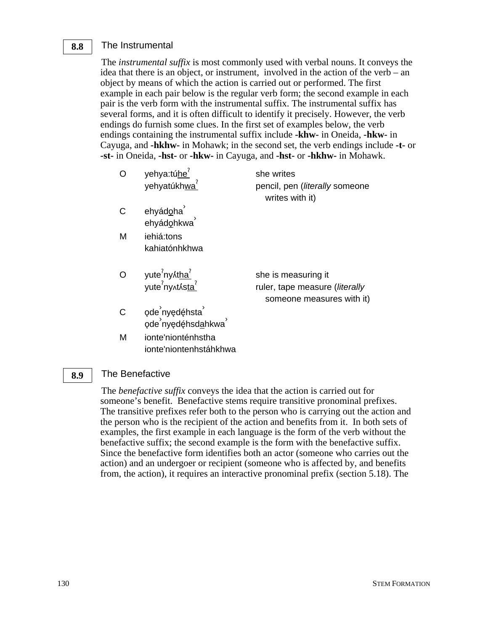### The Instrumental **8.8**

The *instrumental suffix* is most commonly used with verbal nouns. It conveys the idea that there is an object, or instrument, involved in the action of the verb – an object by means of which the action is carried out or performed. The first example in each pair below is the regular verb form; the second example in each pair is the verb form with the instrumental suffix. The instrumental suffix has several forms, and it is often difficult to identify it precisely. However, the verb endings do furnish some clues. In the first set of examples below, the verb endings containing the instrumental suffix include **-khw-** in Oneida, **-hkw-** in Cayuga, and **-hkhw-** in Mohawk; in the second set, the verb endings include **-t-** or **-st-** in Oneida, **-hst-** or **-hkw-** in Cayuga, and **-hst-** or **-hkhw-** in Mohawk.

|   | yehya:túhe <sup>?</sup><br>yehyatúkhwa <sup>7</sup>                                       | she writes<br>pencil, pen ( <i>literally</i> someone<br>writes with it)            |
|---|-------------------------------------------------------------------------------------------|------------------------------------------------------------------------------------|
|   | ehyádoha<br>ehyádohkwa                                                                    |                                                                                    |
| M | iehiá:tons<br>kahiatónhkhwa                                                               |                                                                                    |
|   | yute <sup>?</sup> ny ⁄it <u>ha<sup>?</sup></u><br>yute <sup>?</sup> ny ^t ⁄is <u>ta</u> ? | she is measuring it<br>ruler, tape measure (literally<br>someone measures with it) |
|   | ode nyedéhsta<br>ode nyedéhsd <u>a</u> hkwa                                               |                                                                                    |
| М | ionte'nionténhstha                                                                        |                                                                                    |

### The Benefactive **8.9**

ionte'niontenhstáhkhwa

The *benefactive suffix* conveys the idea that the action is carried out for someone's benefit. Benefactive stems require transitive pronominal prefixes. The transitive prefixes refer both to the person who is carrying out the action and the person who is the recipient of the action and benefits from it. In both sets of examples, the first example in each language is the form of the verb without the benefactive suffix; the second example is the form with the benefactive suffix. Since the benefactive form identifies both an actor (someone who carries out the action) and an undergoer or recipient (someone who is affected by, and benefits from, the action), it requires an interactive pronominal prefix (section 5.18). The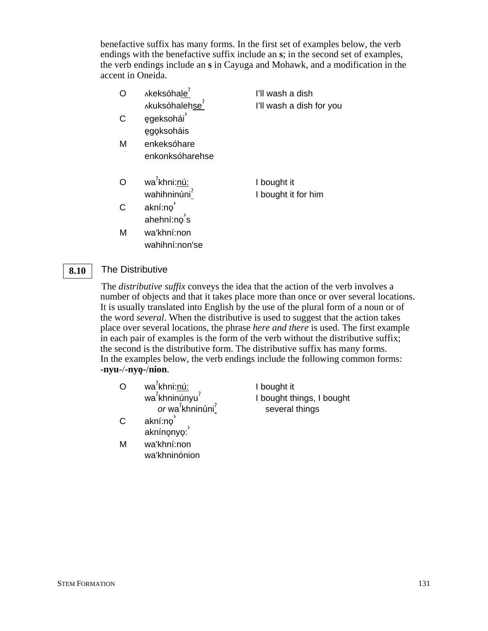benefactive suffix has many forms. In the first set of examples below, the verb endings with the benefactive suffix include an **s**; in the second set of examples, the verb endings include an **s** in Cayuga and Mohawk, and a modification in the accent in Oneida.

|   | Akeksóhale <sup>7</sup>    | I'll wash a dish         |
|---|----------------------------|--------------------------|
|   | Akuksóhalehse <sup>7</sup> | I'll wash a dish for you |
| C | egeksohái                  |                          |
|   | egoksoháis                 |                          |
| М | enkeksóhare                |                          |
|   | enkonksóharehse            |                          |
|   |                            |                          |
|   | wa <sup>7</sup> khni:nú:   | I bought it              |
|   | wahihninúni <sup>?</sup>   | I bought it for him      |
| C | akní:no                    |                          |
|   | ahehní:no's                |                          |
| M | wa'khní:non                |                          |
|   | wahihní:non'se             |                          |

### The Distributive **8.10**

The *distributive suffix* conveys the idea that the action of the verb involves a number of objects and that it takes place more than once or over several locations. It is usually translated into English by the use of the plural form of a noun or of the word *several*. When the distributive is used to suggest that the action takes place over several locations, the phrase *here and there* is used. The first example in each pair of examples is the form of the verb without the distributive suffix; the second is the distributive form. The distributive suffix has many forms. In the examples below, the verb endings include the following common forms: **-nyu-**/**-nyo**2**-**/**nion**.

- O wa<sup>?</sup>khni:<u>nú:</u> wa<sup>?</sup>khninúnyu<sup>?</sup> or wa<sup>?</sup>khninúni<sup>?</sup> I bought it I bought things, I bought several things
- $C$  akní:n $\varphi$ <sup>'</sup> مستنبر<br>akníno̥nyo:
- M wa'khní:non wa'khninónion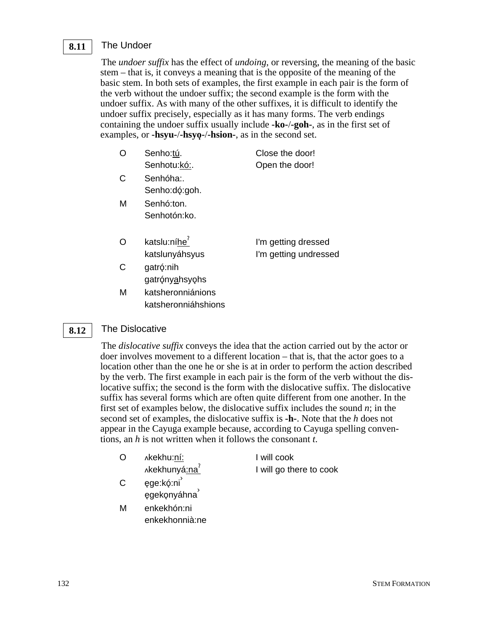### The Undoer **8.11**

The *undoer suffix* has the effect of *undoing*, or reversing, the meaning of the basic stem – that is, it conveys a meaning that is the opposite of the meaning of the basic stem. In both sets of examples, the first example in each pair is the form of the verb without the undoer suffix; the second example is the form with the undoer suffix. As with many of the other suffixes, it is difficult to identify the undoer suffix precisely, especially as it has many forms. The verb endings containing the undoer suffix usually include **-ko-**/**-goh-**, as in the first set of examples, or **-hsyu-/-hsyo-/-hsion-**, as in the second set.

| O | Senho:tú.                                  | Close the door!                              |
|---|--------------------------------------------|----------------------------------------------|
|   | Senhotu:kó:.                               | Open the door!                               |
| C | Senhóha:<br>Senho:dó:goh.                  |                                              |
| м | Senhó:ton.<br>Senhotón:ko.                 |                                              |
| Ω | katslu:níhe <sup>7</sup><br>katslunyáhsyus | I'm getting dressed<br>I'm getting undressed |
| C | gatró:nih<br>gatrónyahsyohs                |                                              |

M katsheronniánions katsheronniáhshions

### The Dislocative **8.12**

The *dislocative suffix* conveys the idea that the action carried out by the actor or doer involves movement to a different location – that is, that the actor goes to a location other than the one he or she is at in order to perform the action described by the verb. The first example in each pair is the form of the verb without the dislocative suffix; the second is the form with the dislocative suffix. The dislocative suffix has several forms which are often quite different from one another. In the first set of examples below, the dislocative suffix includes the sound *n*; in the second set of examples, the dislocative suffix is **-h-**. Note that the *h* does not appear in the Cayuga example because, according to Cayuga spelling conventions, an *h* is not written when it follows the consonant *t*.

| O | λkekhu:ní:                | I will cook             |
|---|---------------------------|-------------------------|
|   | Akekhunyá:na <sup>?</sup> | I will go there to cook |
| С | ęge:kó:ni<br>egekonyáhna  |                         |
| М | enkekhón:ni               |                         |

enkekhonnià:ne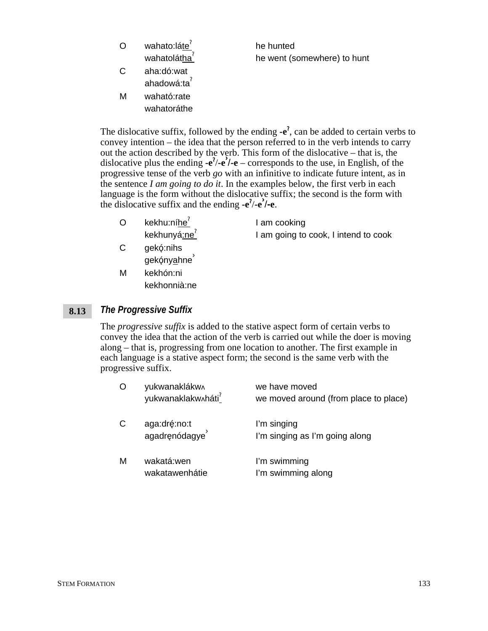| $\Omega$ | wahato:láte<br>wahatolátha <sup>7</sup> | he hunted<br>he went (somewhere) to hunt |
|----------|-----------------------------------------|------------------------------------------|
| C        | aha:dó:wat<br>ahadowá:ta <sup>?</sup>   |                                          |
| м        | waható:rate<br>wahatoráthe              |                                          |

The dislocative suffix, followed by the ending  $-e^2$ , can be added to certain verbs to convey intention – the idea that the person referred to in the verb intends to carry out the action described by the verb. This form of the dislocative – that is, the dislocative plus the ending  $-e^2/e$  – corresponds to the use, in English, of the progressive tense of the verb *go* with an infinitive to indicate future intent, as in the sentence *I am going to do it*. In the examples below, the first verb in each language is the form without the dislocative suffix; the second is the form with the dislocative suffix and the ending **-e**§ /**-e›** /**-e**.

- $O$  kekhu:níhe $<sup>7</sup>$ </sup> kekhunyá:ne<sup>?</sup> I am cooking I am going to cook, I intend to cook
- C gekó:nihs gekónyahne<sup>'</sup>
- M kekhón:ni kekhonnià:ne

### *The Progressive Suffix* **8.13**

The *progressive suffix* is added to the stative aspect form of certain verbs to convey the idea that the action of the verb is carried out while the doer is moving along – that is, progressing from one location to another. The first example in each language is a stative aspect form; the second is the same verb with the progressive suffix.

| O | yukwanaklákw^<br>yukwanaklakw^háti <sup>7</sup> | we have moved<br>we moved around (from place to place) |
|---|-------------------------------------------------|--------------------------------------------------------|
| С | aga:dré:no:t<br>agadrenódagye                   | I'm singing<br>I'm singing as I'm going along          |
| M | wakatá:wen<br>wakatawenhátie                    | I'm swimming<br>I'm swimming along                     |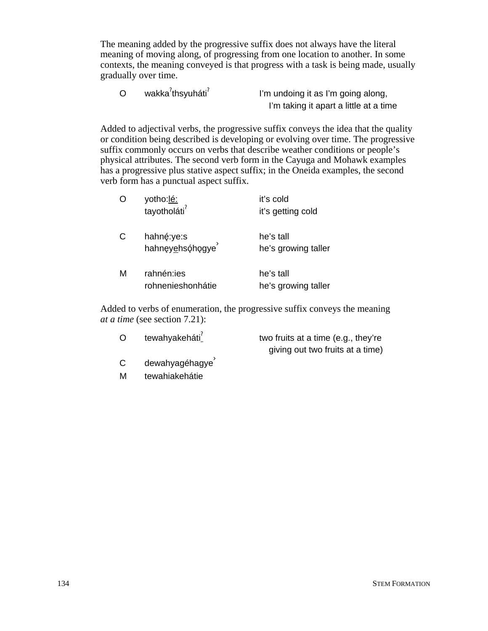The meaning added by the progressive suffix does not always have the literal meaning of moving along, of progressing from one location to another. In some contexts, the meaning conveyed is that progress with a task is being made, usually gradually over time.

O wakka<sup>2</sup>thsyuháti<sup>2</sup> I'm undoing it as I'm going along, I'm taking it apart a little at a time

Added to adjectival verbs, the progressive suffix conveys the idea that the quality or condition being described is developing or evolving over time. The progressive suffix commonly occurs on verbs that describe weather conditions or people's physical attributes. The second verb form in the Cayuga and Mohawk examples has a progressive plus stative aspect suffix; in the Oneida examples, the second verb form has a punctual aspect suffix.

|   | yotho:lé:<br>tayotholáti <sup>?</sup> | it's cold<br>it's getting cold   |
|---|---------------------------------------|----------------------------------|
| C | hahnę:ye:s<br>hahnęyehsóhogye         | he's tall<br>he's growing taller |
| м | rahnén:ies<br>rohnenieshonhátie       | he's tall<br>he's growing taller |

Added to verbs of enumeration, the progressive suffix conveys the meaning *at a time* (see section 7.21):

| O | tewahyakeháti <sup>7</sup> | two fruits at a time (e.g., they're |
|---|----------------------------|-------------------------------------|
|   |                            | giving out two fruits at a time)    |
| C | dewahyagéhagye             |                                     |

M tewahiakehátie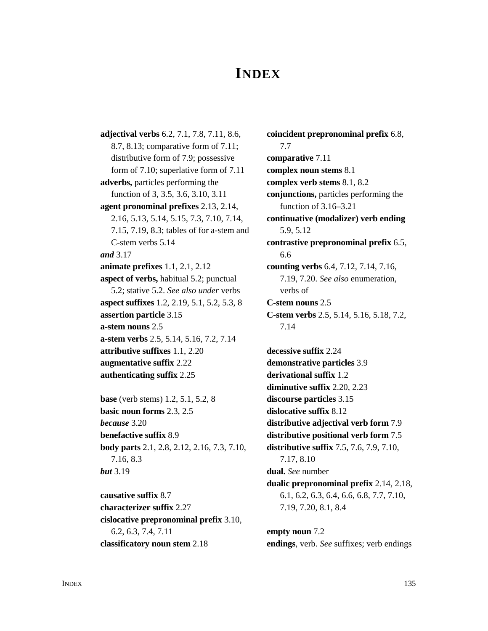# **INDEX**

**adjectival verbs** 6.2, 7.1, 7.8, 7.11, 8.6, 8.7, 8.13; comparative form of 7.11; distributive form of 7.9; possessive form of 7.10; superlative form of 7.11 **adverbs,** particles performing the function of 3, 3.5, 3.6, 3.10, 3.11 **agent pronominal prefixes** 2.13, 2.14, 2.16, 5.13, 5.14, 5.15, 7.3, 7.10, 7.14, 7.15, 7.19, 8.3; tables of for a-stem and C-stem verbs 5.14 *and* 3.17 **animate prefixes** 1.1, 2.1, 2.12 **aspect of verbs,** habitual 5.2; punctual 5.2; stative 5.2. *See also under* verbs **aspect suffixes** 1.2, 2.19, 5.1, 5.2, 5.3, 8 **assertion particle** 3.15 **a-stem nouns** 2.5 **a-stem verbs** 2.5, 5.14, 5.16, 7.2, 7.14 **attributive suffixes** 1.1, 2.20 **augmentative suffix** 2.22 **authenticating suffix** 2.25 **base** (verb stems) 1.2, 5.1, 5.2, 8 **basic noun forms** 2.3, 2.5 *because* 3.20 **benefactive suffix** 8.9 **body parts** 2.1, 2.8, 2.12, 2.16, 7.3, 7.10,

7.16, 8.3 *but* 3.19

**causative suffix** 8.7 **characterizer suffix** 2.27 **cislocative prepronominal prefix** 3.10, 6.2, 6.3, 7.4, 7.11 **classificatory noun stem** 2.18

**coincident prepronominal prefix** 6.8, 7.7 **comparative** 7.11 **complex noun stems** 8.1 **complex verb stems** 8.1, 8.2 **conjunctions,** particles performing the function of 3.16–3.21 **continuative (modalizer) verb ending** 5.9, 5.12 **contrastive prepronominal prefix** 6.5, 6.6 **counting verbs** 6.4, 7.12, 7.14, 7.16, 7.19, 7.20. *See also* enumeration, verbs of **C-stem nouns** 2.5 **C-stem verbs** 2.5, 5.14, 5.16, 5.18, 7.2, 7.14 **decessive suffix** 2.24 **demonstrative particles** 3.9 **derivational suffix** 1.2 **diminutive suffix** 2.20, 2.23 **discourse particles** 3.15 **dislocative suffix** 8.12 **distributive adjectival verb form** 7.9 **distributive positional verb form** 7.5 **distributive suffix** 7.5, 7.6, 7.9, 7.10, 7.17, 8.10 **dual.** *See* number **dualic prepronominal prefix** 2.14, 2.18, 6.1, 6.2, 6.3, 6.4, 6.6, 6.8, 7.7, 7.10, 7.19, 7.20, 8.1, 8.4

**empty noun** 7.2 **endings**, verb. *See* suffixes; verb endings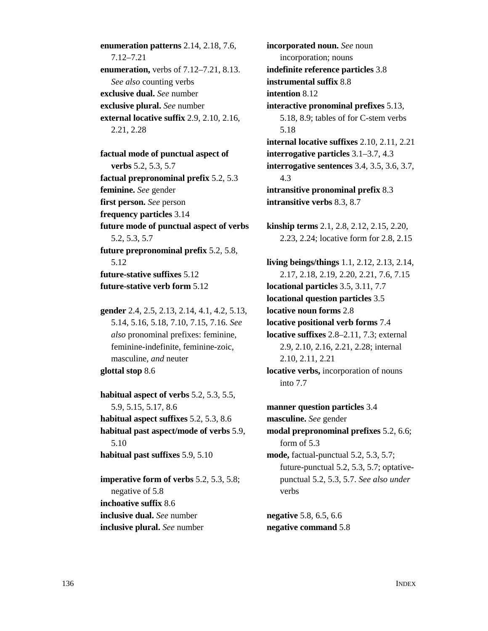**enumeration patterns** 2.14, 2.18, 7.6, 7.12–7.21 **enumeration,** verbs of 7.12–7.21, 8.13. *See also* counting verbs **exclusive dual.** *See* number **exclusive plural.** *See* number **external locative suffix** 2.9, 2.10, 2.16, 2.21, 2.28

**factual mode of punctual aspect of verbs** 5.2, 5.3, 5.7 **factual prepronominal prefix** 5.2, 5.3 **feminine.** *See* gender **first person.** *See* person **frequency particles** 3.14 **future mode of punctual aspect of verbs** 5.2, 5.3, 5.7 **future prepronominal prefix** 5.2, 5.8, 5.12 **future-stative suffixes** 5.12 **future-stative verb form** 5.12

**gender** 2.4, 2.5, 2.13, 2.14, 4.1, 4.2, 5.13, 5.14, 5.16, 5.18, 7.10, 7.15, 7.16. *See also* pronominal prefixes: feminine, feminine-indefinite, feminine-zoic, masculine, *and* neuter **glottal stop** 8.6

**habitual aspect of verbs** 5.2, 5.3, 5.5, 5.9, 5.15, 5.17, 8.6 **habitual aspect suffixes** 5.2, 5.3, 8.6 **habitual past aspect/mode of verbs** 5.9, 5.10 **habitual past suffixes** 5.9, 5.10

**imperative form of verbs** 5.2, 5.3, 5.8; negative of 5.8 **inchoative suffix** 8.6 **inclusive dual.** *See* number **inclusive plural.** *See* number

**incorporated noun.** *See* noun incorporation; nouns **indefinite reference particles** 3.8 **instrumental suffix** 8.8 **intention** 8.12 **interactive pronominal prefixes** 5.13, 5.18, 8.9; tables of for C-stem verbs 5.18 **internal locative suffixes** 2.10, 2.11, 2.21 **interrogative particles** 3.1–3.7, 4.3 **interrogative sentences** 3.4, 3.5, 3.6, 3.7, 4.3 **intransitive pronominal prefix** 8.3 **intransitive verbs** 8.3, 8.7

**kinship terms** 2.1, 2.8, 2.12, 2.15, 2.20, 2.23, 2.24; locative form for 2.8, 2.15

**living beings/things** 1.1, 2.12, 2.13, 2.14, 2.17, 2.18, 2.19, 2.20, 2.21, 7.6, 7.15 **locational particles** 3.5, 3.11, 7.7 **locational question particles** 3.5 **locative noun forms** 2.8 **locative positional verb forms** 7.4 **locative suffixes** 2.8–2.11, 7.3; external 2.9, 2.10, 2.16, 2.21, 2.28; internal 2.10, 2.11, 2.21 **locative verbs,** incorporation of nouns into 7.7

**manner question particles** 3.4 **masculine.** *See* gender **modal prepronominal prefixes** 5.2, 6.6; form of 5.3 **mode,** factual-punctual 5.2, 5.3, 5.7; future-punctual 5.2, 5.3, 5.7; optativepunctual 5.2, 5.3, 5.7. *See also under* verbs **negative** 5.8, 6.5, 6.6

**negative command** 5.8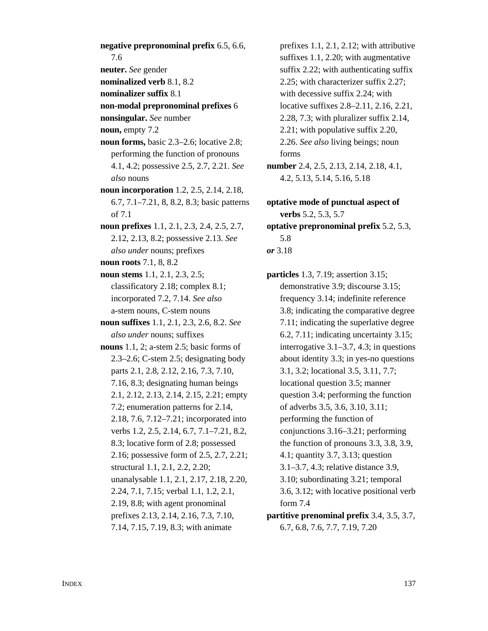**negative prepronominal prefix** 6.5, 6.6, 7.6 **neuter.** *See* gender **nominalized verb** 8.1, 8.2 **nominalizer suffix** 8.1 **non-modal prepronominal prefixes** 6 **nonsingular.** *See* number **noun,** empty 7.2 **noun forms,** basic 2.3–2.6; locative 2.8; performing the function of pronouns 4.1, 4.2; possessive 2.5, 2.7, 2.21. *See also* nouns **noun incorporation** 1.2, 2.5, 2.14, 2.18, 6.7, 7.1–7.21, 8, 8.2, 8.3; basic patterns of 7.1 **noun prefixes** 1.1, 2.1, 2.3, 2.4, 2.5, 2.7, 2.12, 2.13, 8.2; possessive 2.13. *See also under* nouns; prefixes **noun roots** 7.1, 8, 8.2 **noun stems** 1.1, 2.1, 2.3, 2.5; classificatory 2.18; complex 8.1; incorporated 7.2, 7.14. *See also* a-stem nouns, C-stem nouns **noun suffixes** 1.1, 2.1, 2.3, 2.6, 8.2. *See also under* nouns; suffixes **nouns** 1.1, 2; a-stem 2.5; basic forms of 2.3–2.6; C-stem 2.5; designating body parts 2.1, 2.8, 2.12, 2.16, 7.3, 7.10, 7.16, 8.3; designating human beings 2.1, 2.12, 2.13, 2.14, 2.15, 2.21; empty 7.2; enumeration patterns for 2.14, 2.18, 7.6, 7.12–7.21; incorporated into verbs 1.2, 2.5, 2.14, 6.7, 7.1–7.21, 8.2, 8.3; locative form of 2.8; possessed 2.16; possessive form of 2.5, 2.7, 2.21; structural 1.1, 2.1, 2.2, 2.20; unanalysable 1.1, 2.1, 2.17, 2.18, 2.20, 2.24, 7.1, 7.15; verbal 1.1, 1.2, 2.1, 2.19, 8.8; with agent pronominal prefixes 2.13, 2.14, 2.16, 7.3, 7.10, 7.14, 7.15, 7.19, 8.3; with animate

prefixes 1.1, 2.1, 2.12; with attributive suffixes 1.1, 2.20; with augmentative suffix 2.22; with authenticating suffix 2.25; with characterizer suffix 2.27; with decessive suffix 2.24; with locative suffixes 2.8–2.11, 2.16, 2.21, 2.28, 7.3; with pluralizer suffix 2.14, 2.21; with populative suffix 2.20, 2.26. *See also* living beings; noun forms **number** 2.4, 2.5, 2.13, 2.14, 2.18, 4.1, 4.2, 5.13, 5.14, 5.16, 5.18

**optative mode of punctual aspect of verbs** 5.2, 5.3, 5.7 **optative prepronominal prefix** 5.2, 5.3, 5.8 *or* 3.18

**particles** 1.3, 7.19; assertion 3.15; demonstrative 3.9; discourse 3.15; frequency 3.14; indefinite reference 3.8; indicating the comparative degree 7.11; indicating the superlative degree 6.2, 7.11; indicating uncertainty 3.15; interrogative 3.1–3.7, 4.3; in questions about identity 3.3; in yes-no questions 3.1, 3.2; locational 3.5, 3.11, 7.7; locational question 3.5; manner question 3.4; performing the function of adverbs 3.5, 3.6, 3.10, 3.11; performing the function of conjunctions 3.16–3.21; performing the function of pronouns 3.3, 3.8, 3.9, 4.1; quantity 3.7, 3.13; question 3.1–3.7, 4.3; relative distance 3.9, 3.10; subordinating 3.21; temporal 3.6, 3.12; with locative positional verb form 7.4 **partitive prenominal prefix** 3.4, 3.5, 3.7,

6.7, 6.8, 7.6, 7.7, 7.19, 7.20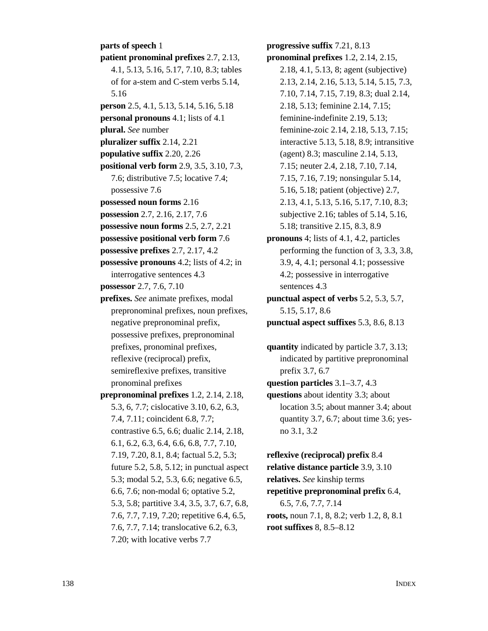**parts of speech** 1 **patient pronominal prefixes** 2.7, 2.13, 4.1, 5.13, 5.16, 5.17, 7.10, 8.3; tables of for a-stem and C-stem verbs 5.14, 5.16 **person** 2.5, 4.1, 5.13, 5.14, 5.16, 5.18 **personal pronouns** 4.1; lists of 4.1 **plural.** *See* number **pluralizer suffix** 2.14, 2.21 **populative suffix** 2.20, 2.26 **positional verb form** 2.9, 3.5, 3.10, 7.3, 7.6; distributive 7.5; locative 7.4; possessive 7.6 **possessed noun forms** 2.16 **possession** 2.7, 2.16, 2.17, 7.6 **possessive noun forms** 2.5, 2.7, 2.21 **possessive positional verb form** 7.6 **possessive prefixes** 2.7, 2.17, 4.2 **possessive pronouns** 4.2; lists of 4.2; in interrogative sentences 4.3 **possessor** 2.7, 7.6, 7.10 **prefixes.** *See* animate prefixes, modal prepronominal prefixes, noun prefixes, negative prepronominal prefix, possessive prefixes, prepronominal prefixes, pronominal prefixes, reflexive (reciprocal) prefix, semireflexive prefixes, transitive pronominal prefixes **prepronominal prefixes** 1.2, 2.14, 2.18, 5.3, 6, 7.7; cislocative 3.10, 6.2, 6.3, 7.4, 7.11; coincident 6.8, 7.7; contrastive 6.5, 6.6; dualic 2.14, 2.18, 6.1, 6.2, 6.3, 6.4, 6.6, 6.8, 7.7, 7.10, 7.19, 7.20, 8.1, 8.4; factual 5.2, 5.3; future 5.2, 5.8, 5.12; in punctual aspect 5.3; modal 5.2, 5.3, 6.6; negative 6.5, 6.6, 7.6; non-modal 6; optative 5.2, 5.3, 5.8; partitive 3.4, 3.5, 3.7, 6.7, 6.8, 7.6, 7.7, 7.19, 7.20; repetitive 6.4, 6.5, 7.6, 7.7, 7.14; translocative 6.2, 6.3, 7.20; with locative verbs 7.7

**progressive suffix** 7.21, 8.13 **pronominal prefixes** 1.2, 2.14, 2.15, 2.18, 4.1, 5.13, 8; agent (subjective) 2.13, 2.14, 2.16, 5.13, 5.14, 5.15, 7.3, 7.10, 7.14, 7.15, 7.19, 8.3; dual 2.14, 2.18, 5.13; feminine 2.14, 7.15; feminine-indefinite 2.19, 5.13; feminine-zoic 2.14, 2.18, 5.13, 7.15; interactive 5.13, 5.18, 8.9; intransitive (agent) 8.3; masculine 2.14, 5.13, 7.15; neuter 2.4, 2.18, 7.10, 7.14, 7.15, 7.16, 7.19; nonsingular 5.14, 5.16, 5.18; patient (objective) 2.7, 2.13, 4.1, 5.13, 5.16, 5.17, 7.10, 8.3; subjective 2.16; tables of 5.14, 5.16, 5.18; transitive 2.15, 8.3, 8.9 **pronouns** 4; lists of 4.1, 4.2, particles performing the function of 3, 3.3, 3.8, 3.9, 4, 4.1; personal 4.1; possessive 4.2; possessive in interrogative sentences 4.3 **punctual aspect of verbs** 5.2, 5.3, 5.7, 5.15, 5.17, 8.6 **punctual aspect suffixes** 5.3, 8.6, 8.13

**quantity** indicated by particle 3.7, 3.13; indicated by partitive prepronominal prefix 3.7, 6.7 **question particles** 3.1–3.7, 4.3 **questions** about identity 3.3; about location 3.5; about manner 3.4; about quantity 3.7, 6.7; about time 3.6; yesno 3.1, 3.2

**reflexive (reciprocal) prefix** 8.4 **relative distance particle** 3.9, 3.10 **relatives.** *See* kinship terms **repetitive prepronominal prefix** 6.4, 6.5, 7.6, 7.7, 7.14 **roots,** noun 7.1, 8, 8.2; verb 1.2, 8, 8.1 **root suffixes** 8, 8.5–8.12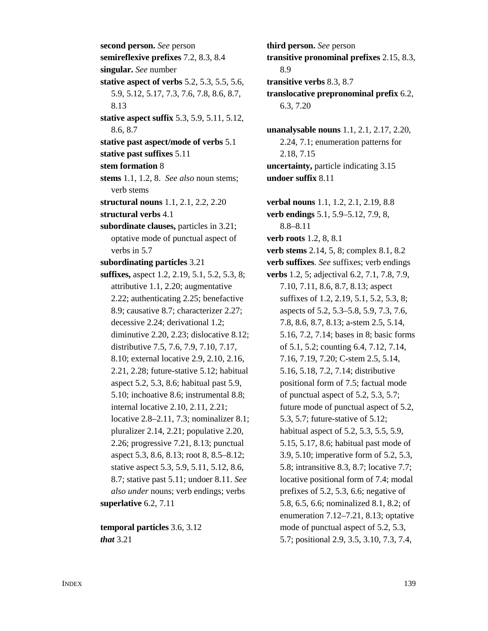**second person.** *See* person **semireflexive prefixes** 7.2, 8.3, 8.4 **singular.** *See* number **stative aspect of verbs** 5.2, 5.3, 5.5, 5.6, 5.9, 5.12, 5.17, 7.3, 7.6, 7.8, 8.6, 8.7, 8.13 **stative aspect suffix** 5.3, 5.9, 5.11, 5.12, 8.6, 8.7 **stative past aspect/mode of verbs** 5.1 **stative past suffixes** 5.11 **stem formation** 8 **stems** 1.1, 1.2, 8. *See also* noun stems; verb stems **structural nouns** 1.1, 2.1, 2.2, 2.20 **structural verbs** 4.1 **subordinate clauses,** particles in 3.21; optative mode of punctual aspect of verbs in 5.7 **subordinating particles** 3.21 **suffixes,** aspect 1.2, 2.19, 5.1, 5.2, 5.3, 8; attributive 1.1, 2.20; augmentative 2.22; authenticating 2.25; benefactive 8.9; causative 8.7; characterizer 2.27; decessive 2.24; derivational 1.2; diminutive 2.20, 2.23; dislocative 8.12; distributive 7.5, 7.6, 7.9, 7.10, 7.17, 8.10; external locative 2.9, 2.10, 2.16, 2.21, 2.28; future-stative 5.12; habitual aspect 5.2, 5.3, 8.6; habitual past 5.9, 5.10; inchoative 8.6; instrumental 8.8; internal locative 2.10, 2.11, 2.21; locative 2.8–2.11, 7.3; nominalizer 8.1; pluralizer 2.14, 2.21; populative 2.20, 2.26; progressive 7.21, 8.13; punctual aspect 5.3, 8.6, 8.13; root 8, 8.5–8.12; stative aspect 5.3, 5.9, 5.11, 5.12, 8.6, 8.7; stative past 5.11; undoer 8.11. *See also under* nouns; verb endings; verbs **superlative** 6.2, 7.11

**temporal particles** 3.6, 3.12 *that* 3.21

**third person.** *See* person **transitive pronominal prefixes** 2.15, 8.3, 8.9 **transitive verbs** 8.3, 8.7 **translocative prepronominal prefix** 6.2, 6.3, 7.20 **unanalysable nouns** 1.1, 2.1, 2.17, 2.20, 2.24, 7.1; enumeration patterns for 2.18, 7.15 **uncertainty,** particle indicating 3.15 **undoer suffix** 8.11 **verbal nouns** 1.1, 1.2, 2.1, 2.19, 8.8 **verb endings** 5.1, 5.9–5.12, 7.9, 8, 8.8–8.11 **verb roots** 1.2, 8, 8.1 **verb stems** 2.14, 5, 8; complex 8.1, 8.2 **verb suffixes**. *See* suffixes; verb endings **verbs** 1.2, 5; adjectival 6.2, 7.1, 7.8, 7.9, 7.10, 7.11, 8.6, 8.7, 8.13; aspect suffixes of 1.2, 2.19, 5.1, 5.2, 5.3, 8; aspects of 5.2, 5.3–5.8, 5.9, 7.3, 7.6, 7.8, 8.6, 8.7, 8.13; a-stem 2.5, 5.14, 5.16, 7.2, 7.14; bases in 8; basic forms of 5.1, 5.2; counting 6.4, 7.12, 7.14, 7.16, 7.19, 7.20; C-stem 2.5, 5.14, 5.16, 5.18, 7.2, 7.14; distributive positional form of 7.5; factual mode of punctual aspect of 5.2, 5.3, 5.7; future mode of punctual aspect of 5.2, 5.3, 5.7; future-stative of 5.12; habitual aspect of 5.2, 5.3, 5.5, 5.9, 5.15, 5.17, 8.6; habitual past mode of 3.9, 5.10; imperative form of 5.2, 5.3, 5.8; intransitive 8.3, 8.7; locative 7.7; locative positional form of 7.4; modal prefixes of 5.2, 5.3, 6.6; negative of 5.8, 6.5, 6.6; nominalized 8.1, 8.2; of enumeration 7.12–7.21, 8.13; optative mode of punctual aspect of 5.2, 5.3, 5.7; positional 2.9, 3.5, 3.10, 7.3, 7.4,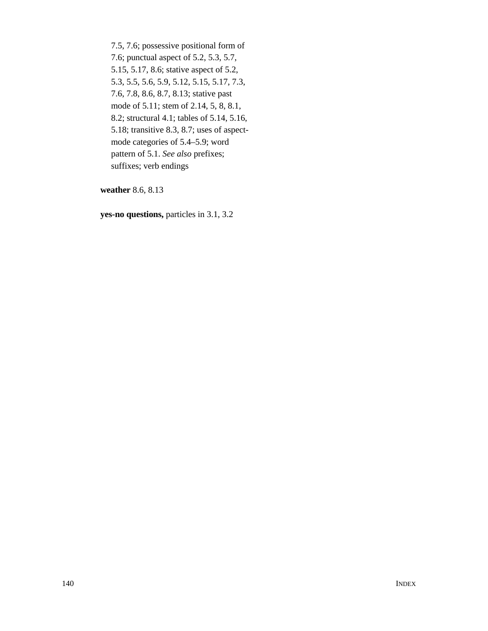7.5, 7.6; possessive positional form of 7.6; punctual aspect of 5.2, 5.3, 5.7, 5.15, 5.17, 8.6; stative aspect of 5.2, 5.3, 5.5, 5.6, 5.9, 5.12, 5.15, 5.17, 7.3, 7.6, 7.8, 8.6, 8.7, 8.13; stative past mode of 5.11; stem of 2.14, 5, 8, 8.1, 8.2; structural 4.1; tables of 5.14, 5.16, 5.18; transitive 8.3, 8.7; uses of aspectmode categories of 5.4–5.9; word pattern of 5.1. *See also* prefixes; suffixes; verb endings

**weather** 8.6, 8.13

**yes-no questions,** particles in 3.1, 3.2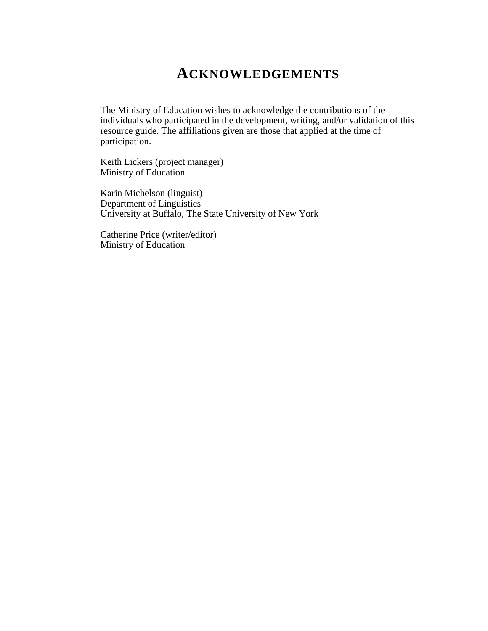# **ACKNOWLEDGEMENTS**

The Ministry of Education wishes to acknowledge the contributions of the individuals who participated in the development, writing, and/or validation of this resource guide. The affiliations given are those that applied at the time of participation.

Keith Lickers (project manager) Ministry of Education

Karin Michelson (linguist) Department of Linguistics University at Buffalo, The State University of New York

Catherine Price (writer/editor) Ministry of Education